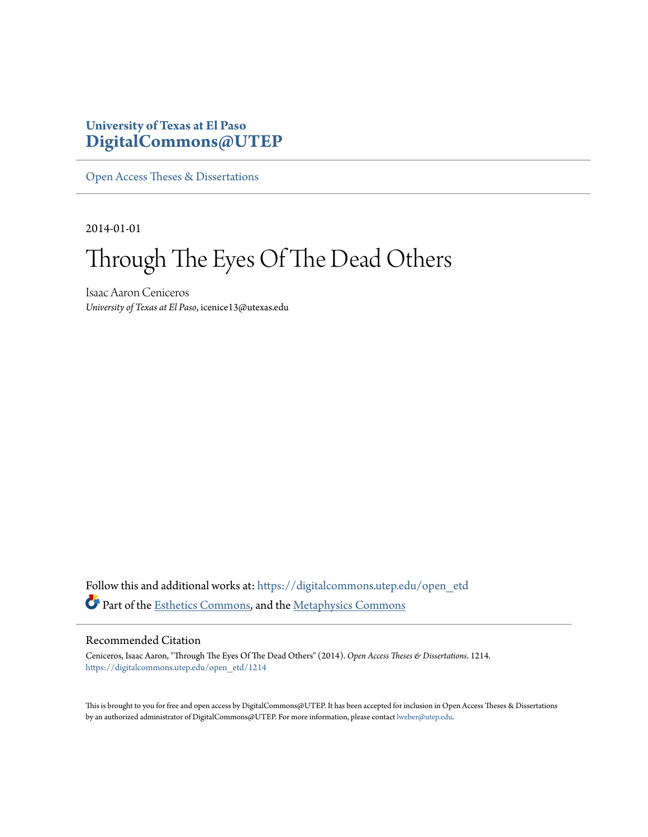# **University of Texas at El Paso [DigitalCommons@UTEP](https://digitalcommons.utep.edu/?utm_source=digitalcommons.utep.edu%2Fopen_etd%2F1214&utm_medium=PDF&utm_campaign=PDFCoverPages)**

[Open Access Theses & Dissertations](https://digitalcommons.utep.edu/open_etd?utm_source=digitalcommons.utep.edu%2Fopen_etd%2F1214&utm_medium=PDF&utm_campaign=PDFCoverPages)

2014-01-01

# Through The Eyes Of The Dead Others

Isaac Aaron Ceniceros *University of Texas at El Paso*, icenice13@utexas.edu

Follow this and additional works at: [https://digitalcommons.utep.edu/open\\_etd](https://digitalcommons.utep.edu/open_etd?utm_source=digitalcommons.utep.edu%2Fopen_etd%2F1214&utm_medium=PDF&utm_campaign=PDFCoverPages) Part of the [Esthetics Commons,](http://network.bepress.com/hgg/discipline/528?utm_source=digitalcommons.utep.edu%2Fopen_etd%2F1214&utm_medium=PDF&utm_campaign=PDFCoverPages) and the [Metaphysics Commons](http://network.bepress.com/hgg/discipline/533?utm_source=digitalcommons.utep.edu%2Fopen_etd%2F1214&utm_medium=PDF&utm_campaign=PDFCoverPages)

#### Recommended Citation

Ceniceros, Isaac Aaron, "Through The Eyes Of The Dead Others" (2014). *Open Access Theses & Dissertations*. 1214. [https://digitalcommons.utep.edu/open\\_etd/1214](https://digitalcommons.utep.edu/open_etd/1214?utm_source=digitalcommons.utep.edu%2Fopen_etd%2F1214&utm_medium=PDF&utm_campaign=PDFCoverPages)

This is brought to you for free and open access by DigitalCommons@UTEP. It has been accepted for inclusion in Open Access Theses & Dissertations by an authorized administrator of DigitalCommons@UTEP. For more information, please contact [lweber@utep.edu.](mailto:lweber@utep.edu)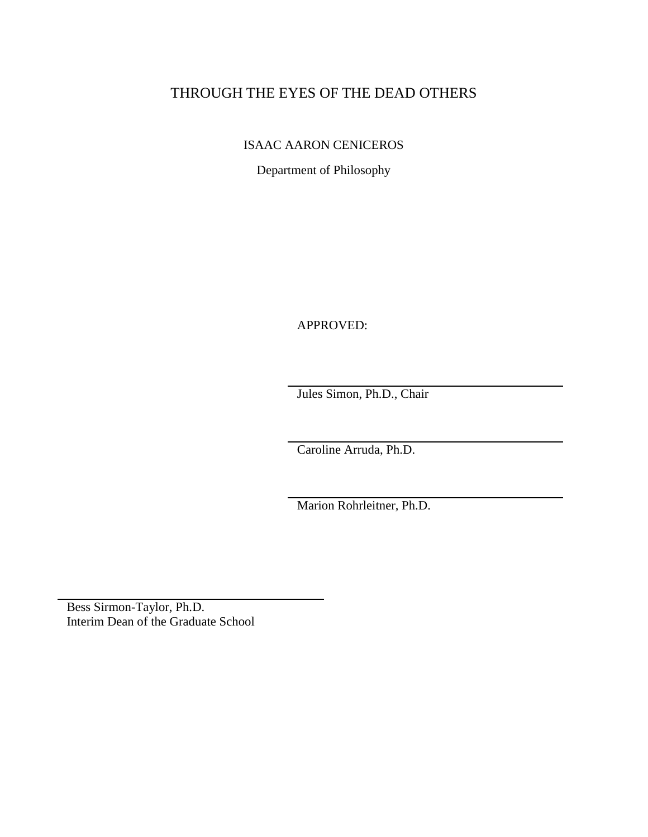# THROUGH THE EYES OF THE DEAD OTHERS

ISAAC AARON CENICEROS

Department of Philosophy

APPROVED:

Jules Simon, Ph.D., Chair

Caroline Arruda, Ph.D.

Marion Rohrleitner, Ph.D.

Bess Sirmon-Taylor, Ph.D. Interim Dean of the Graduate School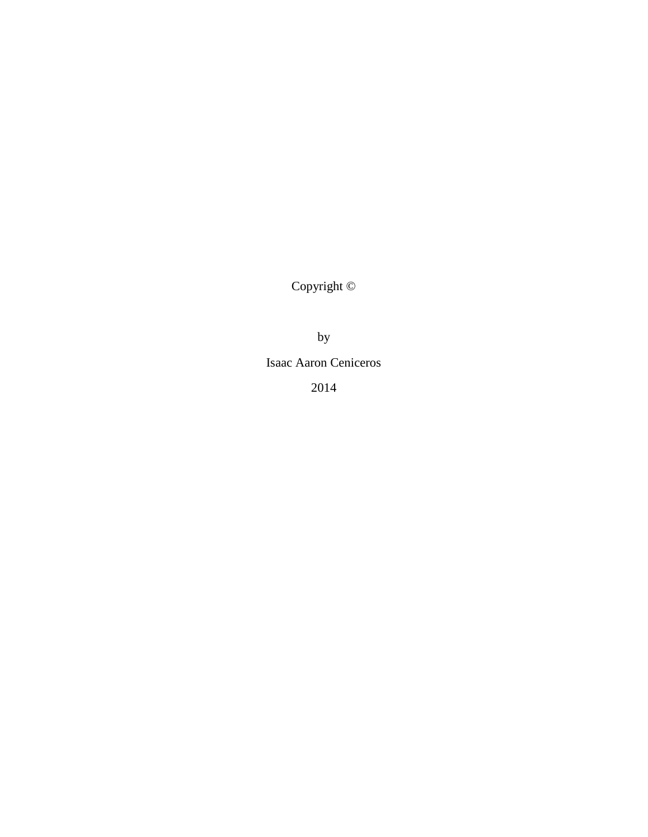Copyright ©

by

Isaac Aaron Ceniceros

2014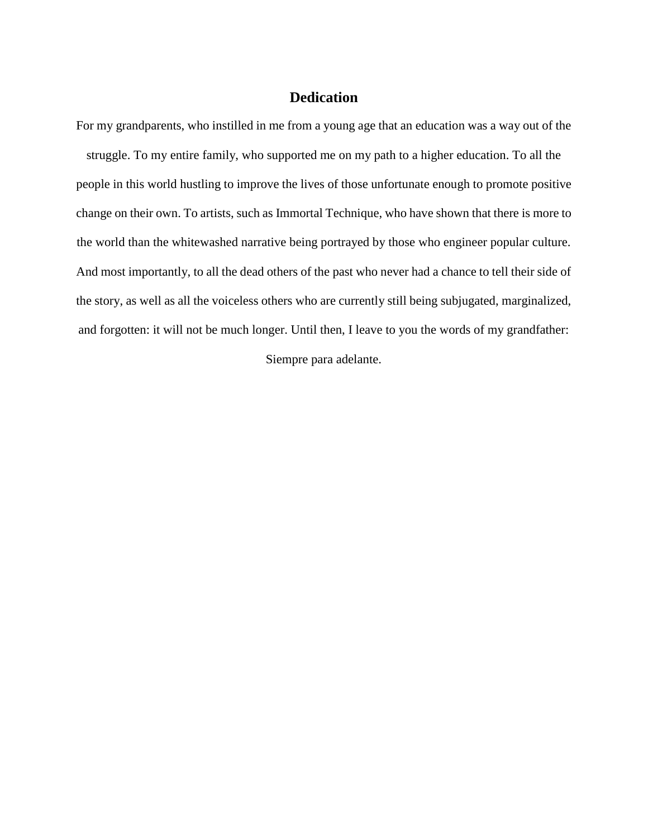# **Dedication**

For my grandparents, who instilled in me from a young age that an education was a way out of the struggle. To my entire family, who supported me on my path to a higher education. To all the people in this world hustling to improve the lives of those unfortunate enough to promote positive change on their own. To artists, such as Immortal Technique, who have shown that there is more to the world than the whitewashed narrative being portrayed by those who engineer popular culture. And most importantly, to all the dead others of the past who never had a chance to tell their side of the story, as well as all the voiceless others who are currently still being subjugated, marginalized, and forgotten: it will not be much longer. Until then, I leave to you the words of my grandfather:

Siempre para adelante.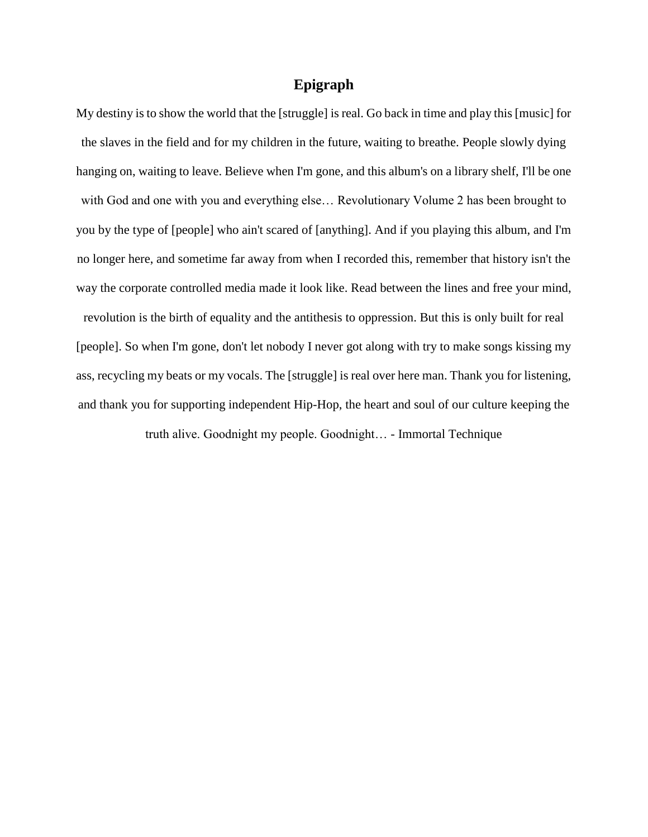#### **Epigraph**

My destiny is to show the world that the [struggle] is real. Go back in time and play this [music] for the slaves in the field and for my children in the future, waiting to breathe. People slowly dying hanging on, waiting to leave. Believe when I'm gone, and this album's on a library shelf, I'll be one with God and one with you and everything else… Revolutionary Volume 2 has been brought to you by the type of [people] who ain't scared of [anything]. And if you playing this album, and I'm no longer here, and sometime far away from when I recorded this, remember that history isn't the way the corporate controlled media made it look like. Read between the lines and free your mind, revolution is the birth of equality and the antithesis to oppression. But this is only built for real [people]. So when I'm gone, don't let nobody I never got along with try to make songs kissing my ass, recycling my beats or my vocals. The [struggle] is real over here man. Thank you for listening, and thank you for supporting independent Hip-Hop, the heart and soul of our culture keeping the

truth alive. Goodnight my people. Goodnight… - Immortal Technique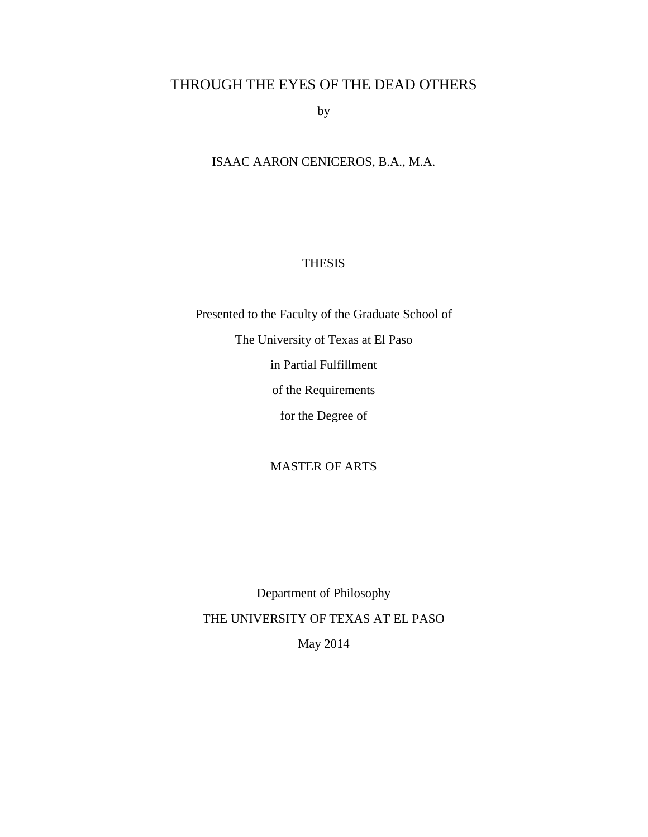# THROUGH THE EYES OF THE DEAD OTHERS

by

ISAAC AARON CENICEROS, B.A., M.A.

## THESIS

Presented to the Faculty of the Graduate School of The University of Texas at El Paso in Partial Fulfillment of the Requirements for the Degree of

# MASTER OF ARTS

Department of Philosophy THE UNIVERSITY OF TEXAS AT EL PASO May 2014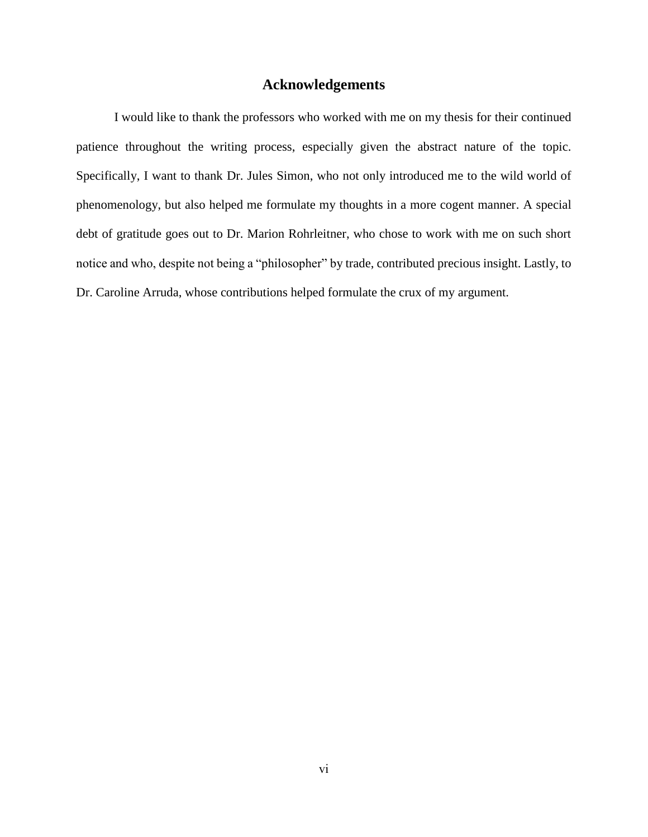## **Acknowledgements**

I would like to thank the professors who worked with me on my thesis for their continued patience throughout the writing process, especially given the abstract nature of the topic. Specifically, I want to thank Dr. Jules Simon, who not only introduced me to the wild world of phenomenology, but also helped me formulate my thoughts in a more cogent manner. A special debt of gratitude goes out to Dr. Marion Rohrleitner, who chose to work with me on such short notice and who, despite not being a "philosopher" by trade, contributed precious insight. Lastly, to Dr. Caroline Arruda, whose contributions helped formulate the crux of my argument.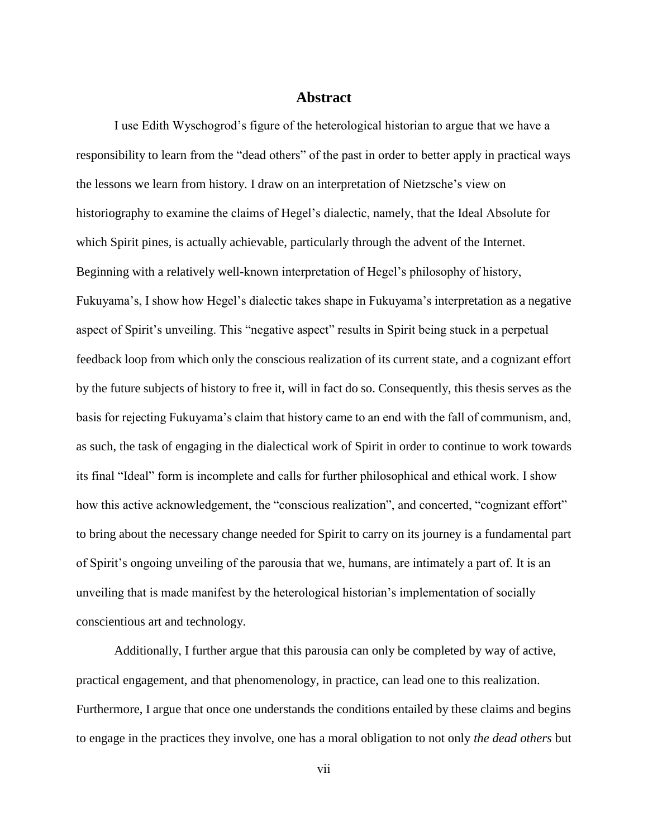#### **Abstract**

I use Edith Wyschogrod's figure of the heterological historian to argue that we have a responsibility to learn from the "dead others" of the past in order to better apply in practical ways the lessons we learn from history. I draw on an interpretation of Nietzsche's view on historiography to examine the claims of Hegel's dialectic, namely, that the Ideal Absolute for which Spirit pines, is actually achievable, particularly through the advent of the Internet. Beginning with a relatively well-known interpretation of Hegel's philosophy of history, Fukuyama's, I show how Hegel's dialectic takes shape in Fukuyama's interpretation as a negative aspect of Spirit's unveiling. This "negative aspect" results in Spirit being stuck in a perpetual feedback loop from which only the conscious realization of its current state, and a cognizant effort by the future subjects of history to free it, will in fact do so. Consequently, this thesis serves as the basis for rejecting Fukuyama's claim that history came to an end with the fall of communism, and, as such, the task of engaging in the dialectical work of Spirit in order to continue to work towards its final "Ideal" form is incomplete and calls for further philosophical and ethical work. I show how this active acknowledgement, the "conscious realization", and concerted, "cognizant effort" to bring about the necessary change needed for Spirit to carry on its journey is a fundamental part of Spirit's ongoing unveiling of the parousia that we, humans, are intimately a part of. It is an unveiling that is made manifest by the heterological historian's implementation of socially conscientious art and technology.

Additionally, I further argue that this parousia can only be completed by way of active, practical engagement, and that phenomenology, in practice, can lead one to this realization. Furthermore, I argue that once one understands the conditions entailed by these claims and begins to engage in the practices they involve, one has a moral obligation to not only *the dead others* but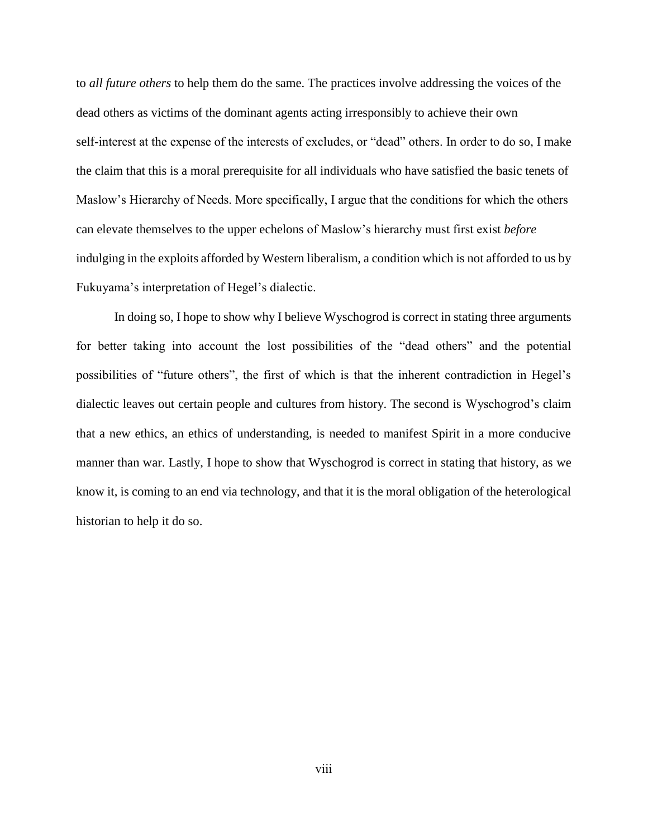to *all future others* to help them do the same. The practices involve addressing the voices of the dead others as victims of the dominant agents acting irresponsibly to achieve their own self-interest at the expense of the interests of excludes, or "dead" others. In order to do so, I make the claim that this is a moral prerequisite for all individuals who have satisfied the basic tenets of Maslow's Hierarchy of Needs. More specifically, I argue that the conditions for which the others can elevate themselves to the upper echelons of Maslow's hierarchy must first exist *before* indulging in the exploits afforded by Western liberalism, a condition which is not afforded to us by Fukuyama's interpretation of Hegel's dialectic.

In doing so, I hope to show why I believe Wyschogrod is correct in stating three arguments for better taking into account the lost possibilities of the "dead others" and the potential possibilities of "future others", the first of which is that the inherent contradiction in Hegel's dialectic leaves out certain people and cultures from history. The second is Wyschogrod's claim that a new ethics, an ethics of understanding, is needed to manifest Spirit in a more conducive manner than war. Lastly, I hope to show that Wyschogrod is correct in stating that history, as we know it, is coming to an end via technology, and that it is the moral obligation of the heterological historian to help it do so.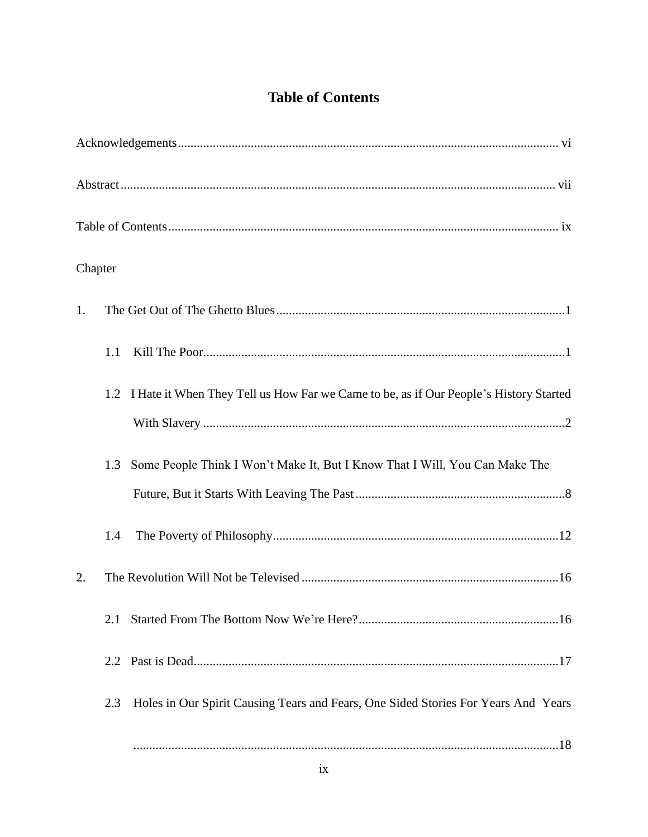# **Table of Contents**

|    | Chapter |                                                                                           |  |  |  |  |
|----|---------|-------------------------------------------------------------------------------------------|--|--|--|--|
| 1. |         |                                                                                           |  |  |  |  |
|    | 1.1     |                                                                                           |  |  |  |  |
|    |         | 1.2 I Hate it When They Tell us How Far we Came to be, as if Our People's History Started |  |  |  |  |
|    |         |                                                                                           |  |  |  |  |
|    | 1.3     | Some People Think I Won't Make It, But I Know That I Will, You Can Make The               |  |  |  |  |
|    |         |                                                                                           |  |  |  |  |
|    | 1.4     |                                                                                           |  |  |  |  |
| 2. |         |                                                                                           |  |  |  |  |
|    | 2.1     |                                                                                           |  |  |  |  |
|    | 2.2     |                                                                                           |  |  |  |  |
|    | 2.3     | Holes in Our Spirit Causing Tears and Fears, One Sided Stories For Years And Years        |  |  |  |  |
|    |         |                                                                                           |  |  |  |  |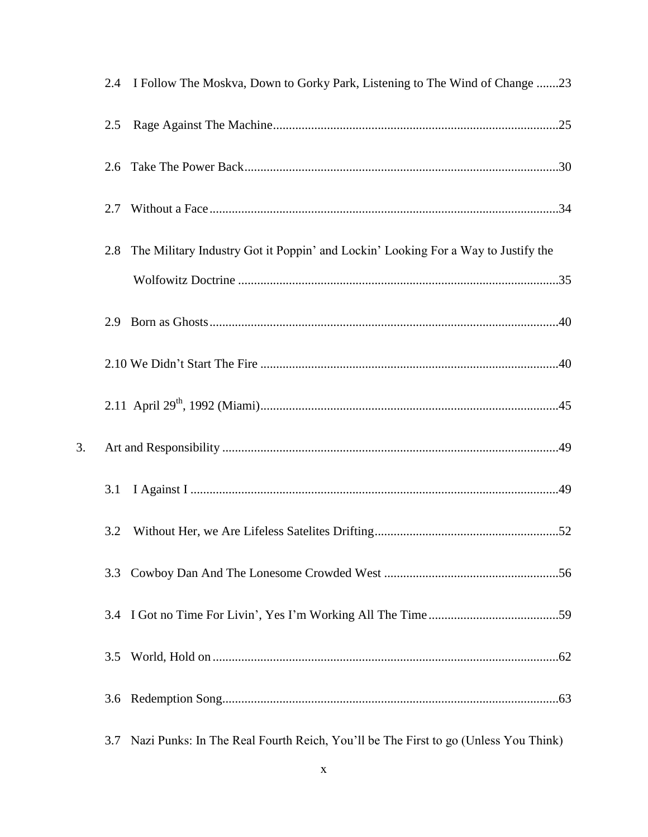| 2.4 | I Follow The Moskva, Down to Gorky Park, Listening to The Wind of Change 23        |  |
|-----|------------------------------------------------------------------------------------|--|
| 2.5 |                                                                                    |  |
|     |                                                                                    |  |
| 2.7 |                                                                                    |  |
| 2.8 | The Military Industry Got it Poppin' and Lockin' Looking For a Way to Justify the  |  |
|     |                                                                                    |  |
| 2.9 |                                                                                    |  |
|     |                                                                                    |  |
|     |                                                                                    |  |
|     |                                                                                    |  |
| 3.1 |                                                                                    |  |
| 3.2 |                                                                                    |  |
| 3.3 |                                                                                    |  |
| 3.4 |                                                                                    |  |
| 3.5 |                                                                                    |  |
| 3.6 |                                                                                    |  |
| 3.7 | Nazi Punks: In The Real Fourth Reich, You'll be The First to go (Unless You Think) |  |

 $\overline{3}$ .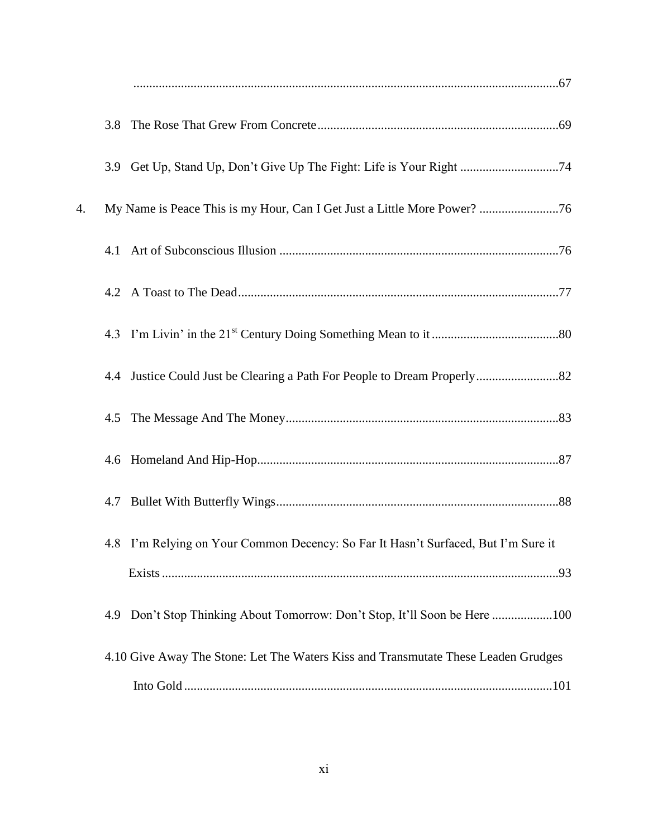| 3.8                                                                                |
|------------------------------------------------------------------------------------|
|                                                                                    |
| My Name is Peace This is my Hour, Can I Get Just a Little More Power? 76<br>4.     |
| 4.1                                                                                |
|                                                                                    |
|                                                                                    |
|                                                                                    |
| 4.5                                                                                |
|                                                                                    |
|                                                                                    |
| 4.8 I'm Relying on Your Common Decency: So Far It Hasn't Surfaced, But I'm Sure it |
|                                                                                    |
| Don't Stop Thinking About Tomorrow: Don't Stop, It'll Soon be Here 100<br>4.9      |
| 4.10 Give Away The Stone: Let The Waters Kiss and Transmutate These Leaden Grudges |
|                                                                                    |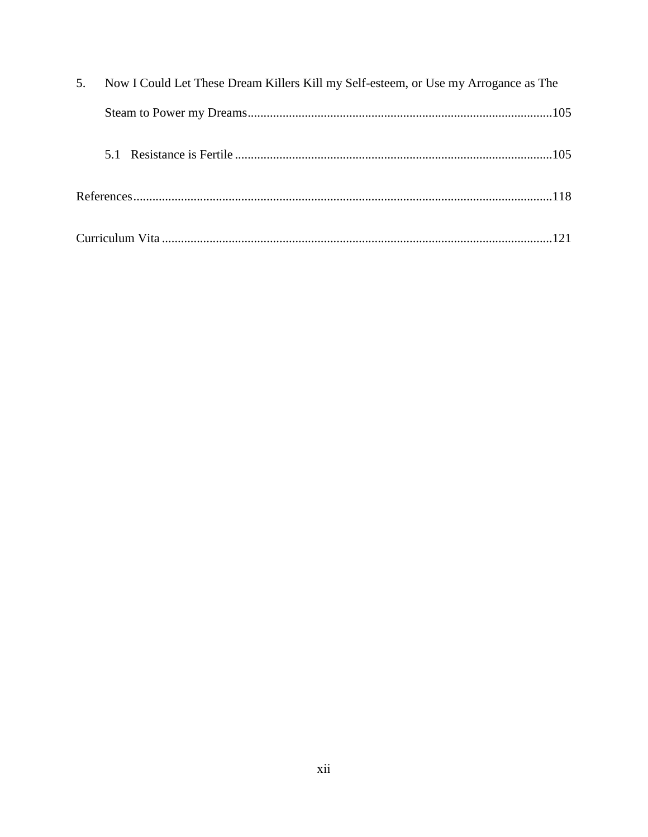| 5. | Now I Could Let These Dream Killers Kill my Self-esteem, or Use my Arrogance as The |  |  |
|----|-------------------------------------------------------------------------------------|--|--|
|    |                                                                                     |  |  |
|    |                                                                                     |  |  |
|    |                                                                                     |  |  |
|    |                                                                                     |  |  |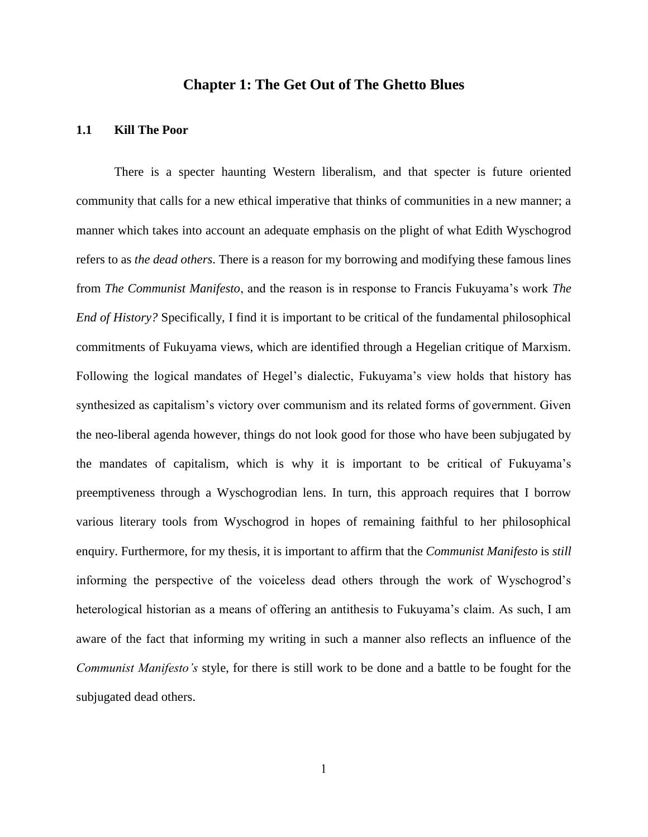#### **Chapter 1: The Get Out of The Ghetto Blues**

#### **1.1 Kill The Poor**

There is a specter haunting Western liberalism, and that specter is future oriented community that calls for a new ethical imperative that thinks of communities in a new manner; a manner which takes into account an adequate emphasis on the plight of what Edith Wyschogrod refers to as *the dead others*. There is a reason for my borrowing and modifying these famous lines from *The Communist Manifesto*, and the reason is in response to Francis Fukuyama's work *The End of History?* Specifically, I find it is important to be critical of the fundamental philosophical commitments of Fukuyama views, which are identified through a Hegelian critique of Marxism. Following the logical mandates of Hegel's dialectic, Fukuyama's view holds that history has synthesized as capitalism's victory over communism and its related forms of government. Given the neo-liberal agenda however, things do not look good for those who have been subjugated by the mandates of capitalism, which is why it is important to be critical of Fukuyama's preemptiveness through a Wyschogrodian lens. In turn, this approach requires that I borrow various literary tools from Wyschogrod in hopes of remaining faithful to her philosophical enquiry. Furthermore, for my thesis, it is important to affirm that the *Communist Manifesto* is *still* informing the perspective of the voiceless dead others through the work of Wyschogrod's heterological historian as a means of offering an antithesis to Fukuyama's claim. As such, I am aware of the fact that informing my writing in such a manner also reflects an influence of the *Communist Manifesto's* style, for there is still work to be done and a battle to be fought for the subjugated dead others.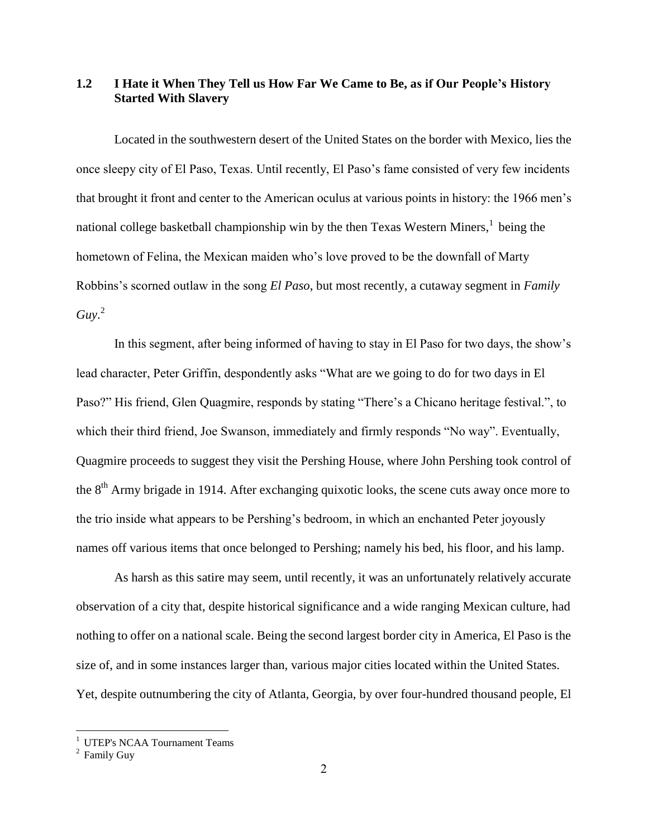#### **1.2 I Hate it When They Tell us How Far We Came to Be, as if Our People's History Started With Slavery**

Located in the southwestern desert of the United States on the border with Mexico, lies the once sleepy city of El Paso, Texas. Until recently, El Paso's fame consisted of very few incidents that brought it front and center to the American oculus at various points in history: the 1966 men's national college basketball championship win by the then Texas Western Miners,<sup>1</sup> being the hometown of Felina, the Mexican maiden who's love proved to be the downfall of Marty Robbins's scorned outlaw in the song *El Paso*, but most recently, a cutaway segment in *Family Guy*. 2

In this segment, after being informed of having to stay in El Paso for two days, the show's lead character, Peter Griffin, despondently asks "What are we going to do for two days in El Paso?" His friend, Glen Quagmire, responds by stating "There's a Chicano heritage festival.", to which their third friend, Joe Swanson, immediately and firmly responds "No way". Eventually, Quagmire proceeds to suggest they visit the Pershing House, where John Pershing took control of the 8<sup>th</sup> Army brigade in 1914. After exchanging quixotic looks, the scene cuts away once more to the trio inside what appears to be Pershing's bedroom, in which an enchanted Peter joyously names off various items that once belonged to Pershing; namely his bed, his floor, and his lamp.

As harsh as this satire may seem, until recently, it was an unfortunately relatively accurate observation of a city that, despite historical significance and a wide ranging Mexican culture, had nothing to offer on a national scale. Being the second largest border city in America, El Paso is the size of, and in some instances larger than, various major cities located within the United States. Yet, despite outnumbering the city of Atlanta, Georgia, by over four-hundred thousand people, El

<sup>&</sup>lt;sup>1</sup> UTEP's NCAA Tournament Teams

<sup>&</sup>lt;sup>2</sup> Family Guy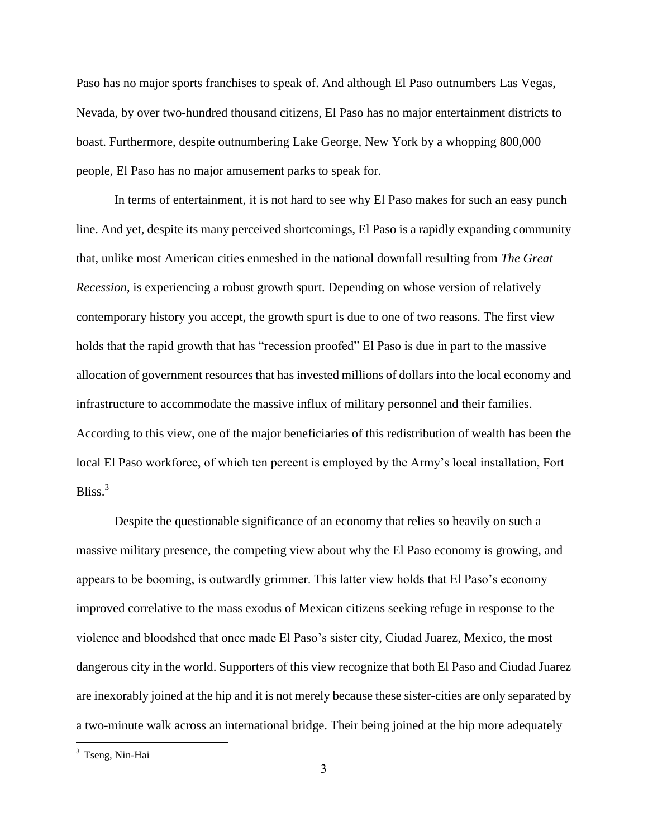Paso has no major sports franchises to speak of. And although El Paso outnumbers Las Vegas, Nevada, by over two-hundred thousand citizens, El Paso has no major entertainment districts to boast. Furthermore, despite outnumbering Lake George, New York by a whopping 800,000 people, El Paso has no major amusement parks to speak for.

In terms of entertainment, it is not hard to see why El Paso makes for such an easy punch line. And yet, despite its many perceived shortcomings, El Paso is a rapidly expanding community that, unlike most American cities enmeshed in the national downfall resulting from *The Great Recession*, is experiencing a robust growth spurt. Depending on whose version of relatively contemporary history you accept, the growth spurt is due to one of two reasons. The first view holds that the rapid growth that has "recession proofed" El Paso is due in part to the massive allocation of government resources that has invested millions of dollars into the local economy and infrastructure to accommodate the massive influx of military personnel and their families. According to this view, one of the major beneficiaries of this redistribution of wealth has been the local El Paso workforce, of which ten percent is employed by the Army's local installation, Fort Bliss.<sup>3</sup>

Despite the questionable significance of an economy that relies so heavily on such a massive military presence, the competing view about why the El Paso economy is growing, and appears to be booming, is outwardly grimmer. This latter view holds that El Paso's economy improved correlative to the mass exodus of Mexican citizens seeking refuge in response to the violence and bloodshed that once made El Paso's sister city, Ciudad Juarez, Mexico, the most dangerous city in the world. Supporters of this view recognize that both El Paso and Ciudad Juarez are inexorably joined at the hip and it is not merely because these sister-cities are only separated by a two-minute walk across an international bridge. Their being joined at the hip more adequately

<sup>3</sup> Tseng, Nin-Hai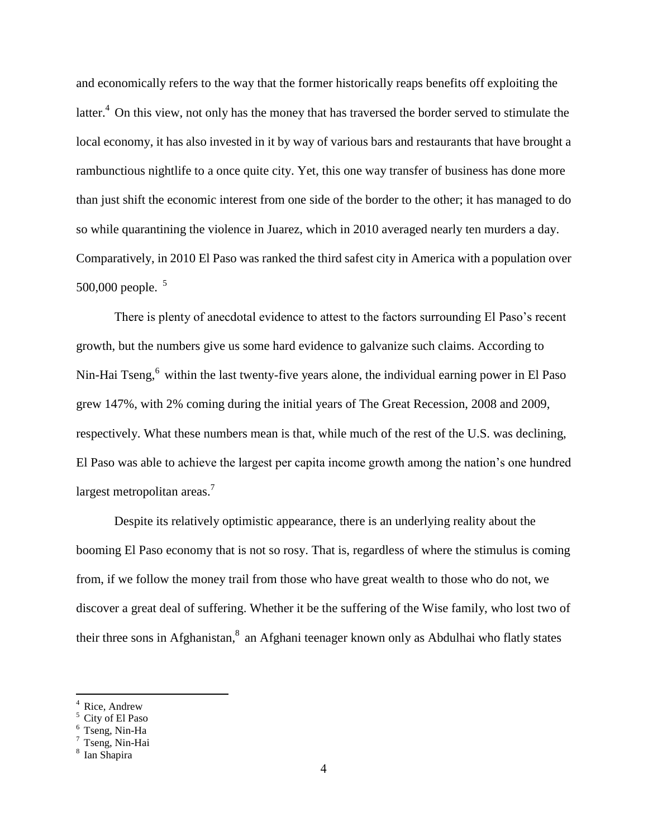and economically refers to the way that the former historically reaps benefits off exploiting the latter.<sup>4</sup> On this view, not only has the money that has traversed the border served to stimulate the local economy, it has also invested in it by way of various bars and restaurants that have brought a rambunctious nightlife to a once quite city. Yet, this one way transfer of business has done more than just shift the economic interest from one side of the border to the other; it has managed to do so while quarantining the violence in Juarez, which in 2010 averaged nearly ten murders a day. Comparatively, in 2010 El Paso was ranked the third safest city in America with a population over 500,000 people.  $5$ 

There is plenty of anecdotal evidence to attest to the factors surrounding El Paso's recent growth, but the numbers give us some hard evidence to galvanize such claims. According to Nin-Hai Tseng,<sup>6</sup> within the last twenty-five years alone, the individual earning power in El Paso grew 147%, with 2% coming during the initial years of The Great Recession, 2008 and 2009, respectively. What these numbers mean is that, while much of the rest of the U.S. was declining, El Paso was able to achieve the largest per capita income growth among the nation's one hundred largest metropolitan areas.<sup>7</sup>

Despite its relatively optimistic appearance, there is an underlying reality about the booming El Paso economy that is not so rosy. That is, regardless of where the stimulus is coming from, if we follow the money trail from those who have great wealth to those who do not, we discover a great deal of suffering. Whether it be the suffering of the Wise family, who lost two of their three sons in Afghanistan,<sup>8</sup> an Afghani teenager known only as Abdulhai who flatly states

<sup>4</sup> Rice, Andrew

 $^{\rm 5}$  City of El Paso

<sup>6</sup> Tseng, Nin-Ha

<sup>7</sup> Tseng, Nin-Hai

<sup>8</sup> Ian Shapira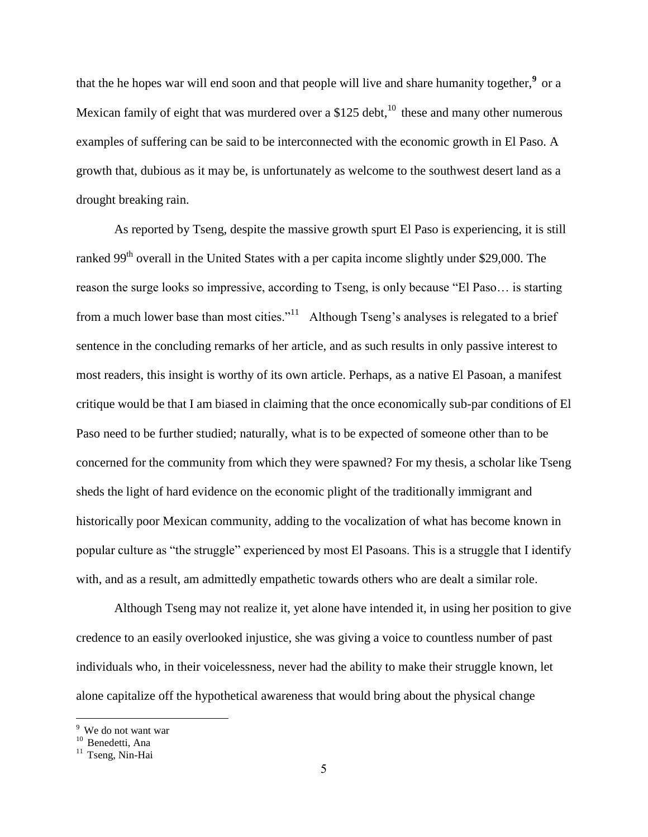that the he hopes war will end soon and that people will live and share humanity together,**<sup>9</sup>** or a Mexican family of eight that was murdered over a \$125 debt,  $10$  these and many other numerous examples of suffering can be said to be interconnected with the economic growth in El Paso. A growth that, dubious as it may be, is unfortunately as welcome to the southwest desert land as a drought breaking rain.

As reported by Tseng, despite the massive growth spurt El Paso is experiencing, it is still ranked 99<sup>th</sup> overall in the United States with a per capita income slightly under \$29,000. The reason the surge looks so impressive, according to Tseng, is only because "El Paso… is starting from a much lower base than most cities."<sup>11</sup> Although Tseng's analyses is relegated to a brief sentence in the concluding remarks of her article, and as such results in only passive interest to most readers, this insight is worthy of its own article. Perhaps, as a native El Pasoan, a manifest critique would be that I am biased in claiming that the once economically sub-par conditions of El Paso need to be further studied; naturally, what is to be expected of someone other than to be concerned for the community from which they were spawned? For my thesis, a scholar like Tseng sheds the light of hard evidence on the economic plight of the traditionally immigrant and historically poor Mexican community, adding to the vocalization of what has become known in popular culture as "the struggle" experienced by most El Pasoans. This is a struggle that I identify with, and as a result, am admittedly empathetic towards others who are dealt a similar role.

Although Tseng may not realize it, yet alone have intended it, in using her position to give credence to an easily overlooked injustice, she was giving a voice to countless number of past individuals who, in their voicelessness, never had the ability to make their struggle known, let alone capitalize off the hypothetical awareness that would bring about the physical change

<sup>9</sup> We do not want war

 $10^{10}$  Benedetti, Ana

<sup>&</sup>lt;sup>11</sup> Tseng, Nin-Hai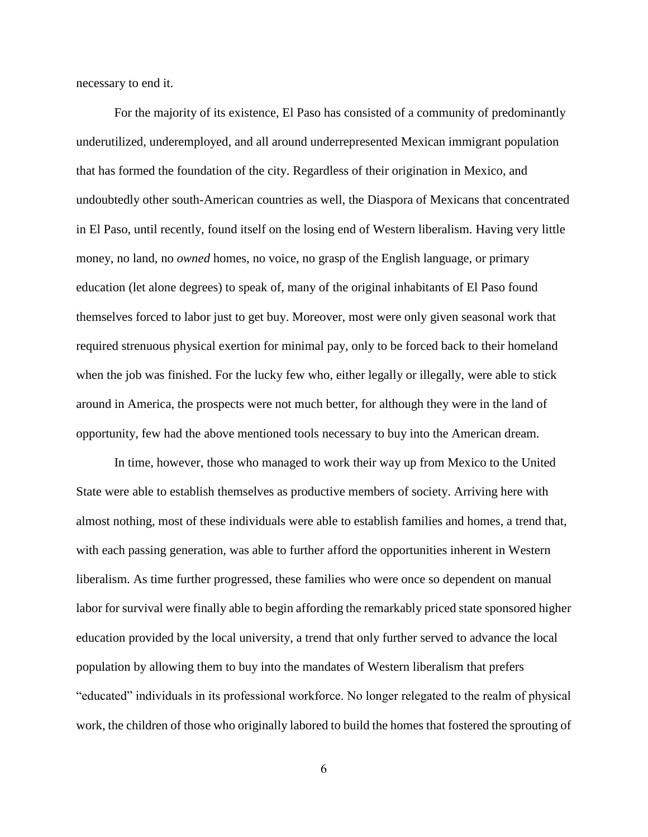necessary to end it.

For the majority of its existence, El Paso has consisted of a community of predominantly underutilized, underemployed, and all around underrepresented Mexican immigrant population that has formed the foundation of the city. Regardless of their origination in Mexico, and undoubtedly other south-American countries as well, the Diaspora of Mexicans that concentrated in El Paso, until recently, found itself on the losing end of Western liberalism. Having very little money, no land, no *owned* homes, no voice, no grasp of the English language, or primary education (let alone degrees) to speak of, many of the original inhabitants of El Paso found themselves forced to labor just to get buy. Moreover, most were only given seasonal work that required strenuous physical exertion for minimal pay, only to be forced back to their homeland when the job was finished. For the lucky few who, either legally or illegally, were able to stick around in America, the prospects were not much better, for although they were in the land of opportunity, few had the above mentioned tools necessary to buy into the American dream.

In time, however, those who managed to work their way up from Mexico to the United State were able to establish themselves as productive members of society. Arriving here with almost nothing, most of these individuals were able to establish families and homes, a trend that, with each passing generation, was able to further afford the opportunities inherent in Western liberalism. As time further progressed, these families who were once so dependent on manual labor for survival were finally able to begin affording the remarkably priced state sponsored higher education provided by the local university, a trend that only further served to advance the local population by allowing them to buy into the mandates of Western liberalism that prefers "educated" individuals in its professional workforce. No longer relegated to the realm of physical work, the children of those who originally labored to build the homes that fostered the sprouting of

6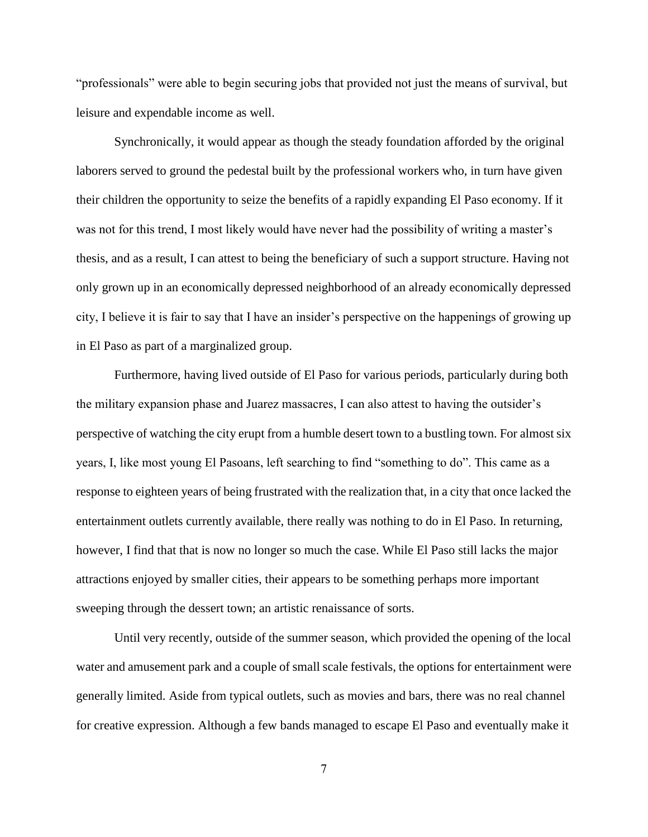"professionals" were able to begin securing jobs that provided not just the means of survival, but leisure and expendable income as well.

Synchronically, it would appear as though the steady foundation afforded by the original laborers served to ground the pedestal built by the professional workers who, in turn have given their children the opportunity to seize the benefits of a rapidly expanding El Paso economy. If it was not for this trend, I most likely would have never had the possibility of writing a master's thesis, and as a result, I can attest to being the beneficiary of such a support structure. Having not only grown up in an economically depressed neighborhood of an already economically depressed city, I believe it is fair to say that I have an insider's perspective on the happenings of growing up in El Paso as part of a marginalized group.

Furthermore, having lived outside of El Paso for various periods, particularly during both the military expansion phase and Juarez massacres, I can also attest to having the outsider's perspective of watching the city erupt from a humble desert town to a bustling town. For almost six years, I, like most young El Pasoans, left searching to find "something to do". This came as a response to eighteen years of being frustrated with the realization that, in a city that once lacked the entertainment outlets currently available, there really was nothing to do in El Paso. In returning, however, I find that that is now no longer so much the case. While El Paso still lacks the major attractions enjoyed by smaller cities, their appears to be something perhaps more important sweeping through the dessert town; an artistic renaissance of sorts.

Until very recently, outside of the summer season, which provided the opening of the local water and amusement park and a couple of small scale festivals, the options for entertainment were generally limited. Aside from typical outlets, such as movies and bars, there was no real channel for creative expression. Although a few bands managed to escape El Paso and eventually make it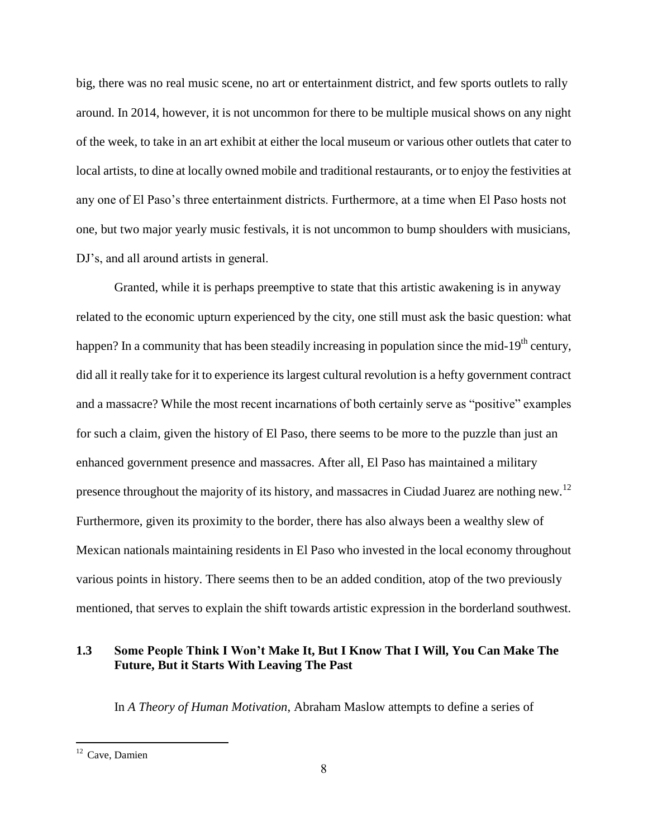big, there was no real music scene, no art or entertainment district, and few sports outlets to rally around. In 2014, however, it is not uncommon for there to be multiple musical shows on any night of the week, to take in an art exhibit at either the local museum or various other outlets that cater to local artists, to dine at locally owned mobile and traditional restaurants, or to enjoy the festivities at any one of El Paso's three entertainment districts. Furthermore, at a time when El Paso hosts not one, but two major yearly music festivals, it is not uncommon to bump shoulders with musicians, DJ's, and all around artists in general.

Granted, while it is perhaps preemptive to state that this artistic awakening is in anyway related to the economic upturn experienced by the city, one still must ask the basic question: what happen? In a community that has been steadily increasing in population since the mid-19<sup>th</sup> century, did all it really take for it to experience its largest cultural revolution is a hefty government contract and a massacre? While the most recent incarnations of both certainly serve as "positive" examples for such a claim, given the history of El Paso, there seems to be more to the puzzle than just an enhanced government presence and massacres. After all, El Paso has maintained a military presence throughout the majority of its history, and massacres in Ciudad Juarez are nothing new.<sup>12</sup> Furthermore, given its proximity to the border, there has also always been a wealthy slew of Mexican nationals maintaining residents in El Paso who invested in the local economy throughout various points in history. There seems then to be an added condition, atop of the two previously mentioned, that serves to explain the shift towards artistic expression in the borderland southwest.

#### **1.3 Some People Think I Won't Make It, But I Know That I Will, You Can Make The Future, But it Starts With Leaving The Past**

In *A Theory of Human Motivation*, Abraham Maslow attempts to define a series of

<sup>&</sup>lt;sup>12</sup> Cave, Damien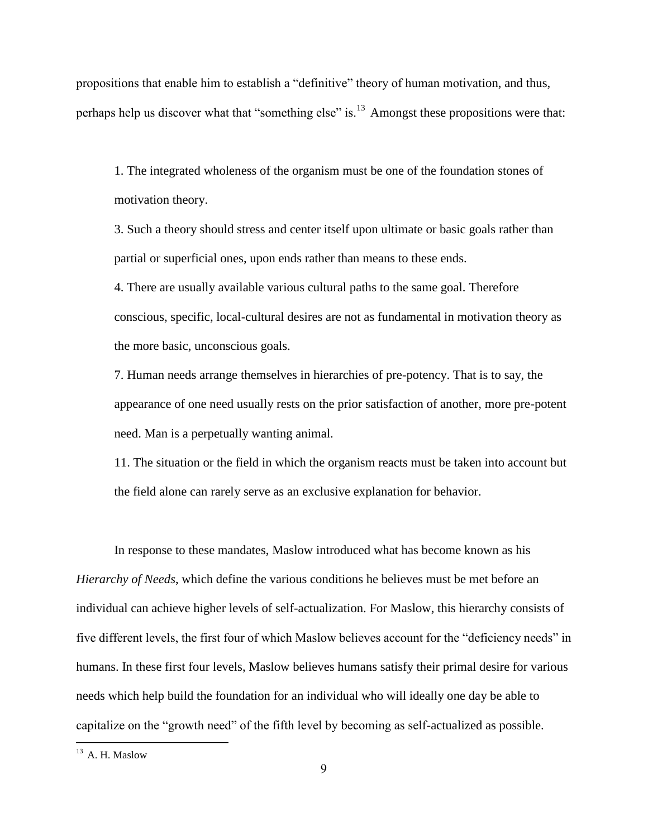propositions that enable him to establish a "definitive" theory of human motivation, and thus, perhaps help us discover what that "something else" is.<sup>13</sup> Amongst these propositions were that:

1. The integrated wholeness of the organism must be one of the foundation stones of motivation theory.

3. Such a theory should stress and center itself upon ultimate or basic goals rather than partial or superficial ones, upon ends rather than means to these ends.

4. There are usually available various cultural paths to the same goal. Therefore conscious, specific, local-cultural desires are not as fundamental in motivation theory as the more basic, unconscious goals.

7. Human needs arrange themselves in hierarchies of pre-potency. That is to say, the appearance of one need usually rests on the prior satisfaction of another, more pre-potent need. Man is a perpetually wanting animal.

11. The situation or the field in which the organism reacts must be taken into account but the field alone can rarely serve as an exclusive explanation for behavior.

In response to these mandates, Maslow introduced what has become known as his *Hierarchy of Needs*, which define the various conditions he believes must be met before an individual can achieve higher levels of self-actualization. For Maslow, this hierarchy consists of five different levels, the first four of which Maslow believes account for the "deficiency needs" in humans. In these first four levels, Maslow believes humans satisfy their primal desire for various needs which help build the foundation for an individual who will ideally one day be able to capitalize on the "growth need" of the fifth level by becoming as self-actualized as possible.

 $13$  A. H. Maslow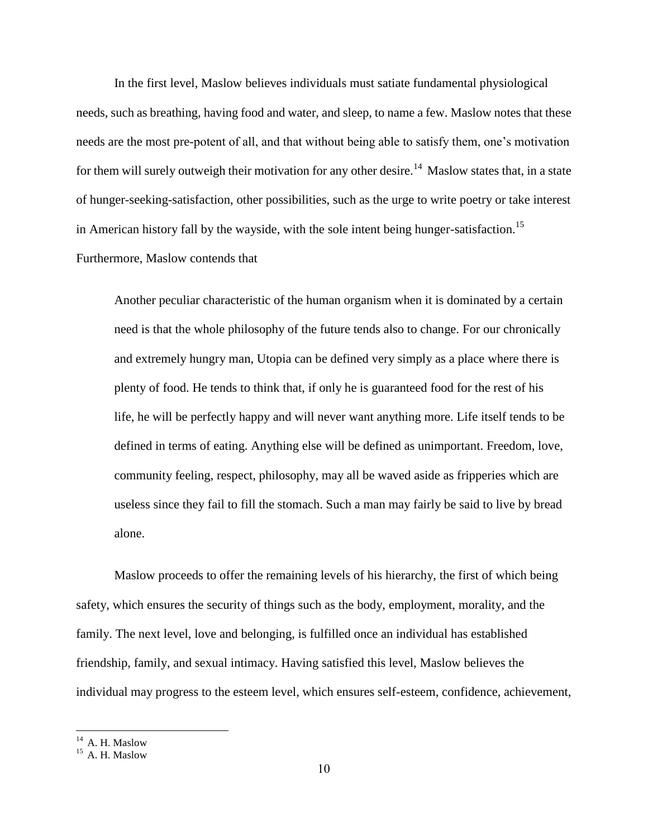In the first level, Maslow believes individuals must satiate fundamental physiological needs, such as breathing, having food and water, and sleep, to name a few. Maslow notes that these needs are the most pre-potent of all, and that without being able to satisfy them, one's motivation for them will surely outweigh their motivation for any other desire.<sup>14</sup> Maslow states that, in a state of hunger-seeking-satisfaction, other possibilities, such as the urge to write poetry or take interest in American history fall by the wayside, with the sole intent being hunger-satisfaction.<sup>15</sup>

#### Furthermore, Maslow contends that

Another peculiar characteristic of the human organism when it is dominated by a certain need is that the whole philosophy of the future tends also to change. For our chronically and extremely hungry man, Utopia can be defined very simply as a place where there is plenty of food. He tends to think that, if only he is guaranteed food for the rest of his life, he will be perfectly happy and will never want anything more. Life itself tends to be defined in terms of eating. Anything else will be defined as unimportant. Freedom, love, community feeling, respect, philosophy, may all be waved aside as fripperies which are useless since they fail to fill the stomach. Such a man may fairly be said to live by bread alone.

Maslow proceeds to offer the remaining levels of his hierarchy, the first of which being safety, which ensures the security of things such as the body, employment, morality, and the family. The next level, love and belonging, is fulfilled once an individual has established friendship, family, and sexual intimacy. Having satisfied this level, Maslow believes the individual may progress to the esteem level, which ensures self-esteem, confidence, achievement,

 $14$  A. H. Maslow

 $15$  A. H. Maslow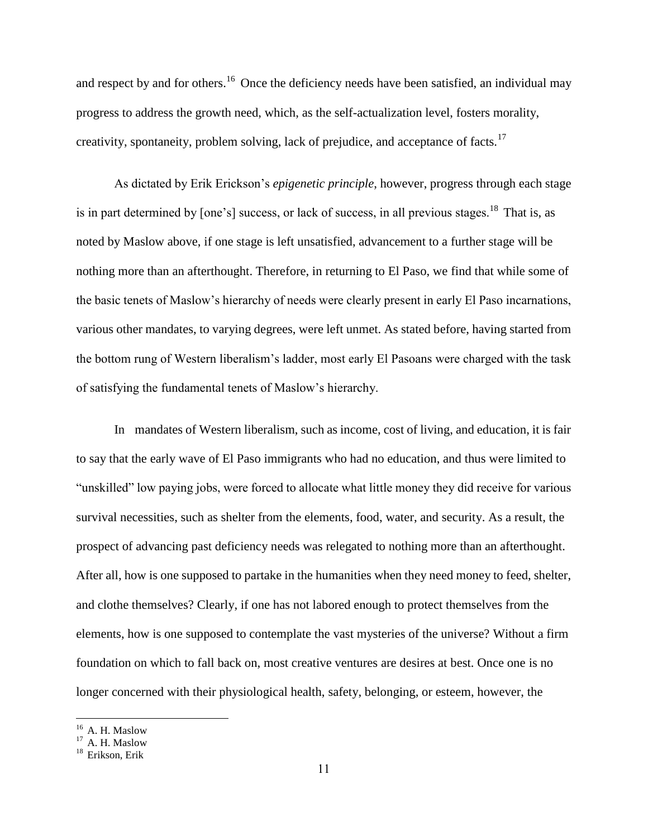and respect by and for others.<sup>16</sup> Once the deficiency needs have been satisfied, an individual may progress to address the growth need, which, as the self-actualization level, fosters morality, creativity, spontaneity, problem solving, lack of prejudice, and acceptance of facts.<sup>17</sup>

As dictated by Erik Erickson's *epigenetic principle*, however, progress through each stage is in part determined by [one's] success, or lack of success, in all previous stages.<sup>18</sup> That is, as noted by Maslow above, if one stage is left unsatisfied, advancement to a further stage will be nothing more than an afterthought. Therefore, in returning to El Paso, we find that while some of the basic tenets of Maslow's hierarchy of needs were clearly present in early El Paso incarnations, various other mandates, to varying degrees, were left unmet. As stated before, having started from the bottom rung of Western liberalism's ladder, most early El Pasoans were charged with the task of satisfying the fundamental tenets of Maslow's hierarchy.

In mandates of Western liberalism, such as income, cost of living, and education, it is fair to say that the early wave of El Paso immigrants who had no education, and thus were limited to "unskilled" low paying jobs, were forced to allocate what little money they did receive for various survival necessities, such as shelter from the elements, food, water, and security. As a result, the prospect of advancing past deficiency needs was relegated to nothing more than an afterthought. After all, how is one supposed to partake in the humanities when they need money to feed, shelter, and clothe themselves? Clearly, if one has not labored enough to protect themselves from the elements, how is one supposed to contemplate the vast mysteries of the universe? Without a firm foundation on which to fall back on, most creative ventures are desires at best. Once one is no longer concerned with their physiological health, safety, belonging, or esteem, however, the

<sup>&</sup>lt;sup>16</sup> A. H. Maslow

 $17$  A. H. Maslow

<sup>&</sup>lt;sup>18</sup> Erikson, Erik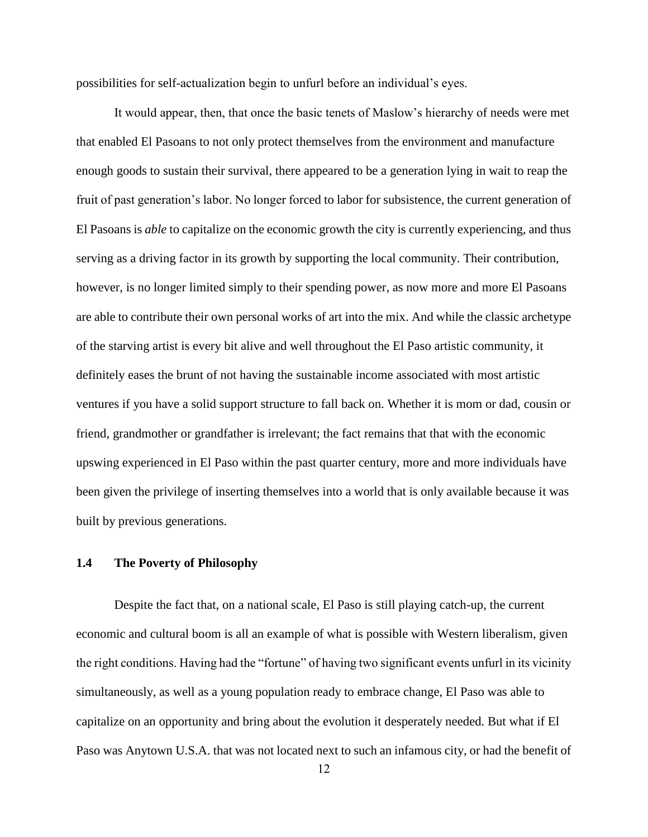possibilities for self-actualization begin to unfurl before an individual's eyes.

It would appear, then, that once the basic tenets of Maslow's hierarchy of needs were met that enabled El Pasoans to not only protect themselves from the environment and manufacture enough goods to sustain their survival, there appeared to be a generation lying in wait to reap the fruit of past generation's labor. No longer forced to labor for subsistence, the current generation of El Pasoans is *able* to capitalize on the economic growth the city is currently experiencing, and thus serving as a driving factor in its growth by supporting the local community. Their contribution, however, is no longer limited simply to their spending power, as now more and more El Pasoans are able to contribute their own personal works of art into the mix. And while the classic archetype of the starving artist is every bit alive and well throughout the El Paso artistic community, it definitely eases the brunt of not having the sustainable income associated with most artistic ventures if you have a solid support structure to fall back on. Whether it is mom or dad, cousin or friend, grandmother or grandfather is irrelevant; the fact remains that that with the economic upswing experienced in El Paso within the past quarter century, more and more individuals have been given the privilege of inserting themselves into a world that is only available because it was built by previous generations.

#### **1.4 The Poverty of Philosophy**

Despite the fact that, on a national scale, El Paso is still playing catch-up, the current economic and cultural boom is all an example of what is possible with Western liberalism, given the right conditions. Having had the "fortune" of having two significant events unfurl in its vicinity simultaneously, as well as a young population ready to embrace change, El Paso was able to capitalize on an opportunity and bring about the evolution it desperately needed. But what if El Paso was Anytown U.S.A. that was not located next to such an infamous city, or had the benefit of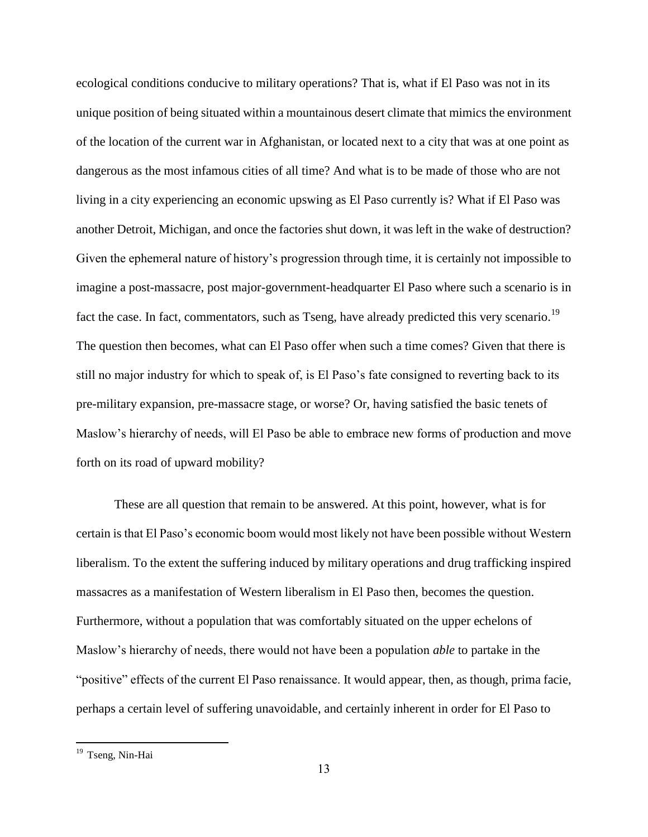ecological conditions conducive to military operations? That is, what if El Paso was not in its unique position of being situated within a mountainous desert climate that mimics the environment of the location of the current war in Afghanistan, or located next to a city that was at one point as dangerous as the most infamous cities of all time? And what is to be made of those who are not living in a city experiencing an economic upswing as El Paso currently is? What if El Paso was another Detroit, Michigan, and once the factories shut down, it was left in the wake of destruction? Given the ephemeral nature of history's progression through time, it is certainly not impossible to imagine a post-massacre, post major-government-headquarter El Paso where such a scenario is in fact the case. In fact, commentators, such as Tseng, have already predicted this very scenario.<sup>19</sup> The question then becomes, what can El Paso offer when such a time comes? Given that there is still no major industry for which to speak of, is El Paso's fate consigned to reverting back to its pre-military expansion, pre-massacre stage, or worse? Or, having satisfied the basic tenets of Maslow's hierarchy of needs, will El Paso be able to embrace new forms of production and move forth on its road of upward mobility?

These are all question that remain to be answered. At this point, however, what is for certain is that El Paso's economic boom would most likely not have been possible without Western liberalism. To the extent the suffering induced by military operations and drug trafficking inspired massacres as a manifestation of Western liberalism in El Paso then, becomes the question. Furthermore, without a population that was comfortably situated on the upper echelons of Maslow's hierarchy of needs, there would not have been a population *able* to partake in the "positive" effects of the current El Paso renaissance. It would appear, then, as though, prima facie, perhaps a certain level of suffering unavoidable, and certainly inherent in order for El Paso to

<sup>&</sup>lt;sup>19</sup> Tseng, Nin-Hai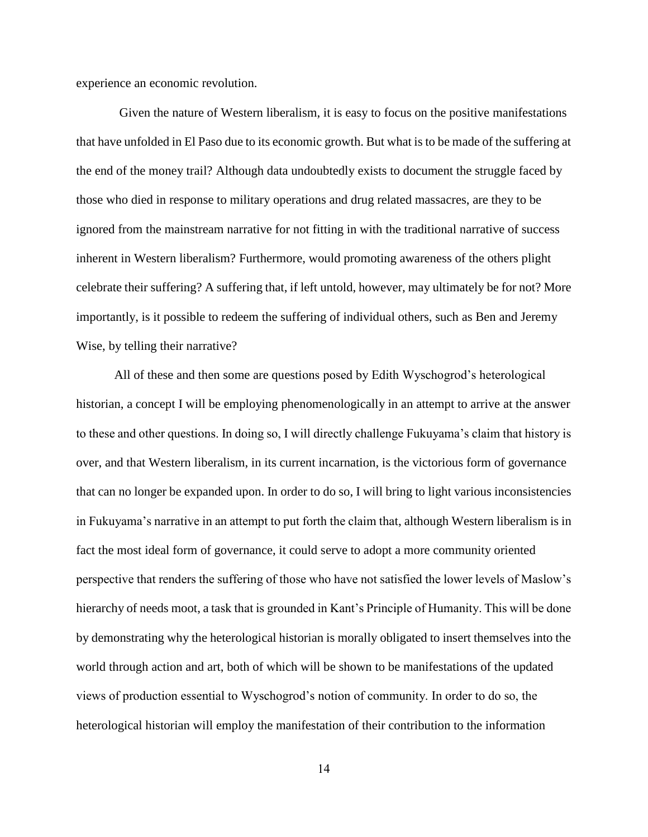experience an economic revolution.

Given the nature of Western liberalism, it is easy to focus on the positive manifestations that have unfolded in El Paso due to its economic growth. But what is to be made of the suffering at the end of the money trail? Although data undoubtedly exists to document the struggle faced by those who died in response to military operations and drug related massacres, are they to be ignored from the mainstream narrative for not fitting in with the traditional narrative of success inherent in Western liberalism? Furthermore, would promoting awareness of the others plight celebrate their suffering? A suffering that, if left untold, however, may ultimately be for not? More importantly, is it possible to redeem the suffering of individual others, such as Ben and Jeremy Wise, by telling their narrative?

All of these and then some are questions posed by Edith Wyschogrod's heterological historian, a concept I will be employing phenomenologically in an attempt to arrive at the answer to these and other questions. In doing so, I will directly challenge Fukuyama's claim that history is over, and that Western liberalism, in its current incarnation, is the victorious form of governance that can no longer be expanded upon. In order to do so, I will bring to light various inconsistencies in Fukuyama's narrative in an attempt to put forth the claim that, although Western liberalism is in fact the most ideal form of governance, it could serve to adopt a more community oriented perspective that renders the suffering of those who have not satisfied the lower levels of Maslow's hierarchy of needs moot, a task that is grounded in Kant's Principle of Humanity. This will be done by demonstrating why the heterological historian is morally obligated to insert themselves into the world through action and art, both of which will be shown to be manifestations of the updated views of production essential to Wyschogrod's notion of community. In order to do so, the heterological historian will employ the manifestation of their contribution to the information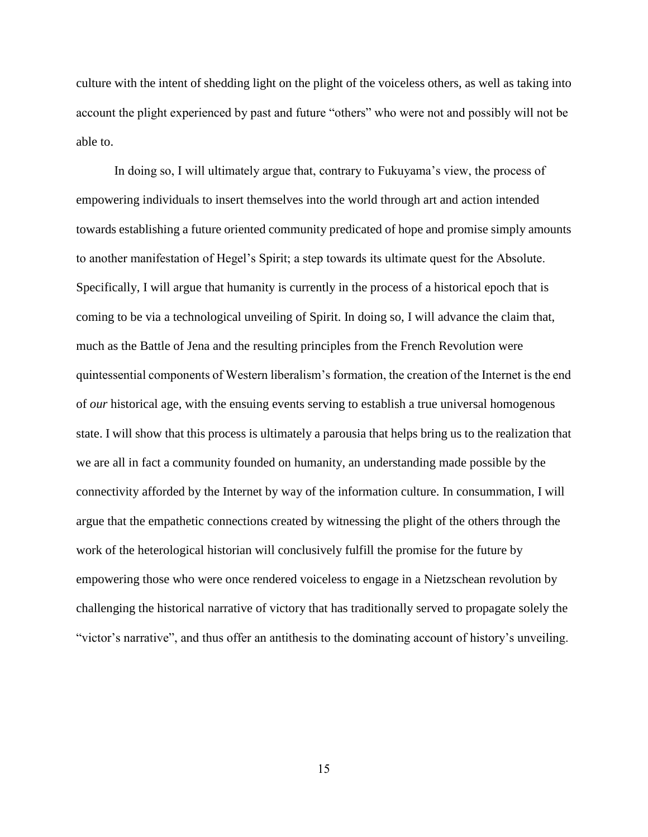culture with the intent of shedding light on the plight of the voiceless others, as well as taking into account the plight experienced by past and future "others" who were not and possibly will not be able to.

In doing so, I will ultimately argue that, contrary to Fukuyama's view, the process of empowering individuals to insert themselves into the world through art and action intended towards establishing a future oriented community predicated of hope and promise simply amounts to another manifestation of Hegel's Spirit; a step towards its ultimate quest for the Absolute. Specifically, I will argue that humanity is currently in the process of a historical epoch that is coming to be via a technological unveiling of Spirit. In doing so, I will advance the claim that, much as the Battle of Jena and the resulting principles from the French Revolution were quintessential components of Western liberalism's formation, the creation of the Internet is the end of *our* historical age, with the ensuing events serving to establish a true universal homogenous state. I will show that this process is ultimately a parousia that helps bring us to the realization that we are all in fact a community founded on humanity, an understanding made possible by the connectivity afforded by the Internet by way of the information culture. In consummation, I will argue that the empathetic connections created by witnessing the plight of the others through the work of the heterological historian will conclusively fulfill the promise for the future by empowering those who were once rendered voiceless to engage in a Nietzschean revolution by challenging the historical narrative of victory that has traditionally served to propagate solely the "victor's narrative", and thus offer an antithesis to the dominating account of history's unveiling.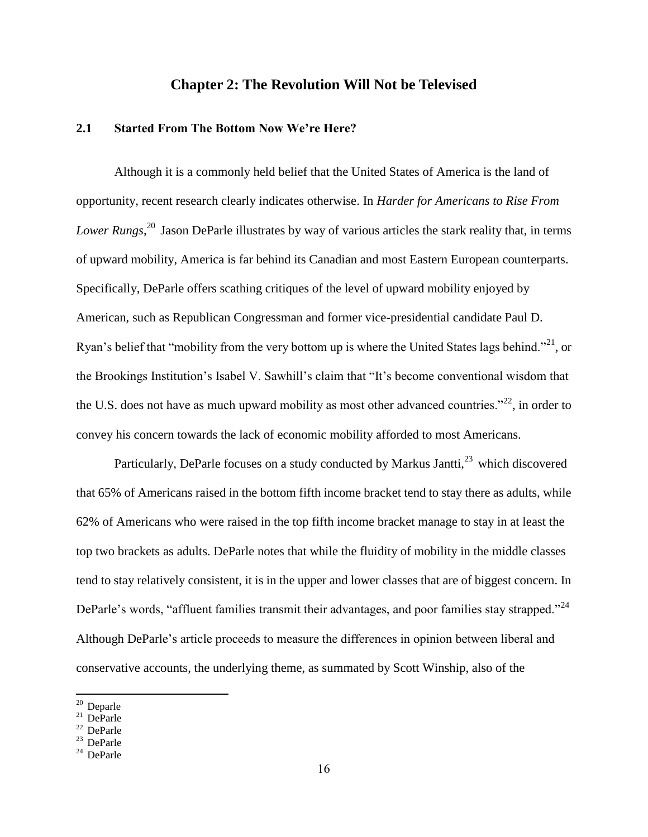#### **Chapter 2: The Revolution Will Not be Televised**

#### **2.1 Started From The Bottom Now We're Here?**

Although it is a commonly held belief that the United States of America is the land of opportunity, recent research clearly indicates otherwise. In *Harder for Americans to Rise From Lower Rungs*, <sup>20</sup> Jason DeParle illustrates by way of various articles the stark reality that, in terms of upward mobility, America is far behind its Canadian and most Eastern European counterparts. Specifically, DeParle offers scathing critiques of the level of upward mobility enjoyed by American, such as Republican Congressman and former vice-presidential candidate Paul D. Ryan's belief that "mobility from the very bottom up is where the United States lags behind."<sup>21</sup>, or the Brookings Institution's Isabel V. Sawhill's claim that "It's become conventional wisdom that the U.S. does not have as much upward mobility as most other advanced countries." $^{22}$ , in order to convey his concern towards the lack of economic mobility afforded to most Americans.

Particularly, DeParle focuses on a study conducted by Markus Jantti,<sup>23</sup> which discovered that 65% of Americans raised in the bottom fifth income bracket tend to stay there as adults, while 62% of Americans who were raised in the top fifth income bracket manage to stay in at least the top two brackets as adults. DeParle notes that while the fluidity of mobility in the middle classes tend to stay relatively consistent, it is in the upper and lower classes that are of biggest concern. In DeParle's words, "affluent families transmit their advantages, and poor families stay strapped."<sup>24</sup> Although DeParle's article proceeds to measure the differences in opinion between liberal and conservative accounts, the underlying theme, as summated by Scott Winship, also of the

 $20$  Deparle

 $21$  DeParle

 $22$  DeParle

<sup>23</sup> DeParle

<sup>24</sup> DeParle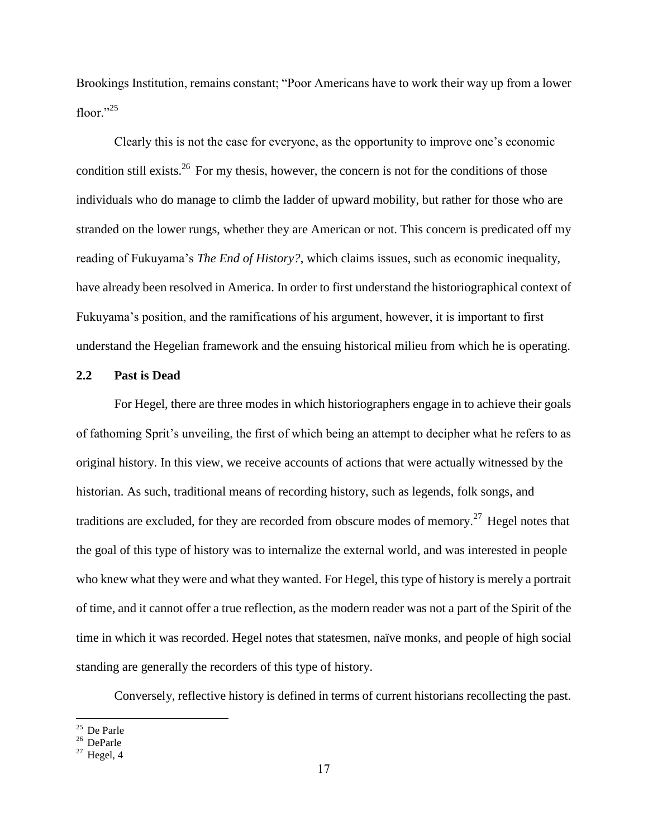Brookings Institution, remains constant; "Poor Americans have to work their way up from a lower floor. $25$ 

Clearly this is not the case for everyone, as the opportunity to improve one's economic condition still exists.<sup>26</sup> For my thesis, however, the concern is not for the conditions of those individuals who do manage to climb the ladder of upward mobility, but rather for those who are stranded on the lower rungs, whether they are American or not. This concern is predicated off my reading of Fukuyama's *The End of History?*, which claims issues, such as economic inequality, have already been resolved in America. In order to first understand the historiographical context of Fukuyama's position, and the ramifications of his argument, however, it is important to first understand the Hegelian framework and the ensuing historical milieu from which he is operating.

#### **2.2 Past is Dead**

For Hegel, there are three modes in which historiographers engage in to achieve their goals of fathoming Sprit's unveiling, the first of which being an attempt to decipher what he refers to as original history. In this view, we receive accounts of actions that were actually witnessed by the historian. As such, traditional means of recording history, such as legends, folk songs, and traditions are excluded, for they are recorded from obscure modes of memory.<sup>27</sup> Hegel notes that the goal of this type of history was to internalize the external world, and was interested in people who knew what they were and what they wanted. For Hegel, this type of history is merely a portrait of time, and it cannot offer a true reflection, as the modern reader was not a part of the Spirit of the time in which it was recorded. Hegel notes that statesmen, naïve monks, and people of high social standing are generally the recorders of this type of history.

Conversely, reflective history is defined in terms of current historians recollecting the past.

 $\overline{a}$  $25$  De Parle

<sup>&</sup>lt;sup>26</sup> DeParle

 $27$  Hegel, 4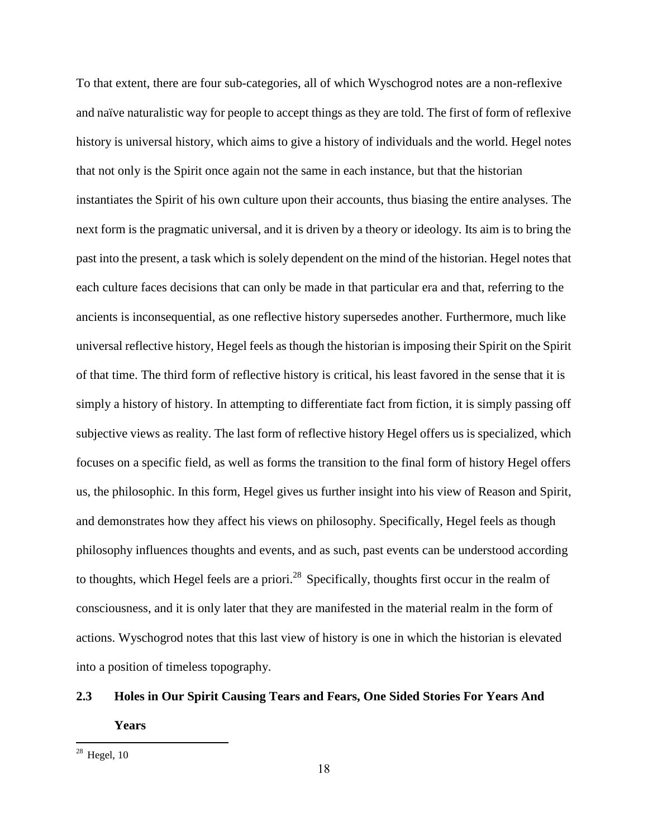To that extent, there are four sub-categories, all of which Wyschogrod notes are a non-reflexive and naïve naturalistic way for people to accept things as they are told. The first of form of reflexive history is universal history, which aims to give a history of individuals and the world. Hegel notes that not only is the Spirit once again not the same in each instance, but that the historian instantiates the Spirit of his own culture upon their accounts, thus biasing the entire analyses. The next form is the pragmatic universal, and it is driven by a theory or ideology. Its aim is to bring the past into the present, a task which is solely dependent on the mind of the historian. Hegel notes that each culture faces decisions that can only be made in that particular era and that, referring to the ancients is inconsequential, as one reflective history supersedes another. Furthermore, much like universal reflective history, Hegel feels as though the historian is imposing their Spirit on the Spirit of that time. The third form of reflective history is critical, his least favored in the sense that it is simply a history of history. In attempting to differentiate fact from fiction, it is simply passing off subjective views as reality. The last form of reflective history Hegel offers us is specialized, which focuses on a specific field, as well as forms the transition to the final form of history Hegel offers us, the philosophic. In this form, Hegel gives us further insight into his view of Reason and Spirit, and demonstrates how they affect his views on philosophy. Specifically, Hegel feels as though philosophy influences thoughts and events, and as such, past events can be understood according to thoughts, which Hegel feels are a priori.<sup>28</sup> Specifically, thoughts first occur in the realm of consciousness, and it is only later that they are manifested in the material realm in the form of actions. Wyschogrod notes that this last view of history is one in which the historian is elevated into a position of timeless topography.

# **2.3 Holes in Our Spirit Causing Tears and Fears, One Sided Stories For Years And Years**   $\overline{a}$

 $^{28}$  Hegel, 10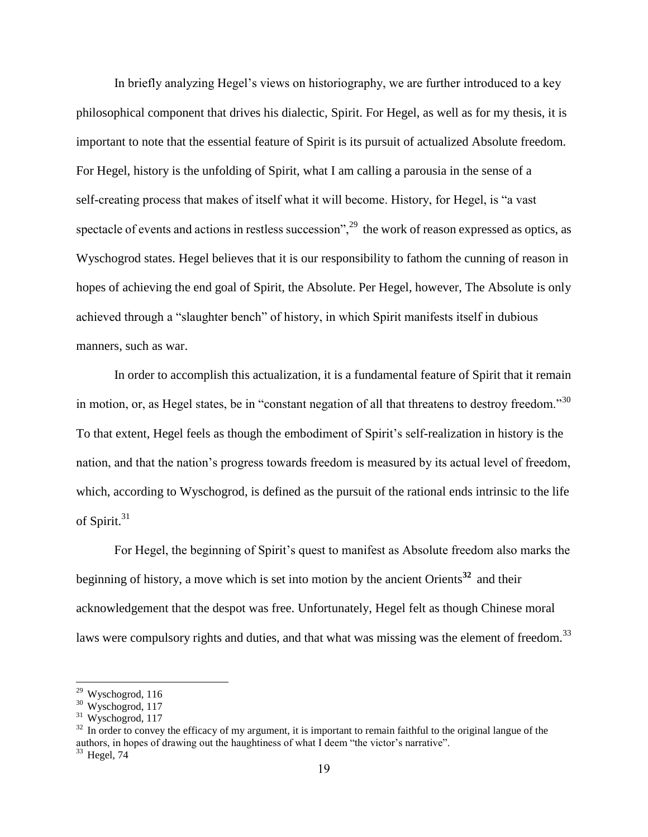In briefly analyzing Hegel's views on historiography, we are further introduced to a key philosophical component that drives his dialectic, Spirit. For Hegel, as well as for my thesis, it is important to note that the essential feature of Spirit is its pursuit of actualized Absolute freedom. For Hegel, history is the unfolding of Spirit, what I am calling a parousia in the sense of a self-creating process that makes of itself what it will become. History, for Hegel, is "a vast spectacle of events and actions in restless succession",  $29$  the work of reason expressed as optics, as Wyschogrod states. Hegel believes that it is our responsibility to fathom the cunning of reason in hopes of achieving the end goal of Spirit, the Absolute. Per Hegel, however, The Absolute is only achieved through a "slaughter bench" of history, in which Spirit manifests itself in dubious manners, such as war.

In order to accomplish this actualization, it is a fundamental feature of Spirit that it remain in motion, or, as Hegel states, be in "constant negation of all that threatens to destroy freedom."<sup>30</sup> To that extent, Hegel feels as though the embodiment of Spirit's self-realization in history is the nation, and that the nation's progress towards freedom is measured by its actual level of freedom, which, according to Wyschogrod, is defined as the pursuit of the rational ends intrinsic to the life of Spirit.<sup>31</sup>

For Hegel, the beginning of Spirit's quest to manifest as Absolute freedom also marks the beginning of history, a move which is set into motion by the ancient Orients**<sup>32</sup>** and their acknowledgement that the despot was free. Unfortunately, Hegel felt as though Chinese moral laws were compulsory rights and duties, and that what was missing was the element of freedom.<sup>33</sup>

 $29$  Wyschogrod, 116

<sup>&</sup>lt;sup>30</sup> Wyschogrod, 117

 $31$  Wyschogrod, 117

 $32$  In order to convey the efficacy of my argument, it is important to remain faithful to the original langue of the authors, in hopes of drawing out the haughtiness of what I deem "the victor's narrative".

 $33$  Hegel, 74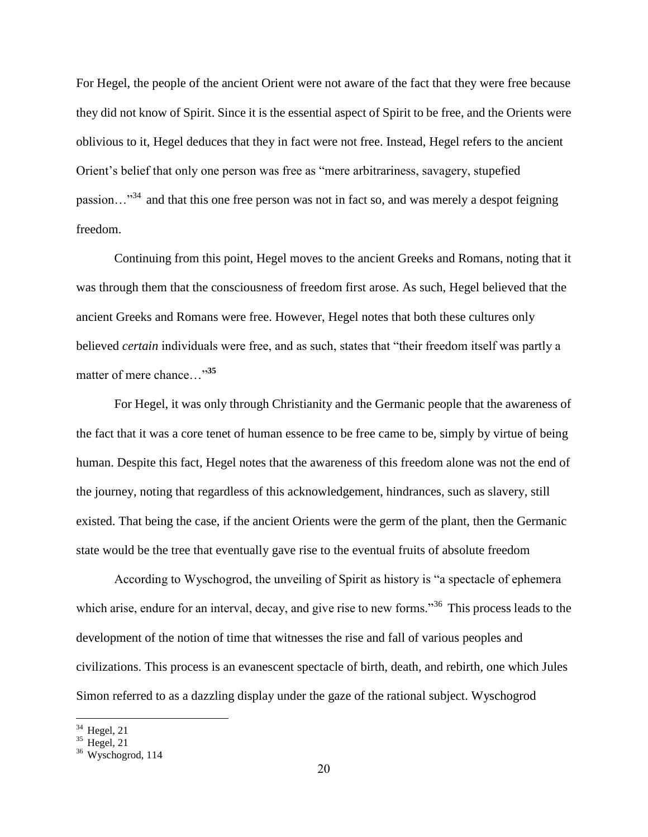For Hegel, the people of the ancient Orient were not aware of the fact that they were free because they did not know of Spirit. Since it is the essential aspect of Spirit to be free, and the Orients were oblivious to it, Hegel deduces that they in fact were not free. Instead, Hegel refers to the ancient Orient's belief that only one person was free as "mere arbitrariness, savagery, stupefied passion…"<sup>34</sup> and that this one free person was not in fact so, and was merely a despot feigning freedom.

Continuing from this point, Hegel moves to the ancient Greeks and Romans, noting that it was through them that the consciousness of freedom first arose. As such, Hegel believed that the ancient Greeks and Romans were free. However, Hegel notes that both these cultures only believed *certain* individuals were free, and as such, states that "their freedom itself was partly a matter of mere chance…"**<sup>35</sup>**

For Hegel, it was only through Christianity and the Germanic people that the awareness of the fact that it was a core tenet of human essence to be free came to be, simply by virtue of being human. Despite this fact, Hegel notes that the awareness of this freedom alone was not the end of the journey, noting that regardless of this acknowledgement, hindrances, such as slavery, still existed. That being the case, if the ancient Orients were the germ of the plant, then the Germanic state would be the tree that eventually gave rise to the eventual fruits of absolute freedom

According to Wyschogrod, the unveiling of Spirit as history is "a spectacle of ephemera which arise, endure for an interval, decay, and give rise to new forms."<sup>36</sup> This process leads to the development of the notion of time that witnesses the rise and fall of various peoples and civilizations. This process is an evanescent spectacle of birth, death, and rebirth, one which Jules Simon referred to as a dazzling display under the gaze of the rational subject. Wyschogrod

 $34$  Hegel, 21

 $35$  Hegel, 21

 $36$  Wyschogrod, 114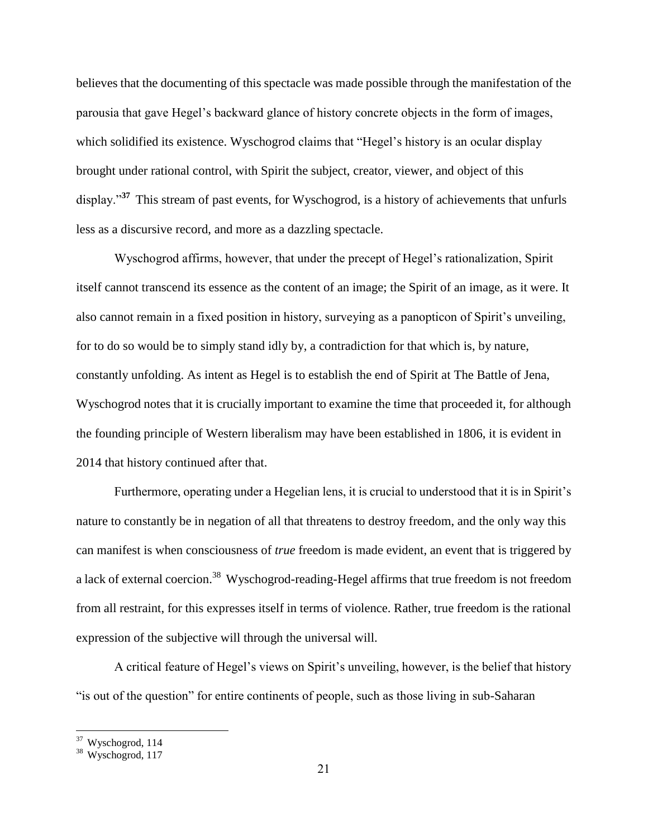believes that the documenting of this spectacle was made possible through the manifestation of the parousia that gave Hegel's backward glance of history concrete objects in the form of images, which solidified its existence. Wyschogrod claims that "Hegel's history is an ocular display brought under rational control, with Spirit the subject, creator, viewer, and object of this display."<sup>37</sup> This stream of past events, for Wyschogrod, is a history of achievements that unfurls less as a discursive record, and more as a dazzling spectacle.

Wyschogrod affirms, however, that under the precept of Hegel's rationalization, Spirit itself cannot transcend its essence as the content of an image; the Spirit of an image, as it were. It also cannot remain in a fixed position in history, surveying as a panopticon of Spirit's unveiling, for to do so would be to simply stand idly by, a contradiction for that which is, by nature, constantly unfolding. As intent as Hegel is to establish the end of Spirit at The Battle of Jena, Wyschogrod notes that it is crucially important to examine the time that proceeded it, for although the founding principle of Western liberalism may have been established in 1806, it is evident in 2014 that history continued after that.

Furthermore, operating under a Hegelian lens, it is crucial to understood that it is in Spirit's nature to constantly be in negation of all that threatens to destroy freedom, and the only way this can manifest is when consciousness of *true* freedom is made evident, an event that is triggered by a lack of external coercion.<sup>38</sup> Wyschogrod-reading-Hegel affirms that true freedom is not freedom from all restraint, for this expresses itself in terms of violence. Rather, true freedom is the rational expression of the subjective will through the universal will.

A critical feature of Hegel's views on Spirit's unveiling, however, is the belief that history "is out of the question" for entire continents of people, such as those living in sub-Saharan

<sup>37</sup> Wyschogrod, 114

<sup>38</sup> Wyschogrod, 117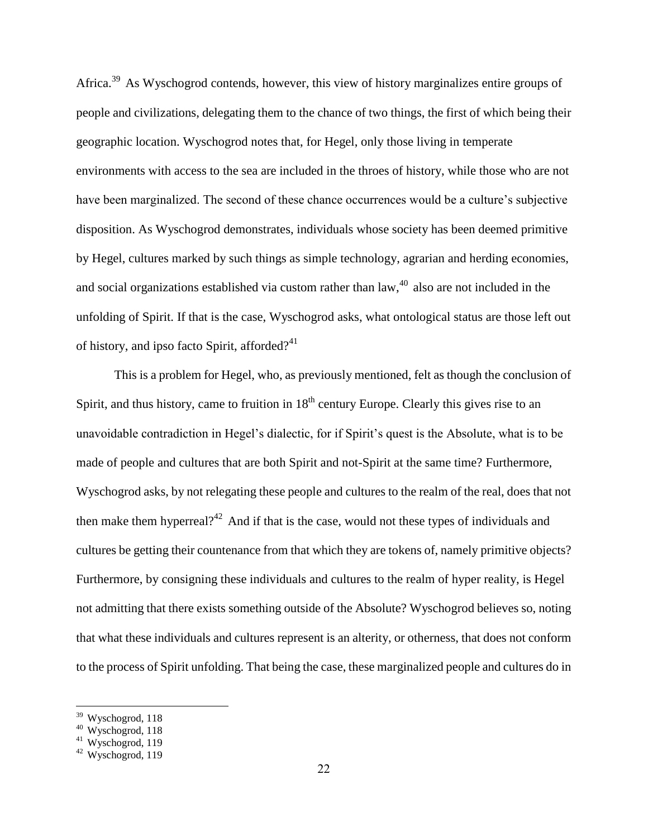Africa.<sup>39</sup> As Wyschogrod contends, however, this view of history marginalizes entire groups of people and civilizations, delegating them to the chance of two things, the first of which being their geographic location. Wyschogrod notes that, for Hegel, only those living in temperate environments with access to the sea are included in the throes of history, while those who are not have been marginalized. The second of these chance occurrences would be a culture's subjective disposition. As Wyschogrod demonstrates, individuals whose society has been deemed primitive by Hegel, cultures marked by such things as simple technology, agrarian and herding economies, and social organizations established via custom rather than  $\text{law}^{40}$  also are not included in the unfolding of Spirit. If that is the case, Wyschogrod asks, what ontological status are those left out of history, and ipso facto Spirit, afforded? $41$ 

This is a problem for Hegel, who, as previously mentioned, felt as though the conclusion of Spirit, and thus history, came to fruition in  $18<sup>th</sup>$  century Europe. Clearly this gives rise to an unavoidable contradiction in Hegel's dialectic, for if Spirit's quest is the Absolute, what is to be made of people and cultures that are both Spirit and not-Spirit at the same time? Furthermore, Wyschogrod asks, by not relegating these people and cultures to the realm of the real, does that not then make them hyperreal?<sup>42</sup> And if that is the case, would not these types of individuals and cultures be getting their countenance from that which they are tokens of, namely primitive objects? Furthermore, by consigning these individuals and cultures to the realm of hyper reality, is Hegel not admitting that there exists something outside of the Absolute? Wyschogrod believes so, noting that what these individuals and cultures represent is an alterity, or otherness, that does not conform to the process of Spirit unfolding. That being the case, these marginalized people and cultures do in

<sup>&</sup>lt;sup>39</sup> Wyschogrod, 118

<sup>40</sup> Wyschogrod, 118

 $41$  Wyschogrod, 119

 $42$  Wyschogrod, 119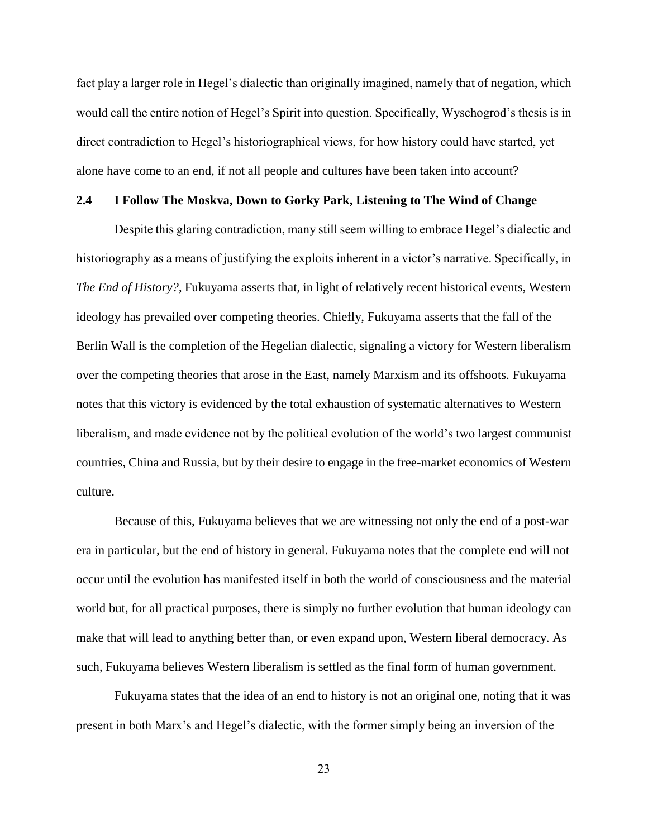fact play a larger role in Hegel's dialectic than originally imagined, namely that of negation, which would call the entire notion of Hegel's Spirit into question. Specifically, Wyschogrod's thesis is in direct contradiction to Hegel's historiographical views, for how history could have started, yet alone have come to an end, if not all people and cultures have been taken into account?

#### **2.4 I Follow The Moskva, Down to Gorky Park, Listening to The Wind of Change**

Despite this glaring contradiction, many still seem willing to embrace Hegel's dialectic and historiography as a means of justifying the exploits inherent in a victor's narrative. Specifically, in *The End of History?*, Fukuyama asserts that, in light of relatively recent historical events, Western ideology has prevailed over competing theories. Chiefly, Fukuyama asserts that the fall of the Berlin Wall is the completion of the Hegelian dialectic, signaling a victory for Western liberalism over the competing theories that arose in the East, namely Marxism and its offshoots. Fukuyama notes that this victory is evidenced by the total exhaustion of systematic alternatives to Western liberalism, and made evidence not by the political evolution of the world's two largest communist countries, China and Russia, but by their desire to engage in the free-market economics of Western culture.

Because of this, Fukuyama believes that we are witnessing not only the end of a post-war era in particular, but the end of history in general. Fukuyama notes that the complete end will not occur until the evolution has manifested itself in both the world of consciousness and the material world but, for all practical purposes, there is simply no further evolution that human ideology can make that will lead to anything better than, or even expand upon, Western liberal democracy. As such, Fukuyama believes Western liberalism is settled as the final form of human government.

Fukuyama states that the idea of an end to history is not an original one, noting that it was present in both Marx's and Hegel's dialectic, with the former simply being an inversion of the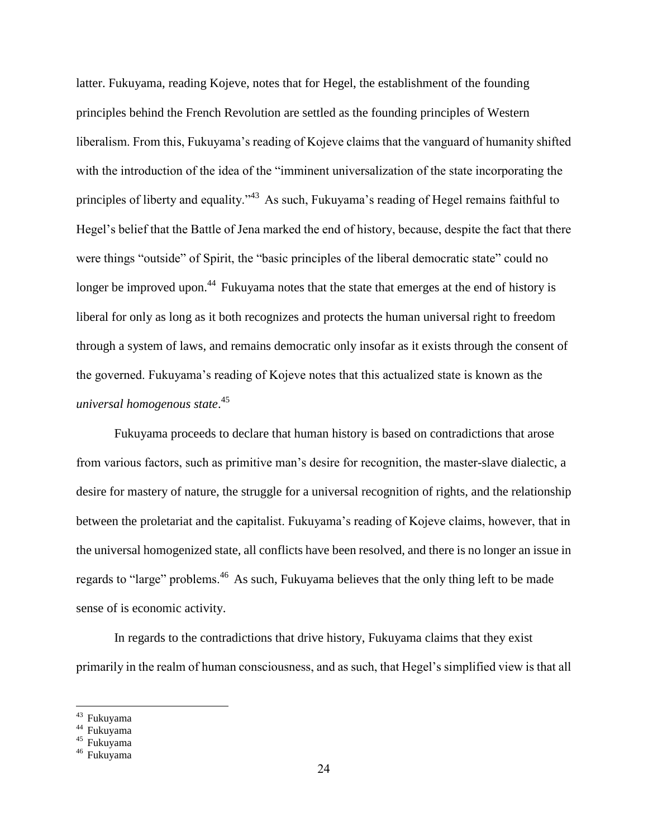latter. Fukuyama, reading Kojeve, notes that for Hegel, the establishment of the founding principles behind the French Revolution are settled as the founding principles of Western liberalism. From this, Fukuyama's reading of Kojeve claims that the vanguard of humanity shifted with the introduction of the idea of the "imminent universalization of the state incorporating the principles of liberty and equality."<sup>43</sup> As such, Fukuyama's reading of Hegel remains faithful to Hegel's belief that the Battle of Jena marked the end of history, because, despite the fact that there were things "outside" of Spirit, the "basic principles of the liberal democratic state" could no longer be improved upon.<sup>44</sup> Fukuyama notes that the state that emerges at the end of history is liberal for only as long as it both recognizes and protects the human universal right to freedom through a system of laws, and remains democratic only insofar as it exists through the consent of the governed. Fukuyama's reading of Kojeve notes that this actualized state is known as the *universal homogenous state*. 45

Fukuyama proceeds to declare that human history is based on contradictions that arose from various factors, such as primitive man's desire for recognition, the master-slave dialectic, a desire for mastery of nature, the struggle for a universal recognition of rights, and the relationship between the proletariat and the capitalist. Fukuyama's reading of Kojeve claims, however, that in the universal homogenized state, all conflicts have been resolved, and there is no longer an issue in regards to "large" problems.<sup>46</sup> As such, Fukuyama believes that the only thing left to be made sense of is economic activity.

In regards to the contradictions that drive history, Fukuyama claims that they exist primarily in the realm of human consciousness, and as such, that Hegel's simplified view is that all

<sup>&</sup>lt;sup>43</sup> Fukuyama

<sup>44</sup> Fukuyama

 $45$  Fukuyama

<sup>46</sup> Fukuyama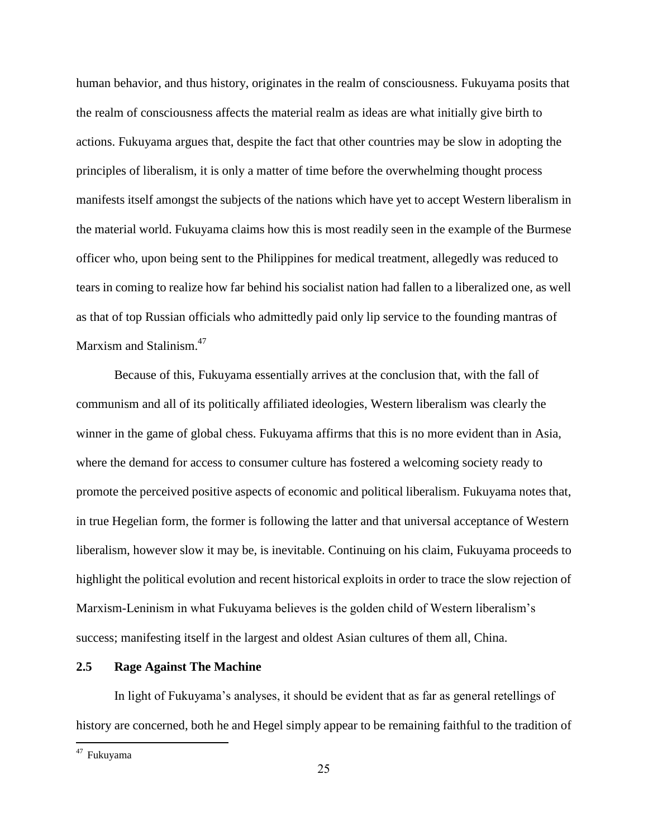human behavior, and thus history, originates in the realm of consciousness. Fukuyama posits that the realm of consciousness affects the material realm as ideas are what initially give birth to actions. Fukuyama argues that, despite the fact that other countries may be slow in adopting the principles of liberalism, it is only a matter of time before the overwhelming thought process manifests itself amongst the subjects of the nations which have yet to accept Western liberalism in the material world. Fukuyama claims how this is most readily seen in the example of the Burmese officer who, upon being sent to the Philippines for medical treatment, allegedly was reduced to tears in coming to realize how far behind his socialist nation had fallen to a liberalized one, as well as that of top Russian officials who admittedly paid only lip service to the founding mantras of Marxism and Stalinism.<sup>47</sup>

Because of this, Fukuyama essentially arrives at the conclusion that, with the fall of communism and all of its politically affiliated ideologies, Western liberalism was clearly the winner in the game of global chess. Fukuyama affirms that this is no more evident than in Asia, where the demand for access to consumer culture has fostered a welcoming society ready to promote the perceived positive aspects of economic and political liberalism. Fukuyama notes that, in true Hegelian form, the former is following the latter and that universal acceptance of Western liberalism, however slow it may be, is inevitable. Continuing on his claim, Fukuyama proceeds to highlight the political evolution and recent historical exploits in order to trace the slow rejection of Marxism-Leninism in what Fukuyama believes is the golden child of Western liberalism's success; manifesting itself in the largest and oldest Asian cultures of them all, China.

#### **2.5 Rage Against The Machine**

In light of Fukuyama's analyses, it should be evident that as far as general retellings of history are concerned, both he and Hegel simply appear to be remaining faithful to the tradition of

<sup>&</sup>lt;sup>47</sup> Fukuyama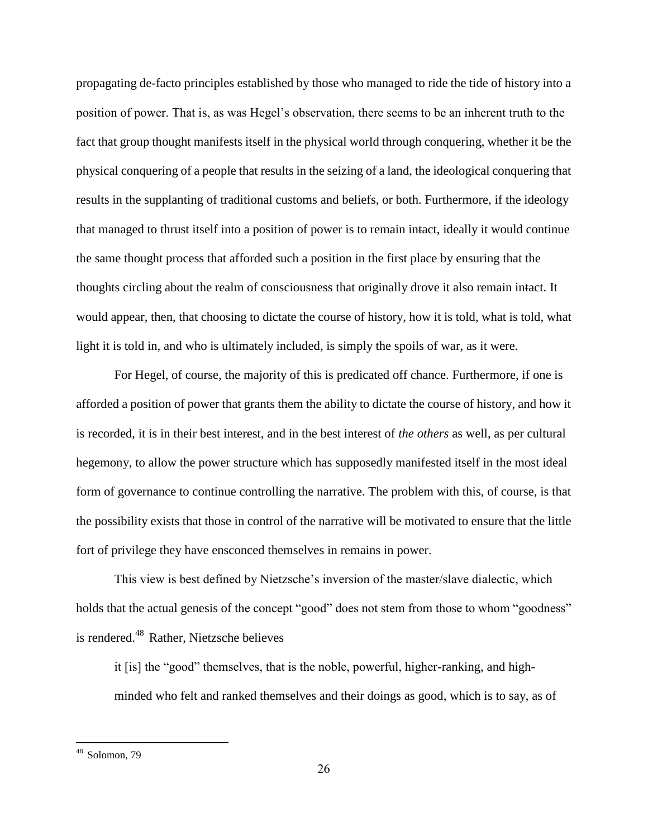propagating de-facto principles established by those who managed to ride the tide of history into a position of power. That is, as was Hegel's observation, there seems to be an inherent truth to the fact that group thought manifests itself in the physical world through conquering, whether it be the physical conquering of a people that results in the seizing of a land, the ideological conquering that results in the supplanting of traditional customs and beliefs, or both. Furthermore, if the ideology that managed to thrust itself into a position of power is to remain intact, ideally it would continue the same thought process that afforded such a position in the first place by ensuring that the thoughts circling about the realm of consciousness that originally drove it also remain intact. It would appear, then, that choosing to dictate the course of history, how it is told, what is told, what light it is told in, and who is ultimately included, is simply the spoils of war, as it were.

For Hegel, of course, the majority of this is predicated off chance. Furthermore, if one is afforded a position of power that grants them the ability to dictate the course of history, and how it is recorded, it is in their best interest, and in the best interest of *the others* as well, as per cultural hegemony, to allow the power structure which has supposedly manifested itself in the most ideal form of governance to continue controlling the narrative. The problem with this, of course, is that the possibility exists that those in control of the narrative will be motivated to ensure that the little fort of privilege they have ensconced themselves in remains in power.

This view is best defined by Nietzsche's inversion of the master/slave dialectic, which holds that the actual genesis of the concept "good" does not stem from those to whom "goodness" is rendered.<sup>48</sup> Rather, Nietzsche believes

it [is] the "good" themselves, that is the noble, powerful, higher-ranking, and highminded who felt and ranked themselves and their doings as good, which is to say, as of

 $48$  Solomon, 79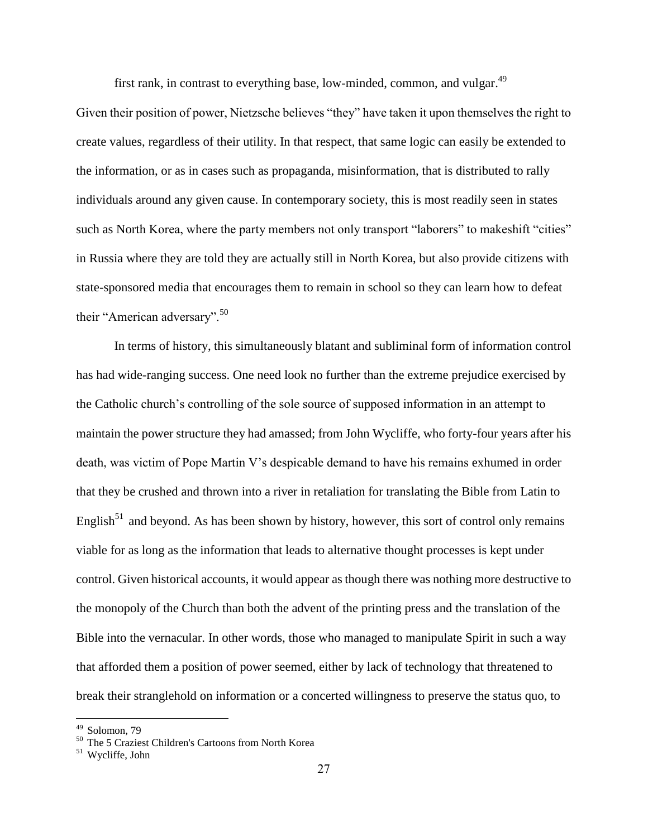first rank, in contrast to everything base, low-minded, common, and vulgar.<sup>49</sup>

Given their position of power, Nietzsche believes "they" have taken it upon themselves the right to create values, regardless of their utility. In that respect, that same logic can easily be extended to the information, or as in cases such as propaganda, misinformation, that is distributed to rally individuals around any given cause. In contemporary society, this is most readily seen in states such as North Korea, where the party members not only transport "laborers" to makeshift "cities" in Russia where they are told they are actually still in North Korea, but also provide citizens with state-sponsored media that encourages them to remain in school so they can learn how to defeat their "American adversary".<sup>50</sup>

In terms of history, this simultaneously blatant and subliminal form of information control has had wide-ranging success. One need look no further than the extreme prejudice exercised by the Catholic church's controlling of the sole source of supposed information in an attempt to maintain the power structure they had amassed; from John Wycliffe, who forty-four years after his death, was victim of Pope Martin V's despicable demand to have his remains exhumed in order that they be crushed and thrown into a river in retaliation for translating the Bible from Latin to English<sup>51</sup> and beyond. As has been shown by history, however, this sort of control only remains viable for as long as the information that leads to alternative thought processes is kept under control. Given historical accounts, it would appear as though there was nothing more destructive to the monopoly of the Church than both the advent of the printing press and the translation of the Bible into the vernacular. In other words, those who managed to manipulate Spirit in such a way that afforded them a position of power seemed, either by lack of technology that threatened to break their stranglehold on information or a concerted willingness to preserve the status quo, to

 $49$  Solomon, 79

<sup>50</sup> The 5 Craziest Children's Cartoons from North Korea

<sup>&</sup>lt;sup>51</sup> Wycliffe, John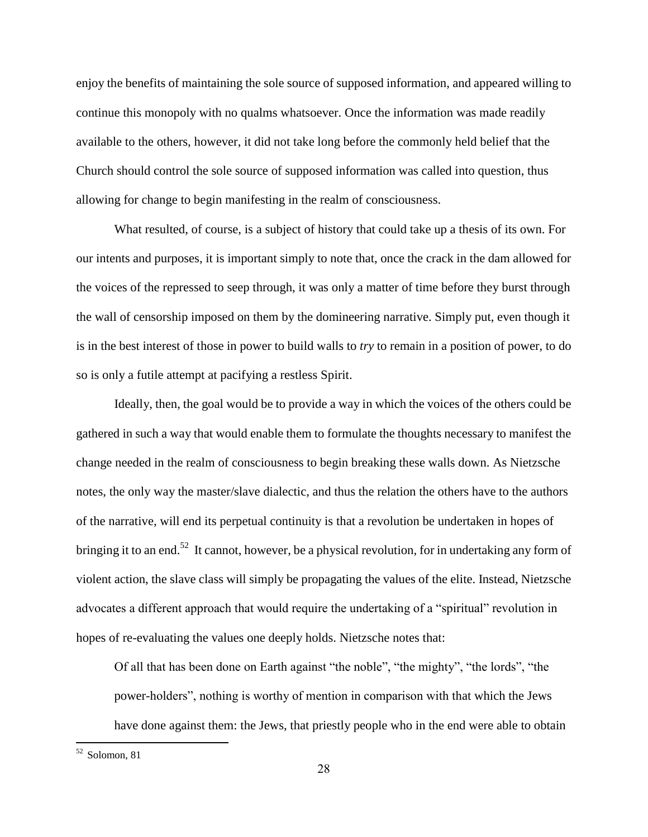enjoy the benefits of maintaining the sole source of supposed information, and appeared willing to continue this monopoly with no qualms whatsoever. Once the information was made readily available to the others, however, it did not take long before the commonly held belief that the Church should control the sole source of supposed information was called into question, thus allowing for change to begin manifesting in the realm of consciousness.

What resulted, of course, is a subject of history that could take up a thesis of its own. For our intents and purposes, it is important simply to note that, once the crack in the dam allowed for the voices of the repressed to seep through, it was only a matter of time before they burst through the wall of censorship imposed on them by the domineering narrative. Simply put, even though it is in the best interest of those in power to build walls to *try* to remain in a position of power, to do so is only a futile attempt at pacifying a restless Spirit.

Ideally, then, the goal would be to provide a way in which the voices of the others could be gathered in such a way that would enable them to formulate the thoughts necessary to manifest the change needed in the realm of consciousness to begin breaking these walls down. As Nietzsche notes, the only way the master/slave dialectic, and thus the relation the others have to the authors of the narrative, will end its perpetual continuity is that a revolution be undertaken in hopes of bringing it to an end.<sup>52</sup> It cannot, however, be a physical revolution, for in undertaking any form of violent action, the slave class will simply be propagating the values of the elite. Instead, Nietzsche advocates a different approach that would require the undertaking of a "spiritual" revolution in hopes of re-evaluating the values one deeply holds. Nietzsche notes that:

Of all that has been done on Earth against "the noble", "the mighty", "the lords", "the power-holders", nothing is worthy of mention in comparison with that which the Jews have done against them: the Jews, that priestly people who in the end were able to obtain

 $52$  Solomon, 81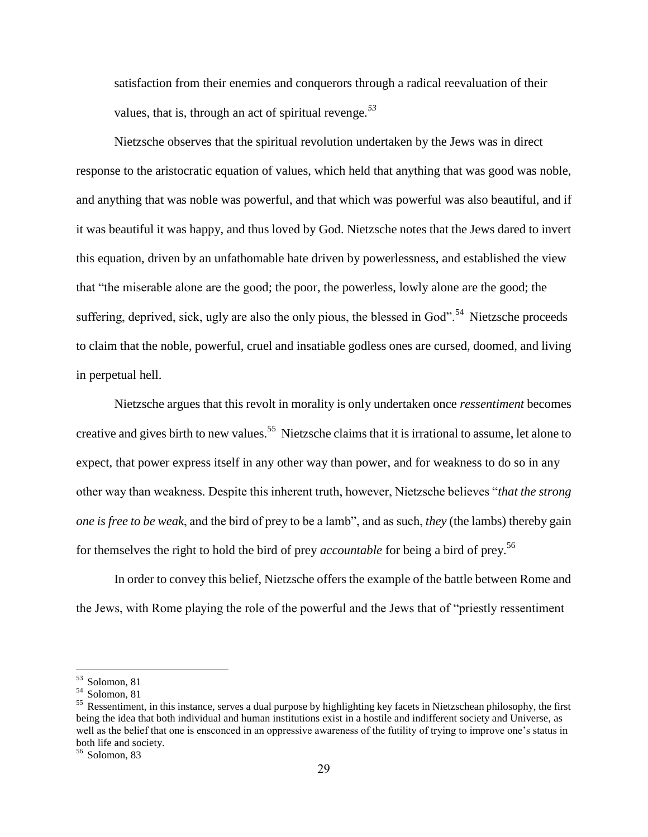satisfaction from their enemies and conquerors through a radical reevaluation of their values, that is, through an act of spiritual revenge*. 53*

Nietzsche observes that the spiritual revolution undertaken by the Jews was in direct response to the aristocratic equation of values, which held that anything that was good was noble, and anything that was noble was powerful, and that which was powerful was also beautiful, and if it was beautiful it was happy, and thus loved by God. Nietzsche notes that the Jews dared to invert this equation, driven by an unfathomable hate driven by powerlessness, and established the view that "the miserable alone are the good; the poor, the powerless, lowly alone are the good; the suffering, deprived, sick, ugly are also the only pious, the blessed in God".<sup>54</sup> Nietzsche proceeds to claim that the noble, powerful, cruel and insatiable godless ones are cursed, doomed, and living in perpetual hell.

Nietzsche argues that this revolt in morality is only undertaken once *ressentiment* becomes creative and gives birth to new values.<sup>55</sup> Nietzsche claims that it is irrational to assume, let alone to expect, that power express itself in any other way than power, and for weakness to do so in any other way than weakness. Despite this inherent truth, however, Nietzsche believes "*that the strong one is free to be weak*, and the bird of prey to be a lamb", and as such, *they* (the lambs) thereby gain for themselves the right to hold the bird of prey *accountable* for being a bird of prey.<sup>56</sup>

In order to convey this belief, Nietzsche offers the example of the battle between Rome and the Jews, with Rome playing the role of the powerful and the Jews that of "priestly ressentiment

<sup>53</sup> Solomon, 81

<sup>54</sup> Solomon, 81

<sup>&</sup>lt;sup>55</sup> Ressentiment, in this instance, serves a dual purpose by highlighting key facets in Nietzschean philosophy, the first being the idea that both individual and human institutions exist in a hostile and indifferent society and Universe, as well as the belief that one is ensconced in an oppressive awareness of the futility of trying to improve one's status in both life and society.

<sup>56</sup> Solomon, 83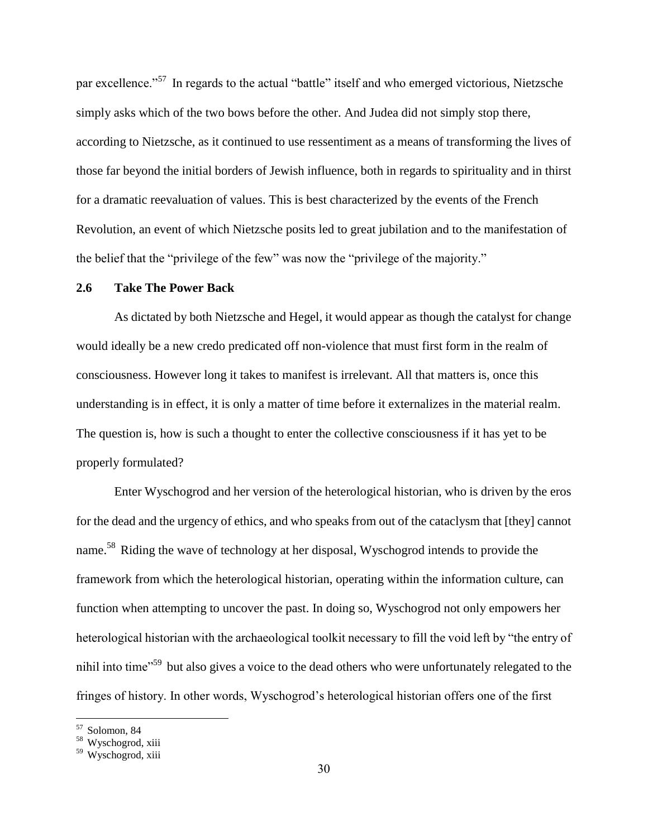par excellence."<sup>57</sup> In regards to the actual "battle" itself and who emerged victorious, Nietzsche simply asks which of the two bows before the other. And Judea did not simply stop there, according to Nietzsche, as it continued to use ressentiment as a means of transforming the lives of those far beyond the initial borders of Jewish influence, both in regards to spirituality and in thirst for a dramatic reevaluation of values. This is best characterized by the events of the French Revolution, an event of which Nietzsche posits led to great jubilation and to the manifestation of the belief that the "privilege of the few" was now the "privilege of the majority."

#### **2.6 Take The Power Back**

As dictated by both Nietzsche and Hegel, it would appear as though the catalyst for change would ideally be a new credo predicated off non-violence that must first form in the realm of consciousness. However long it takes to manifest is irrelevant. All that matters is, once this understanding is in effect, it is only a matter of time before it externalizes in the material realm. The question is, how is such a thought to enter the collective consciousness if it has yet to be properly formulated?

Enter Wyschogrod and her version of the heterological historian, who is driven by the eros for the dead and the urgency of ethics, and who speaks from out of the cataclysm that [they] cannot name.<sup>58</sup> Riding the wave of technology at her disposal, Wyschogrod intends to provide the framework from which the heterological historian, operating within the information culture, can function when attempting to uncover the past. In doing so, Wyschogrod not only empowers her heterological historian with the archaeological toolkit necessary to fill the void left by "the entry of nihil into time"<sup>59</sup> but also gives a voice to the dead others who were unfortunately relegated to the fringes of history. In other words, Wyschogrod's heterological historian offers one of the first

<sup>57</sup> Solomon, 84

<sup>&</sup>lt;sup>58</sup> Wyschogrod, xiii

<sup>&</sup>lt;sup>59</sup> Wyschogrod, xiii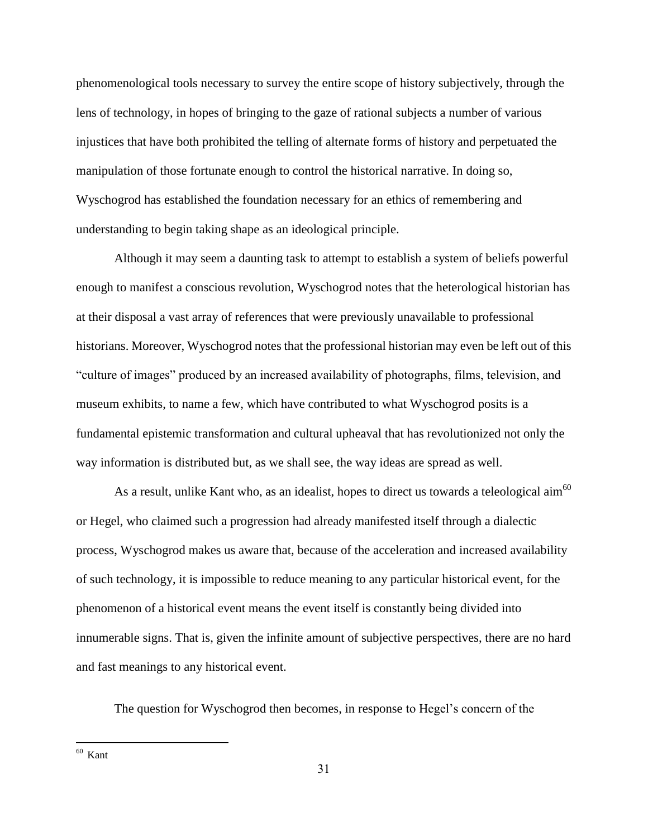phenomenological tools necessary to survey the entire scope of history subjectively, through the lens of technology, in hopes of bringing to the gaze of rational subjects a number of various injustices that have both prohibited the telling of alternate forms of history and perpetuated the manipulation of those fortunate enough to control the historical narrative. In doing so, Wyschogrod has established the foundation necessary for an ethics of remembering and understanding to begin taking shape as an ideological principle.

Although it may seem a daunting task to attempt to establish a system of beliefs powerful enough to manifest a conscious revolution, Wyschogrod notes that the heterological historian has at their disposal a vast array of references that were previously unavailable to professional historians. Moreover, Wyschogrod notes that the professional historian may even be left out of this "culture of images" produced by an increased availability of photographs, films, television, and museum exhibits, to name a few, which have contributed to what Wyschogrod posits is a fundamental epistemic transformation and cultural upheaval that has revolutionized not only the way information is distributed but, as we shall see, the way ideas are spread as well.

As a result, unlike Kant who, as an idealist, hopes to direct us towards a teleological aim<sup>60</sup> or Hegel, who claimed such a progression had already manifested itself through a dialectic process, Wyschogrod makes us aware that, because of the acceleration and increased availability of such technology, it is impossible to reduce meaning to any particular historical event, for the phenomenon of a historical event means the event itself is constantly being divided into innumerable signs. That is, given the infinite amount of subjective perspectives, there are no hard and fast meanings to any historical event.

The question for Wyschogrod then becomes, in response to Hegel's concern of the

 $60$  Kant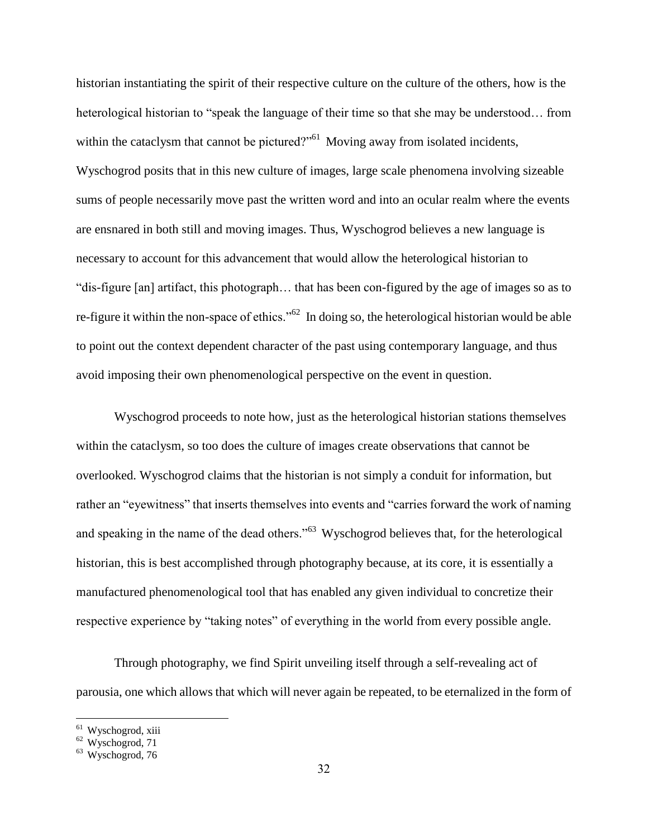historian instantiating the spirit of their respective culture on the culture of the others, how is the heterological historian to "speak the language of their time so that she may be understood… from within the cataclysm that cannot be pictured?"<sup>61</sup> Moving away from isolated incidents, Wyschogrod posits that in this new culture of images, large scale phenomena involving sizeable sums of people necessarily move past the written word and into an ocular realm where the events are ensnared in both still and moving images. Thus, Wyschogrod believes a new language is necessary to account for this advancement that would allow the heterological historian to "dis-figure [an] artifact, this photograph… that has been con-figured by the age of images so as to re-figure it within the non-space of ethics."<sup>62</sup> In doing so, the heterological historian would be able to point out the context dependent character of the past using contemporary language, and thus avoid imposing their own phenomenological perspective on the event in question.

Wyschogrod proceeds to note how, just as the heterological historian stations themselves within the cataclysm, so too does the culture of images create observations that cannot be overlooked. Wyschogrod claims that the historian is not simply a conduit for information, but rather an "eyewitness" that inserts themselves into events and "carries forward the work of naming and speaking in the name of the dead others."<sup>63</sup> Wyschogrod believes that, for the heterological historian, this is best accomplished through photography because, at its core, it is essentially a manufactured phenomenological tool that has enabled any given individual to concretize their respective experience by "taking notes" of everything in the world from every possible angle.

Through photography, we find Spirit unveiling itself through a self-revealing act of parousia, one which allows that which will never again be repeated, to be eternalized in the form of

<sup>&</sup>lt;sup>61</sup> Wyschogrod, xiii

 $62$  Wyschogrod, 71

 $63$  Wyschogrod, 76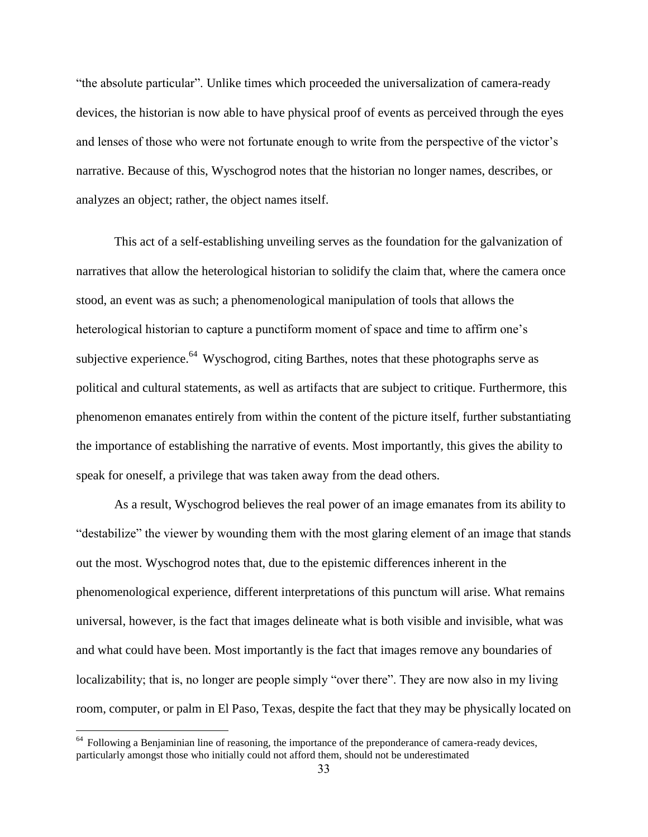"the absolute particular". Unlike times which proceeded the universalization of camera-ready devices, the historian is now able to have physical proof of events as perceived through the eyes and lenses of those who were not fortunate enough to write from the perspective of the victor's narrative. Because of this, Wyschogrod notes that the historian no longer names, describes, or analyzes an object; rather, the object names itself.

This act of a self-establishing unveiling serves as the foundation for the galvanization of narratives that allow the heterological historian to solidify the claim that, where the camera once stood, an event was as such; a phenomenological manipulation of tools that allows the heterological historian to capture a punctiform moment of space and time to affirm one's subjective experience.<sup>64</sup> Wyschogrod, citing Barthes, notes that these photographs serve as political and cultural statements, as well as artifacts that are subject to critique. Furthermore, this phenomenon emanates entirely from within the content of the picture itself, further substantiating the importance of establishing the narrative of events. Most importantly, this gives the ability to speak for oneself, a privilege that was taken away from the dead others.

As a result, Wyschogrod believes the real power of an image emanates from its ability to "destabilize" the viewer by wounding them with the most glaring element of an image that stands out the most. Wyschogrod notes that, due to the epistemic differences inherent in the phenomenological experience, different interpretations of this punctum will arise. What remains universal, however, is the fact that images delineate what is both visible and invisible, what was and what could have been. Most importantly is the fact that images remove any boundaries of localizability; that is, no longer are people simply "over there". They are now also in my living room, computer, or palm in El Paso, Texas, despite the fact that they may be physically located on

 $64$  Following a Benjaminian line of reasoning, the importance of the preponderance of camera-ready devices, particularly amongst those who initially could not afford them, should not be underestimated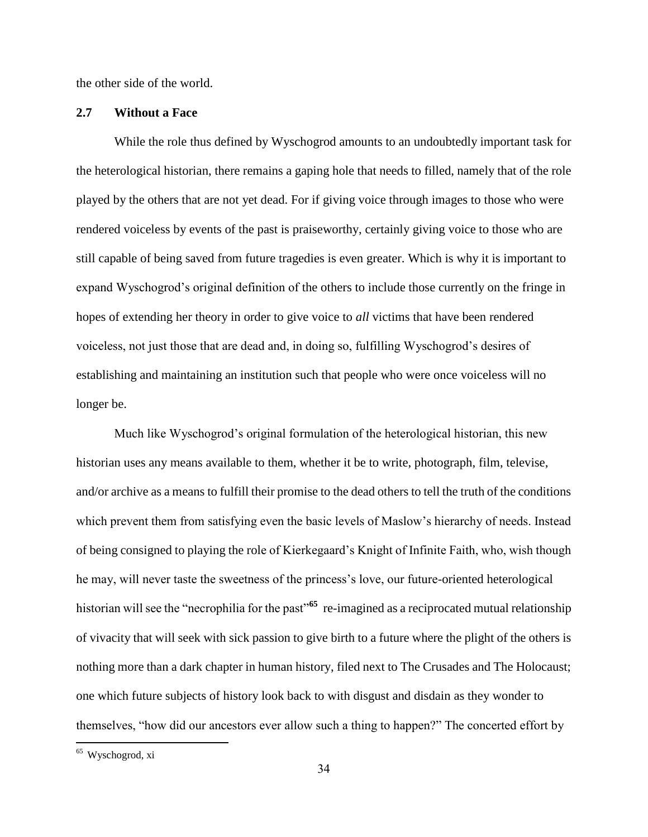the other side of the world.

# **2.7 Without a Face**

While the role thus defined by Wyschogrod amounts to an undoubtedly important task for the heterological historian, there remains a gaping hole that needs to filled, namely that of the role played by the others that are not yet dead. For if giving voice through images to those who were rendered voiceless by events of the past is praiseworthy, certainly giving voice to those who are still capable of being saved from future tragedies is even greater. Which is why it is important to expand Wyschogrod's original definition of the others to include those currently on the fringe in hopes of extending her theory in order to give voice to *all* victims that have been rendered voiceless, not just those that are dead and, in doing so, fulfilling Wyschogrod's desires of establishing and maintaining an institution such that people who were once voiceless will no longer be.

Much like Wyschogrod's original formulation of the heterological historian, this new historian uses any means available to them, whether it be to write, photograph, film, televise, and/or archive as a means to fulfill their promise to the dead others to tell the truth of the conditions which prevent them from satisfying even the basic levels of Maslow's hierarchy of needs. Instead of being consigned to playing the role of Kierkegaard's Knight of Infinite Faith, who, wish though he may, will never taste the sweetness of the princess's love, our future-oriented heterological historian will see the "necrophilia for the past"<sup>65</sup> re-imagined as a reciprocated mutual relationship of vivacity that will seek with sick passion to give birth to a future where the plight of the others is nothing more than a dark chapter in human history, filed next to The Crusades and The Holocaust; one which future subjects of history look back to with disgust and disdain as they wonder to themselves, "how did our ancestors ever allow such a thing to happen?" The concerted effort by

<sup>&</sup>lt;sup>65</sup> Wyschogrod, xi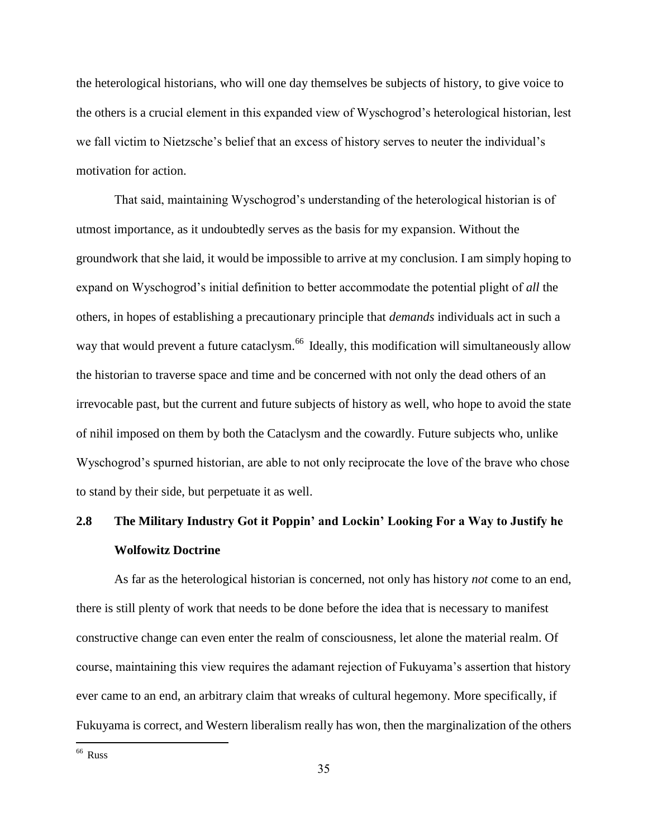the heterological historians, who will one day themselves be subjects of history, to give voice to the others is a crucial element in this expanded view of Wyschogrod's heterological historian, lest we fall victim to Nietzsche's belief that an excess of history serves to neuter the individual's motivation for action.

That said, maintaining Wyschogrod's understanding of the heterological historian is of utmost importance, as it undoubtedly serves as the basis for my expansion. Without the groundwork that she laid, it would be impossible to arrive at my conclusion. I am simply hoping to expand on Wyschogrod's initial definition to better accommodate the potential plight of *all* the others, in hopes of establishing a precautionary principle that *demands* individuals act in such a way that would prevent a future cataclysm.<sup>66</sup> Ideally, this modification will simultaneously allow the historian to traverse space and time and be concerned with not only the dead others of an irrevocable past, but the current and future subjects of history as well, who hope to avoid the state of nihil imposed on them by both the Cataclysm and the cowardly. Future subjects who, unlike Wyschogrod's spurned historian, are able to not only reciprocate the love of the brave who chose to stand by their side, but perpetuate it as well.

# **2.8 The Military Industry Got it Poppin' and Lockin' Looking For a Way to Justify he Wolfowitz Doctrine**

As far as the heterological historian is concerned, not only has history *not* come to an end, there is still plenty of work that needs to be done before the idea that is necessary to manifest constructive change can even enter the realm of consciousness, let alone the material realm. Of course, maintaining this view requires the adamant rejection of Fukuyama's assertion that history ever came to an end, an arbitrary claim that wreaks of cultural hegemony. More specifically, if Fukuyama is correct, and Western liberalism really has won, then the marginalization of the others

<sup>&</sup>lt;sup>66</sup> Russ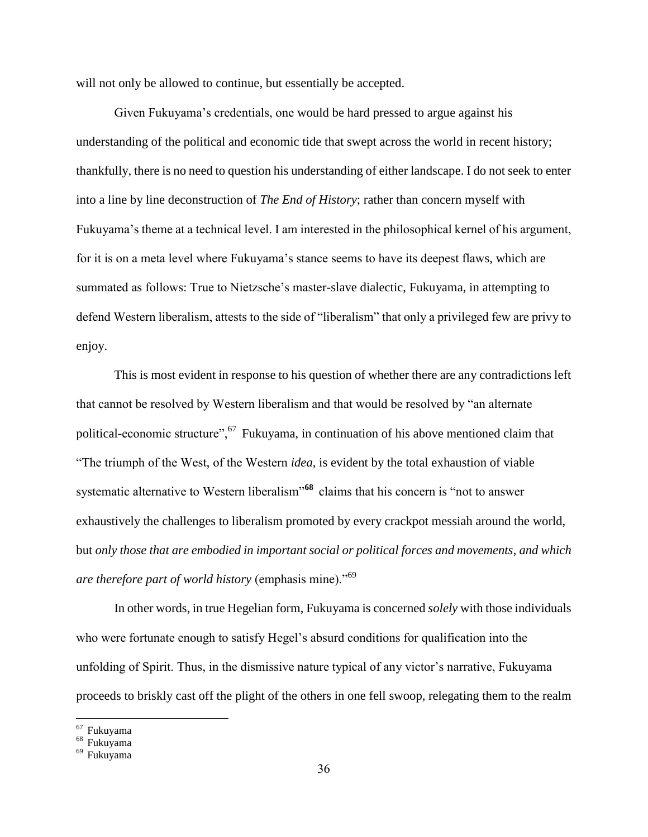will not only be allowed to continue, but essentially be accepted.

 Given Fukuyama's credentials, one would be hard pressed to argue against his understanding of the political and economic tide that swept across the world in recent history; thankfully, there is no need to question his understanding of either landscape. I do not seek to enter into a line by line deconstruction of *The End of History*; rather than concern myself with Fukuyama's theme at a technical level. I am interested in the philosophical kernel of his argument, for it is on a meta level where Fukuyama's stance seems to have its deepest flaws, which are summated as follows: True to Nietzsche's master-slave dialectic, Fukuyama, in attempting to defend Western liberalism, attests to the side of "liberalism" that only a privileged few are privy to enjoy.

This is most evident in response to his question of whether there are any contradictions left that cannot be resolved by Western liberalism and that would be resolved by "an alternate political-economic structure",  $67$  Fukuyama, in continuation of his above mentioned claim that "The triumph of the West, of the Western *idea*, is evident by the total exhaustion of viable systematic alternative to Western liberalism<sup>568</sup> claims that his concern is "not to answer exhaustively the challenges to liberalism promoted by every crackpot messiah around the world, but *only those that are embodied in important social or political forces and movements*, *and which are therefore part of world history* (emphasis mine)."<sup>69</sup>

In other words, in true Hegelian form, Fukuyama is concerned *solely* with those individuals who were fortunate enough to satisfy Hegel's absurd conditions for qualification into the unfolding of Spirit. Thus, in the dismissive nature typical of any victor's narrative, Fukuyama proceeds to briskly cast off the plight of the others in one fell swoop, relegating them to the realm

<sup>&</sup>lt;sup>67</sup> Fukuyama

<sup>68</sup> Fukuyama

<sup>69</sup> Fukuyama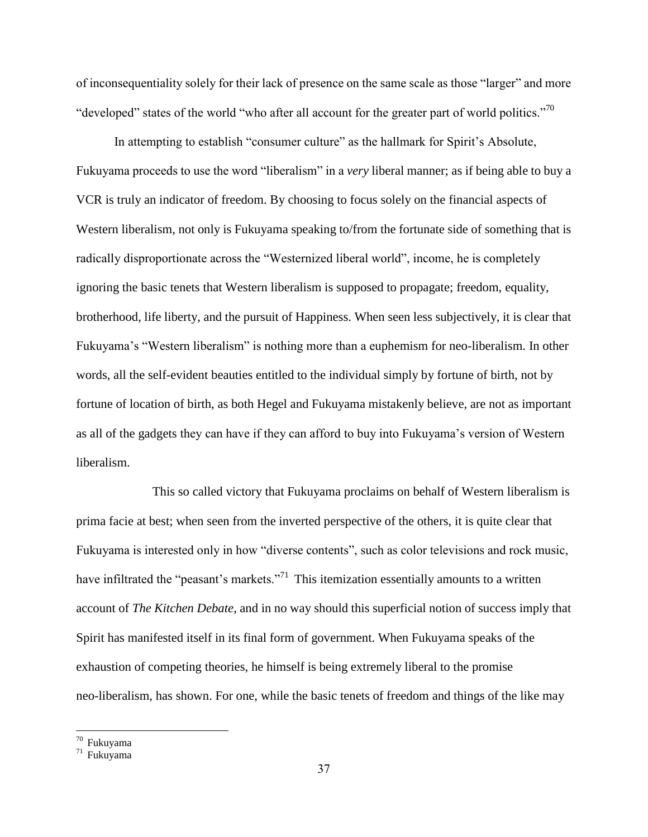of inconsequentiality solely for their lack of presence on the same scale as those "larger" and more "developed" states of the world "who after all account for the greater part of world politics."<sup>70</sup>

In attempting to establish "consumer culture" as the hallmark for Spirit's Absolute, Fukuyama proceeds to use the word "liberalism" in a *very* liberal manner; as if being able to buy a VCR is truly an indicator of freedom. By choosing to focus solely on the financial aspects of Western liberalism, not only is Fukuyama speaking to/from the fortunate side of something that is radically disproportionate across the "Westernized liberal world", income, he is completely ignoring the basic tenets that Western liberalism is supposed to propagate; freedom, equality, brotherhood, life liberty, and the pursuit of Happiness. When seen less subjectively, it is clear that Fukuyama's "Western liberalism" is nothing more than a euphemism for neo-liberalism. In other words, all the self-evident beauties entitled to the individual simply by fortune of birth, not by fortune of location of birth, as both Hegel and Fukuyama mistakenly believe, are not as important as all of the gadgets they can have if they can afford to buy into Fukuyama's version of Western liberalism.

 This so called victory that Fukuyama proclaims on behalf of Western liberalism is prima facie at best; when seen from the inverted perspective of the others, it is quite clear that Fukuyama is interested only in how "diverse contents", such as color televisions and rock music, have infiltrated the "peasant's markets."<sup>71</sup> This itemization essentially amounts to a written account of *The Kitchen Debate*, and in no way should this superficial notion of success imply that Spirit has manifested itself in its final form of government. When Fukuyama speaks of the exhaustion of competing theories, he himself is being extremely liberal to the promise neo-liberalism, has shown. For one, while the basic tenets of freedom and things of the like may

<sup>70</sup> Fukuyama

<sup>71</sup> Fukuyama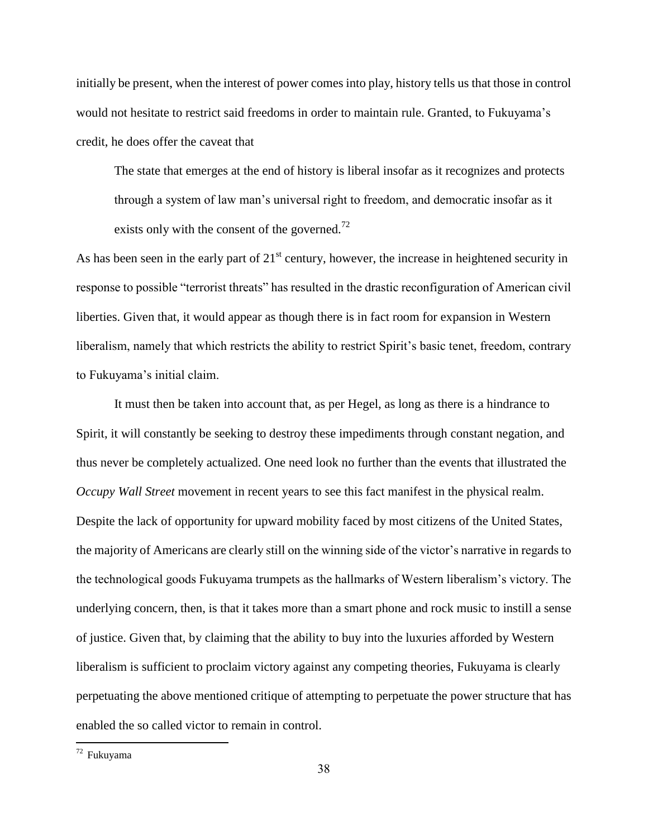initially be present, when the interest of power comes into play, history tells us that those in control would not hesitate to restrict said freedoms in order to maintain rule. Granted, to Fukuyama's credit, he does offer the caveat that

The state that emerges at the end of history is liberal insofar as it recognizes and protects through a system of law man's universal right to freedom, and democratic insofar as it exists only with the consent of the governed.<sup>72</sup>

As has been seen in the early part of  $21<sup>st</sup>$  century, however, the increase in heightened security in response to possible "terrorist threats" has resulted in the drastic reconfiguration of American civil liberties. Given that, it would appear as though there is in fact room for expansion in Western liberalism, namely that which restricts the ability to restrict Spirit's basic tenet, freedom, contrary to Fukuyama's initial claim.

It must then be taken into account that, as per Hegel, as long as there is a hindrance to Spirit, it will constantly be seeking to destroy these impediments through constant negation, and thus never be completely actualized. One need look no further than the events that illustrated the *Occupy Wall Street* movement in recent years to see this fact manifest in the physical realm. Despite the lack of opportunity for upward mobility faced by most citizens of the United States, the majority of Americans are clearly still on the winning side of the victor's narrative in regards to the technological goods Fukuyama trumpets as the hallmarks of Western liberalism's victory. The underlying concern, then, is that it takes more than a smart phone and rock music to instill a sense of justice. Given that, by claiming that the ability to buy into the luxuries afforded by Western liberalism is sufficient to proclaim victory against any competing theories, Fukuyama is clearly perpetuating the above mentioned critique of attempting to perpetuate the power structure that has enabled the so called victor to remain in control.

<sup>72</sup> Fukuyama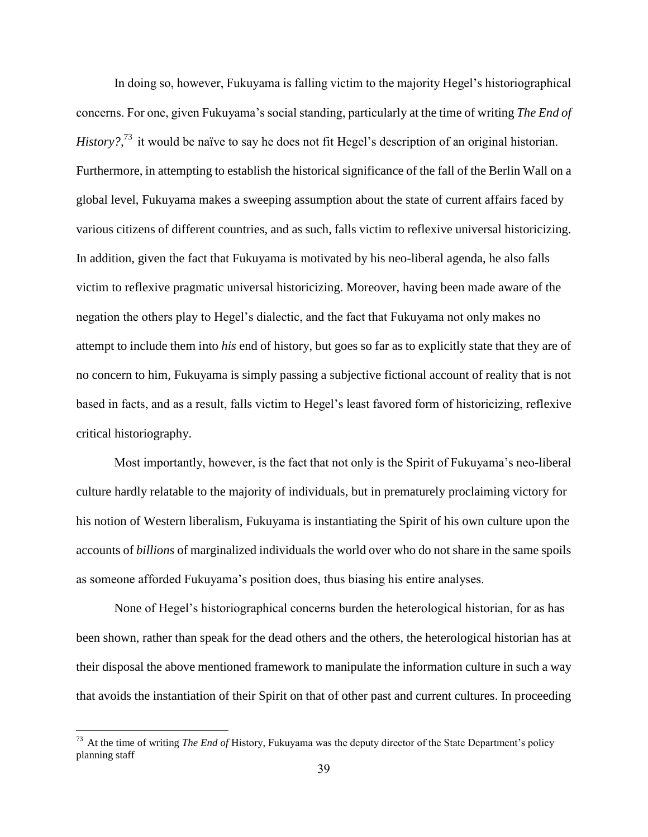In doing so, however, Fukuyama is falling victim to the majority Hegel's historiographical concerns. For one, given Fukuyama's social standing, particularly at the time of writing *The End of History?*,<sup>73</sup> it would be naïve to say he does not fit Hegel's description of an original historian. Furthermore, in attempting to establish the historical significance of the fall of the Berlin Wall on a global level, Fukuyama makes a sweeping assumption about the state of current affairs faced by various citizens of different countries, and as such, falls victim to reflexive universal historicizing. In addition, given the fact that Fukuyama is motivated by his neo-liberal agenda, he also falls victim to reflexive pragmatic universal historicizing. Moreover, having been made aware of the negation the others play to Hegel's dialectic, and the fact that Fukuyama not only makes no attempt to include them into *his* end of history, but goes so far as to explicitly state that they are of no concern to him, Fukuyama is simply passing a subjective fictional account of reality that is not based in facts, and as a result, falls victim to Hegel's least favored form of historicizing, reflexive critical historiography.

Most importantly, however, is the fact that not only is the Spirit of Fukuyama's neo-liberal culture hardly relatable to the majority of individuals, but in prematurely proclaiming victory for his notion of Western liberalism, Fukuyama is instantiating the Spirit of his own culture upon the accounts of *billions* of marginalized individuals the world over who do not share in the same spoils as someone afforded Fukuyama's position does, thus biasing his entire analyses.

None of Hegel's historiographical concerns burden the heterological historian, for as has been shown, rather than speak for the dead others and the others, the heterological historian has at their disposal the above mentioned framework to manipulate the information culture in such a way that avoids the instantiation of their Spirit on that of other past and current cultures. In proceeding

<sup>73</sup> At the time of writing *The End of* History, Fukuyama was the deputy director of the State Department's policy planning staff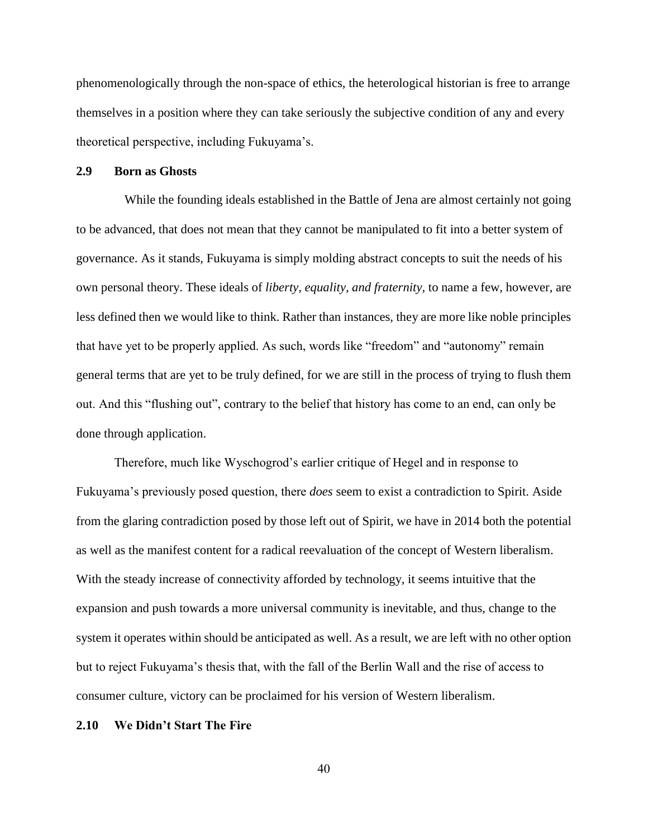phenomenologically through the non-space of ethics, the heterological historian is free to arrange themselves in a position where they can take seriously the subjective condition of any and every theoretical perspective, including Fukuyama's.

#### **2.9 Born as Ghosts**

 While the founding ideals established in the Battle of Jena are almost certainly not going to be advanced, that does not mean that they cannot be manipulated to fit into a better system of governance. As it stands, Fukuyama is simply molding abstract concepts to suit the needs of his own personal theory. These ideals of *liberty, equality, and fraternity,* to name a few, however, are less defined then we would like to think. Rather than instances, they are more like noble principles that have yet to be properly applied. As such, words like "freedom" and "autonomy" remain general terms that are yet to be truly defined, for we are still in the process of trying to flush them out. And this "flushing out", contrary to the belief that history has come to an end, can only be done through application.

Therefore, much like Wyschogrod's earlier critique of Hegel and in response to Fukuyama's previously posed question, there *does* seem to exist a contradiction to Spirit. Aside from the glaring contradiction posed by those left out of Spirit, we have in 2014 both the potential as well as the manifest content for a radical reevaluation of the concept of Western liberalism. With the steady increase of connectivity afforded by technology, it seems intuitive that the expansion and push towards a more universal community is inevitable, and thus, change to the system it operates within should be anticipated as well. As a result, we are left with no other option but to reject Fukuyama's thesis that, with the fall of the Berlin Wall and the rise of access to consumer culture, victory can be proclaimed for his version of Western liberalism.

#### **2.10 We Didn't Start The Fire**

40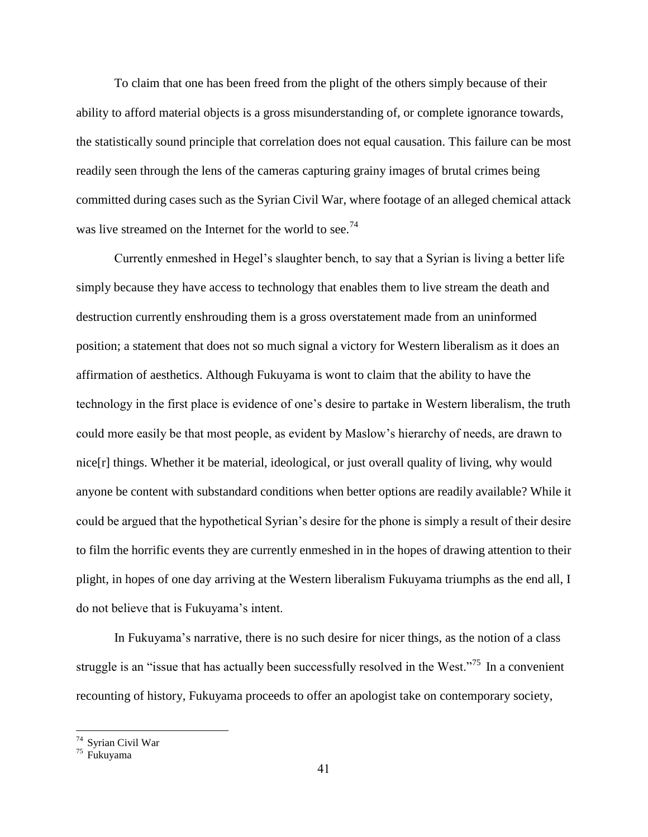To claim that one has been freed from the plight of the others simply because of their ability to afford material objects is a gross misunderstanding of, or complete ignorance towards, the statistically sound principle that correlation does not equal causation. This failure can be most readily seen through the lens of the cameras capturing grainy images of brutal crimes being committed during cases such as the Syrian Civil War, where footage of an alleged chemical attack was live streamed on the Internet for the world to see.<sup>74</sup>

Currently enmeshed in Hegel's slaughter bench, to say that a Syrian is living a better life simply because they have access to technology that enables them to live stream the death and destruction currently enshrouding them is a gross overstatement made from an uninformed position; a statement that does not so much signal a victory for Western liberalism as it does an affirmation of aesthetics. Although Fukuyama is wont to claim that the ability to have the technology in the first place is evidence of one's desire to partake in Western liberalism, the truth could more easily be that most people, as evident by Maslow's hierarchy of needs, are drawn to nice[r] things. Whether it be material, ideological, or just overall quality of living, why would anyone be content with substandard conditions when better options are readily available? While it could be argued that the hypothetical Syrian's desire for the phone is simply a result of their desire to film the horrific events they are currently enmeshed in in the hopes of drawing attention to their plight, in hopes of one day arriving at the Western liberalism Fukuyama triumphs as the end all, I do not believe that is Fukuyama's intent.

In Fukuyama's narrative, there is no such desire for nicer things, as the notion of a class struggle is an "issue that has actually been successfully resolved in the West."<sup>75</sup> In a convenient recounting of history, Fukuyama proceeds to offer an apologist take on contemporary society,

<sup>74</sup> Syrian Civil War

<sup>75</sup> Fukuyama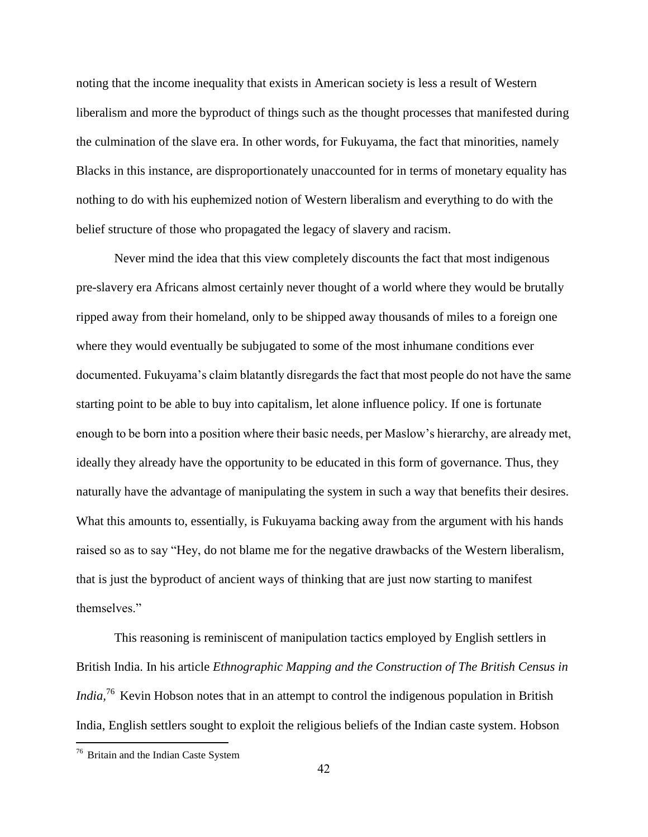noting that the income inequality that exists in American society is less a result of Western liberalism and more the byproduct of things such as the thought processes that manifested during the culmination of the slave era. In other words, for Fukuyama, the fact that minorities, namely Blacks in this instance, are disproportionately unaccounted for in terms of monetary equality has nothing to do with his euphemized notion of Western liberalism and everything to do with the belief structure of those who propagated the legacy of slavery and racism.

Never mind the idea that this view completely discounts the fact that most indigenous pre-slavery era Africans almost certainly never thought of a world where they would be brutally ripped away from their homeland, only to be shipped away thousands of miles to a foreign one where they would eventually be subjugated to some of the most inhumane conditions ever documented. Fukuyama's claim blatantly disregards the fact that most people do not have the same starting point to be able to buy into capitalism, let alone influence policy. If one is fortunate enough to be born into a position where their basic needs, per Maslow's hierarchy, are already met, ideally they already have the opportunity to be educated in this form of governance. Thus, they naturally have the advantage of manipulating the system in such a way that benefits their desires. What this amounts to, essentially, is Fukuyama backing away from the argument with his hands raised so as to say "Hey, do not blame me for the negative drawbacks of the Western liberalism, that is just the byproduct of ancient ways of thinking that are just now starting to manifest themselves."

This reasoning is reminiscent of manipulation tactics employed by English settlers in British India. In his article *Ethnographic Mapping and the Construction of The British Census in India*,<sup>76</sup> Kevin Hobson notes that in an attempt to control the indigenous population in British India, English settlers sought to exploit the religious beliefs of the Indian caste system. Hobson

<sup>76</sup> Britain and the Indian Caste System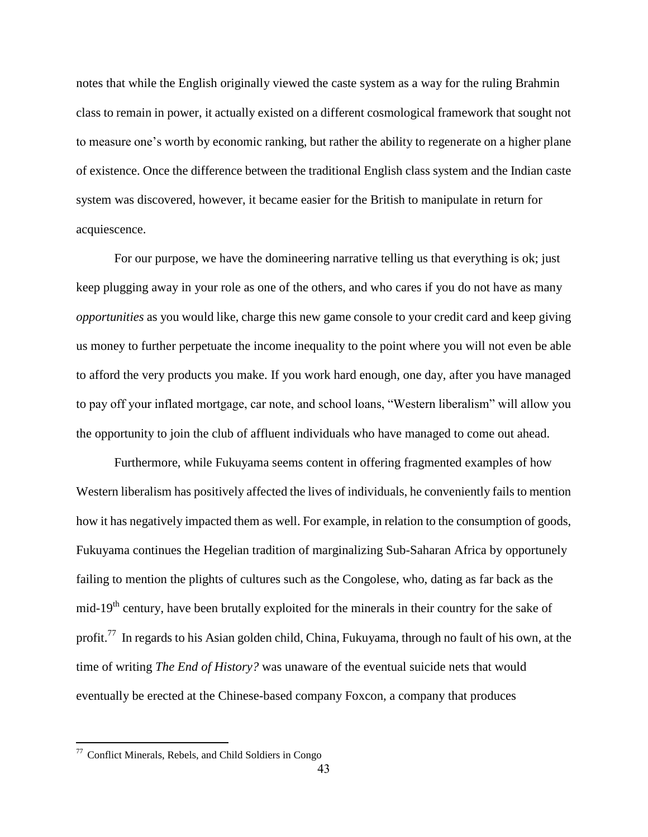notes that while the English originally viewed the caste system as a way for the ruling Brahmin class to remain in power, it actually existed on a different cosmological framework that sought not to measure one's worth by economic ranking, but rather the ability to regenerate on a higher plane of existence. Once the difference between the traditional English class system and the Indian caste system was discovered, however, it became easier for the British to manipulate in return for acquiescence.

For our purpose, we have the domineering narrative telling us that everything is ok; just keep plugging away in your role as one of the others, and who cares if you do not have as many *opportunities* as you would like, charge this new game console to your credit card and keep giving us money to further perpetuate the income inequality to the point where you will not even be able to afford the very products you make. If you work hard enough, one day, after you have managed to pay off your inflated mortgage, car note, and school loans, "Western liberalism" will allow you the opportunity to join the club of affluent individuals who have managed to come out ahead.

Furthermore, while Fukuyama seems content in offering fragmented examples of how Western liberalism has positively affected the lives of individuals, he conveniently fails to mention how it has negatively impacted them as well. For example, in relation to the consumption of goods, Fukuyama continues the Hegelian tradition of marginalizing Sub-Saharan Africa by opportunely failing to mention the plights of cultures such as the Congolese, who, dating as far back as the mid-19<sup>th</sup> century, have been brutally exploited for the minerals in their country for the sake of profit.<sup>77</sup> In regards to his Asian golden child, China, Fukuyama, through no fault of his own, at the time of writing *The End of History?* was unaware of the eventual suicide nets that would eventually be erected at the Chinese-based company Foxcon, a company that produces

<sup>77</sup> Conflict Minerals, Rebels, and Child Soldiers in Congo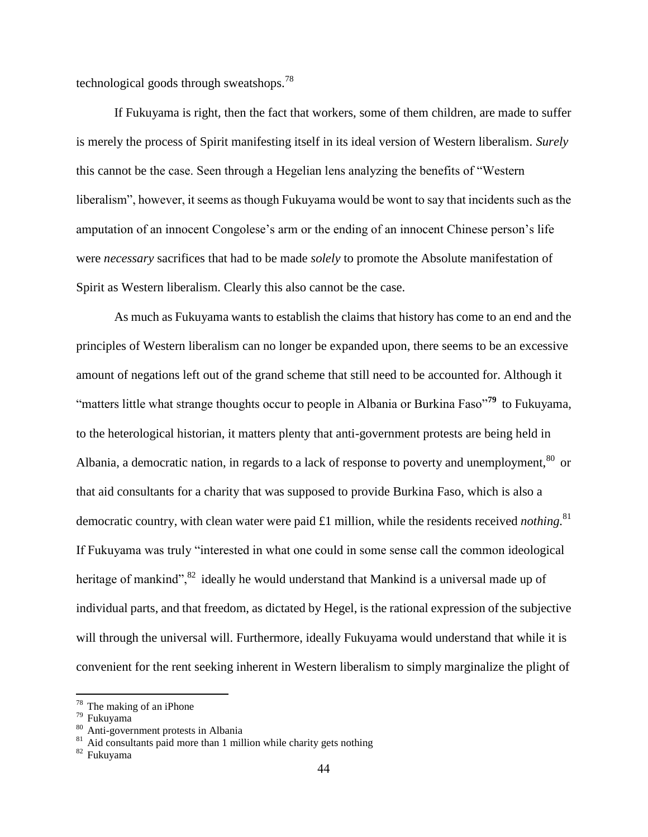technological goods through sweatshops.<sup>78</sup>

If Fukuyama is right, then the fact that workers, some of them children, are made to suffer is merely the process of Spirit manifesting itself in its ideal version of Western liberalism. *Surely* this cannot be the case. Seen through a Hegelian lens analyzing the benefits of "Western liberalism", however, it seems as though Fukuyama would be wont to say that incidents such as the amputation of an innocent Congolese's arm or the ending of an innocent Chinese person's life were *necessary* sacrifices that had to be made *solely* to promote the Absolute manifestation of Spirit as Western liberalism. Clearly this also cannot be the case.

As much as Fukuyama wants to establish the claims that history has come to an end and the principles of Western liberalism can no longer be expanded upon, there seems to be an excessive amount of negations left out of the grand scheme that still need to be accounted for. Although it "matters little what strange thoughts occur to people in Albania or Burkina Faso"**<sup>79</sup>** to Fukuyama, to the heterological historian, it matters plenty that anti-government protests are being held in Albania, a democratic nation, in regards to a lack of response to poverty and unemployment, $80$  or that aid consultants for a charity that was supposed to provide Burkina Faso, which is also a democratic country, with clean water were paid £1 million, while the residents received *nothing.*<sup>81</sup> If Fukuyama was truly "interested in what one could in some sense call the common ideological heritage of mankind", $82$  ideally he would understand that Mankind is a universal made up of individual parts, and that freedom, as dictated by Hegel, is the rational expression of the subjective will through the universal will. Furthermore, ideally Fukuyama would understand that while it is convenient for the rent seeking inherent in Western liberalism to simply marginalize the plight of

 $78$  The making of an iPhone

<sup>79</sup> Fukuyama

<sup>80</sup> Anti-government protests in Albania

 $81$  Aid consultants paid more than 1 million while charity gets nothing

<sup>82</sup> Fukuyama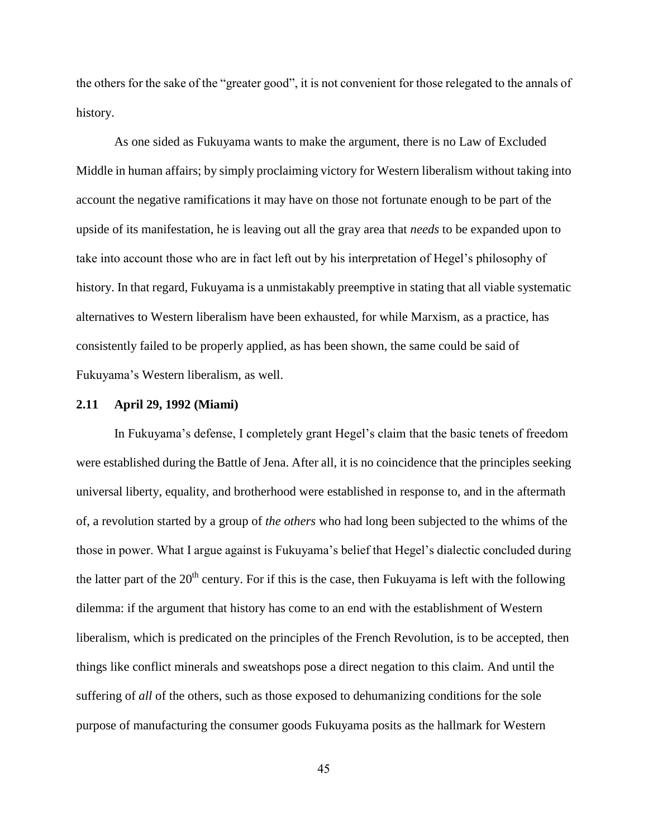the others for the sake of the "greater good", it is not convenient for those relegated to the annals of history.

As one sided as Fukuyama wants to make the argument, there is no Law of Excluded Middle in human affairs; by simply proclaiming victory for Western liberalism without taking into account the negative ramifications it may have on those not fortunate enough to be part of the upside of its manifestation, he is leaving out all the gray area that *needs* to be expanded upon to take into account those who are in fact left out by his interpretation of Hegel's philosophy of history. In that regard, Fukuyama is a unmistakably preemptive in stating that all viable systematic alternatives to Western liberalism have been exhausted, for while Marxism, as a practice, has consistently failed to be properly applied, as has been shown, the same could be said of Fukuyama's Western liberalism, as well.

#### **2.11 April 29, 1992 (Miami)**

In Fukuyama's defense, I completely grant Hegel's claim that the basic tenets of freedom were established during the Battle of Jena. After all, it is no coincidence that the principles seeking universal liberty, equality, and brotherhood were established in response to, and in the aftermath of, a revolution started by a group of *the others* who had long been subjected to the whims of the those in power. What I argue against is Fukuyama's belief that Hegel's dialectic concluded during the latter part of the  $20<sup>th</sup>$  century. For if this is the case, then Fukuyama is left with the following dilemma: if the argument that history has come to an end with the establishment of Western liberalism, which is predicated on the principles of the French Revolution, is to be accepted, then things like conflict minerals and sweatshops pose a direct negation to this claim. And until the suffering of *all* of the others, such as those exposed to dehumanizing conditions for the sole purpose of manufacturing the consumer goods Fukuyama posits as the hallmark for Western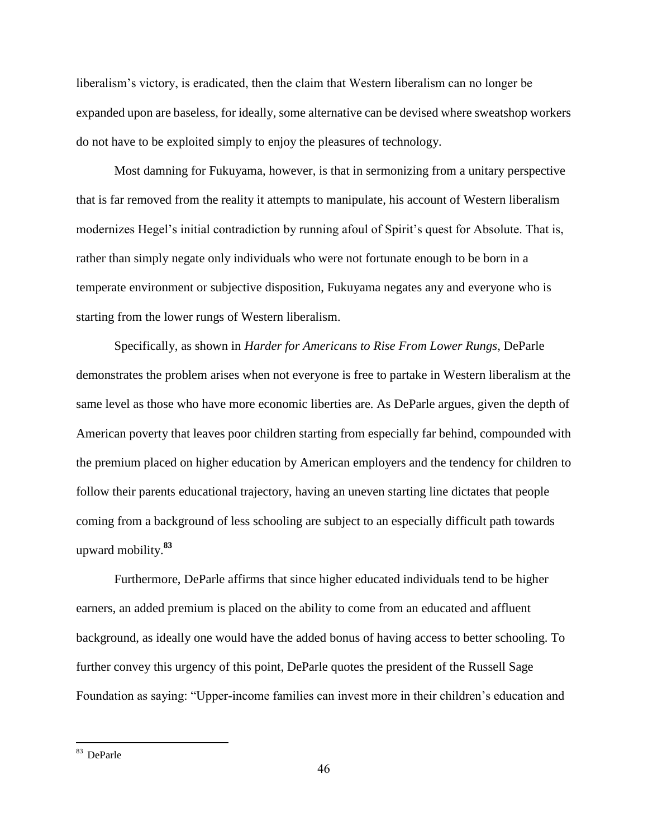liberalism's victory, is eradicated, then the claim that Western liberalism can no longer be expanded upon are baseless, for ideally, some alternative can be devised where sweatshop workers do not have to be exploited simply to enjoy the pleasures of technology.

Most damning for Fukuyama, however, is that in sermonizing from a unitary perspective that is far removed from the reality it attempts to manipulate, his account of Western liberalism modernizes Hegel's initial contradiction by running afoul of Spirit's quest for Absolute. That is, rather than simply negate only individuals who were not fortunate enough to be born in a temperate environment or subjective disposition, Fukuyama negates any and everyone who is starting from the lower rungs of Western liberalism.

Specifically, as shown in *Harder for Americans to Rise From Lower Rungs*, DeParle demonstrates the problem arises when not everyone is free to partake in Western liberalism at the same level as those who have more economic liberties are. As DeParle argues, given the depth of American poverty that leaves poor children starting from especially far behind, compounded with the premium placed on higher education by American employers and the tendency for children to follow their parents educational trajectory, having an uneven starting line dictates that people coming from a background of less schooling are subject to an especially difficult path towards upward mobility.**<sup>83</sup>**

Furthermore, DeParle affirms that since higher educated individuals tend to be higher earners, an added premium is placed on the ability to come from an educated and affluent background, as ideally one would have the added bonus of having access to better schooling. To further convey this urgency of this point, DeParle quotes the president of the Russell Sage Foundation as saying: "Upper-income families can invest more in their children's education and

<sup>83</sup> DeParle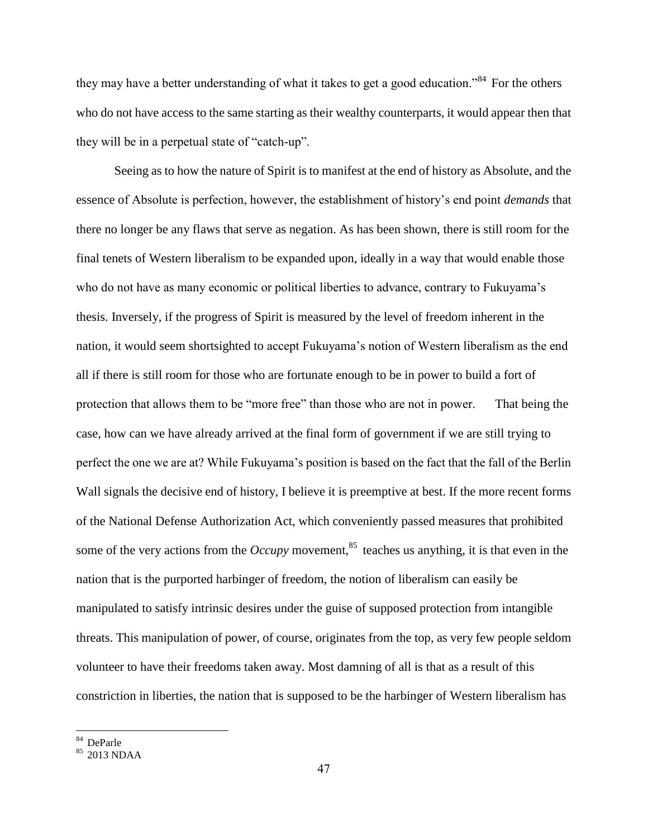they may have a better understanding of what it takes to get a good education."<sup>84</sup> For the others who do not have access to the same starting as their wealthy counterparts, it would appear then that they will be in a perpetual state of "catch-up".

Seeing as to how the nature of Spirit is to manifest at the end of history as Absolute, and the essence of Absolute is perfection, however, the establishment of history's end point *demands* that there no longer be any flaws that serve as negation. As has been shown, there is still room for the final tenets of Western liberalism to be expanded upon, ideally in a way that would enable those who do not have as many economic or political liberties to advance, contrary to Fukuyama's thesis. Inversely, if the progress of Spirit is measured by the level of freedom inherent in the nation, it would seem shortsighted to accept Fukuyama's notion of Western liberalism as the end all if there is still room for those who are fortunate enough to be in power to build a fort of protection that allows them to be "more free" than those who are not in power. That being the case, how can we have already arrived at the final form of government if we are still trying to perfect the one we are at? While Fukuyama's position is based on the fact that the fall of the Berlin Wall signals the decisive end of history, I believe it is preemptive at best. If the more recent forms of the National Defense Authorization Act, which conveniently passed measures that prohibited some of the very actions from the *Occupy* movement,<sup>85</sup> teaches us anything, it is that even in the nation that is the purported harbinger of freedom, the notion of liberalism can easily be manipulated to satisfy intrinsic desires under the guise of supposed protection from intangible threats. This manipulation of power, of course, originates from the top, as very few people seldom volunteer to have their freedoms taken away. Most damning of all is that as a result of this constriction in liberties, the nation that is supposed to be the harbinger of Western liberalism has

<sup>84</sup> DeParle

<sup>85</sup> 2013 NDAA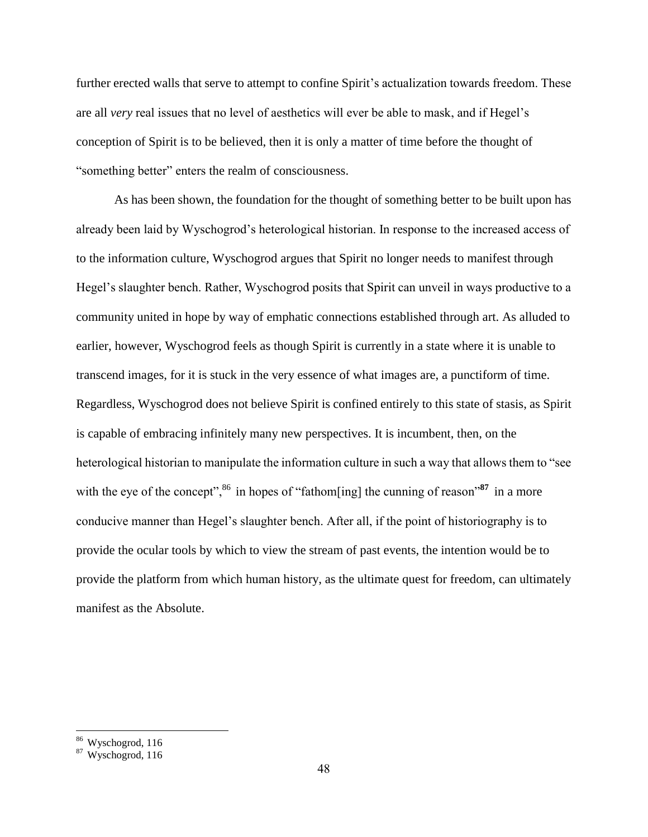further erected walls that serve to attempt to confine Spirit's actualization towards freedom. These are all *very* real issues that no level of aesthetics will ever be able to mask, and if Hegel's conception of Spirit is to be believed, then it is only a matter of time before the thought of "something better" enters the realm of consciousness.

As has been shown, the foundation for the thought of something better to be built upon has already been laid by Wyschogrod's heterological historian. In response to the increased access of to the information culture, Wyschogrod argues that Spirit no longer needs to manifest through Hegel's slaughter bench. Rather, Wyschogrod posits that Spirit can unveil in ways productive to a community united in hope by way of emphatic connections established through art. As alluded to earlier, however, Wyschogrod feels as though Spirit is currently in a state where it is unable to transcend images, for it is stuck in the very essence of what images are, a punctiform of time. Regardless, Wyschogrod does not believe Spirit is confined entirely to this state of stasis, as Spirit is capable of embracing infinitely many new perspectives. It is incumbent, then, on the heterological historian to manipulate the information culture in such a way that allows them to "see with the eye of the concept",  $86$  in hopes of "fathom[ing] the cunning of reason"  $87$  in a more conducive manner than Hegel's slaughter bench. After all, if the point of historiography is to provide the ocular tools by which to view the stream of past events, the intention would be to provide the platform from which human history, as the ultimate quest for freedom, can ultimately manifest as the Absolute.

<sup>86</sup> Wyschogrod, 116

 $87$  Wyschogrod, 116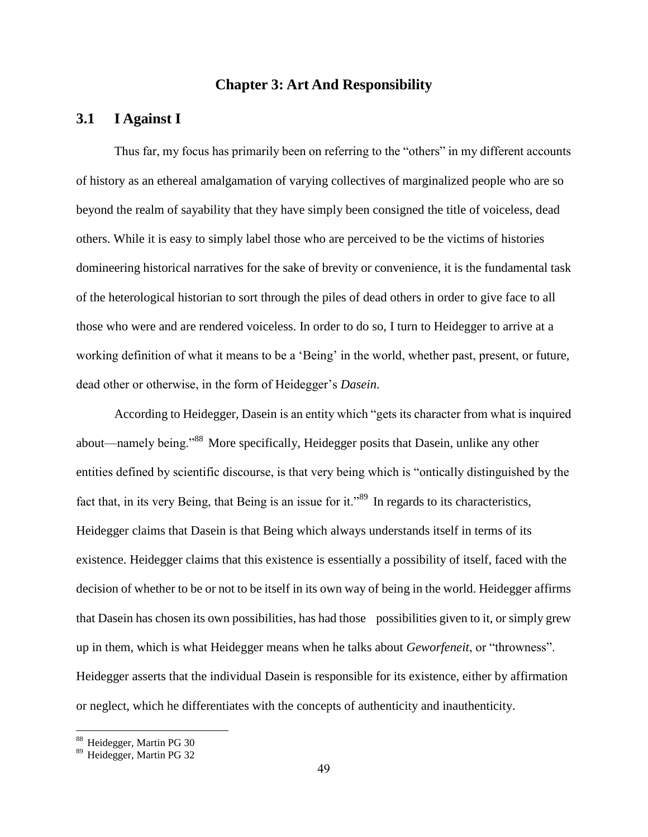# **Chapter 3: Art And Responsibility**

# **3.1 I Against I**

Thus far, my focus has primarily been on referring to the "others" in my different accounts of history as an ethereal amalgamation of varying collectives of marginalized people who are so beyond the realm of sayability that they have simply been consigned the title of voiceless, dead others. While it is easy to simply label those who are perceived to be the victims of histories domineering historical narratives for the sake of brevity or convenience, it is the fundamental task of the heterological historian to sort through the piles of dead others in order to give face to all those who were and are rendered voiceless. In order to do so, I turn to Heidegger to arrive at a working definition of what it means to be a 'Being' in the world, whether past, present, or future, dead other or otherwise, in the form of Heidegger's *Dasein*.

According to Heidegger, Dasein is an entity which "gets its character from what is inquired about—namely being."<sup>88</sup> More specifically, Heidegger posits that Dasein, unlike any other entities defined by scientific discourse, is that very being which is "ontically distinguished by the fact that, in its very Being, that Being is an issue for it.<sup>89</sup> In regards to its characteristics, Heidegger claims that Dasein is that Being which always understands itself in terms of its existence. Heidegger claims that this existence is essentially a possibility of itself, faced with the decision of whether to be or not to be itself in its own way of being in the world. Heidegger affirms that Dasein has chosen its own possibilities, has had those possibilities given to it, or simply grew up in them, which is what Heidegger means when he talks about *Geworfeneit*, or "throwness". Heidegger asserts that the individual Dasein is responsible for its existence, either by affirmation or neglect, which he differentiates with the concepts of authenticity and inauthenticity.

<sup>88</sup> Heidegger, Martin PG 30

<sup>89</sup> Heidegger, Martin PG 32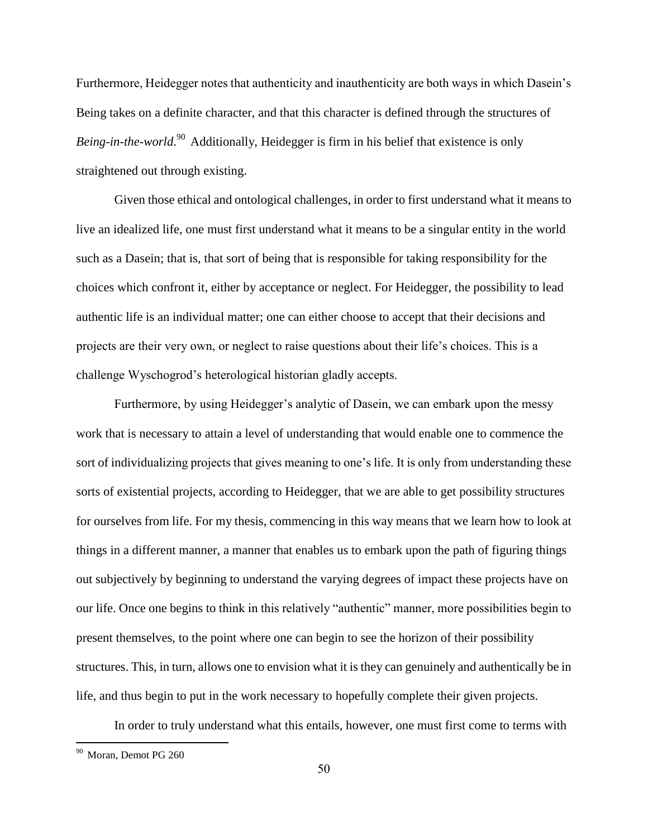Furthermore, Heidegger notes that authenticity and inauthenticity are both ways in which Dasein's Being takes on a definite character, and that this character is defined through the structures of Being-in-the-world.<sup>90</sup> Additionally, Heidegger is firm in his belief that existence is only straightened out through existing.

Given those ethical and ontological challenges, in order to first understand what it means to live an idealized life, one must first understand what it means to be a singular entity in the world such as a Dasein; that is, that sort of being that is responsible for taking responsibility for the choices which confront it, either by acceptance or neglect. For Heidegger, the possibility to lead authentic life is an individual matter; one can either choose to accept that their decisions and projects are their very own, or neglect to raise questions about their life's choices. This is a challenge Wyschogrod's heterological historian gladly accepts.

Furthermore, by using Heidegger's analytic of Dasein, we can embark upon the messy work that is necessary to attain a level of understanding that would enable one to commence the sort of individualizing projects that gives meaning to one's life. It is only from understanding these sorts of existential projects, according to Heidegger, that we are able to get possibility structures for ourselves from life. For my thesis, commencing in this way means that we learn how to look at things in a different manner, a manner that enables us to embark upon the path of figuring things out subjectively by beginning to understand the varying degrees of impact these projects have on our life. Once one begins to think in this relatively "authentic" manner, more possibilities begin to present themselves, to the point where one can begin to see the horizon of their possibility structures. This, in turn, allows one to envision what it is they can genuinely and authentically be in life, and thus begin to put in the work necessary to hopefully complete their given projects.

In order to truly understand what this entails, however, one must first come to terms with

<sup>&</sup>lt;sup>90</sup> Moran, Demot PG 260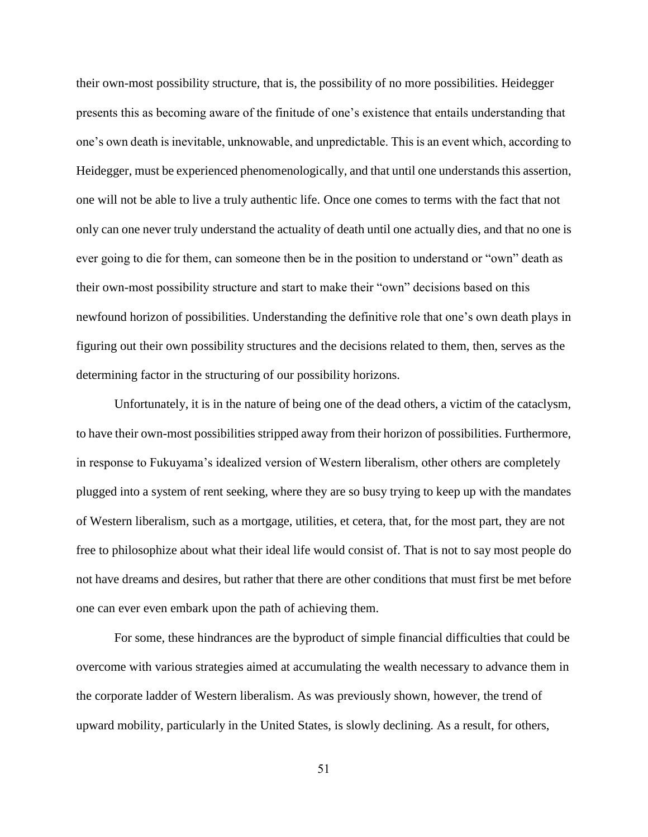their own-most possibility structure, that is, the possibility of no more possibilities. Heidegger presents this as becoming aware of the finitude of one's existence that entails understanding that one's own death is inevitable, unknowable, and unpredictable. This is an event which, according to Heidegger, must be experienced phenomenologically, and that until one understands this assertion, one will not be able to live a truly authentic life. Once one comes to terms with the fact that not only can one never truly understand the actuality of death until one actually dies, and that no one is ever going to die for them, can someone then be in the position to understand or "own" death as their own-most possibility structure and start to make their "own" decisions based on this newfound horizon of possibilities. Understanding the definitive role that one's own death plays in figuring out their own possibility structures and the decisions related to them, then, serves as the determining factor in the structuring of our possibility horizons.

Unfortunately, it is in the nature of being one of the dead others, a victim of the cataclysm, to have their own-most possibilities stripped away from their horizon of possibilities. Furthermore, in response to Fukuyama's idealized version of Western liberalism, other others are completely plugged into a system of rent seeking, where they are so busy trying to keep up with the mandates of Western liberalism, such as a mortgage, utilities, et cetera, that, for the most part, they are not free to philosophize about what their ideal life would consist of. That is not to say most people do not have dreams and desires, but rather that there are other conditions that must first be met before one can ever even embark upon the path of achieving them.

For some, these hindrances are the byproduct of simple financial difficulties that could be overcome with various strategies aimed at accumulating the wealth necessary to advance them in the corporate ladder of Western liberalism. As was previously shown, however, the trend of upward mobility, particularly in the United States, is slowly declining. As a result, for others,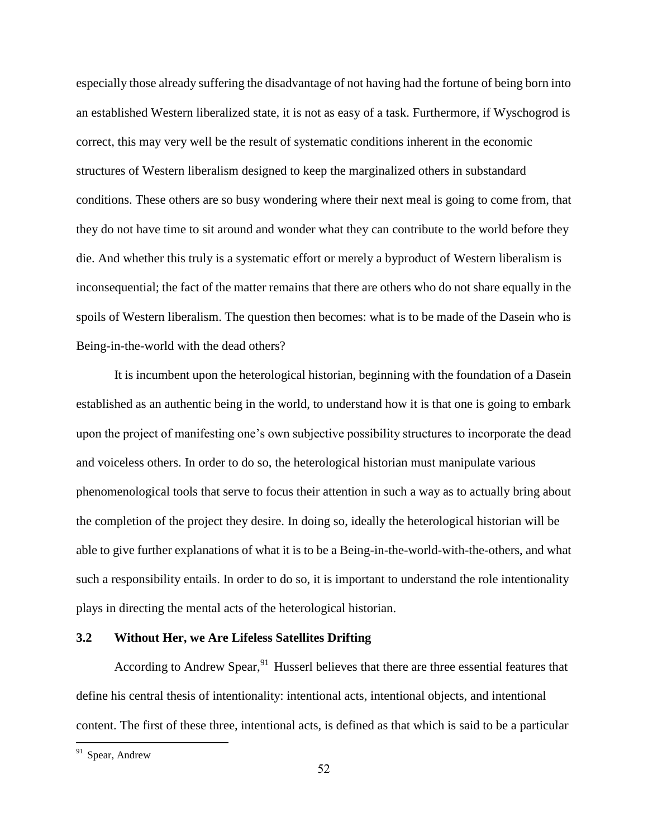especially those already suffering the disadvantage of not having had the fortune of being born into an established Western liberalized state, it is not as easy of a task. Furthermore, if Wyschogrod is correct, this may very well be the result of systematic conditions inherent in the economic structures of Western liberalism designed to keep the marginalized others in substandard conditions. These others are so busy wondering where their next meal is going to come from, that they do not have time to sit around and wonder what they can contribute to the world before they die. And whether this truly is a systematic effort or merely a byproduct of Western liberalism is inconsequential; the fact of the matter remains that there are others who do not share equally in the spoils of Western liberalism. The question then becomes: what is to be made of the Dasein who is Being-in-the-world with the dead others?

It is incumbent upon the heterological historian, beginning with the foundation of a Dasein established as an authentic being in the world, to understand how it is that one is going to embark upon the project of manifesting one's own subjective possibility structures to incorporate the dead and voiceless others. In order to do so, the heterological historian must manipulate various phenomenological tools that serve to focus their attention in such a way as to actually bring about the completion of the project they desire. In doing so, ideally the heterological historian will be able to give further explanations of what it is to be a Being-in-the-world-with-the-others, and what such a responsibility entails. In order to do so, it is important to understand the role intentionality plays in directing the mental acts of the heterological historian.

### **3.2 Without Her, we Are Lifeless Satellites Drifting**

According to Andrew Spear,  $91$  Husserl believes that there are three essential features that define his central thesis of intentionality: intentional acts, intentional objects, and intentional content. The first of these three, intentional acts, is defined as that which is said to be a particular

 $91$  Spear, Andrew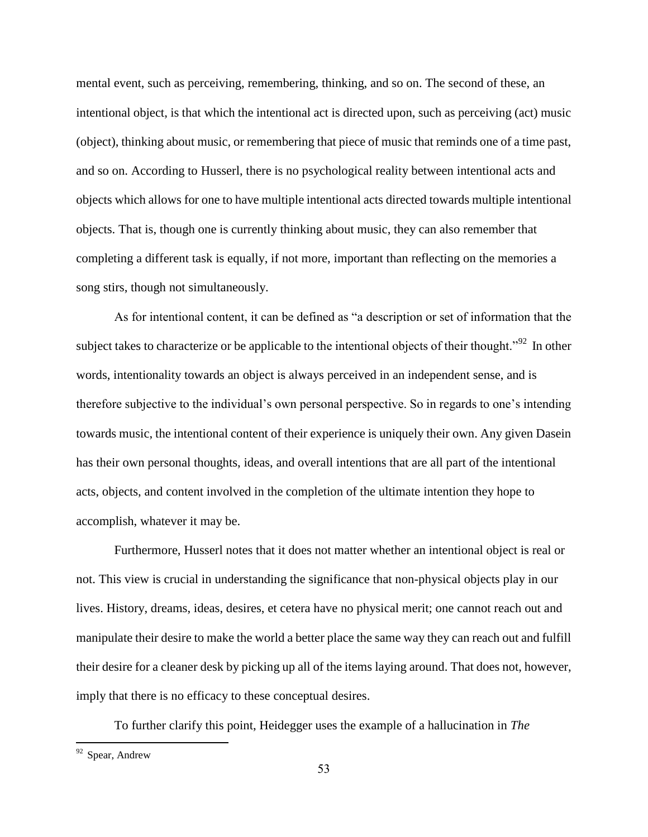mental event, such as perceiving, remembering, thinking, and so on. The second of these, an intentional object, is that which the intentional act is directed upon, such as perceiving (act) music (object), thinking about music, or remembering that piece of music that reminds one of a time past, and so on. According to Husserl, there is no psychological reality between intentional acts and objects which allows for one to have multiple intentional acts directed towards multiple intentional objects. That is, though one is currently thinking about music, they can also remember that completing a different task is equally, if not more, important than reflecting on the memories a song stirs, though not simultaneously.

As for intentional content, it can be defined as "a description or set of information that the subject takes to characterize or be applicable to the intentional objects of their thought.<sup>"92</sup> In other words, intentionality towards an object is always perceived in an independent sense, and is therefore subjective to the individual's own personal perspective. So in regards to one's intending towards music, the intentional content of their experience is uniquely their own. Any given Dasein has their own personal thoughts, ideas, and overall intentions that are all part of the intentional acts, objects, and content involved in the completion of the ultimate intention they hope to accomplish, whatever it may be.

Furthermore, Husserl notes that it does not matter whether an intentional object is real or not. This view is crucial in understanding the significance that non-physical objects play in our lives. History, dreams, ideas, desires, et cetera have no physical merit; one cannot reach out and manipulate their desire to make the world a better place the same way they can reach out and fulfill their desire for a cleaner desk by picking up all of the items laying around. That does not, however, imply that there is no efficacy to these conceptual desires.

To further clarify this point, Heidegger uses the example of a hallucination in *The* 

 $92$  Spear, Andrew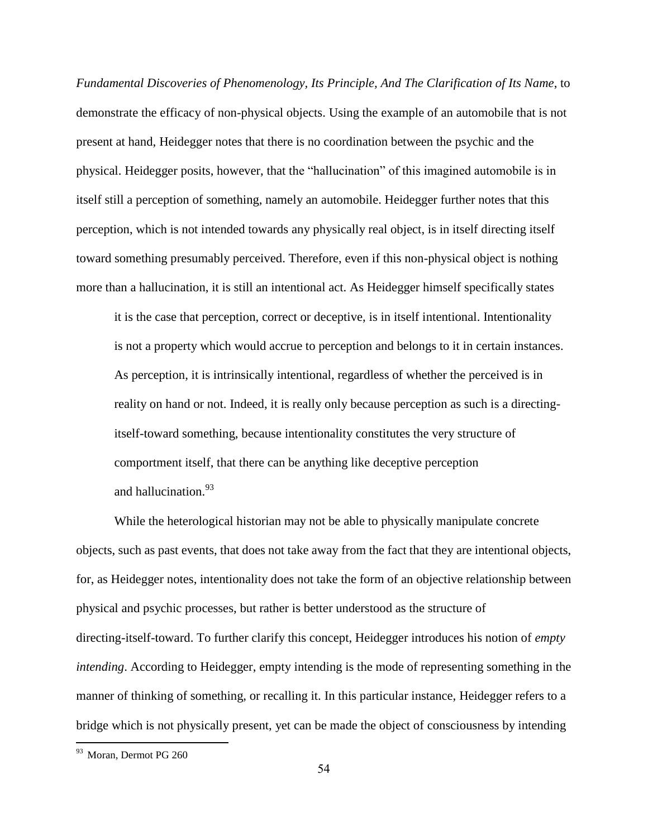*Fundamental Discoveries of Phenomenology, Its Principle, And The Clarification of Its Name*, to demonstrate the efficacy of non-physical objects. Using the example of an automobile that is not present at hand, Heidegger notes that there is no coordination between the psychic and the physical. Heidegger posits, however, that the "hallucination" of this imagined automobile is in itself still a perception of something, namely an automobile. Heidegger further notes that this perception, which is not intended towards any physically real object, is in itself directing itself toward something presumably perceived. Therefore, even if this non-physical object is nothing more than a hallucination, it is still an intentional act. As Heidegger himself specifically states

it is the case that perception, correct or deceptive, is in itself intentional. Intentionality is not a property which would accrue to perception and belongs to it in certain instances. As perception, it is intrinsically intentional, regardless of whether the perceived is in reality on hand or not. Indeed, it is really only because perception as such is a directingitself-toward something, because intentionality constitutes the very structure of comportment itself, that there can be anything like deceptive perception and hallucination. 93

While the heterological historian may not be able to physically manipulate concrete objects, such as past events, that does not take away from the fact that they are intentional objects, for, as Heidegger notes, intentionality does not take the form of an objective relationship between physical and psychic processes, but rather is better understood as the structure of directing-itself-toward. To further clarify this concept, Heidegger introduces his notion of *empty intending*. According to Heidegger, empty intending is the mode of representing something in the manner of thinking of something, or recalling it. In this particular instance, Heidegger refers to a bridge which is not physically present, yet can be made the object of consciousness by intending

<sup>&</sup>lt;sup>93</sup> Moran, Dermot PG 260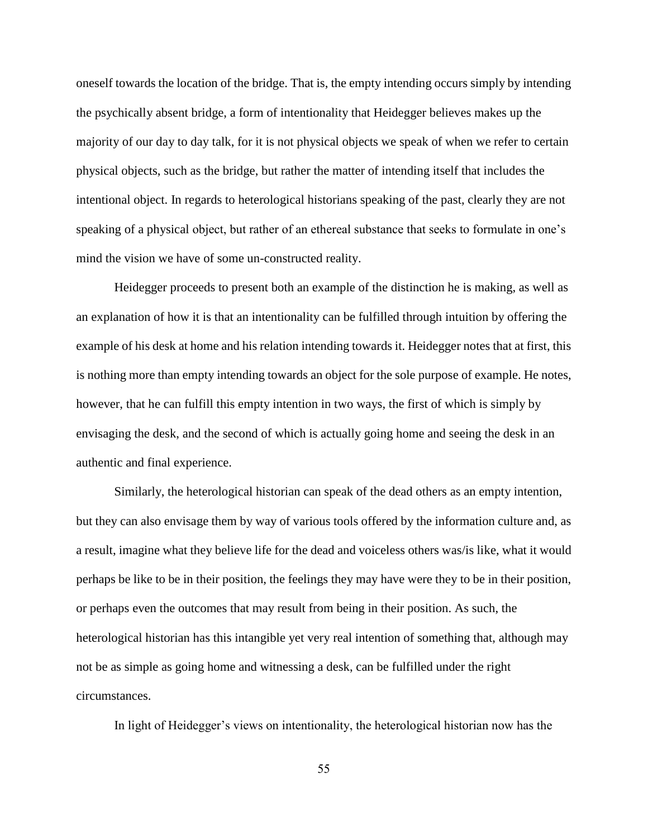oneself towards the location of the bridge. That is, the empty intending occurs simply by intending the psychically absent bridge, a form of intentionality that Heidegger believes makes up the majority of our day to day talk, for it is not physical objects we speak of when we refer to certain physical objects, such as the bridge, but rather the matter of intending itself that includes the intentional object. In regards to heterological historians speaking of the past, clearly they are not speaking of a physical object, but rather of an ethereal substance that seeks to formulate in one's mind the vision we have of some un-constructed reality.

Heidegger proceeds to present both an example of the distinction he is making, as well as an explanation of how it is that an intentionality can be fulfilled through intuition by offering the example of his desk at home and his relation intending towards it. Heidegger notes that at first, this is nothing more than empty intending towards an object for the sole purpose of example. He notes, however, that he can fulfill this empty intention in two ways, the first of which is simply by envisaging the desk, and the second of which is actually going home and seeing the desk in an authentic and final experience.

Similarly, the heterological historian can speak of the dead others as an empty intention, but they can also envisage them by way of various tools offered by the information culture and, as a result, imagine what they believe life for the dead and voiceless others was/is like, what it would perhaps be like to be in their position, the feelings they may have were they to be in their position, or perhaps even the outcomes that may result from being in their position. As such, the heterological historian has this intangible yet very real intention of something that, although may not be as simple as going home and witnessing a desk, can be fulfilled under the right circumstances.

In light of Heidegger's views on intentionality, the heterological historian now has the

55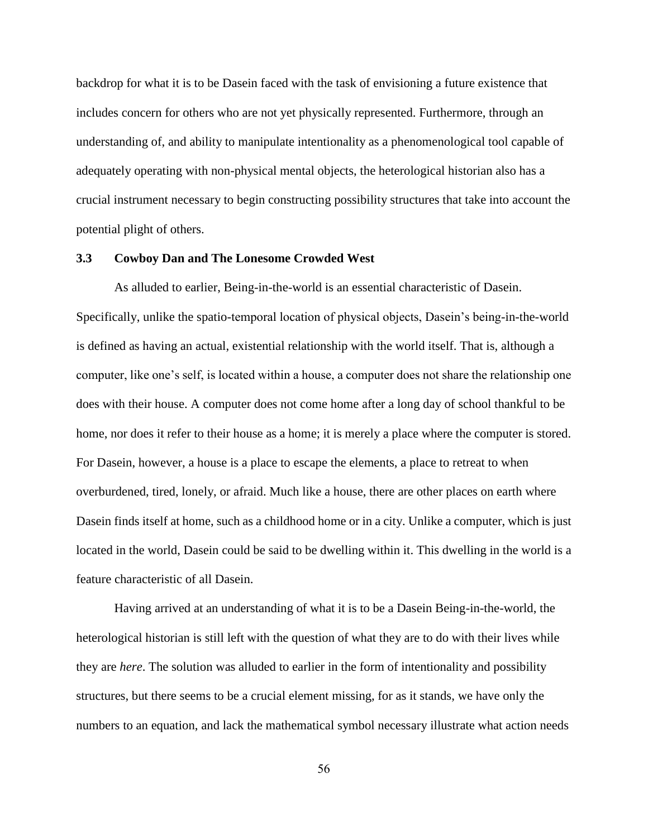backdrop for what it is to be Dasein faced with the task of envisioning a future existence that includes concern for others who are not yet physically represented. Furthermore, through an understanding of, and ability to manipulate intentionality as a phenomenological tool capable of adequately operating with non-physical mental objects, the heterological historian also has a crucial instrument necessary to begin constructing possibility structures that take into account the potential plight of others.

#### **3.3 Cowboy Dan and The Lonesome Crowded West**

As alluded to earlier, Being-in-the-world is an essential characteristic of Dasein. Specifically, unlike the spatio-temporal location of physical objects, Dasein's being-in-the-world is defined as having an actual, existential relationship with the world itself. That is, although a computer, like one's self, is located within a house, a computer does not share the relationship one does with their house. A computer does not come home after a long day of school thankful to be home, nor does it refer to their house as a home; it is merely a place where the computer is stored. For Dasein, however, a house is a place to escape the elements, a place to retreat to when overburdened, tired, lonely, or afraid. Much like a house, there are other places on earth where Dasein finds itself at home, such as a childhood home or in a city. Unlike a computer, which is just located in the world, Dasein could be said to be dwelling within it. This dwelling in the world is a feature characteristic of all Dasein.

Having arrived at an understanding of what it is to be a Dasein Being-in-the-world, the heterological historian is still left with the question of what they are to do with their lives while they are *here*. The solution was alluded to earlier in the form of intentionality and possibility structures, but there seems to be a crucial element missing, for as it stands, we have only the numbers to an equation, and lack the mathematical symbol necessary illustrate what action needs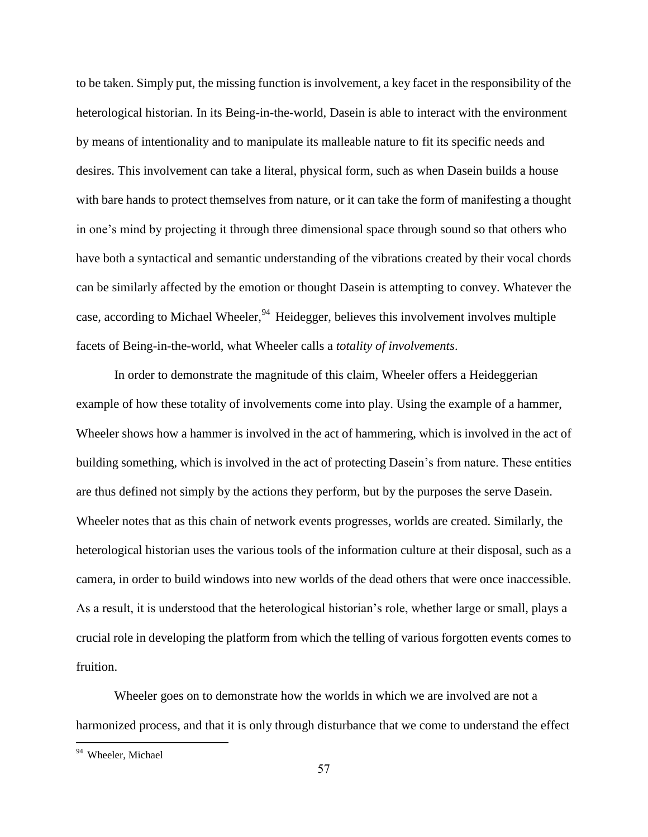to be taken. Simply put, the missing function is involvement, a key facet in the responsibility of the heterological historian. In its Being-in-the-world, Dasein is able to interact with the environment by means of intentionality and to manipulate its malleable nature to fit its specific needs and desires. This involvement can take a literal, physical form, such as when Dasein builds a house with bare hands to protect themselves from nature, or it can take the form of manifesting a thought in one's mind by projecting it through three dimensional space through sound so that others who have both a syntactical and semantic understanding of the vibrations created by their vocal chords can be similarly affected by the emotion or thought Dasein is attempting to convey. Whatever the case, according to Michael Wheeler,  $94$  Heidegger, believes this involvement involves multiple facets of Being-in-the-world, what Wheeler calls a *totality of involvements*.

In order to demonstrate the magnitude of this claim, Wheeler offers a Heideggerian example of how these totality of involvements come into play. Using the example of a hammer, Wheeler shows how a hammer is involved in the act of hammering, which is involved in the act of building something, which is involved in the act of protecting Dasein's from nature. These entities are thus defined not simply by the actions they perform, but by the purposes the serve Dasein. Wheeler notes that as this chain of network events progresses, worlds are created. Similarly, the heterological historian uses the various tools of the information culture at their disposal, such as a camera, in order to build windows into new worlds of the dead others that were once inaccessible. As a result, it is understood that the heterological historian's role, whether large or small, plays a crucial role in developing the platform from which the telling of various forgotten events comes to fruition.

Wheeler goes on to demonstrate how the worlds in which we are involved are not a harmonized process, and that it is only through disturbance that we come to understand the effect

<sup>&</sup>lt;sup>94</sup> Wheeler, Michael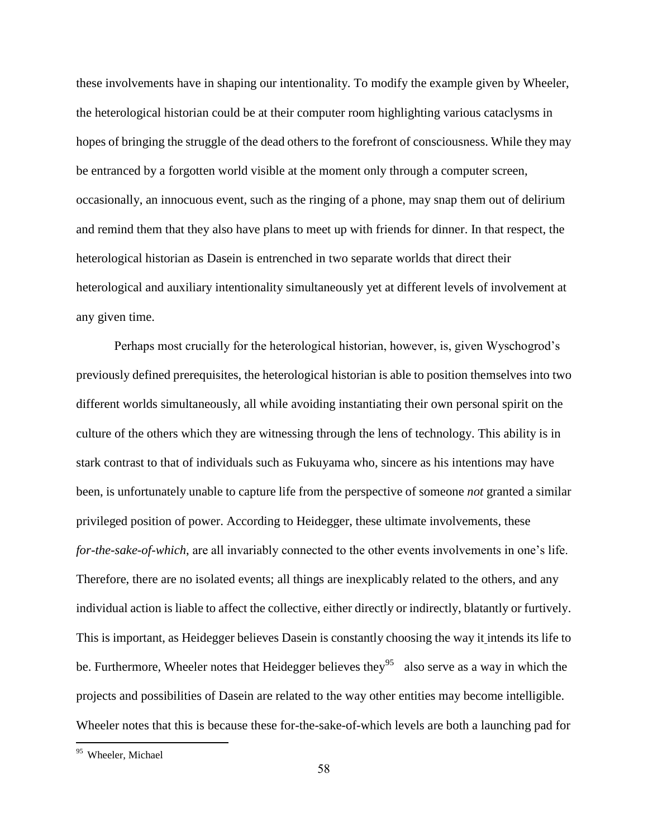these involvements have in shaping our intentionality. To modify the example given by Wheeler, the heterological historian could be at their computer room highlighting various cataclysms in hopes of bringing the struggle of the dead others to the forefront of consciousness. While they may be entranced by a forgotten world visible at the moment only through a computer screen, occasionally, an innocuous event, such as the ringing of a phone, may snap them out of delirium and remind them that they also have plans to meet up with friends for dinner. In that respect, the heterological historian as Dasein is entrenched in two separate worlds that direct their heterological and auxiliary intentionality simultaneously yet at different levels of involvement at any given time.

Perhaps most crucially for the heterological historian, however, is, given Wyschogrod's previously defined prerequisites, the heterological historian is able to position themselves into two different worlds simultaneously, all while avoiding instantiating their own personal spirit on the culture of the others which they are witnessing through the lens of technology. This ability is in stark contrast to that of individuals such as Fukuyama who, sincere as his intentions may have been, is unfortunately unable to capture life from the perspective of someone *not* granted a similar privileged position of power. According to Heidegger, these ultimate involvements, these *for-the-sake-of-which*, are all invariably connected to the other events involvements in one's life. Therefore, there are no isolated events; all things are inexplicably related to the others, and any individual action is liable to affect the collective, either directly or indirectly, blatantly or furtively. This is important, as Heidegger believes Dasein is constantly choosing the way it intends its life to be. Furthermore, Wheeler notes that Heidegger believes they<sup>95</sup> also serve as a way in which the projects and possibilities of Dasein are related to the way other entities may become intelligible. Wheeler notes that this is because these for-the-sake-of-which levels are both a launching pad for

<sup>&</sup>lt;sup>95</sup> Wheeler, Michael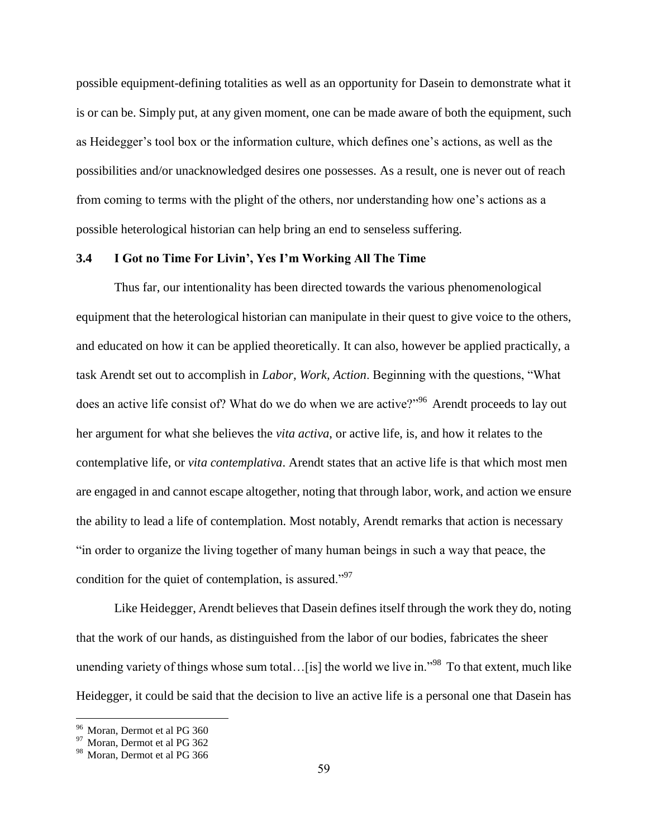possible equipment-defining totalities as well as an opportunity for Dasein to demonstrate what it is or can be. Simply put, at any given moment, one can be made aware of both the equipment, such as Heidegger's tool box or the information culture, which defines one's actions, as well as the possibilities and/or unacknowledged desires one possesses. As a result, one is never out of reach from coming to terms with the plight of the others, nor understanding how one's actions as a possible heterological historian can help bring an end to senseless suffering.

# **3.4 I Got no Time For Livin', Yes I'm Working All The Time**

Thus far, our intentionality has been directed towards the various phenomenological equipment that the heterological historian can manipulate in their quest to give voice to the others, and educated on how it can be applied theoretically. It can also, however be applied practically, a task Arendt set out to accomplish in *Labor, Work, Action*. Beginning with the questions, "What does an active life consist of? What do we do when we are active?"<sup>96</sup> Arendt proceeds to lay out her argument for what she believes the *vita activa*, or active life, is, and how it relates to the contemplative life, or *vita contemplativa*. Arendt states that an active life is that which most men are engaged in and cannot escape altogether, noting that through labor, work, and action we ensure the ability to lead a life of contemplation. Most notably, Arendt remarks that action is necessary "in order to organize the living together of many human beings in such a way that peace, the condition for the quiet of contemplation, is assured."<sup>97</sup>

Like Heidegger, Arendt believes that Dasein defines itself through the work they do, noting that the work of our hands, as distinguished from the labor of our bodies, fabricates the sheer unending variety of things whose sum total... [is] the world we live in."<sup>98</sup> To that extent, much like Heidegger, it could be said that the decision to live an active life is a personal one that Dasein has

<sup>96</sup> Moran, Dermot et al PG 360

 $97$  Moran, Dermot et al PG 362

<sup>98</sup> Moran, Dermot et al PG 366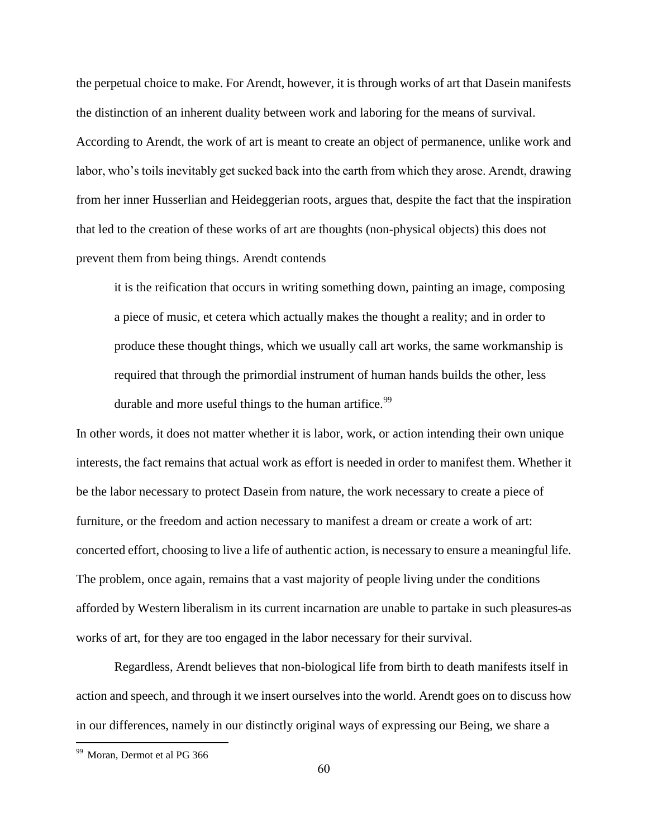the perpetual choice to make. For Arendt, however, it is through works of art that Dasein manifests the distinction of an inherent duality between work and laboring for the means of survival. According to Arendt, the work of art is meant to create an object of permanence, unlike work and labor, who's toils inevitably get sucked back into the earth from which they arose. Arendt, drawing from her inner Husserlian and Heideggerian roots, argues that, despite the fact that the inspiration that led to the creation of these works of art are thoughts (non-physical objects) this does not prevent them from being things. Arendt contends

it is the reification that occurs in writing something down, painting an image, composing a piece of music, et cetera which actually makes the thought a reality; and in order to produce these thought things, which we usually call art works, the same workmanship is required that through the primordial instrument of human hands builds the other, less durable and more useful things to the human artifice.<sup>99</sup>

In other words, it does not matter whether it is labor, work, or action intending their own unique interests, the fact remains that actual work as effort is needed in order to manifest them. Whether it be the labor necessary to protect Dasein from nature, the work necessary to create a piece of furniture, or the freedom and action necessary to manifest a dream or create a work of art: concerted effort, choosing to live a life of authentic action, is necessary to ensure a meaningful life. The problem, once again, remains that a vast majority of people living under the conditions afforded by Western liberalism in its current incarnation are unable to partake in such pleasures as works of art, for they are too engaged in the labor necessary for their survival.

Regardless, Arendt believes that non-biological life from birth to death manifests itself in action and speech, and through it we insert ourselves into the world. Arendt goes on to discuss how in our differences, namely in our distinctly original ways of expressing our Being, we share a

<sup>99</sup> Moran, Dermot et al PG 366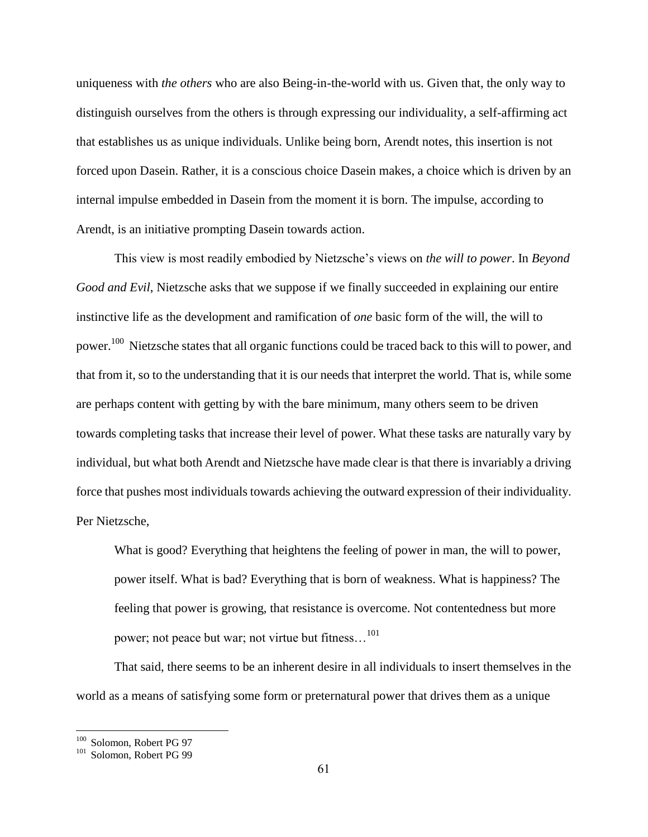uniqueness with *the others* who are also Being-in-the-world with us. Given that, the only way to distinguish ourselves from the others is through expressing our individuality, a self-affirming act that establishes us as unique individuals. Unlike being born, Arendt notes, this insertion is not forced upon Dasein. Rather, it is a conscious choice Dasein makes, a choice which is driven by an internal impulse embedded in Dasein from the moment it is born. The impulse, according to Arendt, is an initiative prompting Dasein towards action.

This view is most readily embodied by Nietzsche's views on *the will to power*. In *Beyond Good and Evil*, Nietzsche asks that we suppose if we finally succeeded in explaining our entire instinctive life as the development and ramification of *one* basic form of the will, the will to power.<sup>100</sup> Nietzsche states that all organic functions could be traced back to this will to power, and that from it, so to the understanding that it is our needs that interpret the world. That is, while some are perhaps content with getting by with the bare minimum, many others seem to be driven towards completing tasks that increase their level of power. What these tasks are naturally vary by individual, but what both Arendt and Nietzsche have made clear is that there is invariably a driving force that pushes most individuals towards achieving the outward expression of their individuality. Per Nietzsche,

What is good? Everything that heightens the feeling of power in man, the will to power, power itself. What is bad? Everything that is born of weakness. What is happiness? The feeling that power is growing, that resistance is overcome. Not contentedness but more power; not peace but war; not virtue but fitness...<sup>101</sup>

That said, there seems to be an inherent desire in all individuals to insert themselves in the world as a means of satisfying some form or preternatural power that drives them as a unique

<sup>100</sup> Solomon, Robert PG 97

<sup>101</sup> Solomon, Robert PG 99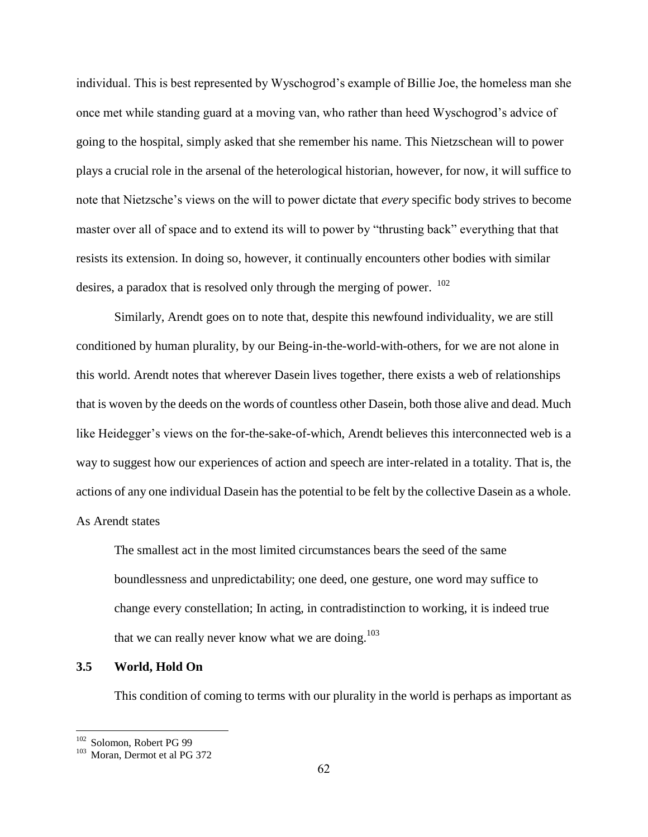individual. This is best represented by Wyschogrod's example of Billie Joe, the homeless man she once met while standing guard at a moving van, who rather than heed Wyschogrod's advice of going to the hospital, simply asked that she remember his name. This Nietzschean will to power plays a crucial role in the arsenal of the heterological historian, however, for now, it will suffice to note that Nietzsche's views on the will to power dictate that *every* specific body strives to become master over all of space and to extend its will to power by "thrusting back" everything that that resists its extension. In doing so, however, it continually encounters other bodies with similar desires, a paradox that is resolved only through the merging of power.  $102$ 

Similarly, Arendt goes on to note that, despite this newfound individuality, we are still conditioned by human plurality, by our Being-in-the-world-with-others, for we are not alone in this world. Arendt notes that wherever Dasein lives together, there exists a web of relationships that is woven by the deeds on the words of countless other Dasein, both those alive and dead. Much like Heidegger's views on the for-the-sake-of-which, Arendt believes this interconnected web is a way to suggest how our experiences of action and speech are inter-related in a totality. That is, the actions of any one individual Dasein has the potential to be felt by the collective Dasein as a whole. As Arendt states

The smallest act in the most limited circumstances bears the seed of the same boundlessness and unpredictability; one deed, one gesture, one word may suffice to change every constellation; In acting, in contradistinction to working, it is indeed true that we can really never know what we are doing.<sup>103</sup>

#### **3.5 World, Hold On**

This condition of coming to terms with our plurality in the world is perhaps as important as

<sup>102</sup> Solomon, Robert PG 99

<sup>103</sup> Moran, Dermot et al PG 372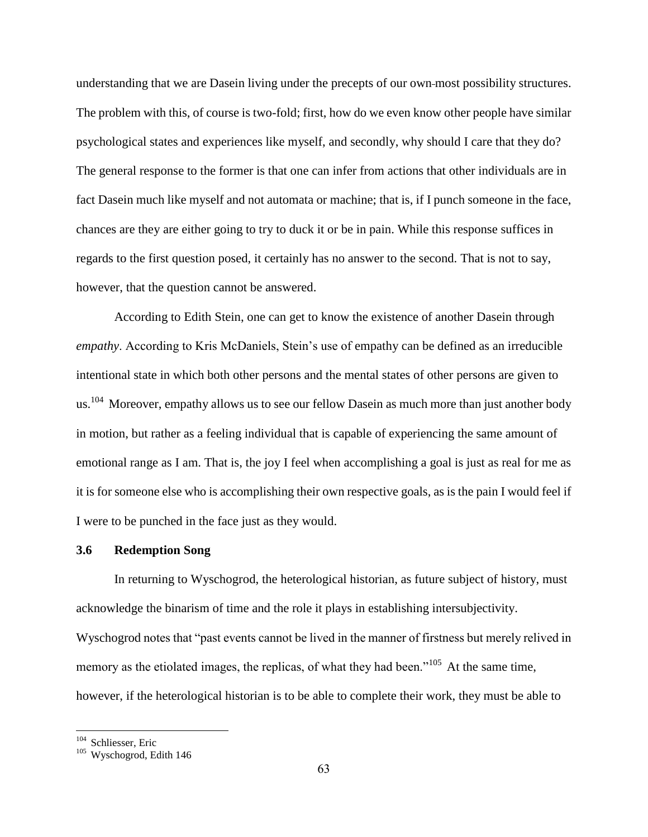understanding that we are Dasein living under the precepts of our own most possibility structures. The problem with this, of course is two-fold; first, how do we even know other people have similar psychological states and experiences like myself, and secondly, why should I care that they do? The general response to the former is that one can infer from actions that other individuals are in fact Dasein much like myself and not automata or machine; that is, if I punch someone in the face, chances are they are either going to try to duck it or be in pain. While this response suffices in regards to the first question posed, it certainly has no answer to the second. That is not to say, however, that the question cannot be answered.

According to Edith Stein, one can get to know the existence of another Dasein through *empathy*. According to Kris McDaniels, Stein's use of empathy can be defined as an irreducible intentional state in which both other persons and the mental states of other persons are given to us.<sup>104</sup> Moreover, empathy allows us to see our fellow Dasein as much more than just another body in motion, but rather as a feeling individual that is capable of experiencing the same amount of emotional range as I am. That is, the joy I feel when accomplishing a goal is just as real for me as it is for someone else who is accomplishing their own respective goals, as is the pain I would feel if I were to be punched in the face just as they would.

#### **3.6 Redemption Song**

In returning to Wyschogrod, the heterological historian, as future subject of history, must acknowledge the binarism of time and the role it plays in establishing intersubjectivity. Wyschogrod notes that "past events cannot be lived in the manner of firstness but merely relived in memory as the etiolated images, the replicas, of what they had been."<sup>105</sup> At the same time, however, if the heterological historian is to be able to complete their work, they must be able to

<sup>&</sup>lt;sup>104</sup> Schliesser, Eric

<sup>105</sup> Wyschogrod, Edith 146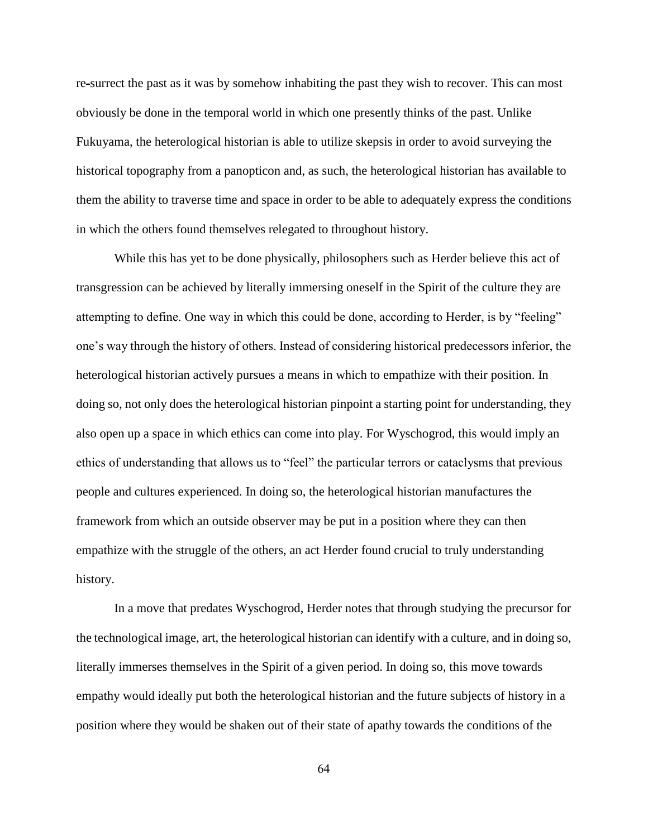re-surrect the past as it was by somehow inhabiting the past they wish to recover. This can most obviously be done in the temporal world in which one presently thinks of the past. Unlike Fukuyama, the heterological historian is able to utilize skepsis in order to avoid surveying the historical topography from a panopticon and, as such, the heterological historian has available to them the ability to traverse time and space in order to be able to adequately express the conditions in which the others found themselves relegated to throughout history.

While this has yet to be done physically, philosophers such as Herder believe this act of transgression can be achieved by literally immersing oneself in the Spirit of the culture they are attempting to define. One way in which this could be done, according to Herder, is by "feeling" one's way through the history of others. Instead of considering historical predecessors inferior, the heterological historian actively pursues a means in which to empathize with their position. In doing so, not only does the heterological historian pinpoint a starting point for understanding, they also open up a space in which ethics can come into play. For Wyschogrod, this would imply an ethics of understanding that allows us to "feel" the particular terrors or cataclysms that previous people and cultures experienced. In doing so, the heterological historian manufactures the framework from which an outside observer may be put in a position where they can then empathize with the struggle of the others, an act Herder found crucial to truly understanding history.

In a move that predates Wyschogrod, Herder notes that through studying the precursor for the technological image, art, the heterological historian can identify with a culture, and in doing so, literally immerses themselves in the Spirit of a given period. In doing so, this move towards empathy would ideally put both the heterological historian and the future subjects of history in a position where they would be shaken out of their state of apathy towards the conditions of the

64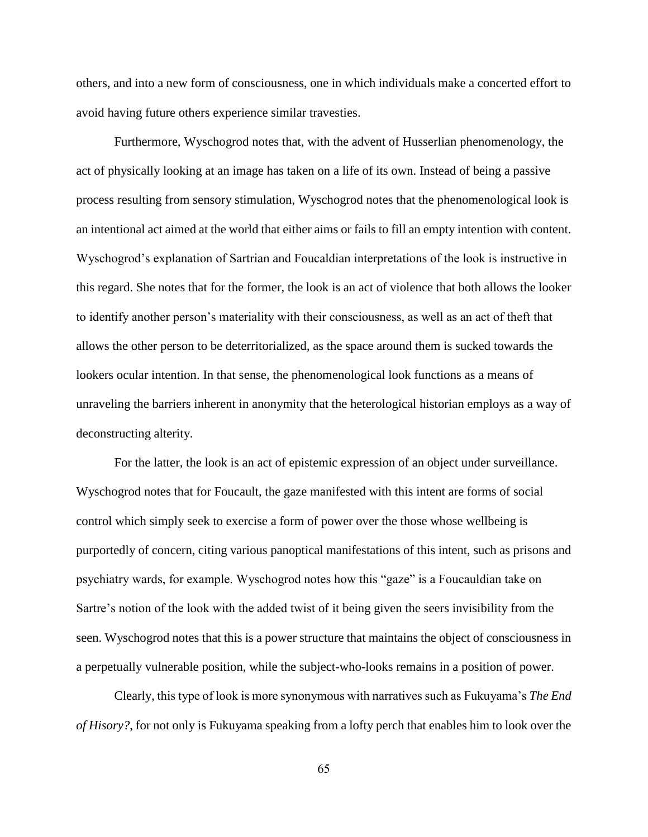others, and into a new form of consciousness, one in which individuals make a concerted effort to avoid having future others experience similar travesties.

Furthermore, Wyschogrod notes that, with the advent of Husserlian phenomenology, the act of physically looking at an image has taken on a life of its own. Instead of being a passive process resulting from sensory stimulation, Wyschogrod notes that the phenomenological look is an intentional act aimed at the world that either aims or fails to fill an empty intention with content. Wyschogrod's explanation of Sartrian and Foucaldian interpretations of the look is instructive in this regard. She notes that for the former, the look is an act of violence that both allows the looker to identify another person's materiality with their consciousness, as well as an act of theft that allows the other person to be deterritorialized, as the space around them is sucked towards the lookers ocular intention. In that sense, the phenomenological look functions as a means of unraveling the barriers inherent in anonymity that the heterological historian employs as a way of deconstructing alterity.

For the latter, the look is an act of epistemic expression of an object under surveillance. Wyschogrod notes that for Foucault, the gaze manifested with this intent are forms of social control which simply seek to exercise a form of power over the those whose wellbeing is purportedly of concern, citing various panoptical manifestations of this intent, such as prisons and psychiatry wards, for example. Wyschogrod notes how this "gaze" is a Foucauldian take on Sartre's notion of the look with the added twist of it being given the seers invisibility from the seen. Wyschogrod notes that this is a power structure that maintains the object of consciousness in a perpetually vulnerable position, while the subject-who-looks remains in a position of power.

Clearly, this type of look is more synonymous with narratives such as Fukuyama's *The End of Hisory?*, for not only is Fukuyama speaking from a lofty perch that enables him to look over the

65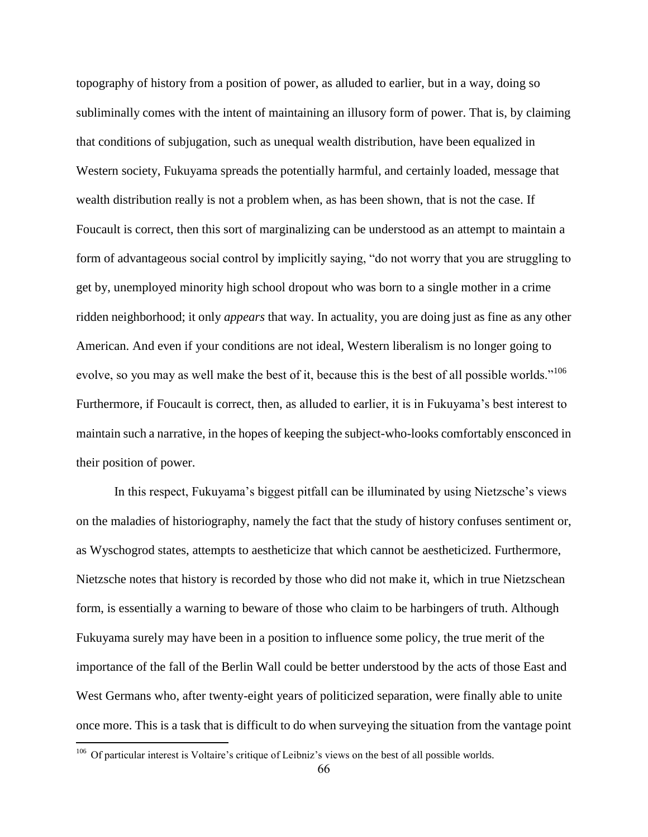topography of history from a position of power, as alluded to earlier, but in a way, doing so subliminally comes with the intent of maintaining an illusory form of power. That is, by claiming that conditions of subjugation, such as unequal wealth distribution, have been equalized in Western society, Fukuyama spreads the potentially harmful, and certainly loaded, message that wealth distribution really is not a problem when, as has been shown, that is not the case. If Foucault is correct, then this sort of marginalizing can be understood as an attempt to maintain a form of advantageous social control by implicitly saying, "do not worry that you are struggling to get by, unemployed minority high school dropout who was born to a single mother in a crime ridden neighborhood; it only *appears* that way. In actuality, you are doing just as fine as any other American. And even if your conditions are not ideal, Western liberalism is no longer going to evolve, so you may as well make the best of it, because this is the best of all possible worlds."<sup>106</sup> Furthermore, if Foucault is correct, then, as alluded to earlier, it is in Fukuyama's best interest to maintain such a narrative, in the hopes of keeping the subject-who-looks comfortably ensconced in their position of power.

In this respect, Fukuyama's biggest pitfall can be illuminated by using Nietzsche's views on the maladies of historiography, namely the fact that the study of history confuses sentiment or, as Wyschogrod states, attempts to aestheticize that which cannot be aestheticized. Furthermore, Nietzsche notes that history is recorded by those who did not make it, which in true Nietzschean form, is essentially a warning to beware of those who claim to be harbingers of truth. Although Fukuyama surely may have been in a position to influence some policy, the true merit of the importance of the fall of the Berlin Wall could be better understood by the acts of those East and West Germans who, after twenty-eight years of politicized separation, were finally able to unite once more. This is a task that is difficult to do when surveying the situation from the vantage point

<sup>&</sup>lt;sup>106</sup> Of particular interest is Voltaire's critique of Leibniz's views on the best of all possible worlds.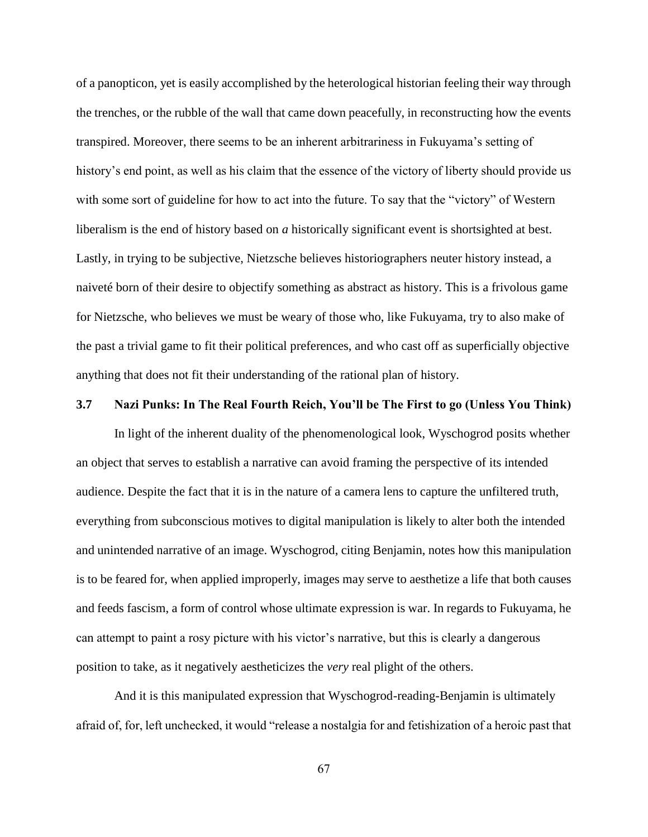of a panopticon, yet is easily accomplished by the heterological historian feeling their way through the trenches, or the rubble of the wall that came down peacefully, in reconstructing how the events transpired. Moreover, there seems to be an inherent arbitrariness in Fukuyama's setting of history's end point, as well as his claim that the essence of the victory of liberty should provide us with some sort of guideline for how to act into the future. To say that the "victory" of Western liberalism is the end of history based on *a* historically significant event is shortsighted at best. Lastly, in trying to be subjective, Nietzsche believes historiographers neuter history instead, a naiveté born of their desire to objectify something as abstract as history. This is a frivolous game for Nietzsche, who believes we must be weary of those who, like Fukuyama, try to also make of the past a trivial game to fit their political preferences, and who cast off as superficially objective anything that does not fit their understanding of the rational plan of history.

### **3.7 Nazi Punks: In The Real Fourth Reich, You'll be The First to go (Unless You Think)**

In light of the inherent duality of the phenomenological look, Wyschogrod posits whether an object that serves to establish a narrative can avoid framing the perspective of its intended audience. Despite the fact that it is in the nature of a camera lens to capture the unfiltered truth, everything from subconscious motives to digital manipulation is likely to alter both the intended and unintended narrative of an image. Wyschogrod, citing Benjamin, notes how this manipulation is to be feared for, when applied improperly, images may serve to aesthetize a life that both causes and feeds fascism, a form of control whose ultimate expression is war. In regards to Fukuyama, he can attempt to paint a rosy picture with his victor's narrative, but this is clearly a dangerous position to take, as it negatively aestheticizes the *very* real plight of the others.

And it is this manipulated expression that Wyschogrod-reading-Benjamin is ultimately afraid of, for, left unchecked, it would "release a nostalgia for and fetishization of a heroic past that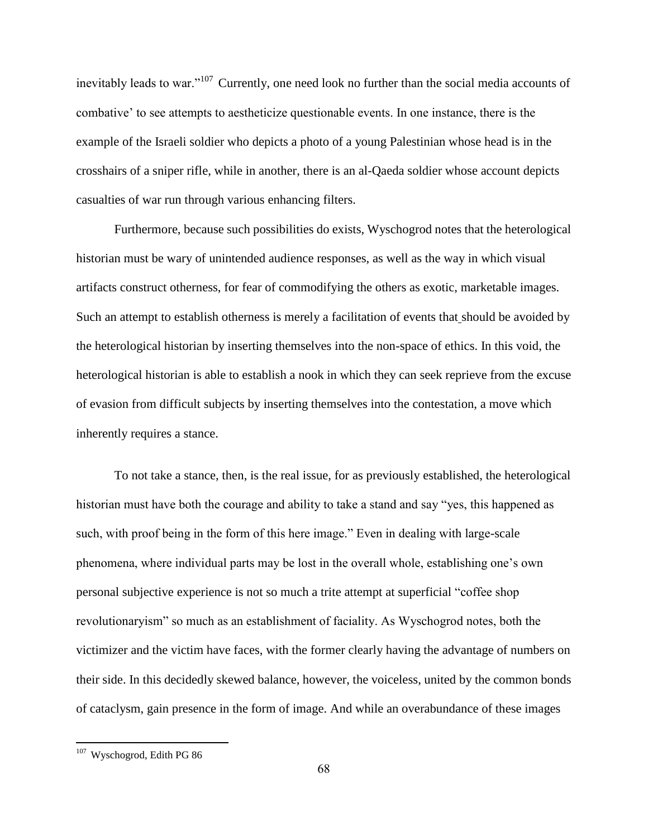inevitably leads to war."<sup>107</sup> Currently, one need look no further than the social media accounts of combative' to see attempts to aestheticize questionable events. In one instance, there is the example of the Israeli soldier who depicts a photo of a young Palestinian whose head is in the crosshairs of a sniper rifle, while in another, there is an al-Qaeda soldier whose account depicts casualties of war run through various enhancing filters.

Furthermore, because such possibilities do exists, Wyschogrod notes that the heterological historian must be wary of unintended audience responses, as well as the way in which visual artifacts construct otherness, for fear of commodifying the others as exotic, marketable images. Such an attempt to establish otherness is merely a facilitation of events that should be avoided by the heterological historian by inserting themselves into the non-space of ethics. In this void, the heterological historian is able to establish a nook in which they can seek reprieve from the excuse of evasion from difficult subjects by inserting themselves into the contestation, a move which inherently requires a stance.

To not take a stance, then, is the real issue, for as previously established, the heterological historian must have both the courage and ability to take a stand and say "yes, this happened as such, with proof being in the form of this here image." Even in dealing with large-scale phenomena, where individual parts may be lost in the overall whole, establishing one's own personal subjective experience is not so much a trite attempt at superficial "coffee shop revolutionaryism" so much as an establishment of faciality. As Wyschogrod notes, both the victimizer and the victim have faces, with the former clearly having the advantage of numbers on their side. In this decidedly skewed balance, however, the voiceless, united by the common bonds of cataclysm, gain presence in the form of image. And while an overabundance of these images

<sup>107</sup> Wyschogrod, Edith PG 86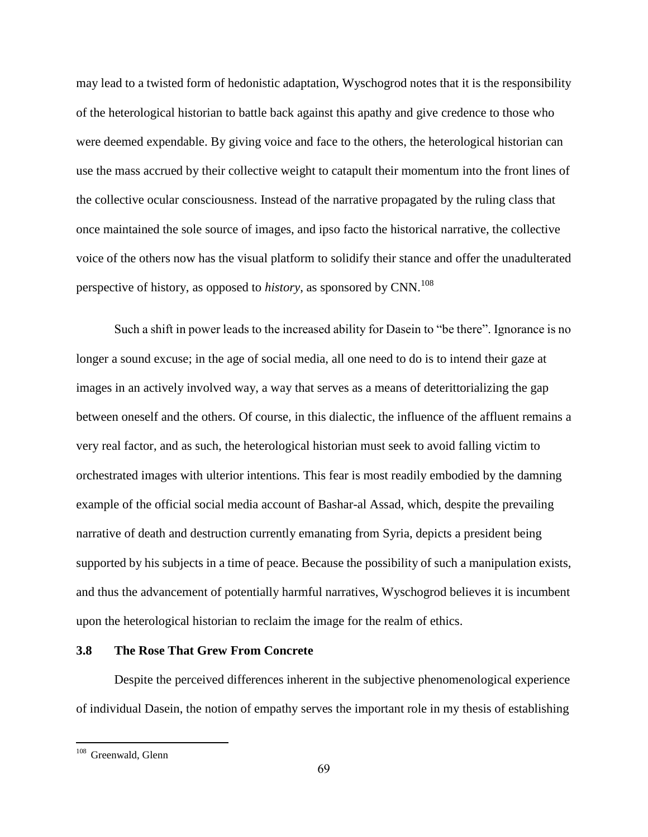may lead to a twisted form of hedonistic adaptation, Wyschogrod notes that it is the responsibility of the heterological historian to battle back against this apathy and give credence to those who were deemed expendable. By giving voice and face to the others, the heterological historian can use the mass accrued by their collective weight to catapult their momentum into the front lines of the collective ocular consciousness. Instead of the narrative propagated by the ruling class that once maintained the sole source of images, and ipso facto the historical narrative, the collective voice of the others now has the visual platform to solidify their stance and offer the unadulterated perspective of history, as opposed to *history*, as sponsored by CNN.<sup>108</sup>

Such a shift in power leads to the increased ability for Dasein to "be there". Ignorance is no longer a sound excuse; in the age of social media, all one need to do is to intend their gaze at images in an actively involved way, a way that serves as a means of deterittorializing the gap between oneself and the others. Of course, in this dialectic, the influence of the affluent remains a very real factor, and as such, the heterological historian must seek to avoid falling victim to orchestrated images with ulterior intentions. This fear is most readily embodied by the damning example of the official social media account of Bashar-al Assad, which, despite the prevailing narrative of death and destruction currently emanating from Syria, depicts a president being supported by his subjects in a time of peace. Because the possibility of such a manipulation exists, and thus the advancement of potentially harmful narratives, Wyschogrod believes it is incumbent upon the heterological historian to reclaim the image for the realm of ethics.

#### **3.8 The Rose That Grew From Concrete**

Despite the perceived differences inherent in the subjective phenomenological experience of individual Dasein, the notion of empathy serves the important role in my thesis of establishing

<sup>&</sup>lt;sup>108</sup> Greenwald, Glenn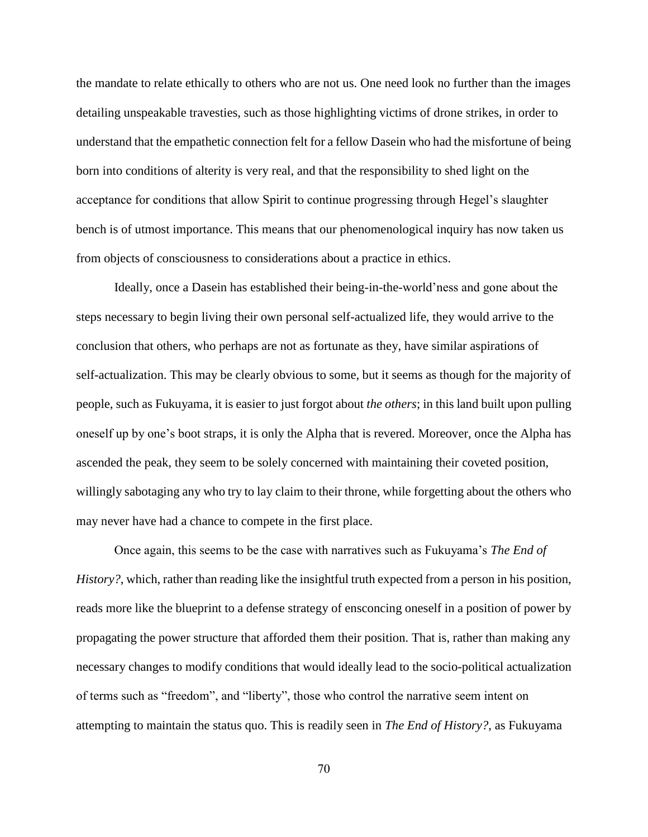the mandate to relate ethically to others who are not us. One need look no further than the images detailing unspeakable travesties, such as those highlighting victims of drone strikes, in order to understand that the empathetic connection felt for a fellow Dasein who had the misfortune of being born into conditions of alterity is very real, and that the responsibility to shed light on the acceptance for conditions that allow Spirit to continue progressing through Hegel's slaughter bench is of utmost importance. This means that our phenomenological inquiry has now taken us from objects of consciousness to considerations about a practice in ethics.

Ideally, once a Dasein has established their being-in-the-world'ness and gone about the steps necessary to begin living their own personal self-actualized life, they would arrive to the conclusion that others, who perhaps are not as fortunate as they, have similar aspirations of self-actualization. This may be clearly obvious to some, but it seems as though for the majority of people, such as Fukuyama, it is easier to just forgot about *the others*; in this land built upon pulling oneself up by one's boot straps, it is only the Alpha that is revered. Moreover, once the Alpha has ascended the peak, they seem to be solely concerned with maintaining their coveted position, willingly sabotaging any who try to lay claim to their throne, while forgetting about the others who may never have had a chance to compete in the first place.

Once again, this seems to be the case with narratives such as Fukuyama's *The End of History?*, which, rather than reading like the insightful truth expected from a person in his position, reads more like the blueprint to a defense strategy of ensconcing oneself in a position of power by propagating the power structure that afforded them their position. That is, rather than making any necessary changes to modify conditions that would ideally lead to the socio-political actualization of terms such as "freedom", and "liberty", those who control the narrative seem intent on attempting to maintain the status quo. This is readily seen in *The End of History?*, as Fukuyama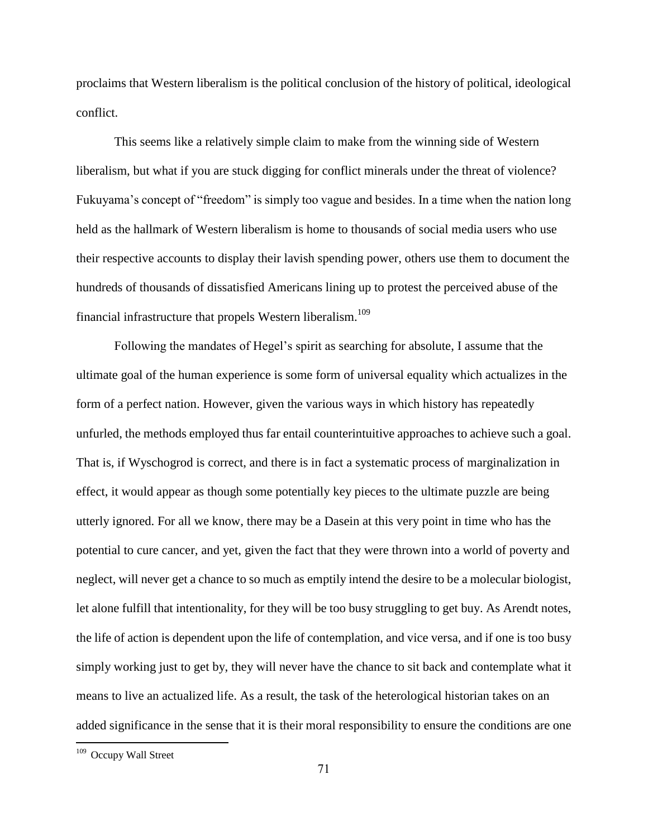proclaims that Western liberalism is the political conclusion of the history of political, ideological conflict.

This seems like a relatively simple claim to make from the winning side of Western liberalism, but what if you are stuck digging for conflict minerals under the threat of violence? Fukuyama's concept of "freedom" is simply too vague and besides. In a time when the nation long held as the hallmark of Western liberalism is home to thousands of social media users who use their respective accounts to display their lavish spending power, others use them to document the hundreds of thousands of dissatisfied Americans lining up to protest the perceived abuse of the financial infrastructure that propels Western liberalism.<sup>109</sup>

Following the mandates of Hegel's spirit as searching for absolute, I assume that the ultimate goal of the human experience is some form of universal equality which actualizes in the form of a perfect nation. However, given the various ways in which history has repeatedly unfurled, the methods employed thus far entail counterintuitive approaches to achieve such a goal. That is, if Wyschogrod is correct, and there is in fact a systematic process of marginalization in effect, it would appear as though some potentially key pieces to the ultimate puzzle are being utterly ignored. For all we know, there may be a Dasein at this very point in time who has the potential to cure cancer, and yet, given the fact that they were thrown into a world of poverty and neglect, will never get a chance to so much as emptily intend the desire to be a molecular biologist, let alone fulfill that intentionality, for they will be too busy struggling to get buy. As Arendt notes, the life of action is dependent upon the life of contemplation, and vice versa, and if one is too busy simply working just to get by, they will never have the chance to sit back and contemplate what it means to live an actualized life. As a result, the task of the heterological historian takes on an added significance in the sense that it is their moral responsibility to ensure the conditions are one

<sup>&</sup>lt;sup>109</sup> Occupy Wall Street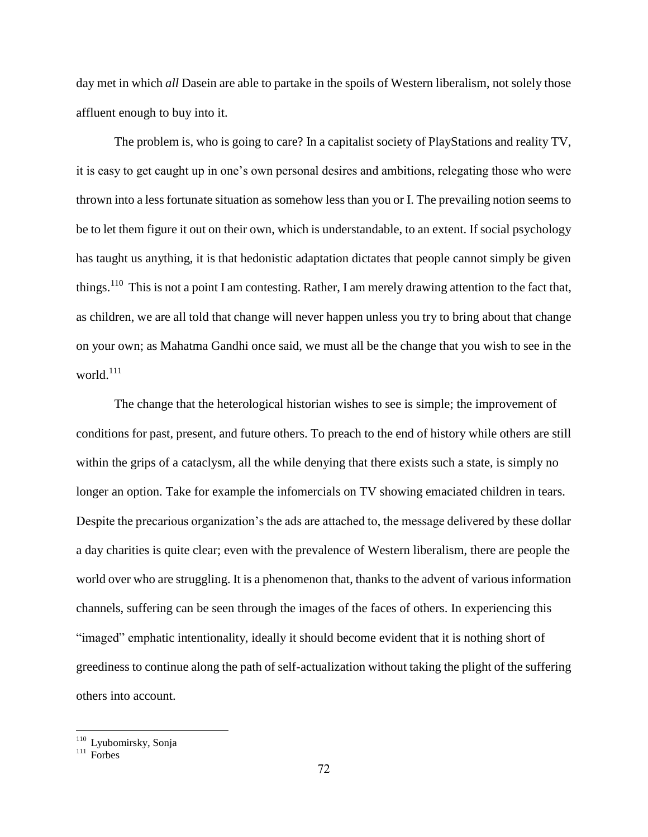day met in which *all* Dasein are able to partake in the spoils of Western liberalism, not solely those affluent enough to buy into it.

The problem is, who is going to care? In a capitalist society of PlayStations and reality TV, it is easy to get caught up in one's own personal desires and ambitions, relegating those who were thrown into a less fortunate situation as somehow less than you or I. The prevailing notion seems to be to let them figure it out on their own, which is understandable, to an extent. If social psychology has taught us anything, it is that hedonistic adaptation dictates that people cannot simply be given things.<sup>110</sup> This is not a point I am contesting. Rather, I am merely drawing attention to the fact that, as children, we are all told that change will never happen unless you try to bring about that change on your own; as Mahatma Gandhi once said, we must all be the change that you wish to see in the world.<sup>111</sup>

The change that the heterological historian wishes to see is simple; the improvement of conditions for past, present, and future others. To preach to the end of history while others are still within the grips of a cataclysm, all the while denying that there exists such a state, is simply no longer an option. Take for example the infomercials on TV showing emaciated children in tears. Despite the precarious organization's the ads are attached to, the message delivered by these dollar a day charities is quite clear; even with the prevalence of Western liberalism, there are people the world over who are struggling. It is a phenomenon that, thanks to the advent of various information channels, suffering can be seen through the images of the faces of others. In experiencing this "imaged" emphatic intentionality, ideally it should become evident that it is nothing short of greediness to continue along the path of self-actualization without taking the plight of the suffering others into account.

<sup>&</sup>lt;sup>110</sup> Lyubomirsky, Sonja

 $111$  Forbes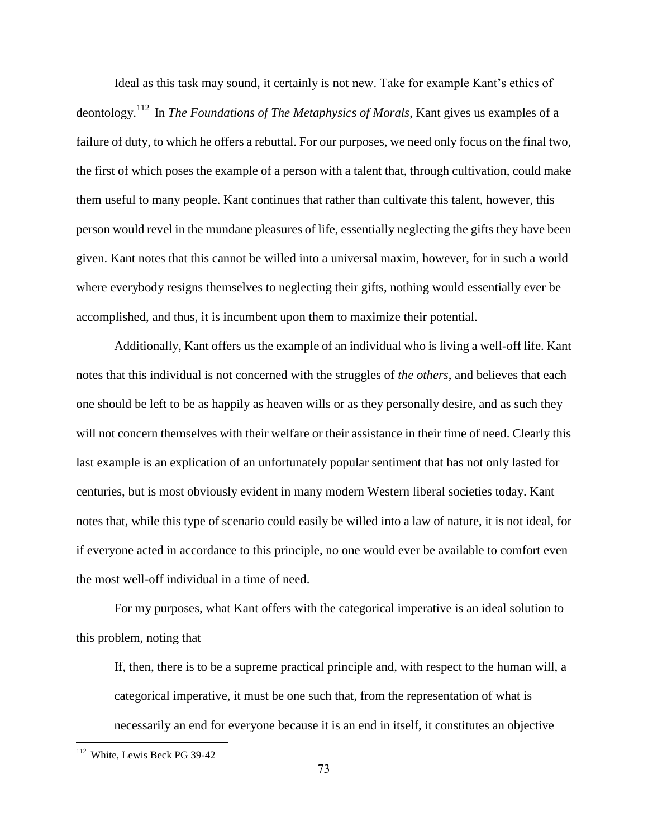Ideal as this task may sound, it certainly is not new. Take for example Kant's ethics of deontology.<sup>112</sup> In *The Foundations of The Metaphysics of Morals*, Kant gives us examples of a failure of duty, to which he offers a rebuttal. For our purposes, we need only focus on the final two, the first of which poses the example of a person with a talent that, through cultivation, could make them useful to many people. Kant continues that rather than cultivate this talent, however, this person would revel in the mundane pleasures of life, essentially neglecting the gifts they have been given. Kant notes that this cannot be willed into a universal maxim, however, for in such a world where everybody resigns themselves to neglecting their gifts, nothing would essentially ever be accomplished, and thus, it is incumbent upon them to maximize their potential.

Additionally, Kant offers us the example of an individual who is living a well-off life. Kant notes that this individual is not concerned with the struggles of *the others*, and believes that each one should be left to be as happily as heaven wills or as they personally desire, and as such they will not concern themselves with their welfare or their assistance in their time of need. Clearly this last example is an explication of an unfortunately popular sentiment that has not only lasted for centuries, but is most obviously evident in many modern Western liberal societies today. Kant notes that, while this type of scenario could easily be willed into a law of nature, it is not ideal, for if everyone acted in accordance to this principle, no one would ever be available to comfort even the most well-off individual in a time of need.

For my purposes, what Kant offers with the categorical imperative is an ideal solution to this problem, noting that

If, then, there is to be a supreme practical principle and, with respect to the human will, a categorical imperative, it must be one such that, from the representation of what is necessarily an end for everyone because it is an end in itself, it constitutes an objective

<sup>&</sup>lt;sup>112</sup> White, Lewis Beck PG 39-42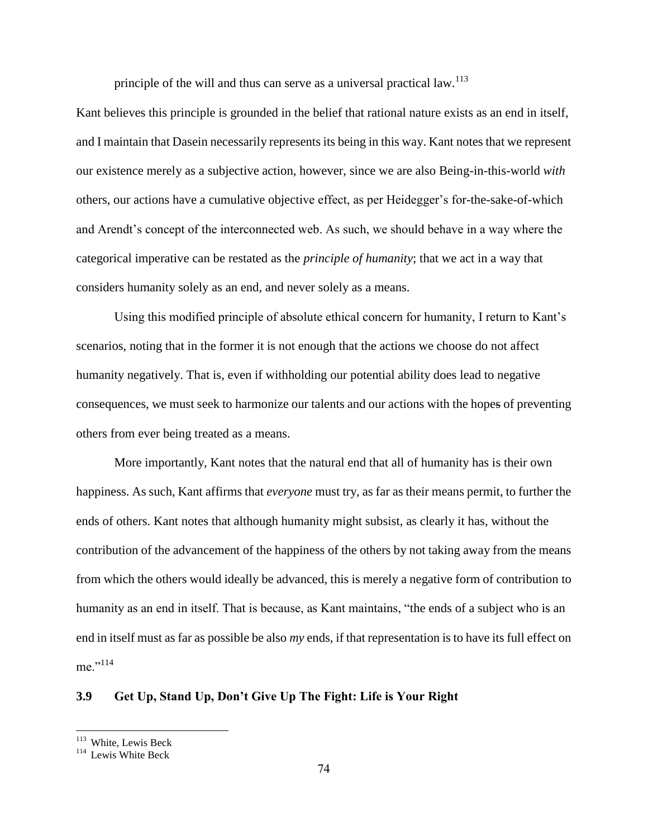principle of the will and thus can serve as a universal practical law.<sup>113</sup>

Kant believes this principle is grounded in the belief that rational nature exists as an end in itself, and I maintain that Dasein necessarily represents its being in this way. Kant notes that we represent our existence merely as a subjective action, however, since we are also Being-in-this-world *with* others, our actions have a cumulative objective effect, as per Heidegger's for-the-sake-of-which and Arendt's concept of the interconnected web. As such, we should behave in a way where the categorical imperative can be restated as the *principle of humanity*; that we act in a way that considers humanity solely as an end, and never solely as a means.

Using this modified principle of absolute ethical concern for humanity, I return to Kant's scenarios, noting that in the former it is not enough that the actions we choose do not affect humanity negatively. That is, even if withholding our potential ability does lead to negative consequences, we must seek to harmonize our talents and our actions with the hopes of preventing others from ever being treated as a means.

More importantly, Kant notes that the natural end that all of humanity has is their own happiness. As such, Kant affirms that *everyone* must try, as far as their means permit, to further the ends of others. Kant notes that although humanity might subsist, as clearly it has, without the contribution of the advancement of the happiness of the others by not taking away from the means from which the others would ideally be advanced, this is merely a negative form of contribution to humanity as an end in itself. That is because, as Kant maintains, "the ends of a subject who is an end in itself must as far as possible be also *my* ends, if that representation is to have its full effect on me."114

#### **3.9 Get Up, Stand Up, Don't Give Up The Fight: Life is Your Right**

<sup>&</sup>lt;sup>113</sup> White, Lewis Beck

<sup>114</sup> Lewis White Beck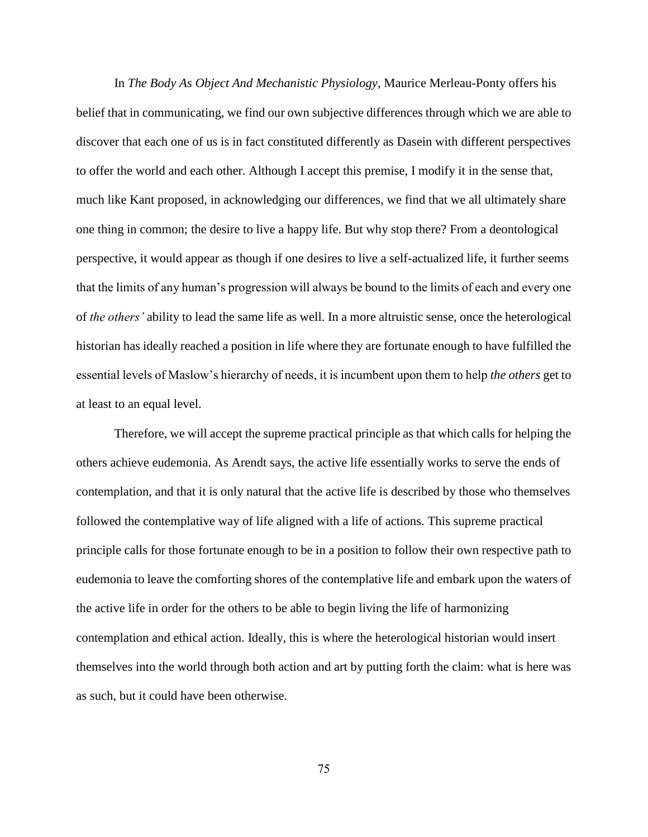In *The Body As Object And Mechanistic Physiology*, Maurice Merleau-Ponty offers his belief that in communicating, we find our own subjective differences through which we are able to discover that each one of us is in fact constituted differently as Dasein with different perspectives to offer the world and each other. Although I accept this premise, I modify it in the sense that, much like Kant proposed, in acknowledging our differences, we find that we all ultimately share one thing in common; the desire to live a happy life. But why stop there? From a deontological perspective, it would appear as though if one desires to live a self-actualized life, it further seems that the limits of any human's progression will always be bound to the limits of each and every one of *the others'* ability to lead the same life as well. In a more altruistic sense, once the heterological historian has ideally reached a position in life where they are fortunate enough to have fulfilled the essential levels of Maslow's hierarchy of needs, it is incumbent upon them to help *the others* get to at least to an equal level.

Therefore, we will accept the supreme practical principle as that which calls for helping the others achieve eudemonia. As Arendt says, the active life essentially works to serve the ends of contemplation, and that it is only natural that the active life is described by those who themselves followed the contemplative way of life aligned with a life of actions. This supreme practical principle calls for those fortunate enough to be in a position to follow their own respective path to eudemonia to leave the comforting shores of the contemplative life and embark upon the waters of the active life in order for the others to be able to begin living the life of harmonizing contemplation and ethical action. Ideally, this is where the heterological historian would insert themselves into the world through both action and art by putting forth the claim: what is here was as such, but it could have been otherwise.

75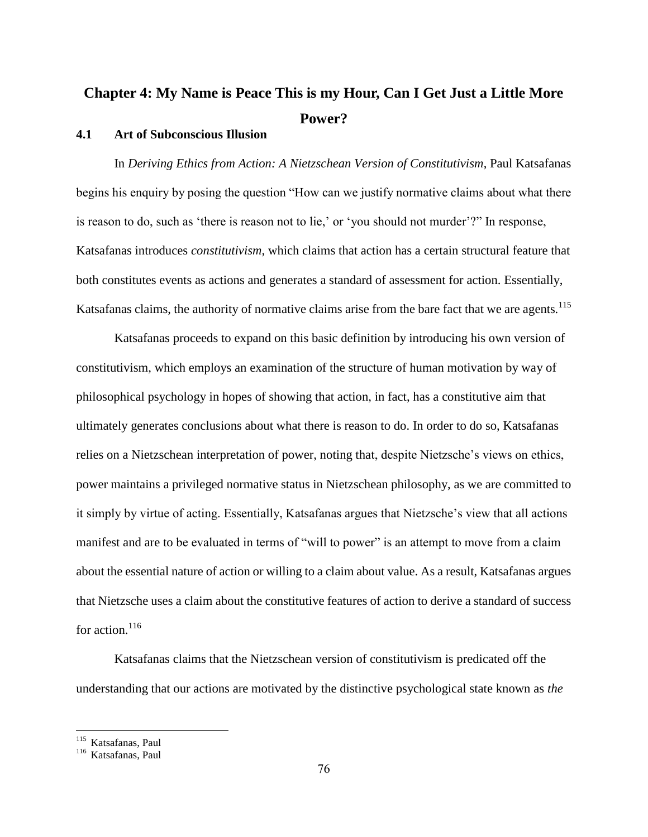# **Chapter 4: My Name is Peace This is my Hour, Can I Get Just a Little More Power?**

## **4.1 Art of Subconscious Illusion**

In *Deriving Ethics from Action: A Nietzschean Version of Constitutivism*, Paul Katsafanas begins his enquiry by posing the question "How can we justify normative claims about what there is reason to do, such as 'there is reason not to lie,' or 'you should not murder'?" In response, Katsafanas introduces *constitutivism*, which claims that action has a certain structural feature that both constitutes events as actions and generates a standard of assessment for action. Essentially, Katsafanas claims, the authority of normative claims arise from the bare fact that we are agents.<sup>115</sup>

Katsafanas proceeds to expand on this basic definition by introducing his own version of constitutivism, which employs an examination of the structure of human motivation by way of philosophical psychology in hopes of showing that action, in fact, has a constitutive aim that ultimately generates conclusions about what there is reason to do. In order to do so, Katsafanas relies on a Nietzschean interpretation of power, noting that, despite Nietzsche's views on ethics, power maintains a privileged normative status in Nietzschean philosophy, as we are committed to it simply by virtue of acting. Essentially, Katsafanas argues that Nietzsche's view that all actions manifest and are to be evaluated in terms of "will to power" is an attempt to move from a claim about the essential nature of action or willing to a claim about value. As a result, Katsafanas argues that Nietzsche uses a claim about the constitutive features of action to derive a standard of success for action. $116$ 

Katsafanas claims that the Nietzschean version of constitutivism is predicated off the understanding that our actions are motivated by the distinctive psychological state known as *the* 

<sup>115</sup> Katsafanas, Paul

<sup>116</sup> Katsafanas, Paul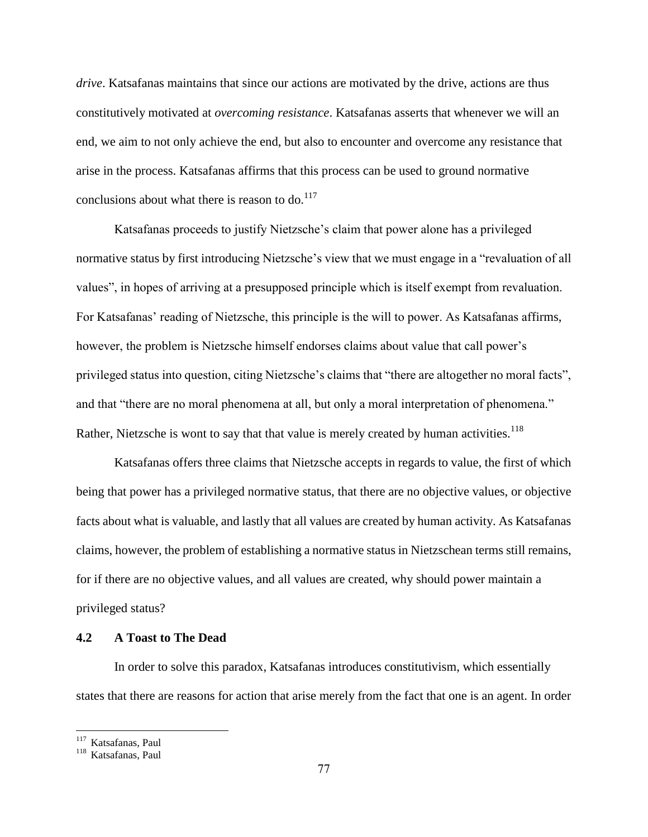*drive*. Katsafanas maintains that since our actions are motivated by the drive, actions are thus constitutively motivated at *overcoming resistance*. Katsafanas asserts that whenever we will an end, we aim to not only achieve the end, but also to encounter and overcome any resistance that arise in the process. Katsafanas affirms that this process can be used to ground normative conclusions about what there is reason to  $do.<sup>117</sup>$ 

Katsafanas proceeds to justify Nietzsche's claim that power alone has a privileged normative status by first introducing Nietzsche's view that we must engage in a "revaluation of all values", in hopes of arriving at a presupposed principle which is itself exempt from revaluation. For Katsafanas' reading of Nietzsche, this principle is the will to power. As Katsafanas affirms, however, the problem is Nietzsche himself endorses claims about value that call power's privileged status into question, citing Nietzsche's claims that "there are altogether no moral facts", and that "there are no moral phenomena at all, but only a moral interpretation of phenomena." Rather, Nietzsche is wont to say that that value is merely created by human activities.<sup>118</sup>

Katsafanas offers three claims that Nietzsche accepts in regards to value, the first of which being that power has a privileged normative status, that there are no objective values, or objective facts about what is valuable, and lastly that all values are created by human activity. As Katsafanas claims, however, the problem of establishing a normative status in Nietzschean terms still remains, for if there are no objective values, and all values are created, why should power maintain a privileged status?

### **4.2 A Toast to The Dead**

In order to solve this paradox, Katsafanas introduces constitutivism, which essentially states that there are reasons for action that arise merely from the fact that one is an agent. In order

<sup>&</sup>lt;sup>117</sup> Katsafanas, Paul

<sup>118</sup> Katsafanas, Paul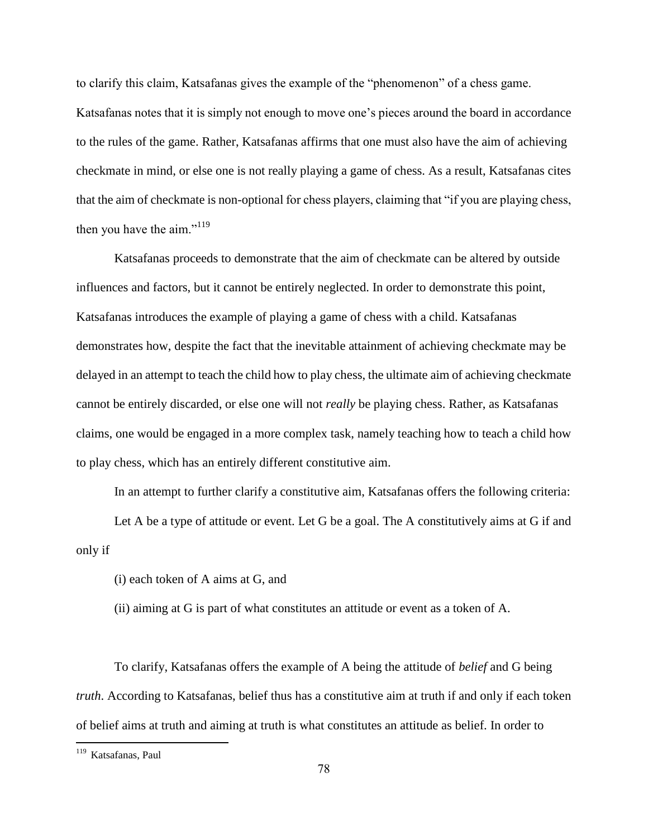to clarify this claim, Katsafanas gives the example of the "phenomenon" of a chess game.

Katsafanas notes that it is simply not enough to move one's pieces around the board in accordance to the rules of the game. Rather, Katsafanas affirms that one must also have the aim of achieving checkmate in mind, or else one is not really playing a game of chess. As a result, Katsafanas cites that the aim of checkmate is non-optional for chess players, claiming that "if you are playing chess, then you have the aim."<sup>119</sup>

Katsafanas proceeds to demonstrate that the aim of checkmate can be altered by outside influences and factors, but it cannot be entirely neglected. In order to demonstrate this point, Katsafanas introduces the example of playing a game of chess with a child. Katsafanas demonstrates how, despite the fact that the inevitable attainment of achieving checkmate may be delayed in an attempt to teach the child how to play chess, the ultimate aim of achieving checkmate cannot be entirely discarded, or else one will not *really* be playing chess. Rather, as Katsafanas claims, one would be engaged in a more complex task, namely teaching how to teach a child how to play chess, which has an entirely different constitutive aim.

In an attempt to further clarify a constitutive aim, Katsafanas offers the following criteria:

Let A be a type of attitude or event. Let G be a goal. The A constitutively aims at G if and only if

(i) each token of A aims at G, and

(ii) aiming at G is part of what constitutes an attitude or event as a token of A.

To clarify, Katsafanas offers the example of A being the attitude of *belief* and G being *truth*. According to Katsafanas, belief thus has a constitutive aim at truth if and only if each token of belief aims at truth and aiming at truth is what constitutes an attitude as belief. In order to

<sup>&</sup>lt;sup>119</sup> Katsafanas, Paul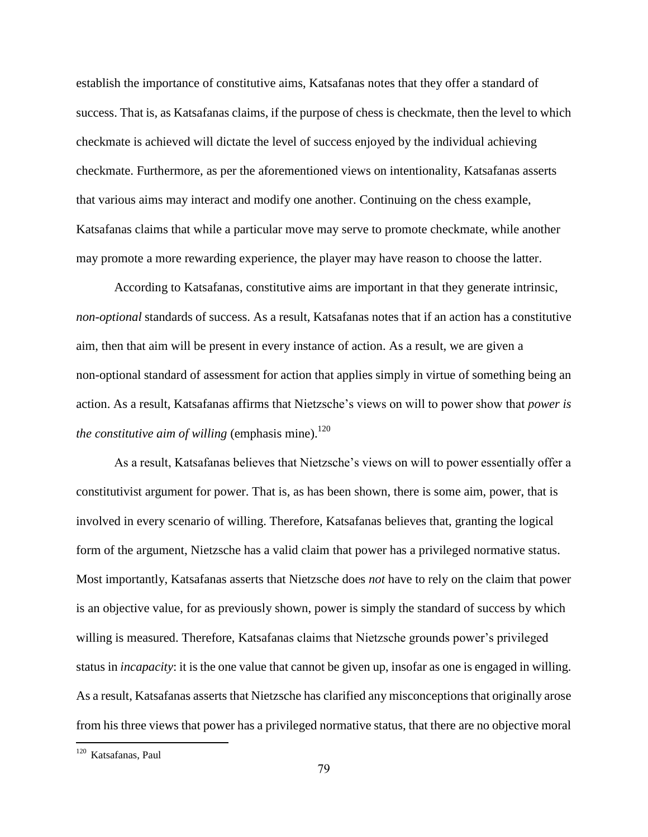establish the importance of constitutive aims, Katsafanas notes that they offer a standard of success. That is, as Katsafanas claims, if the purpose of chess is checkmate, then the level to which checkmate is achieved will dictate the level of success enjoyed by the individual achieving checkmate. Furthermore, as per the aforementioned views on intentionality, Katsafanas asserts that various aims may interact and modify one another. Continuing on the chess example, Katsafanas claims that while a particular move may serve to promote checkmate, while another may promote a more rewarding experience, the player may have reason to choose the latter.

According to Katsafanas, constitutive aims are important in that they generate intrinsic, *non-optional* standards of success. As a result, Katsafanas notes that if an action has a constitutive aim, then that aim will be present in every instance of action. As a result, we are given a non-optional standard of assessment for action that applies simply in virtue of something being an action. As a result, Katsafanas affirms that Nietzsche's views on will to power show that *power is the constitutive aim of willing* (emphasis mine).<sup>120</sup>

As a result, Katsafanas believes that Nietzsche's views on will to power essentially offer a constitutivist argument for power. That is, as has been shown, there is some aim, power, that is involved in every scenario of willing. Therefore, Katsafanas believes that, granting the logical form of the argument, Nietzsche has a valid claim that power has a privileged normative status. Most importantly, Katsafanas asserts that Nietzsche does *not* have to rely on the claim that power is an objective value, for as previously shown, power is simply the standard of success by which willing is measured. Therefore, Katsafanas claims that Nietzsche grounds power's privileged status in *incapacity*: it is the one value that cannot be given up, insofar as one is engaged in willing. As a result, Katsafanas asserts that Nietzsche has clarified any misconceptions that originally arose from his three views that power has a privileged normative status, that there are no objective moral

<sup>&</sup>lt;sup>120</sup> Katsafanas, Paul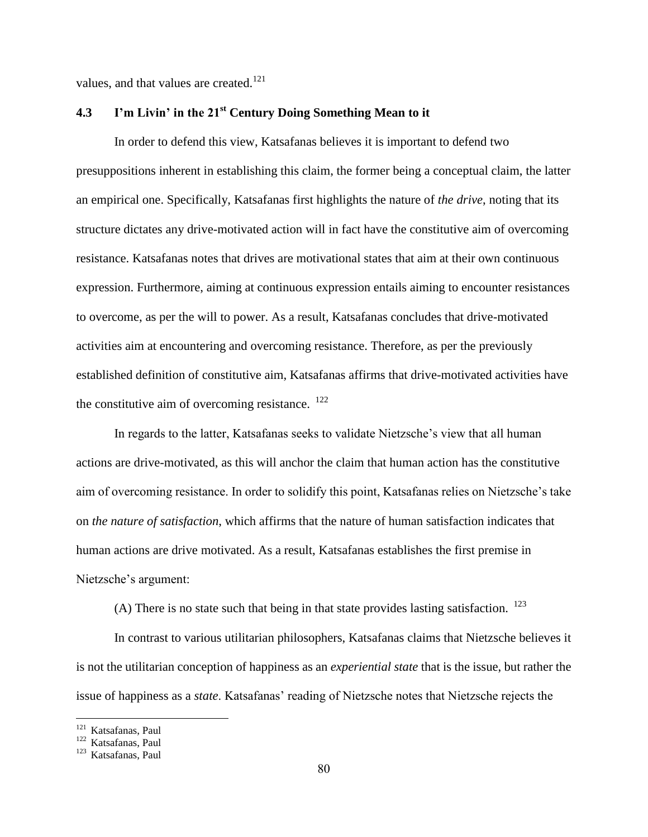values, and that values are created.<sup>121</sup>

# **4.3 I'm Livin' in the 21st Century Doing Something Mean to it**

 In order to defend this view, Katsafanas believes it is important to defend two presuppositions inherent in establishing this claim, the former being a conceptual claim, the latter an empirical one. Specifically, Katsafanas first highlights the nature of *the drive*, noting that its structure dictates any drive-motivated action will in fact have the constitutive aim of overcoming resistance. Katsafanas notes that drives are motivational states that aim at their own continuous expression. Furthermore, aiming at continuous expression entails aiming to encounter resistances to overcome, as per the will to power. As a result, Katsafanas concludes that drive-motivated activities aim at encountering and overcoming resistance. Therefore, as per the previously established definition of constitutive aim, Katsafanas affirms that drive-motivated activities have the constitutive aim of overcoming resistance.  $^{122}$ 

In regards to the latter, Katsafanas seeks to validate Nietzsche's view that all human actions are drive-motivated, as this will anchor the claim that human action has the constitutive aim of overcoming resistance. In order to solidify this point, Katsafanas relies on Nietzsche's take on *the nature of satisfaction*, which affirms that the nature of human satisfaction indicates that human actions are drive motivated. As a result, Katsafanas establishes the first premise in Nietzsche's argument:

(A) There is no state such that being in that state provides lasting satisfaction.  $123$ 

In contrast to various utilitarian philosophers, Katsafanas claims that Nietzsche believes it is not the utilitarian conception of happiness as an *experiential state* that is the issue, but rather the issue of happiness as a *state*. Katsafanas' reading of Nietzsche notes that Nietzsche rejects the

<sup>&</sup>lt;sup>121</sup> Katsafanas, Paul

<sup>&</sup>lt;sup>122</sup> Katsafanas, Paul

<sup>123</sup> Katsafanas, Paul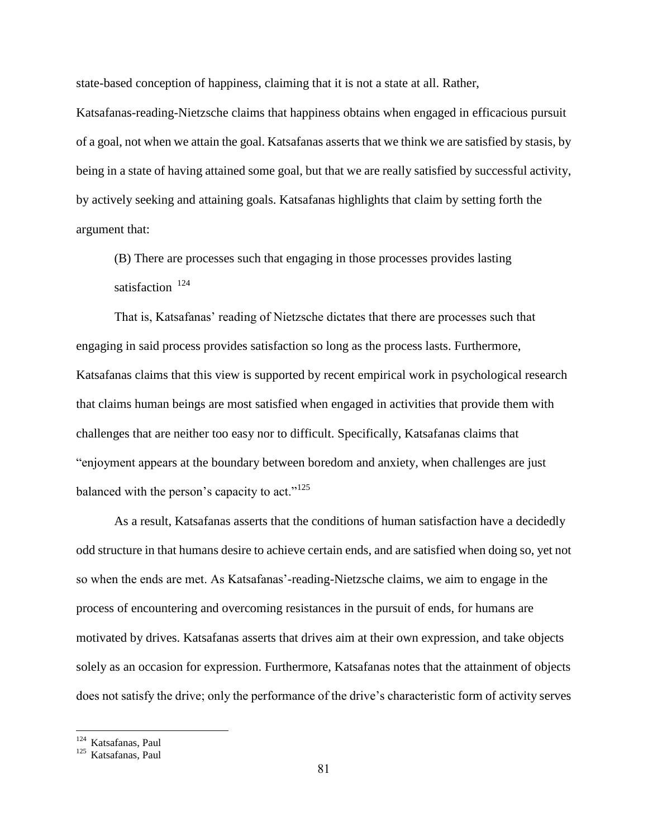state-based conception of happiness, claiming that it is not a state at all. Rather,

Katsafanas-reading-Nietzsche claims that happiness obtains when engaged in efficacious pursuit of a goal, not when we attain the goal. Katsafanas asserts that we think we are satisfied by stasis, by being in a state of having attained some goal, but that we are really satisfied by successful activity, by actively seeking and attaining goals. Katsafanas highlights that claim by setting forth the argument that:

(B) There are processes such that engaging in those processes provides lasting satisfaction  $124$ 

That is, Katsafanas' reading of Nietzsche dictates that there are processes such that engaging in said process provides satisfaction so long as the process lasts. Furthermore, Katsafanas claims that this view is supported by recent empirical work in psychological research that claims human beings are most satisfied when engaged in activities that provide them with challenges that are neither too easy nor to difficult. Specifically, Katsafanas claims that "enjoyment appears at the boundary between boredom and anxiety, when challenges are just balanced with the person's capacity to act." $125$ 

As a result, Katsafanas asserts that the conditions of human satisfaction have a decidedly odd structure in that humans desire to achieve certain ends, and are satisfied when doing so, yet not so when the ends are met. As Katsafanas'-reading-Nietzsche claims, we aim to engage in the process of encountering and overcoming resistances in the pursuit of ends, for humans are motivated by drives. Katsafanas asserts that drives aim at their own expression, and take objects solely as an occasion for expression. Furthermore, Katsafanas notes that the attainment of objects does not satisfy the drive; only the performance of the drive's characteristic form of activity serves

<sup>&</sup>lt;sup>124</sup> Katsafanas, Paul

<sup>125</sup> Katsafanas, Paul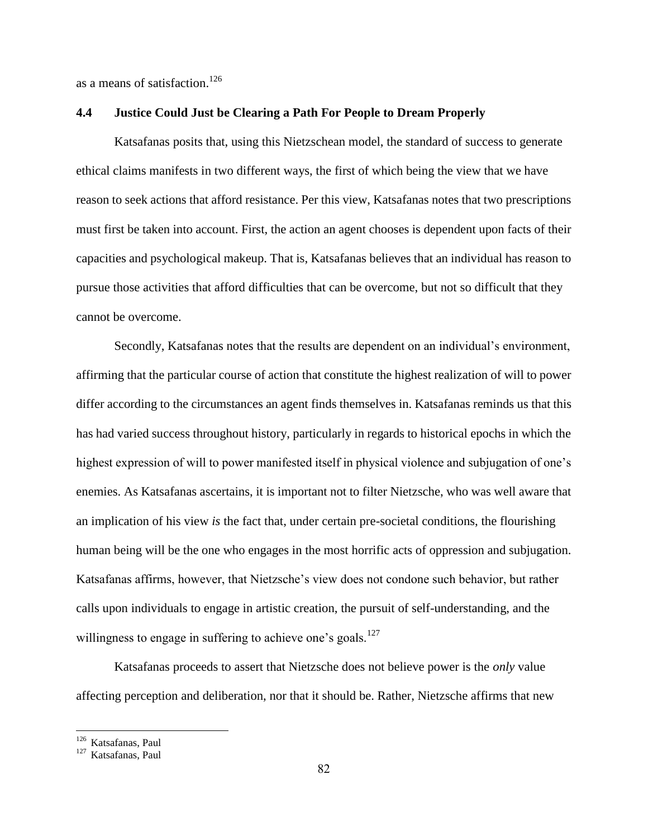as a means of satisfaction.<sup>126</sup>

### **4.4 Justice Could Just be Clearing a Path For People to Dream Properly**

Katsafanas posits that, using this Nietzschean model, the standard of success to generate ethical claims manifests in two different ways, the first of which being the view that we have reason to seek actions that afford resistance. Per this view, Katsafanas notes that two prescriptions must first be taken into account. First, the action an agent chooses is dependent upon facts of their capacities and psychological makeup. That is, Katsafanas believes that an individual has reason to pursue those activities that afford difficulties that can be overcome, but not so difficult that they cannot be overcome.

Secondly, Katsafanas notes that the results are dependent on an individual's environment, affirming that the particular course of action that constitute the highest realization of will to power differ according to the circumstances an agent finds themselves in. Katsafanas reminds us that this has had varied success throughout history, particularly in regards to historical epochs in which the highest expression of will to power manifested itself in physical violence and subjugation of one's enemies. As Katsafanas ascertains, it is important not to filter Nietzsche, who was well aware that an implication of his view *is* the fact that, under certain pre-societal conditions, the flourishing human being will be the one who engages in the most horrific acts of oppression and subjugation. Katsafanas affirms, however, that Nietzsche's view does not condone such behavior, but rather calls upon individuals to engage in artistic creation, the pursuit of self-understanding, and the willingness to engage in suffering to achieve one's goals.<sup>127</sup>

Katsafanas proceeds to assert that Nietzsche does not believe power is the *only* value affecting perception and deliberation, nor that it should be. Rather, Nietzsche affirms that new

<sup>&</sup>lt;sup>126</sup> Katsafanas, Paul

<sup>127</sup> Katsafanas, Paul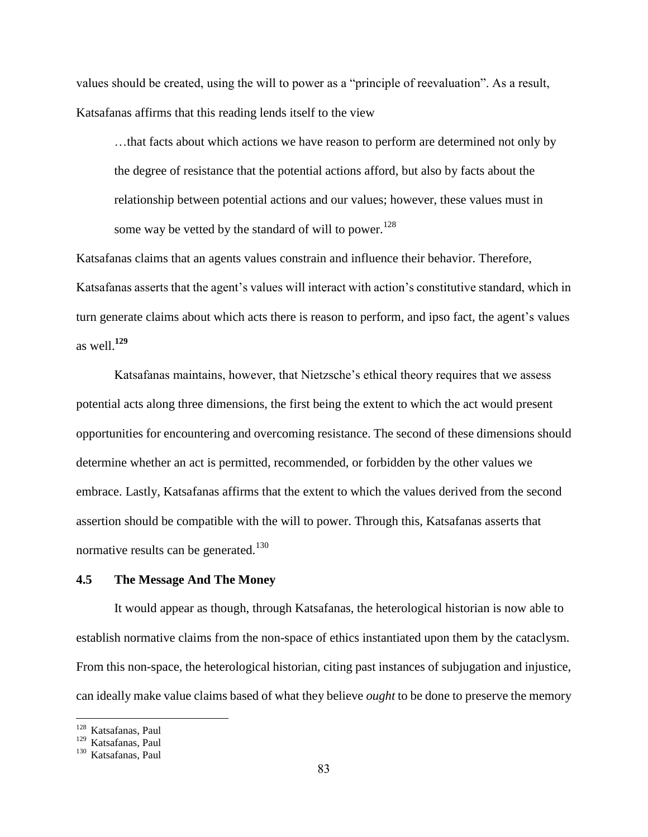values should be created, using the will to power as a "principle of reevaluation". As a result, Katsafanas affirms that this reading lends itself to the view

…that facts about which actions we have reason to perform are determined not only by the degree of resistance that the potential actions afford, but also by facts about the relationship between potential actions and our values; however, these values must in some way be vetted by the standard of will to power.<sup>128</sup>

Katsafanas claims that an agents values constrain and influence their behavior. Therefore, Katsafanas asserts that the agent's values will interact with action's constitutive standard, which in turn generate claims about which acts there is reason to perform, and ipso fact, the agent's values as well.**<sup>129</sup>**

Katsafanas maintains, however, that Nietzsche's ethical theory requires that we assess potential acts along three dimensions, the first being the extent to which the act would present opportunities for encountering and overcoming resistance. The second of these dimensions should determine whether an act is permitted, recommended, or forbidden by the other values we embrace. Lastly, Katsafanas affirms that the extent to which the values derived from the second assertion should be compatible with the will to power. Through this, Katsafanas asserts that normative results can be generated.<sup>130</sup>

#### **4.5 The Message And The Money**

It would appear as though, through Katsafanas, the heterological historian is now able to establish normative claims from the non-space of ethics instantiated upon them by the cataclysm. From this non-space, the heterological historian, citing past instances of subjugation and injustice, can ideally make value claims based of what they believe *ought* to be done to preserve the memory

<sup>&</sup>lt;sup>128</sup> Katsafanas, Paul

<sup>&</sup>lt;sup>129</sup> Katsafanas, Paul

<sup>130</sup> Katsafanas, Paul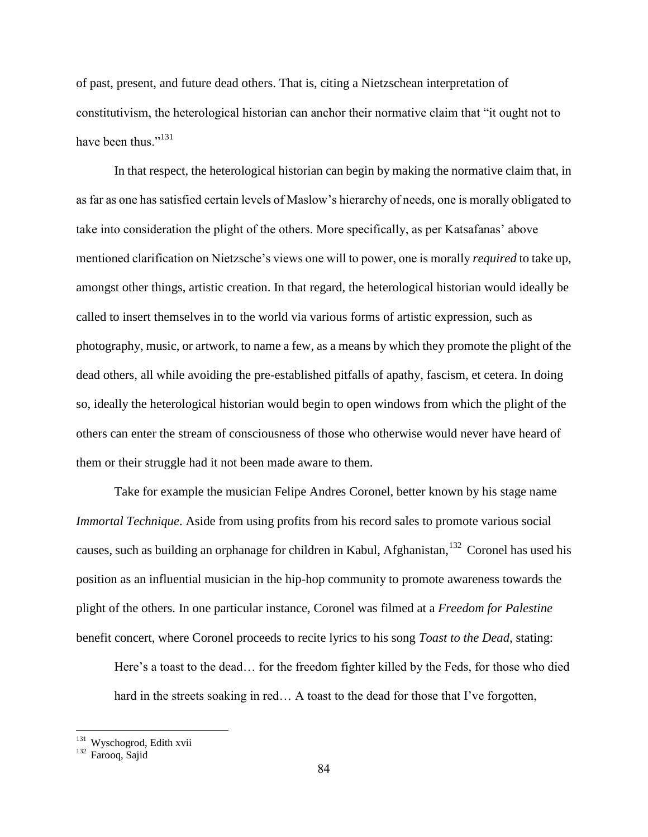of past, present, and future dead others. That is, citing a Nietzschean interpretation of constitutivism, the heterological historian can anchor their normative claim that "it ought not to have been thus  $\cdot$ <sup>131</sup>

In that respect, the heterological historian can begin by making the normative claim that, in as far as one has satisfied certain levels of Maslow's hierarchy of needs, one is morally obligated to take into consideration the plight of the others. More specifically, as per Katsafanas' above mentioned clarification on Nietzsche's views one will to power, one is morally *required* to take up, amongst other things, artistic creation. In that regard, the heterological historian would ideally be called to insert themselves in to the world via various forms of artistic expression, such as photography, music, or artwork, to name a few, as a means by which they promote the plight of the dead others, all while avoiding the pre-established pitfalls of apathy, fascism, et cetera. In doing so, ideally the heterological historian would begin to open windows from which the plight of the others can enter the stream of consciousness of those who otherwise would never have heard of them or their struggle had it not been made aware to them.

Take for example the musician Felipe Andres Coronel, better known by his stage name *Immortal Technique*. Aside from using profits from his record sales to promote various social causes, such as building an orphanage for children in Kabul, Afghanistan,<sup>132</sup> Coronel has used his position as an influential musician in the hip-hop community to promote awareness towards the plight of the others. In one particular instance, Coronel was filmed at a *Freedom for Palestine* benefit concert, where Coronel proceeds to recite lyrics to his song *Toast to the Dead*, stating:

Here's a toast to the dead… for the freedom fighter killed by the Feds, for those who died hard in the streets soaking in red... A toast to the dead for those that I've forgotten,

<sup>&</sup>lt;sup>131</sup> Wyschogrod, Edith xvii

<sup>&</sup>lt;sup>132</sup> Farooq, Sajid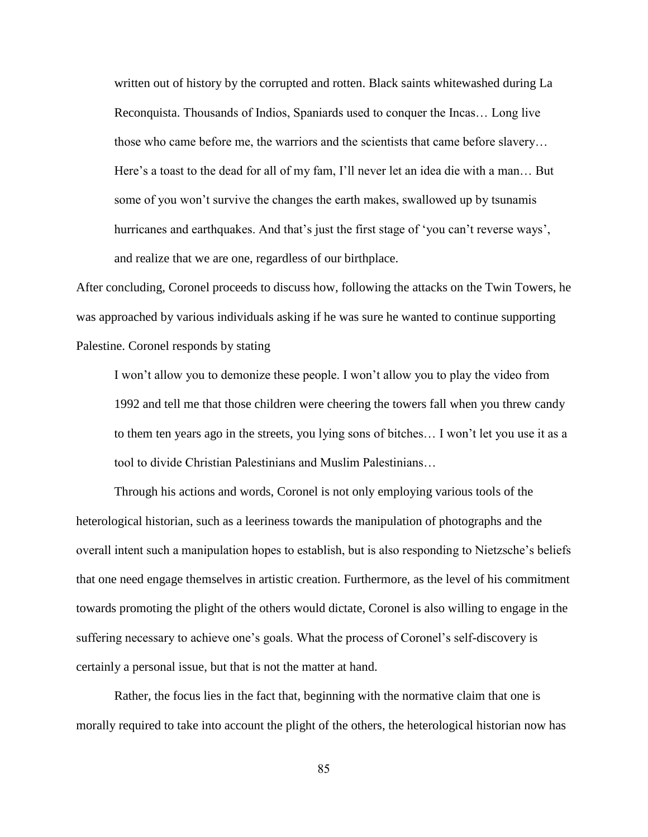written out of history by the corrupted and rotten. Black saints whitewashed during La Reconquista. Thousands of Indios, Spaniards used to conquer the Incas… Long live those who came before me, the warriors and the scientists that came before slavery… Here's a toast to the dead for all of my fam, I'll never let an idea die with a man… But some of you won't survive the changes the earth makes, swallowed up by tsunamis hurricanes and earthquakes. And that's just the first stage of 'you can't reverse ways', and realize that we are one, regardless of our birthplace.

After concluding, Coronel proceeds to discuss how, following the attacks on the Twin Towers, he was approached by various individuals asking if he was sure he wanted to continue supporting Palestine. Coronel responds by stating

I won't allow you to demonize these people. I won't allow you to play the video from 1992 and tell me that those children were cheering the towers fall when you threw candy to them ten years ago in the streets, you lying sons of bitches… I won't let you use it as a tool to divide Christian Palestinians and Muslim Palestinians…

Through his actions and words, Coronel is not only employing various tools of the heterological historian, such as a leeriness towards the manipulation of photographs and the overall intent such a manipulation hopes to establish, but is also responding to Nietzsche's beliefs that one need engage themselves in artistic creation. Furthermore, as the level of his commitment towards promoting the plight of the others would dictate, Coronel is also willing to engage in the suffering necessary to achieve one's goals. What the process of Coronel's self-discovery is certainly a personal issue, but that is not the matter at hand.

Rather, the focus lies in the fact that, beginning with the normative claim that one is morally required to take into account the plight of the others, the heterological historian now has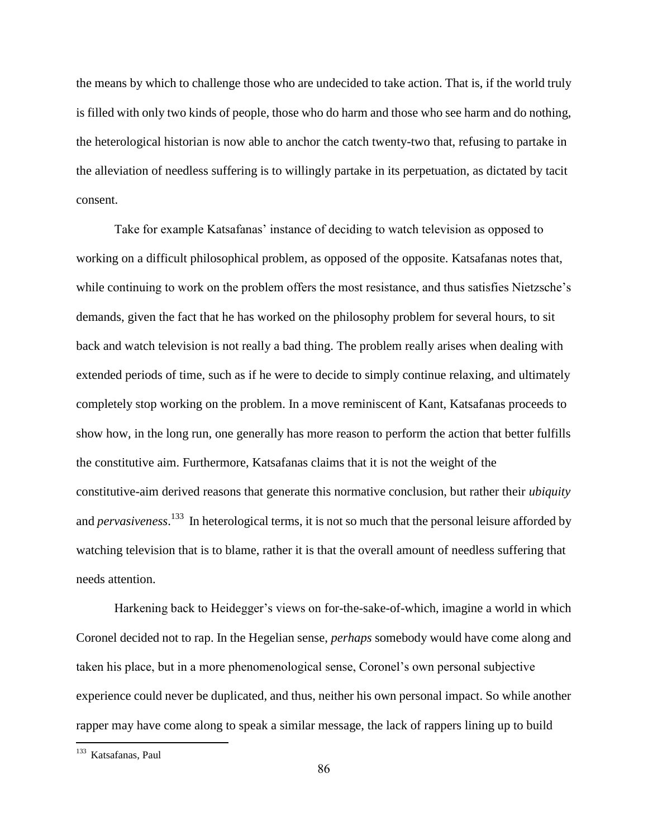the means by which to challenge those who are undecided to take action. That is, if the world truly is filled with only two kinds of people, those who do harm and those who see harm and do nothing, the heterological historian is now able to anchor the catch twenty-two that, refusing to partake in the alleviation of needless suffering is to willingly partake in its perpetuation, as dictated by tacit consent.

Take for example Katsafanas' instance of deciding to watch television as opposed to working on a difficult philosophical problem, as opposed of the opposite. Katsafanas notes that, while continuing to work on the problem offers the most resistance, and thus satisfies Nietzsche's demands, given the fact that he has worked on the philosophy problem for several hours, to sit back and watch television is not really a bad thing. The problem really arises when dealing with extended periods of time, such as if he were to decide to simply continue relaxing, and ultimately completely stop working on the problem. In a move reminiscent of Kant, Katsafanas proceeds to show how, in the long run, one generally has more reason to perform the action that better fulfills the constitutive aim. Furthermore, Katsafanas claims that it is not the weight of the constitutive-aim derived reasons that generate this normative conclusion, but rather their *ubiquity*  and *pervasiveness*. <sup>133</sup> In heterological terms, it is not so much that the personal leisure afforded by watching television that is to blame, rather it is that the overall amount of needless suffering that needs attention.

Harkening back to Heidegger's views on for-the-sake-of-which, imagine a world in which Coronel decided not to rap. In the Hegelian sense, *perhaps* somebody would have come along and taken his place, but in a more phenomenological sense, Coronel's own personal subjective experience could never be duplicated, and thus, neither his own personal impact. So while another rapper may have come along to speak a similar message, the lack of rappers lining up to build

<sup>&</sup>lt;sup>133</sup> Katsafanas, Paul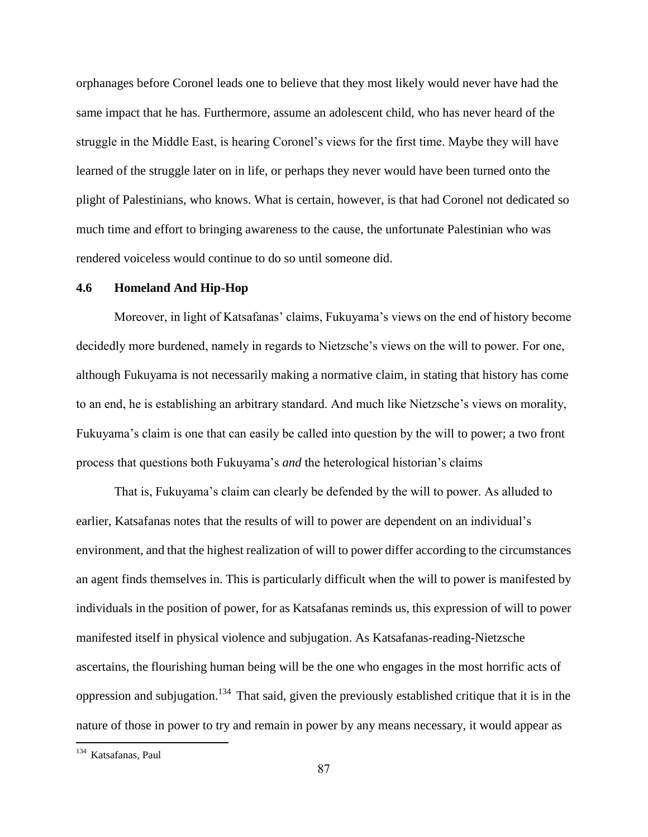orphanages before Coronel leads one to believe that they most likely would never have had the same impact that he has. Furthermore, assume an adolescent child, who has never heard of the struggle in the Middle East, is hearing Coronel's views for the first time. Maybe they will have learned of the struggle later on in life, or perhaps they never would have been turned onto the plight of Palestinians, who knows. What is certain, however, is that had Coronel not dedicated so much time and effort to bringing awareness to the cause, the unfortunate Palestinian who was rendered voiceless would continue to do so until someone did.

#### **4.6 Homeland And Hip-Hop**

Moreover, in light of Katsafanas' claims, Fukuyama's views on the end of history become decidedly more burdened, namely in regards to Nietzsche's views on the will to power. For one, although Fukuyama is not necessarily making a normative claim, in stating that history has come to an end, he is establishing an arbitrary standard. And much like Nietzsche's views on morality, Fukuyama's claim is one that can easily be called into question by the will to power; a two front process that questions both Fukuyama's *and* the heterological historian's claims

That is, Fukuyama's claim can clearly be defended by the will to power. As alluded to earlier, Katsafanas notes that the results of will to power are dependent on an individual's environment, and that the highest realization of will to power differ according to the circumstances an agent finds themselves in. This is particularly difficult when the will to power is manifested by individuals in the position of power, for as Katsafanas reminds us, this expression of will to power manifested itself in physical violence and subjugation. As Katsafanas-reading-Nietzsche ascertains, the flourishing human being will be the one who engages in the most horrific acts of oppression and subjugation.<sup>134</sup> That said, given the previously established critique that it is in the nature of those in power to try and remain in power by any means necessary, it would appear as

<sup>&</sup>lt;sup>134</sup> Katsafanas, Paul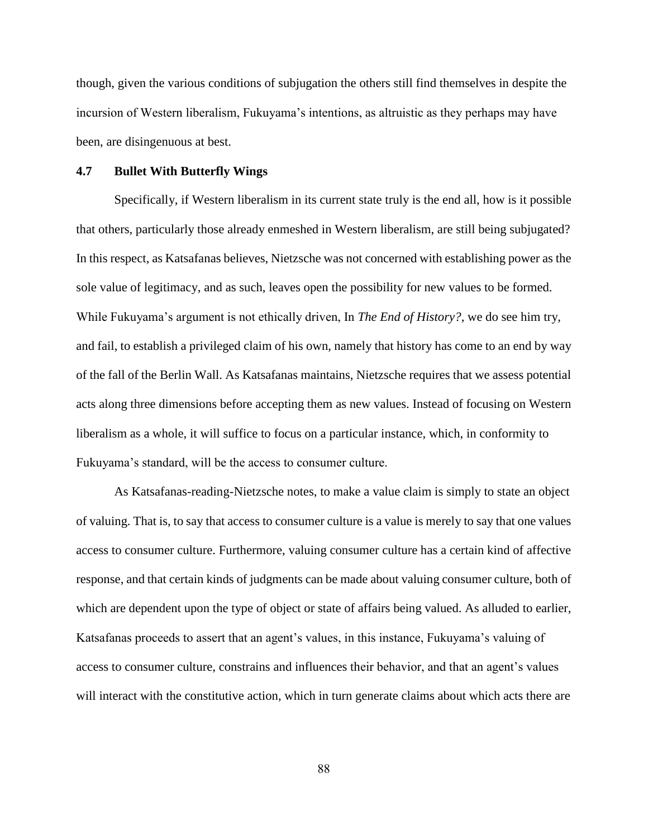though, given the various conditions of subjugation the others still find themselves in despite the incursion of Western liberalism, Fukuyama's intentions, as altruistic as they perhaps may have been, are disingenuous at best.

#### **4.7 Bullet With Butterfly Wings**

Specifically, if Western liberalism in its current state truly is the end all, how is it possible that others, particularly those already enmeshed in Western liberalism, are still being subjugated? In this respect, as Katsafanas believes, Nietzsche was not concerned with establishing power as the sole value of legitimacy, and as such, leaves open the possibility for new values to be formed. While Fukuyama's argument is not ethically driven, In *The End of History?*, we do see him try, and fail, to establish a privileged claim of his own, namely that history has come to an end by way of the fall of the Berlin Wall. As Katsafanas maintains, Nietzsche requires that we assess potential acts along three dimensions before accepting them as new values. Instead of focusing on Western liberalism as a whole, it will suffice to focus on a particular instance, which, in conformity to Fukuyama's standard, will be the access to consumer culture.

As Katsafanas-reading-Nietzsche notes, to make a value claim is simply to state an object of valuing. That is, to say that access to consumer culture is a value is merely to say that one values access to consumer culture. Furthermore, valuing consumer culture has a certain kind of affective response, and that certain kinds of judgments can be made about valuing consumer culture, both of which are dependent upon the type of object or state of affairs being valued. As alluded to earlier, Katsafanas proceeds to assert that an agent's values, in this instance, Fukuyama's valuing of access to consumer culture, constrains and influences their behavior, and that an agent's values will interact with the constitutive action, which in turn generate claims about which acts there are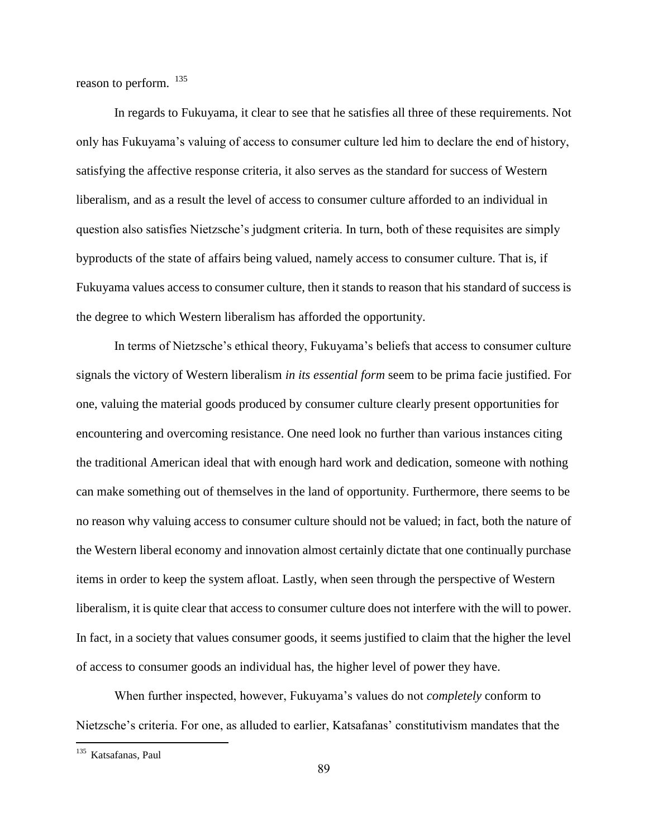reason to perform. <sup>135</sup>

In regards to Fukuyama, it clear to see that he satisfies all three of these requirements. Not only has Fukuyama's valuing of access to consumer culture led him to declare the end of history, satisfying the affective response criteria, it also serves as the standard for success of Western liberalism, and as a result the level of access to consumer culture afforded to an individual in question also satisfies Nietzsche's judgment criteria. In turn, both of these requisites are simply byproducts of the state of affairs being valued, namely access to consumer culture. That is, if Fukuyama values access to consumer culture, then it stands to reason that his standard of success is the degree to which Western liberalism has afforded the opportunity.

In terms of Nietzsche's ethical theory, Fukuyama's beliefs that access to consumer culture signals the victory of Western liberalism *in its essential form* seem to be prima facie justified. For one, valuing the material goods produced by consumer culture clearly present opportunities for encountering and overcoming resistance. One need look no further than various instances citing the traditional American ideal that with enough hard work and dedication, someone with nothing can make something out of themselves in the land of opportunity. Furthermore, there seems to be no reason why valuing access to consumer culture should not be valued; in fact, both the nature of the Western liberal economy and innovation almost certainly dictate that one continually purchase items in order to keep the system afloat. Lastly, when seen through the perspective of Western liberalism, it is quite clear that access to consumer culture does not interfere with the will to power. In fact, in a society that values consumer goods, it seems justified to claim that the higher the level of access to consumer goods an individual has, the higher level of power they have.

When further inspected, however, Fukuyama's values do not *completely* conform to Nietzsche's criteria. For one, as alluded to earlier, Katsafanas' constitutivism mandates that the

<sup>&</sup>lt;sup>135</sup> Katsafanas, Paul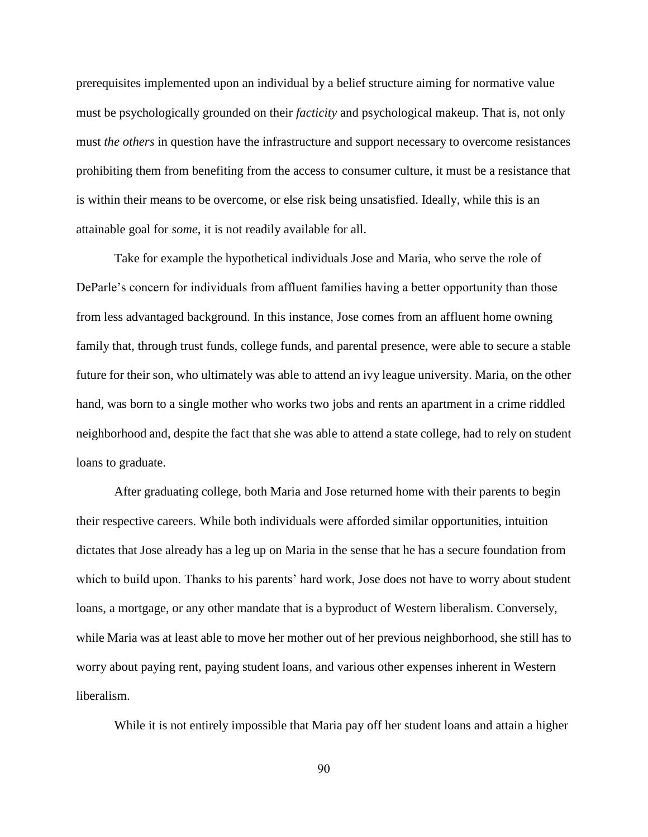prerequisites implemented upon an individual by a belief structure aiming for normative value must be psychologically grounded on their *facticity* and psychological makeup. That is, not only must *the others* in question have the infrastructure and support necessary to overcome resistances prohibiting them from benefiting from the access to consumer culture, it must be a resistance that is within their means to be overcome, or else risk being unsatisfied. Ideally, while this is an attainable goal for *some*, it is not readily available for all.

Take for example the hypothetical individuals Jose and Maria, who serve the role of DeParle's concern for individuals from affluent families having a better opportunity than those from less advantaged background. In this instance, Jose comes from an affluent home owning family that, through trust funds, college funds, and parental presence, were able to secure a stable future for their son, who ultimately was able to attend an ivy league university. Maria, on the other hand, was born to a single mother who works two jobs and rents an apartment in a crime riddled neighborhood and, despite the fact that she was able to attend a state college, had to rely on student loans to graduate.

After graduating college, both Maria and Jose returned home with their parents to begin their respective careers. While both individuals were afforded similar opportunities, intuition dictates that Jose already has a leg up on Maria in the sense that he has a secure foundation from which to build upon. Thanks to his parents' hard work, Jose does not have to worry about student loans, a mortgage, or any other mandate that is a byproduct of Western liberalism. Conversely, while Maria was at least able to move her mother out of her previous neighborhood, she still has to worry about paying rent, paying student loans, and various other expenses inherent in Western liberalism.

While it is not entirely impossible that Maria pay off her student loans and attain a higher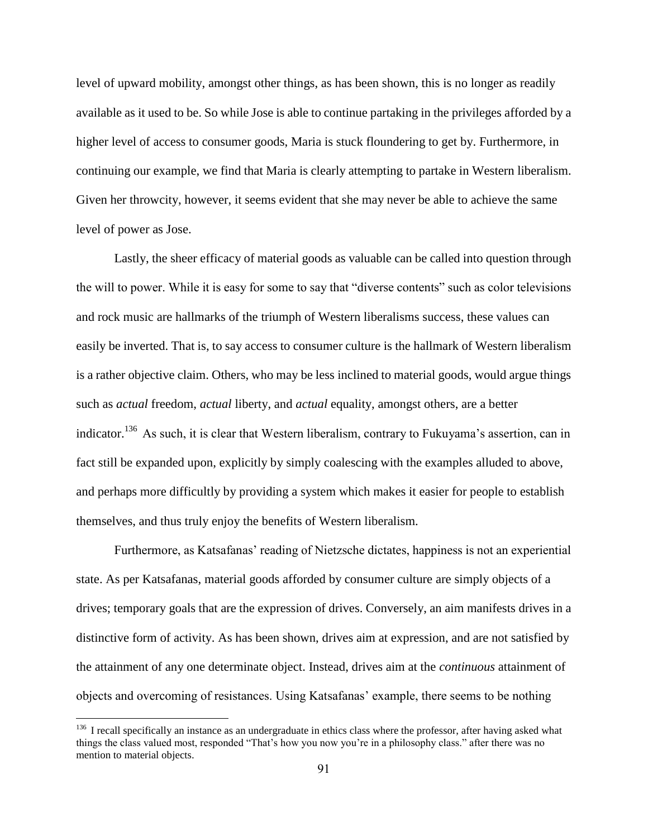level of upward mobility, amongst other things, as has been shown, this is no longer as readily available as it used to be. So while Jose is able to continue partaking in the privileges afforded by a higher level of access to consumer goods, Maria is stuck floundering to get by. Furthermore, in continuing our example, we find that Maria is clearly attempting to partake in Western liberalism. Given her throwcity, however, it seems evident that she may never be able to achieve the same level of power as Jose.

Lastly, the sheer efficacy of material goods as valuable can be called into question through the will to power. While it is easy for some to say that "diverse contents" such as color televisions and rock music are hallmarks of the triumph of Western liberalisms success, these values can easily be inverted. That is, to say access to consumer culture is the hallmark of Western liberalism is a rather objective claim. Others, who may be less inclined to material goods, would argue things such as *actual* freedom, *actual* liberty, and *actual* equality, amongst others, are a better indicator.<sup>136</sup> As such, it is clear that Western liberalism, contrary to Fukuyama's assertion, can in fact still be expanded upon, explicitly by simply coalescing with the examples alluded to above, and perhaps more difficultly by providing a system which makes it easier for people to establish themselves, and thus truly enjoy the benefits of Western liberalism.

Furthermore, as Katsafanas' reading of Nietzsche dictates, happiness is not an experiential state. As per Katsafanas, material goods afforded by consumer culture are simply objects of a drives; temporary goals that are the expression of drives. Conversely, an aim manifests drives in a distinctive form of activity. As has been shown, drives aim at expression, and are not satisfied by the attainment of any one determinate object. Instead, drives aim at the *continuous* attainment of objects and overcoming of resistances. Using Katsafanas' example, there seems to be nothing

 $136$  I recall specifically an instance as an undergraduate in ethics class where the professor, after having asked what things the class valued most, responded "That's how you now you're in a philosophy class." after there was no mention to material objects.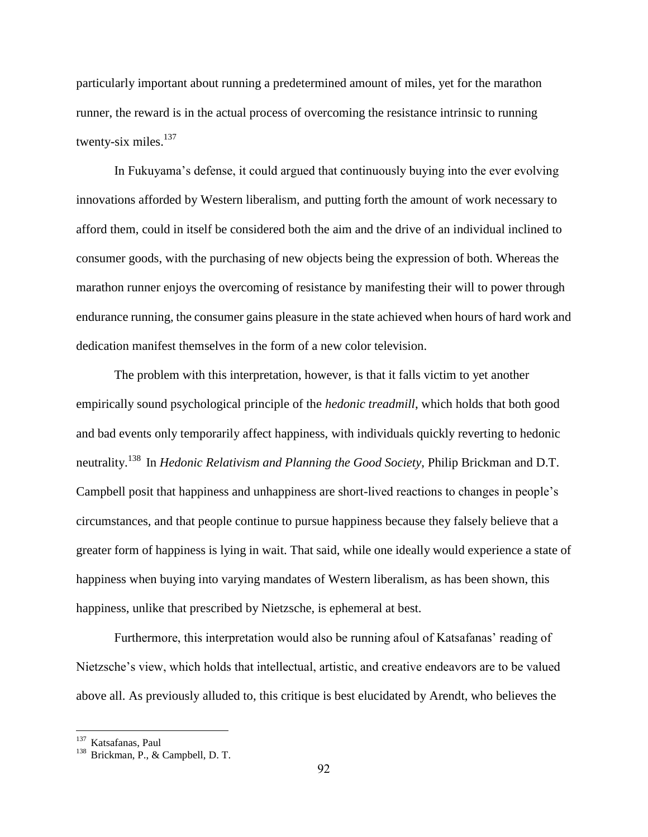particularly important about running a predetermined amount of miles, yet for the marathon runner, the reward is in the actual process of overcoming the resistance intrinsic to running twenty-six miles. $137$ 

In Fukuyama's defense, it could argued that continuously buying into the ever evolving innovations afforded by Western liberalism, and putting forth the amount of work necessary to afford them, could in itself be considered both the aim and the drive of an individual inclined to consumer goods, with the purchasing of new objects being the expression of both. Whereas the marathon runner enjoys the overcoming of resistance by manifesting their will to power through endurance running, the consumer gains pleasure in the state achieved when hours of hard work and dedication manifest themselves in the form of a new color television.

The problem with this interpretation, however, is that it falls victim to yet another empirically sound psychological principle of the *hedonic treadmill*, which holds that both good and bad events only temporarily affect happiness, with individuals quickly reverting to hedonic neutrality.<sup>138</sup> In *Hedonic Relativism and Planning the Good Society*, Philip Brickman and D.T. Campbell posit that happiness and unhappiness are short-lived reactions to changes in people's circumstances, and that people continue to pursue happiness because they falsely believe that a greater form of happiness is lying in wait. That said, while one ideally would experience a state of happiness when buying into varying mandates of Western liberalism, as has been shown, this happiness, unlike that prescribed by Nietzsche, is ephemeral at best.

Furthermore, this interpretation would also be running afoul of Katsafanas' reading of Nietzsche's view, which holds that intellectual, artistic, and creative endeavors are to be valued above all. As previously alluded to, this critique is best elucidated by Arendt, who believes the

<sup>&</sup>lt;sup>137</sup> Katsafanas, Paul

<sup>138</sup> Brickman, P., & Campbell, D. T.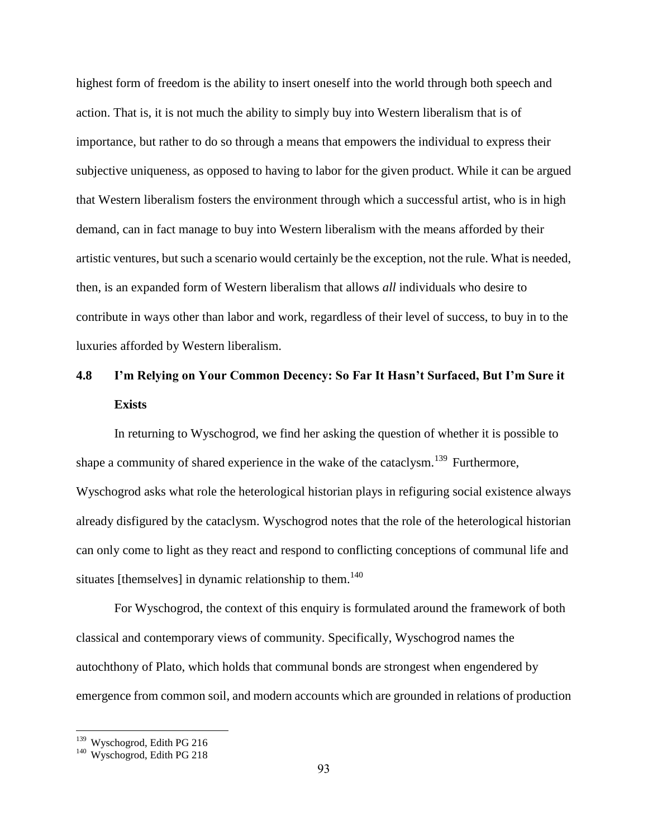highest form of freedom is the ability to insert oneself into the world through both speech and action. That is, it is not much the ability to simply buy into Western liberalism that is of importance, but rather to do so through a means that empowers the individual to express their subjective uniqueness, as opposed to having to labor for the given product. While it can be argued that Western liberalism fosters the environment through which a successful artist, who is in high demand, can in fact manage to buy into Western liberalism with the means afforded by their artistic ventures, but such a scenario would certainly be the exception, not the rule. What is needed, then, is an expanded form of Western liberalism that allows *all* individuals who desire to contribute in ways other than labor and work, regardless of their level of success, to buy in to the luxuries afforded by Western liberalism.

# **4.8 I'm Relying on Your Common Decency: So Far It Hasn't Surfaced, But I'm Sure it Exists**

In returning to Wyschogrod, we find her asking the question of whether it is possible to shape a community of shared experience in the wake of the cataclysm.<sup>139</sup> Furthermore, Wyschogrod asks what role the heterological historian plays in refiguring social existence always already disfigured by the cataclysm. Wyschogrod notes that the role of the heterological historian can only come to light as they react and respond to conflicting conceptions of communal life and situates [themselves] in dynamic relationship to them. $140$ 

For Wyschogrod, the context of this enquiry is formulated around the framework of both classical and contemporary views of community. Specifically, Wyschogrod names the autochthony of Plato, which holds that communal bonds are strongest when engendered by emergence from common soil, and modern accounts which are grounded in relations of production

<sup>139</sup> Wyschogrod, Edith PG 216

<sup>&</sup>lt;sup>140</sup> Wyschogrod, Edith PG 218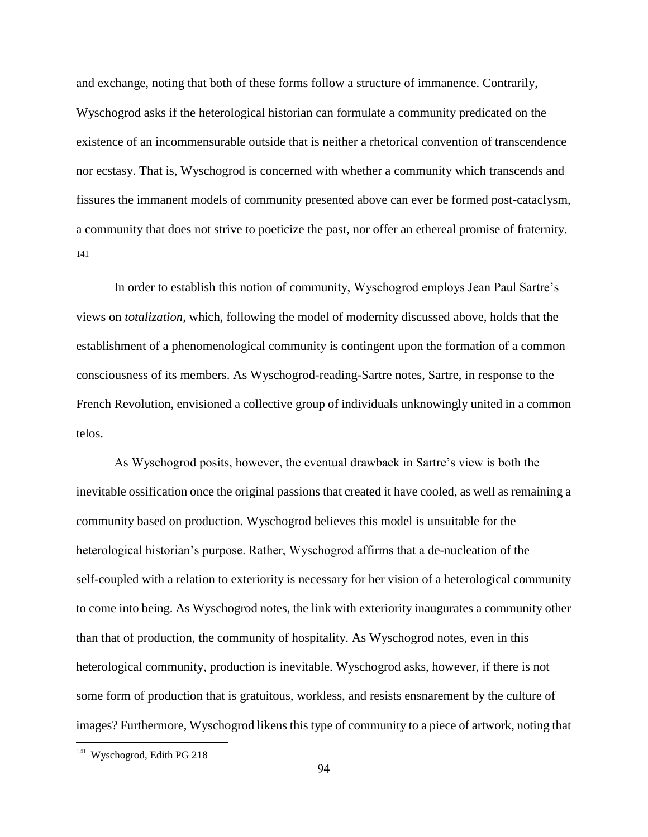and exchange, noting that both of these forms follow a structure of immanence. Contrarily, Wyschogrod asks if the heterological historian can formulate a community predicated on the existence of an incommensurable outside that is neither a rhetorical convention of transcendence nor ecstasy. That is, Wyschogrod is concerned with whether a community which transcends and fissures the immanent models of community presented above can ever be formed post-cataclysm, a community that does not strive to poeticize the past, nor offer an ethereal promise of fraternity. 141

In order to establish this notion of community, Wyschogrod employs Jean Paul Sartre's views on *totalization*, which, following the model of modernity discussed above, holds that the establishment of a phenomenological community is contingent upon the formation of a common consciousness of its members. As Wyschogrod-reading-Sartre notes, Sartre, in response to the French Revolution, envisioned a collective group of individuals unknowingly united in a common telos.

As Wyschogrod posits, however, the eventual drawback in Sartre's view is both the inevitable ossification once the original passions that created it have cooled, as well as remaining a community based on production. Wyschogrod believes this model is unsuitable for the heterological historian's purpose. Rather, Wyschogrod affirms that a de-nucleation of the self-coupled with a relation to exteriority is necessary for her vision of a heterological community to come into being. As Wyschogrod notes, the link with exteriority inaugurates a community other than that of production, the community of hospitality. As Wyschogrod notes, even in this heterological community, production is inevitable. Wyschogrod asks, however, if there is not some form of production that is gratuitous, workless, and resists ensnarement by the culture of images? Furthermore, Wyschogrod likens this type of community to a piece of artwork, noting that

<sup>&</sup>lt;sup>141</sup> Wyschogrod, Edith PG 218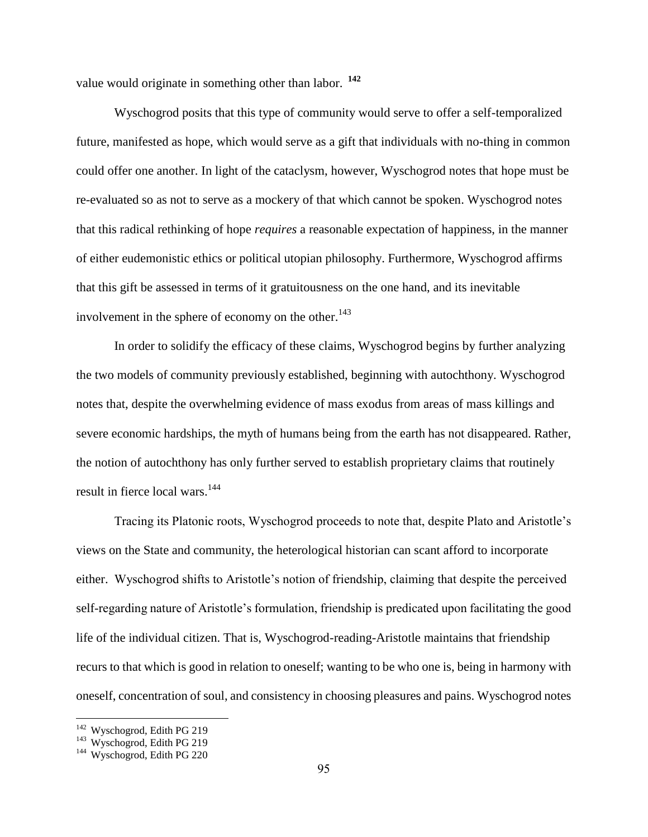value would originate in something other than labor. **<sup>142</sup>**

Wyschogrod posits that this type of community would serve to offer a self-temporalized future, manifested as hope, which would serve as a gift that individuals with no-thing in common could offer one another. In light of the cataclysm, however, Wyschogrod notes that hope must be re-evaluated so as not to serve as a mockery of that which cannot be spoken. Wyschogrod notes that this radical rethinking of hope *requires* a reasonable expectation of happiness, in the manner of either eudemonistic ethics or political utopian philosophy. Furthermore, Wyschogrod affirms that this gift be assessed in terms of it gratuitousness on the one hand, and its inevitable involvement in the sphere of economy on the other.<sup>143</sup>

In order to solidify the efficacy of these claims, Wyschogrod begins by further analyzing the two models of community previously established, beginning with autochthony. Wyschogrod notes that, despite the overwhelming evidence of mass exodus from areas of mass killings and severe economic hardships, the myth of humans being from the earth has not disappeared. Rather, the notion of autochthony has only further served to establish proprietary claims that routinely result in fierce local wars.<sup>144</sup>

Tracing its Platonic roots, Wyschogrod proceeds to note that, despite Plato and Aristotle's views on the State and community, the heterological historian can scant afford to incorporate either. Wyschogrod shifts to Aristotle's notion of friendship, claiming that despite the perceived self-regarding nature of Aristotle's formulation, friendship is predicated upon facilitating the good life of the individual citizen. That is, Wyschogrod-reading-Aristotle maintains that friendship recurs to that which is good in relation to oneself; wanting to be who one is, being in harmony with oneself, concentration of soul, and consistency in choosing pleasures and pains. Wyschogrod notes

<sup>&</sup>lt;sup>142</sup> Wyschogrod, Edith PG 219

<sup>&</sup>lt;sup>143</sup> Wyschogrod, Edith PG 219

<sup>&</sup>lt;sup>144</sup> Wyschogrod, Edith PG 220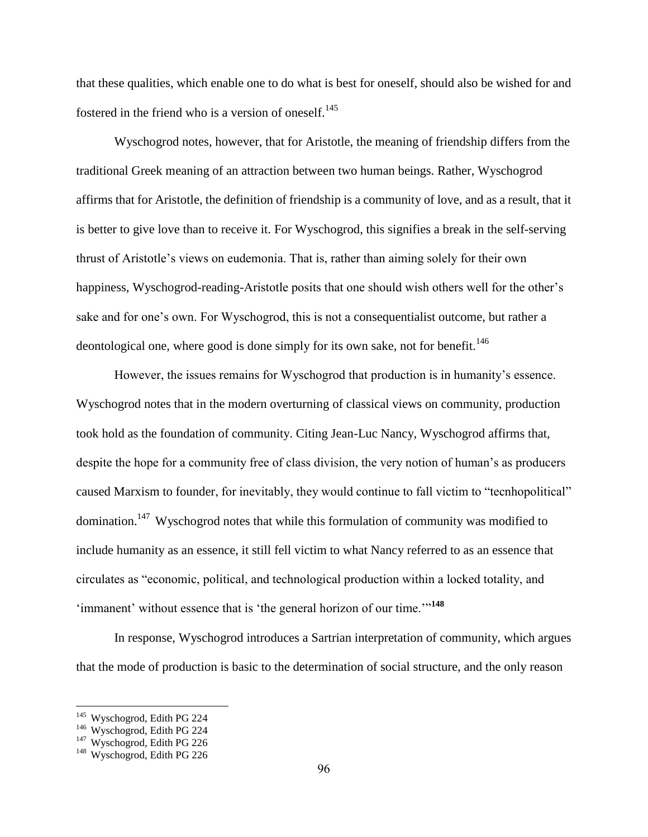that these qualities, which enable one to do what is best for oneself, should also be wished for and fostered in the friend who is a version of oneself. $145$ 

Wyschogrod notes, however, that for Aristotle, the meaning of friendship differs from the traditional Greek meaning of an attraction between two human beings. Rather, Wyschogrod affirms that for Aristotle, the definition of friendship is a community of love, and as a result, that it is better to give love than to receive it. For Wyschogrod, this signifies a break in the self-serving thrust of Aristotle's views on eudemonia. That is, rather than aiming solely for their own happiness, Wyschogrod-reading-Aristotle posits that one should wish others well for the other's sake and for one's own. For Wyschogrod, this is not a consequentialist outcome, but rather a deontological one, where good is done simply for its own sake, not for benefit.<sup>146</sup>

However, the issues remains for Wyschogrod that production is in humanity's essence. Wyschogrod notes that in the modern overturning of classical views on community, production took hold as the foundation of community. Citing Jean-Luc Nancy, Wyschogrod affirms that, despite the hope for a community free of class division, the very notion of human's as producers caused Marxism to founder, for inevitably, they would continue to fall victim to "tecnhopolitical" domination.<sup>147</sup> Wyschogrod notes that while this formulation of community was modified to include humanity as an essence, it still fell victim to what Nancy referred to as an essence that circulates as "economic, political, and technological production within a locked totality, and 'immanent' without essence that is 'the general horizon of our time.'"**<sup>148</sup>**

In response, Wyschogrod introduces a Sartrian interpretation of community, which argues that the mode of production is basic to the determination of social structure, and the only reason

<sup>145</sup> Wyschogrod, Edith PG 224

<sup>146</sup> Wyschogrod, Edith PG 224

<sup>147</sup> Wyschogrod, Edith PG 226

<sup>148</sup> Wyschogrod, Edith PG 226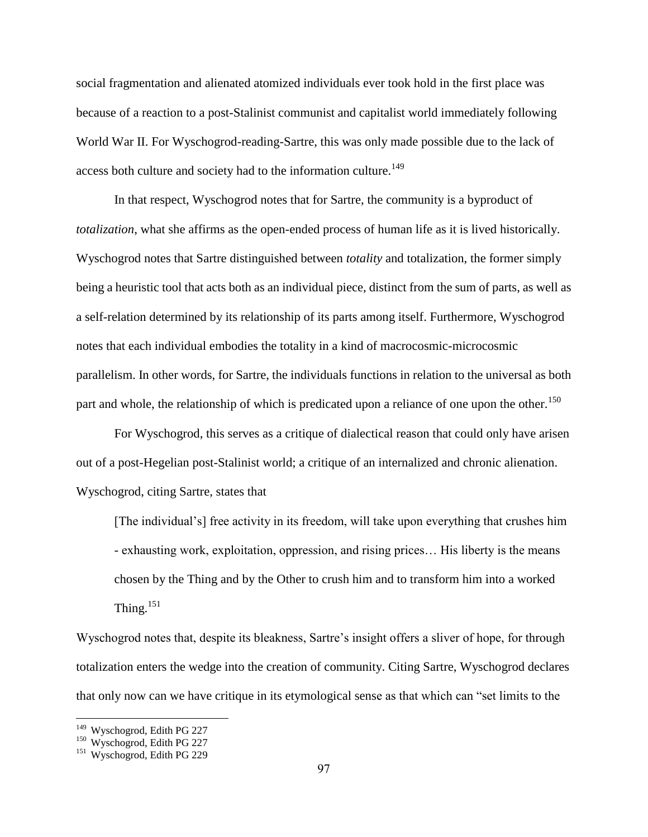social fragmentation and alienated atomized individuals ever took hold in the first place was because of a reaction to a post-Stalinist communist and capitalist world immediately following World War II. For Wyschogrod-reading-Sartre, this was only made possible due to the lack of access both culture and society had to the information culture.<sup>149</sup>

In that respect, Wyschogrod notes that for Sartre, the community is a byproduct of *totalization*, what she affirms as the open-ended process of human life as it is lived historically. Wyschogrod notes that Sartre distinguished between *totality* and totalization, the former simply being a heuristic tool that acts both as an individual piece, distinct from the sum of parts, as well as a self-relation determined by its relationship of its parts among itself. Furthermore, Wyschogrod notes that each individual embodies the totality in a kind of macrocosmic-microcosmic parallelism. In other words, for Sartre, the individuals functions in relation to the universal as both part and whole, the relationship of which is predicated upon a reliance of one upon the other.<sup>150</sup>

For Wyschogrod, this serves as a critique of dialectical reason that could only have arisen out of a post-Hegelian post-Stalinist world; a critique of an internalized and chronic alienation. Wyschogrod, citing Sartre, states that

[The individual's] free activity in its freedom, will take upon everything that crushes him - exhausting work, exploitation, oppression, and rising prices… His liberty is the means chosen by the Thing and by the Other to crush him and to transform him into a worked Thing. $151$ 

Wyschogrod notes that, despite its bleakness, Sartre's insight offers a sliver of hope, for through totalization enters the wedge into the creation of community. Citing Sartre, Wyschogrod declares that only now can we have critique in its etymological sense as that which can "set limits to the

<sup>149</sup> Wyschogrod, Edith PG 227

<sup>&</sup>lt;sup>150</sup> Wyschogrod, Edith PG 227

<sup>&</sup>lt;sup>151</sup> Wyschogrod, Edith PG 229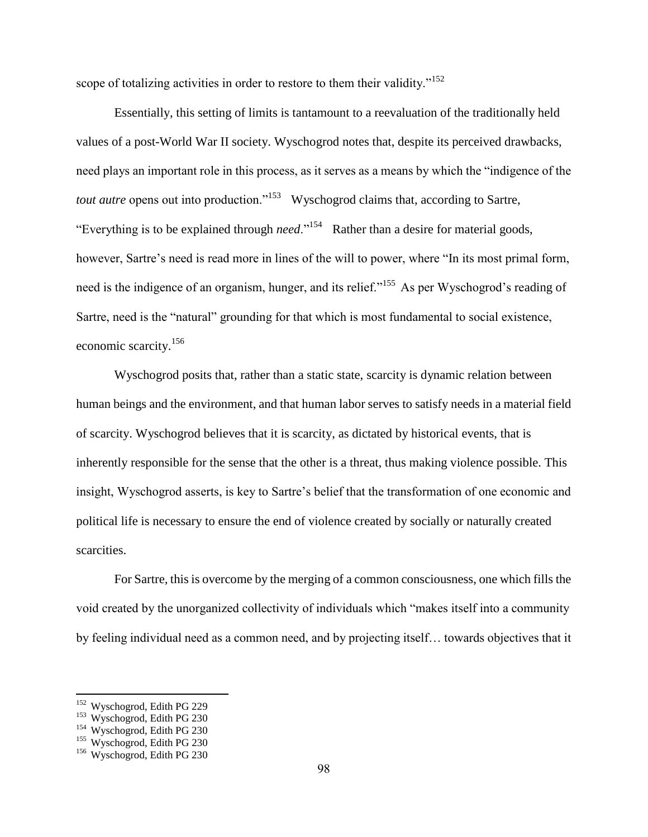scope of totalizing activities in order to restore to them their validity."<sup>152</sup>

Essentially, this setting of limits is tantamount to a reevaluation of the traditionally held values of a post-World War II society. Wyschogrod notes that, despite its perceived drawbacks, need plays an important role in this process, as it serves as a means by which the "indigence of the *tout autre* opens out into production."<sup>153</sup> Wyschogrod claims that, according to Sartre, "Everything is to be explained through *need*."<sup>154</sup> Rather than a desire for material goods, however, Sartre's need is read more in lines of the will to power, where "In its most primal form, need is the indigence of an organism, hunger, and its relief."<sup>155</sup> As per Wyschogrod's reading of Sartre, need is the "natural" grounding for that which is most fundamental to social existence, economic scarcity.<sup>156</sup>

Wyschogrod posits that, rather than a static state, scarcity is dynamic relation between human beings and the environment, and that human labor serves to satisfy needs in a material field of scarcity. Wyschogrod believes that it is scarcity, as dictated by historical events, that is inherently responsible for the sense that the other is a threat, thus making violence possible. This insight, Wyschogrod asserts, is key to Sartre's belief that the transformation of one economic and political life is necessary to ensure the end of violence created by socially or naturally created scarcities.

For Sartre, this is overcome by the merging of a common consciousness, one which fills the void created by the unorganized collectivity of individuals which "makes itself into a community by feeling individual need as a common need, and by projecting itself… towards objectives that it

<sup>&</sup>lt;sup>152</sup> Wyschogrod, Edith PG 229

<sup>153</sup> Wyschogrod, Edith PG 230

<sup>154</sup> Wyschogrod, Edith PG 230

<sup>155</sup> Wyschogrod, Edith PG 230

<sup>156</sup> Wyschogrod, Edith PG 230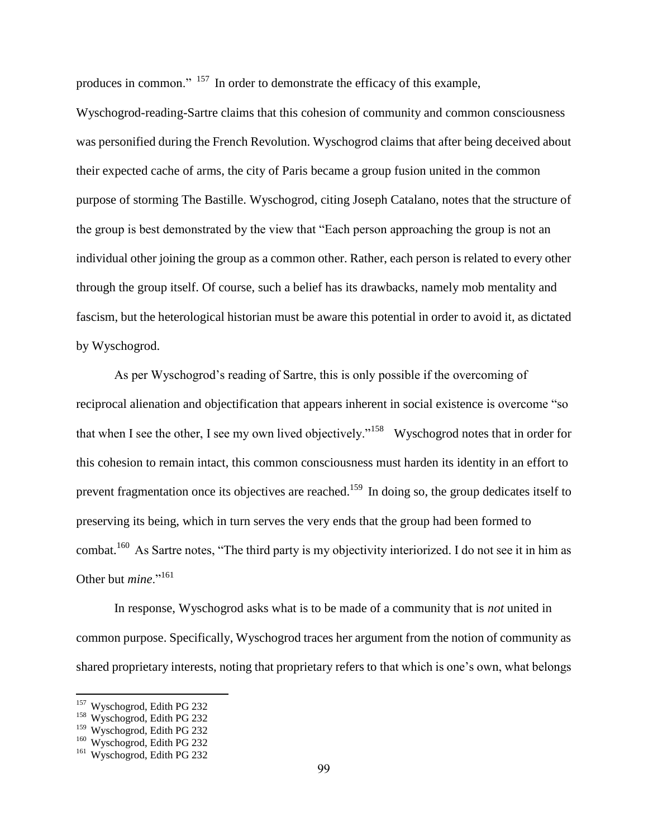produces in common." <sup>157</sup> In order to demonstrate the efficacy of this example,

Wyschogrod-reading-Sartre claims that this cohesion of community and common consciousness was personified during the French Revolution. Wyschogrod claims that after being deceived about their expected cache of arms, the city of Paris became a group fusion united in the common purpose of storming The Bastille. Wyschogrod, citing Joseph Catalano, notes that the structure of the group is best demonstrated by the view that "Each person approaching the group is not an individual other joining the group as a common other. Rather, each person is related to every other through the group itself. Of course, such a belief has its drawbacks, namely mob mentality and fascism, but the heterological historian must be aware this potential in order to avoid it, as dictated by Wyschogrod.

As per Wyschogrod's reading of Sartre, this is only possible if the overcoming of reciprocal alienation and objectification that appears inherent in social existence is overcome "so that when I see the other, I see my own lived objectively."<sup>158</sup> Wyschogrod notes that in order for this cohesion to remain intact, this common consciousness must harden its identity in an effort to prevent fragmentation once its objectives are reached.<sup>159</sup> In doing so, the group dedicates itself to preserving its being, which in turn serves the very ends that the group had been formed to combat.<sup>160</sup> As Sartre notes, "The third party is my objectivity interiorized. I do not see it in him as Other but *mine*."<sup>161</sup>

In response, Wyschogrod asks what is to be made of a community that is *not* united in common purpose. Specifically, Wyschogrod traces her argument from the notion of community as shared proprietary interests, noting that proprietary refers to that which is one's own, what belongs

<sup>&</sup>lt;sup>157</sup> Wyschogrod, Edith PG 232

<sup>158</sup> Wyschogrod, Edith PG 232

<sup>159</sup> Wyschogrod, Edith PG 232

<sup>&</sup>lt;sup>160</sup> Wyschogrod, Edith PG 232

<sup>&</sup>lt;sup>161</sup> Wyschogrod, Edith PG 232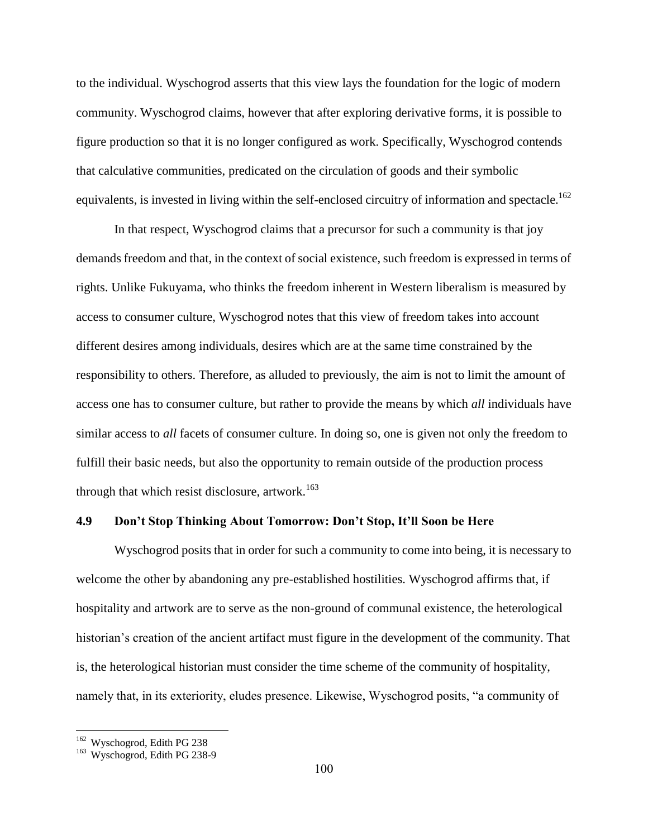to the individual. Wyschogrod asserts that this view lays the foundation for the logic of modern community. Wyschogrod claims, however that after exploring derivative forms, it is possible to figure production so that it is no longer configured as work. Specifically, Wyschogrod contends that calculative communities, predicated on the circulation of goods and their symbolic equivalents, is invested in living within the self-enclosed circuitry of information and spectacle.<sup>162</sup>

In that respect, Wyschogrod claims that a precursor for such a community is that joy demands freedom and that, in the context of social existence, such freedom is expressed in terms of rights. Unlike Fukuyama, who thinks the freedom inherent in Western liberalism is measured by access to consumer culture, Wyschogrod notes that this view of freedom takes into account different desires among individuals, desires which are at the same time constrained by the responsibility to others. Therefore, as alluded to previously, the aim is not to limit the amount of access one has to consumer culture, but rather to provide the means by which *all* individuals have similar access to *all* facets of consumer culture. In doing so, one is given not only the freedom to fulfill their basic needs, but also the opportunity to remain outside of the production process through that which resist disclosure, artwork.<sup>163</sup>

### **4.9 Don't Stop Thinking About Tomorrow: Don't Stop, It'll Soon be Here**

Wyschogrod posits that in order for such a community to come into being, it is necessary to welcome the other by abandoning any pre-established hostilities. Wyschogrod affirms that, if hospitality and artwork are to serve as the non-ground of communal existence, the heterological historian's creation of the ancient artifact must figure in the development of the community. That is, the heterological historian must consider the time scheme of the community of hospitality, namely that, in its exteriority, eludes presence. Likewise, Wyschogrod posits, "a community of

<sup>162</sup> Wyschogrod, Edith PG 238

<sup>163</sup> Wyschogrod, Edith PG 238-9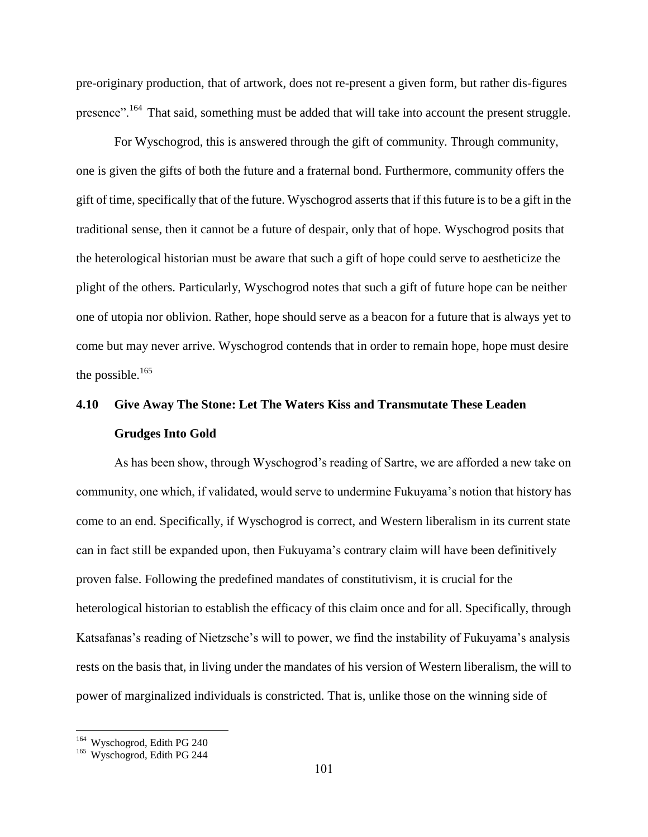pre-originary production, that of artwork, does not re-present a given form, but rather dis-figures presence".<sup>164</sup> That said, something must be added that will take into account the present struggle.

For Wyschogrod, this is answered through the gift of community. Through community, one is given the gifts of both the future and a fraternal bond. Furthermore, community offers the gift of time, specifically that of the future. Wyschogrod asserts that if this future is to be a gift in the traditional sense, then it cannot be a future of despair, only that of hope. Wyschogrod posits that the heterological historian must be aware that such a gift of hope could serve to aestheticize the plight of the others. Particularly, Wyschogrod notes that such a gift of future hope can be neither one of utopia nor oblivion. Rather, hope should serve as a beacon for a future that is always yet to come but may never arrive. Wyschogrod contends that in order to remain hope, hope must desire the possible. $165$ 

## **4.10 Give Away The Stone: Let The Waters Kiss and Transmutate These Leaden Grudges Into Gold**

As has been show, through Wyschogrod's reading of Sartre, we are afforded a new take on community, one which, if validated, would serve to undermine Fukuyama's notion that history has come to an end. Specifically, if Wyschogrod is correct, and Western liberalism in its current state can in fact still be expanded upon, then Fukuyama's contrary claim will have been definitively proven false. Following the predefined mandates of constitutivism, it is crucial for the heterological historian to establish the efficacy of this claim once and for all. Specifically, through Katsafanas's reading of Nietzsche's will to power, we find the instability of Fukuyama's analysis rests on the basis that, in living under the mandates of his version of Western liberalism, the will to power of marginalized individuals is constricted. That is, unlike those on the winning side of

<sup>164</sup> Wyschogrod, Edith PG 240

<sup>&</sup>lt;sup>165</sup> Wyschogrod, Edith PG 244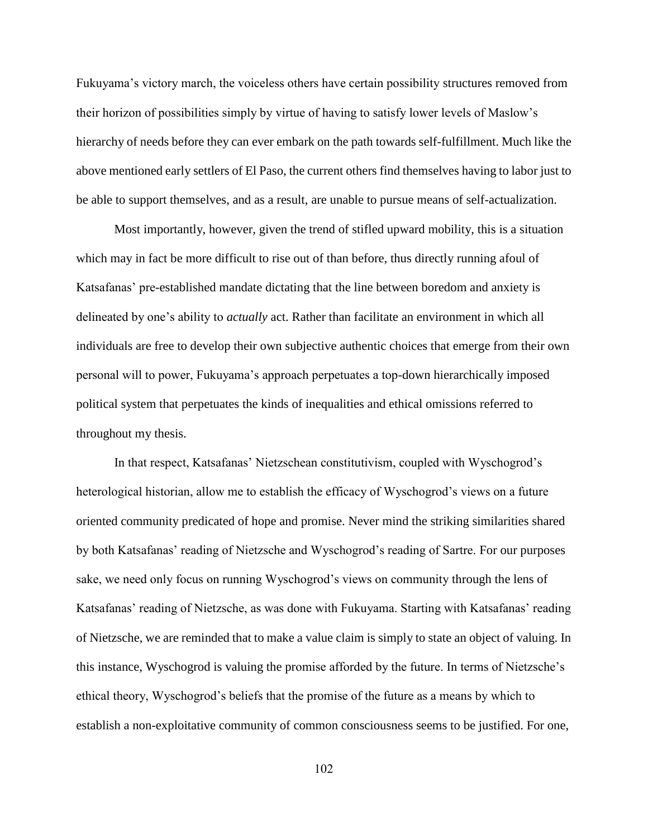Fukuyama's victory march, the voiceless others have certain possibility structures removed from their horizon of possibilities simply by virtue of having to satisfy lower levels of Maslow's hierarchy of needs before they can ever embark on the path towards self-fulfillment. Much like the above mentioned early settlers of El Paso, the current others find themselves having to labor just to be able to support themselves, and as a result, are unable to pursue means of self-actualization.

Most importantly, however, given the trend of stifled upward mobility, this is a situation which may in fact be more difficult to rise out of than before, thus directly running afoul of Katsafanas' pre-established mandate dictating that the line between boredom and anxiety is delineated by one's ability to *actually* act. Rather than facilitate an environment in which all individuals are free to develop their own subjective authentic choices that emerge from their own personal will to power, Fukuyama's approach perpetuates a top-down hierarchically imposed political system that perpetuates the kinds of inequalities and ethical omissions referred to throughout my thesis.

In that respect, Katsafanas' Nietzschean constitutivism, coupled with Wyschogrod's heterological historian, allow me to establish the efficacy of Wyschogrod's views on a future oriented community predicated of hope and promise. Never mind the striking similarities shared by both Katsafanas' reading of Nietzsche and Wyschogrod's reading of Sartre. For our purposes sake, we need only focus on running Wyschogrod's views on community through the lens of Katsafanas' reading of Nietzsche, as was done with Fukuyama. Starting with Katsafanas' reading of Nietzsche, we are reminded that to make a value claim is simply to state an object of valuing. In this instance, Wyschogrod is valuing the promise afforded by the future. In terms of Nietzsche's ethical theory, Wyschogrod's beliefs that the promise of the future as a means by which to establish a non-exploitative community of common consciousness seems to be justified. For one,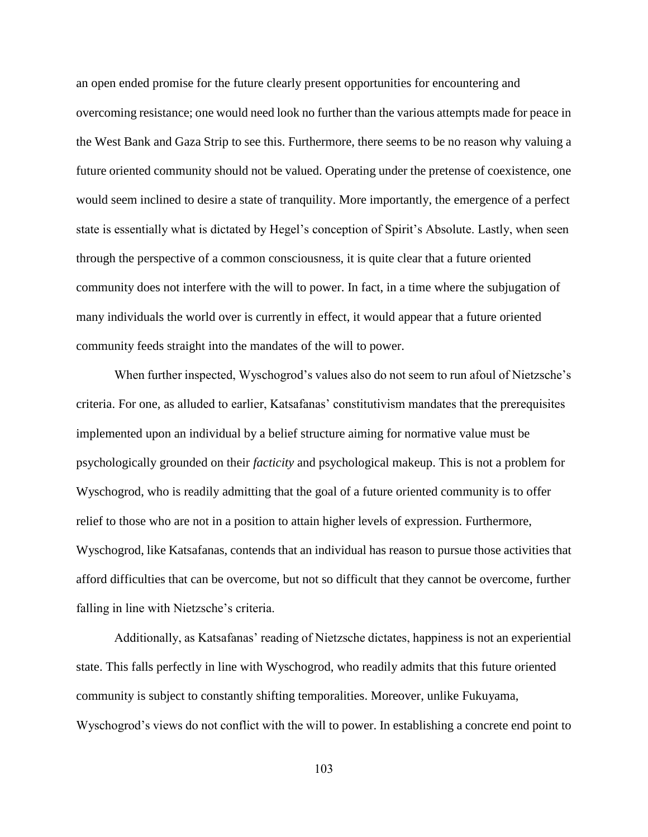an open ended promise for the future clearly present opportunities for encountering and overcoming resistance; one would need look no further than the various attempts made for peace in the West Bank and Gaza Strip to see this. Furthermore, there seems to be no reason why valuing a future oriented community should not be valued. Operating under the pretense of coexistence, one would seem inclined to desire a state of tranquility. More importantly, the emergence of a perfect state is essentially what is dictated by Hegel's conception of Spirit's Absolute. Lastly, when seen through the perspective of a common consciousness, it is quite clear that a future oriented community does not interfere with the will to power. In fact, in a time where the subjugation of many individuals the world over is currently in effect, it would appear that a future oriented community feeds straight into the mandates of the will to power.

When further inspected, Wyschogrod's values also do not seem to run afoul of Nietzsche's criteria. For one, as alluded to earlier, Katsafanas' constitutivism mandates that the prerequisites implemented upon an individual by a belief structure aiming for normative value must be psychologically grounded on their *facticity* and psychological makeup. This is not a problem for Wyschogrod, who is readily admitting that the goal of a future oriented community is to offer relief to those who are not in a position to attain higher levels of expression. Furthermore, Wyschogrod, like Katsafanas, contends that an individual has reason to pursue those activities that afford difficulties that can be overcome, but not so difficult that they cannot be overcome, further falling in line with Nietzsche's criteria.

Additionally, as Katsafanas' reading of Nietzsche dictates, happiness is not an experiential state. This falls perfectly in line with Wyschogrod, who readily admits that this future oriented community is subject to constantly shifting temporalities. Moreover, unlike Fukuyama, Wyschogrod's views do not conflict with the will to power. In establishing a concrete end point to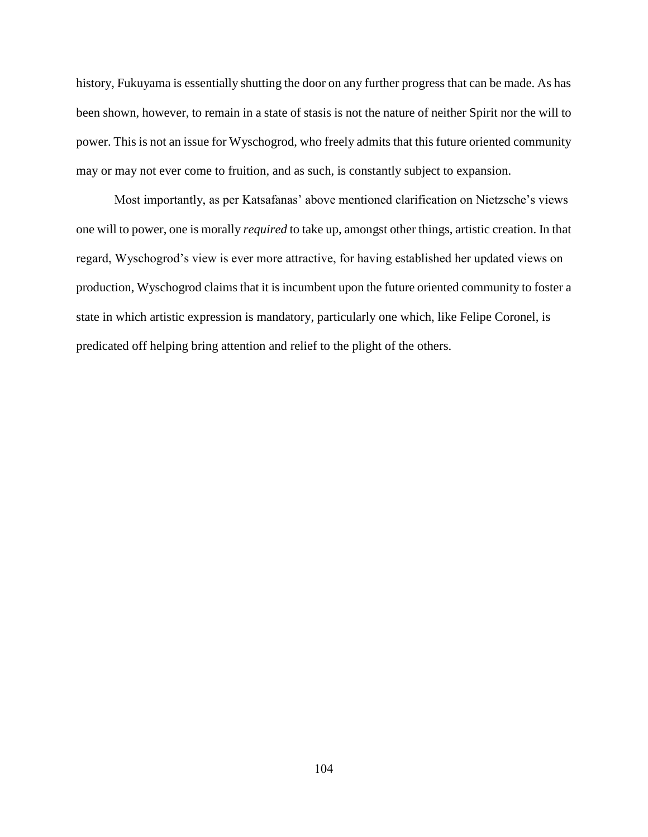history, Fukuyama is essentially shutting the door on any further progress that can be made. As has been shown, however, to remain in a state of stasis is not the nature of neither Spirit nor the will to power. This is not an issue for Wyschogrod, who freely admits that this future oriented community may or may not ever come to fruition, and as such, is constantly subject to expansion.

Most importantly, as per Katsafanas' above mentioned clarification on Nietzsche's views one will to power, one is morally *required* to take up, amongst other things, artistic creation. In that regard, Wyschogrod's view is ever more attractive, for having established her updated views on production, Wyschogrod claims that it is incumbent upon the future oriented community to foster a state in which artistic expression is mandatory, particularly one which, like Felipe Coronel, is predicated off helping bring attention and relief to the plight of the others.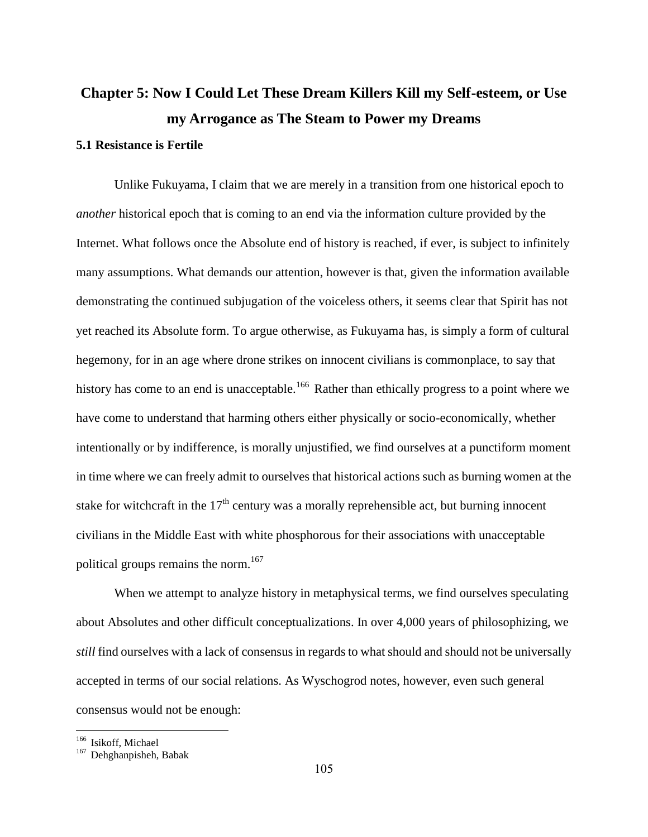# **Chapter 5: Now I Could Let These Dream Killers Kill my Self-esteem, or Use my Arrogance as The Steam to Power my Dreams**

### **5.1 Resistance is Fertile**

Unlike Fukuyama, I claim that we are merely in a transition from one historical epoch to *another* historical epoch that is coming to an end via the information culture provided by the Internet. What follows once the Absolute end of history is reached, if ever, is subject to infinitely many assumptions. What demands our attention, however is that, given the information available demonstrating the continued subjugation of the voiceless others, it seems clear that Spirit has not yet reached its Absolute form. To argue otherwise, as Fukuyama has, is simply a form of cultural hegemony, for in an age where drone strikes on innocent civilians is commonplace, to say that history has come to an end is unacceptable.<sup>166</sup> Rather than ethically progress to a point where we have come to understand that harming others either physically or socio-economically, whether intentionally or by indifference, is morally unjustified, we find ourselves at a punctiform moment in time where we can freely admit to ourselves that historical actions such as burning women at the stake for witchcraft in the  $17<sup>th</sup>$  century was a morally reprehensible act, but burning innocent civilians in the Middle East with white phosphorous for their associations with unacceptable political groups remains the norm.<sup>167</sup>

When we attempt to analyze history in metaphysical terms, we find ourselves speculating about Absolutes and other difficult conceptualizations. In over 4,000 years of philosophizing, we *still* find ourselves with a lack of consensus in regards to what should and should not be universally accepted in terms of our social relations. As Wyschogrod notes, however, even such general consensus would not be enough:

<sup>166</sup> Isikoff, Michael

<sup>&</sup>lt;sup>167</sup> Dehghanpisheh, Babak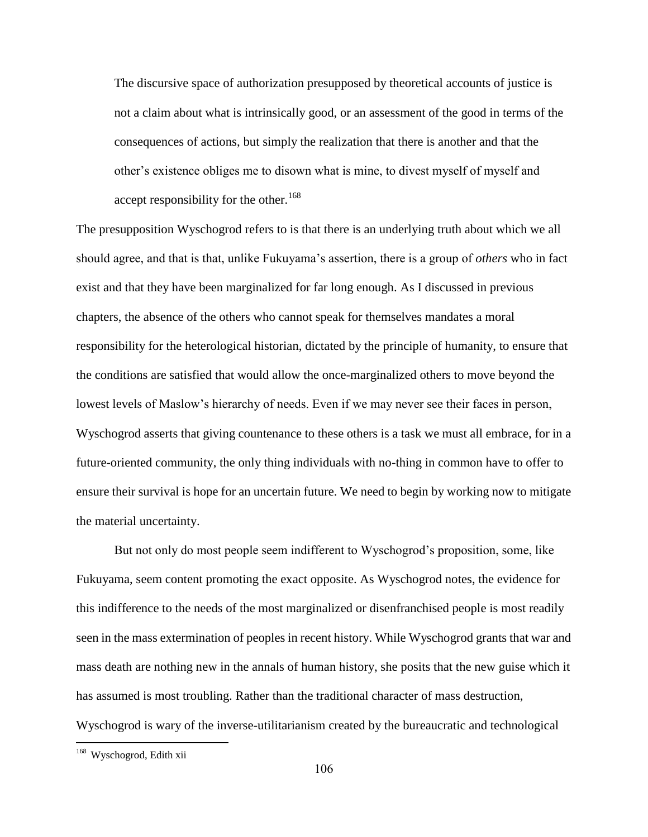The discursive space of authorization presupposed by theoretical accounts of justice is not a claim about what is intrinsically good, or an assessment of the good in terms of the consequences of actions, but simply the realization that there is another and that the other's existence obliges me to disown what is mine, to divest myself of myself and accept responsibility for the other.<sup>168</sup>

The presupposition Wyschogrod refers to is that there is an underlying truth about which we all should agree, and that is that, unlike Fukuyama's assertion, there is a group of *others* who in fact exist and that they have been marginalized for far long enough. As I discussed in previous chapters, the absence of the others who cannot speak for themselves mandates a moral responsibility for the heterological historian, dictated by the principle of humanity, to ensure that the conditions are satisfied that would allow the once-marginalized others to move beyond the lowest levels of Maslow's hierarchy of needs. Even if we may never see their faces in person, Wyschogrod asserts that giving countenance to these others is a task we must all embrace, for in a future-oriented community, the only thing individuals with no-thing in common have to offer to ensure their survival is hope for an uncertain future. We need to begin by working now to mitigate the material uncertainty.

But not only do most people seem indifferent to Wyschogrod's proposition, some, like Fukuyama, seem content promoting the exact opposite. As Wyschogrod notes, the evidence for this indifference to the needs of the most marginalized or disenfranchised people is most readily seen in the mass extermination of peoples in recent history. While Wyschogrod grants that war and mass death are nothing new in the annals of human history, she posits that the new guise which it has assumed is most troubling. Rather than the traditional character of mass destruction, Wyschogrod is wary of the inverse-utilitarianism created by the bureaucratic and technological

<sup>168</sup> Wyschogrod, Edith xii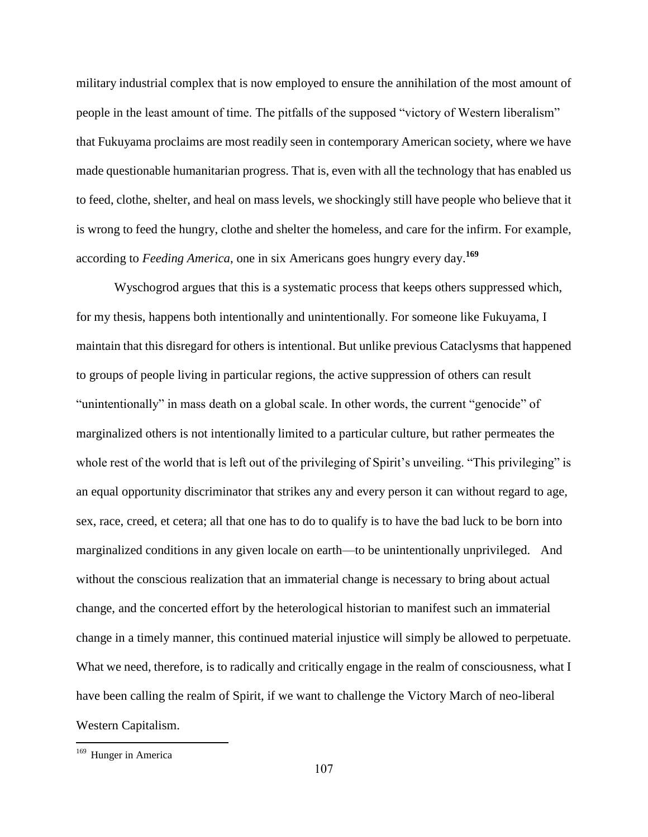military industrial complex that is now employed to ensure the annihilation of the most amount of people in the least amount of time. The pitfalls of the supposed "victory of Western liberalism" that Fukuyama proclaims are most readily seen in contemporary American society, where we have made questionable humanitarian progress. That is, even with all the technology that has enabled us to feed, clothe, shelter, and heal on mass levels, we shockingly still have people who believe that it is wrong to feed the hungry, clothe and shelter the homeless, and care for the infirm. For example, according to *Feeding America*, one in six Americans goes hungry every day.**<sup>169</sup>**

Wyschogrod argues that this is a systematic process that keeps others suppressed which, for my thesis, happens both intentionally and unintentionally. For someone like Fukuyama, I maintain that this disregard for others is intentional. But unlike previous Cataclysms that happened to groups of people living in particular regions, the active suppression of others can result "unintentionally" in mass death on a global scale. In other words, the current "genocide" of marginalized others is not intentionally limited to a particular culture, but rather permeates the whole rest of the world that is left out of the privileging of Spirit's unveiling. "This privileging" is an equal opportunity discriminator that strikes any and every person it can without regard to age, sex, race, creed, et cetera; all that one has to do to qualify is to have the bad luck to be born into marginalized conditions in any given locale on earth—to be unintentionally unprivileged. And without the conscious realization that an immaterial change is necessary to bring about actual change, and the concerted effort by the heterological historian to manifest such an immaterial change in a timely manner, this continued material injustice will simply be allowed to perpetuate. What we need, therefore, is to radically and critically engage in the realm of consciousness, what I have been calling the realm of Spirit, if we want to challenge the Victory March of neo-liberal Western Capitalism.

<sup>&</sup>lt;sup>169</sup> Hunger in America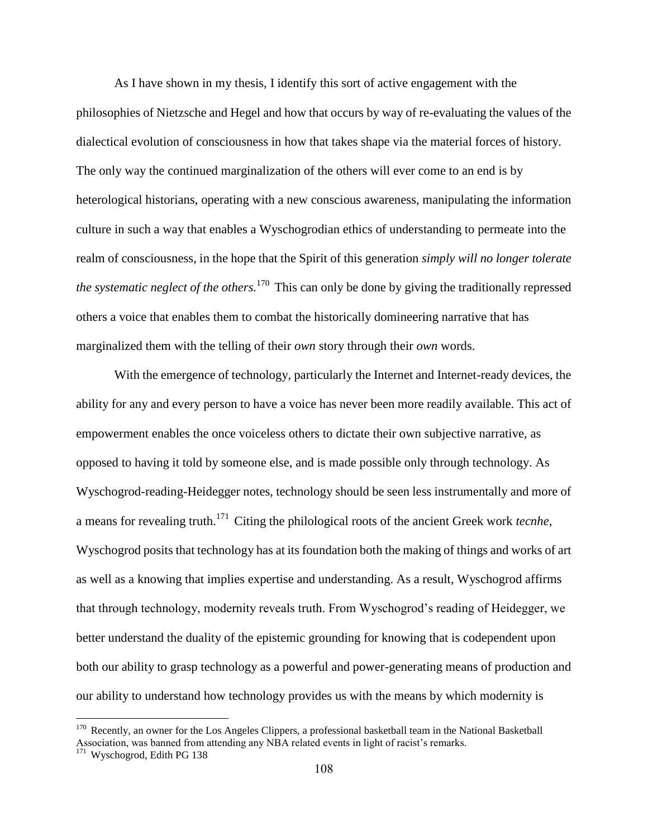As I have shown in my thesis, I identify this sort of active engagement with the philosophies of Nietzsche and Hegel and how that occurs by way of re-evaluating the values of the dialectical evolution of consciousness in how that takes shape via the material forces of history. The only way the continued marginalization of the others will ever come to an end is by heterological historians, operating with a new conscious awareness, manipulating the information culture in such a way that enables a Wyschogrodian ethics of understanding to permeate into the realm of consciousness, in the hope that the Spirit of this generation *simply will no longer tolerate the systematic neglect of the others.*<sup>170</sup> This can only be done by giving the traditionally repressed others a voice that enables them to combat the historically domineering narrative that has marginalized them with the telling of their *own* story through their *own* words.

With the emergence of technology, particularly the Internet and Internet-ready devices, the ability for any and every person to have a voice has never been more readily available. This act of empowerment enables the once voiceless others to dictate their own subjective narrative, as opposed to having it told by someone else, and is made possible only through technology. As Wyschogrod-reading-Heidegger notes, technology should be seen less instrumentally and more of a means for revealing truth.<sup>171</sup> Citing the philological roots of the ancient Greek work *tecnhe*, Wyschogrod posits that technology has at its foundation both the making of things and works of art as well as a knowing that implies expertise and understanding. As a result, Wyschogrod affirms that through technology, modernity reveals truth. From Wyschogrod's reading of Heidegger, we better understand the duality of the epistemic grounding for knowing that is codependent upon both our ability to grasp technology as a powerful and power-generating means of production and our ability to understand how technology provides us with the means by which modernity is

<sup>&</sup>lt;sup>170</sup> Recently, an owner for the Los Angeles Clippers, a professional basketball team in the National Basketball Association, was banned from attending any NBA related events in light of racist's remarks.

<sup>&</sup>lt;sup>171</sup> Wyschogrod, Edith PG 138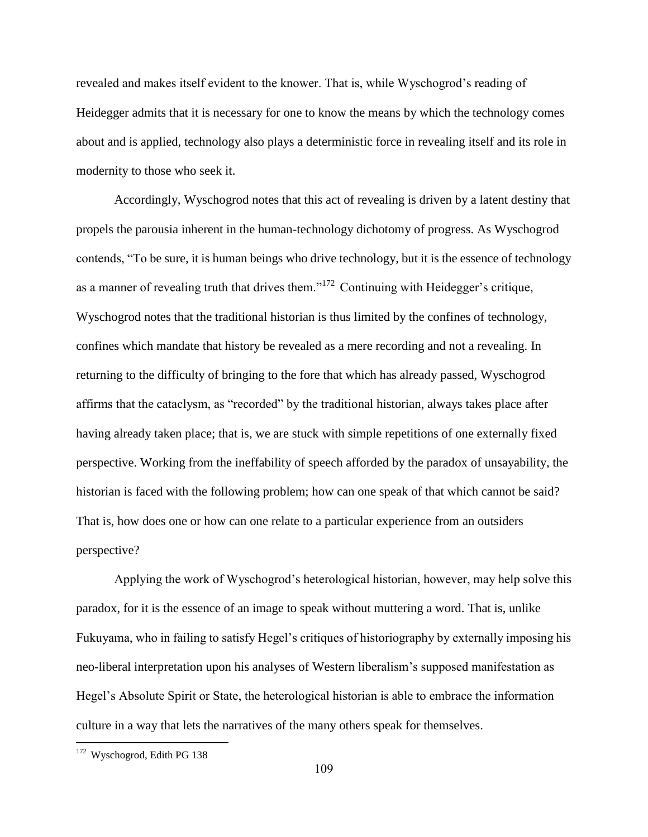revealed and makes itself evident to the knower. That is, while Wyschogrod's reading of Heidegger admits that it is necessary for one to know the means by which the technology comes about and is applied, technology also plays a deterministic force in revealing itself and its role in modernity to those who seek it.

Accordingly, Wyschogrod notes that this act of revealing is driven by a latent destiny that propels the parousia inherent in the human-technology dichotomy of progress. As Wyschogrod contends, "To be sure, it is human beings who drive technology, but it is the essence of technology as a manner of revealing truth that drives them."<sup>172</sup> Continuing with Heidegger's critique, Wyschogrod notes that the traditional historian is thus limited by the confines of technology, confines which mandate that history be revealed as a mere recording and not a revealing. In returning to the difficulty of bringing to the fore that which has already passed, Wyschogrod affirms that the cataclysm, as "recorded" by the traditional historian, always takes place after having already taken place; that is, we are stuck with simple repetitions of one externally fixed perspective. Working from the ineffability of speech afforded by the paradox of unsayability, the historian is faced with the following problem; how can one speak of that which cannot be said? That is, how does one or how can one relate to a particular experience from an outsiders perspective?

Applying the work of Wyschogrod's heterological historian, however, may help solve this paradox, for it is the essence of an image to speak without muttering a word. That is, unlike Fukuyama, who in failing to satisfy Hegel's critiques of historiography by externally imposing his neo-liberal interpretation upon his analyses of Western liberalism's supposed manifestation as Hegel's Absolute Spirit or State, the heterological historian is able to embrace the information culture in a way that lets the narratives of the many others speak for themselves.

<sup>&</sup>lt;sup>172</sup> Wyschogrod, Edith PG 138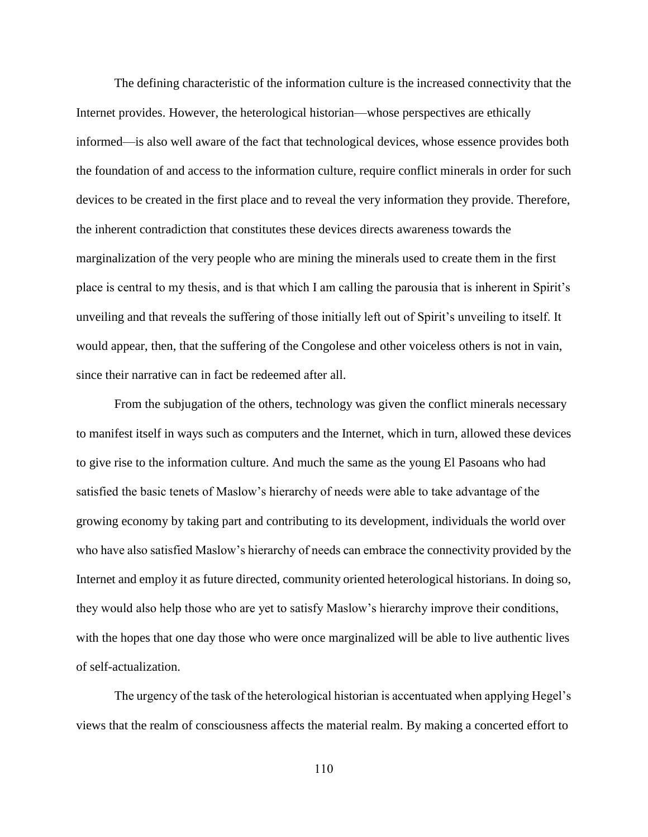The defining characteristic of the information culture is the increased connectivity that the Internet provides. However, the heterological historian—whose perspectives are ethically informed—is also well aware of the fact that technological devices, whose essence provides both the foundation of and access to the information culture, require conflict minerals in order for such devices to be created in the first place and to reveal the very information they provide. Therefore, the inherent contradiction that constitutes these devices directs awareness towards the marginalization of the very people who are mining the minerals used to create them in the first place is central to my thesis, and is that which I am calling the parousia that is inherent in Spirit's unveiling and that reveals the suffering of those initially left out of Spirit's unveiling to itself. It would appear, then, that the suffering of the Congolese and other voiceless others is not in vain, since their narrative can in fact be redeemed after all.

From the subjugation of the others, technology was given the conflict minerals necessary to manifest itself in ways such as computers and the Internet, which in turn, allowed these devices to give rise to the information culture. And much the same as the young El Pasoans who had satisfied the basic tenets of Maslow's hierarchy of needs were able to take advantage of the growing economy by taking part and contributing to its development, individuals the world over who have also satisfied Maslow's hierarchy of needs can embrace the connectivity provided by the Internet and employ it as future directed, community oriented heterological historians. In doing so, they would also help those who are yet to satisfy Maslow's hierarchy improve their conditions, with the hopes that one day those who were once marginalized will be able to live authentic lives of self-actualization.

The urgency of the task of the heterological historian is accentuated when applying Hegel's views that the realm of consciousness affects the material realm. By making a concerted effort to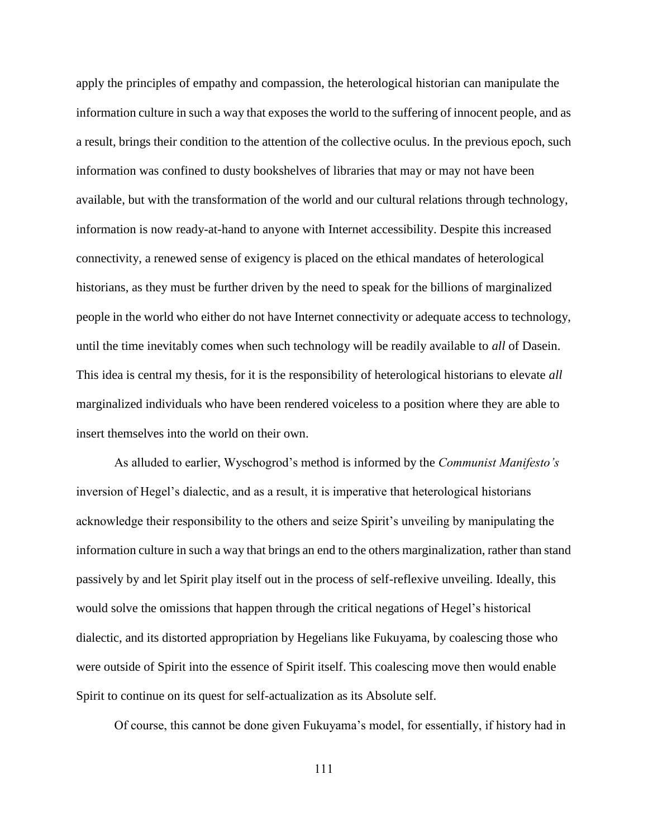apply the principles of empathy and compassion, the heterological historian can manipulate the information culture in such a way that exposes the world to the suffering of innocent people, and as a result, brings their condition to the attention of the collective oculus. In the previous epoch, such information was confined to dusty bookshelves of libraries that may or may not have been available, but with the transformation of the world and our cultural relations through technology, information is now ready-at-hand to anyone with Internet accessibility. Despite this increased connectivity, a renewed sense of exigency is placed on the ethical mandates of heterological historians, as they must be further driven by the need to speak for the billions of marginalized people in the world who either do not have Internet connectivity or adequate access to technology, until the time inevitably comes when such technology will be readily available to *all* of Dasein. This idea is central my thesis, for it is the responsibility of heterological historians to elevate *all* marginalized individuals who have been rendered voiceless to a position where they are able to insert themselves into the world on their own.

As alluded to earlier, Wyschogrod's method is informed by the *Communist Manifesto's* inversion of Hegel's dialectic, and as a result, it is imperative that heterological historians acknowledge their responsibility to the others and seize Spirit's unveiling by manipulating the information culture in such a way that brings an end to the others marginalization, rather than stand passively by and let Spirit play itself out in the process of self-reflexive unveiling. Ideally, this would solve the omissions that happen through the critical negations of Hegel's historical dialectic, and its distorted appropriation by Hegelians like Fukuyama, by coalescing those who were outside of Spirit into the essence of Spirit itself. This coalescing move then would enable Spirit to continue on its quest for self-actualization as its Absolute self.

Of course, this cannot be done given Fukuyama's model, for essentially, if history had in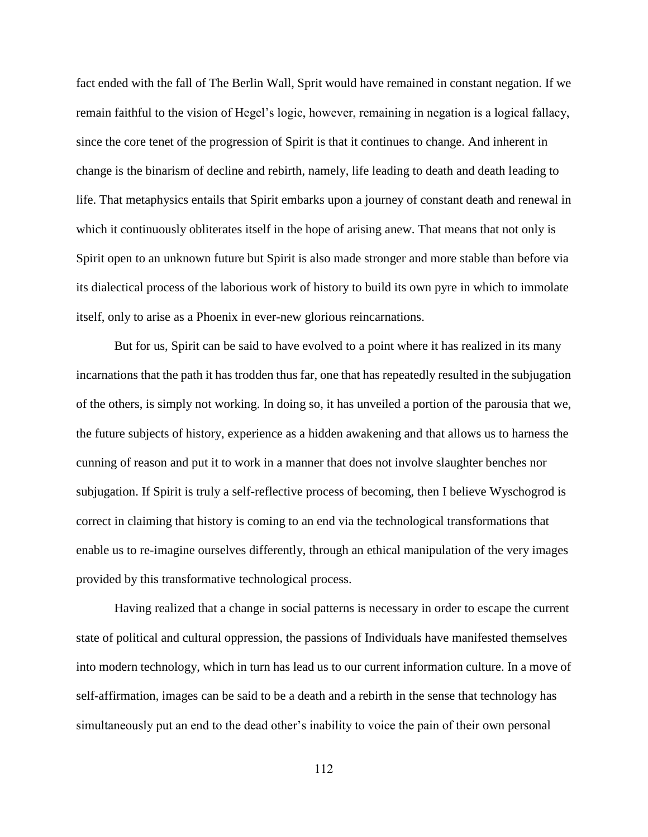fact ended with the fall of The Berlin Wall, Sprit would have remained in constant negation. If we remain faithful to the vision of Hegel's logic, however, remaining in negation is a logical fallacy, since the core tenet of the progression of Spirit is that it continues to change. And inherent in change is the binarism of decline and rebirth, namely, life leading to death and death leading to life. That metaphysics entails that Spirit embarks upon a journey of constant death and renewal in which it continuously obliterates itself in the hope of arising anew. That means that not only is Spirit open to an unknown future but Spirit is also made stronger and more stable than before via its dialectical process of the laborious work of history to build its own pyre in which to immolate itself, only to arise as a Phoenix in ever-new glorious reincarnations.

But for us, Spirit can be said to have evolved to a point where it has realized in its many incarnations that the path it has trodden thus far, one that has repeatedly resulted in the subjugation of the others, is simply not working. In doing so, it has unveiled a portion of the parousia that we, the future subjects of history, experience as a hidden awakening and that allows us to harness the cunning of reason and put it to work in a manner that does not involve slaughter benches nor subjugation. If Spirit is truly a self-reflective process of becoming, then I believe Wyschogrod is correct in claiming that history is coming to an end via the technological transformations that enable us to re-imagine ourselves differently, through an ethical manipulation of the very images provided by this transformative technological process.

Having realized that a change in social patterns is necessary in order to escape the current state of political and cultural oppression, the passions of Individuals have manifested themselves into modern technology, which in turn has lead us to our current information culture. In a move of self-affirmation, images can be said to be a death and a rebirth in the sense that technology has simultaneously put an end to the dead other's inability to voice the pain of their own personal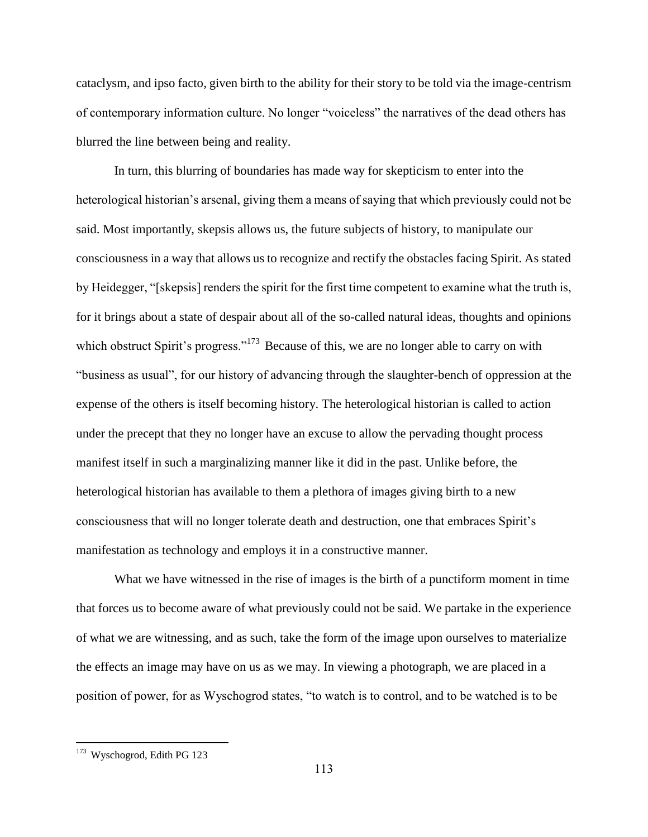cataclysm, and ipso facto, given birth to the ability for their story to be told via the image-centrism of contemporary information culture. No longer "voiceless" the narratives of the dead others has blurred the line between being and reality.

In turn, this blurring of boundaries has made way for skepticism to enter into the heterological historian's arsenal, giving them a means of saying that which previously could not be said. Most importantly, skepsis allows us, the future subjects of history, to manipulate our consciousness in a way that allows us to recognize and rectify the obstacles facing Spirit. As stated by Heidegger, "[skepsis] renders the spirit for the first time competent to examine what the truth is, for it brings about a state of despair about all of the so-called natural ideas, thoughts and opinions which obstruct Spirit's progress."<sup>173</sup> Because of this, we are no longer able to carry on with "business as usual", for our history of advancing through the slaughter-bench of oppression at the expense of the others is itself becoming history. The heterological historian is called to action under the precept that they no longer have an excuse to allow the pervading thought process manifest itself in such a marginalizing manner like it did in the past. Unlike before, the heterological historian has available to them a plethora of images giving birth to a new consciousness that will no longer tolerate death and destruction, one that embraces Spirit's manifestation as technology and employs it in a constructive manner.

What we have witnessed in the rise of images is the birth of a punctiform moment in time that forces us to become aware of what previously could not be said. We partake in the experience of what we are witnessing, and as such, take the form of the image upon ourselves to materialize the effects an image may have on us as we may. In viewing a photograph, we are placed in a position of power, for as Wyschogrod states, "to watch is to control, and to be watched is to be

<sup>&</sup>lt;sup>173</sup> Wyschogrod, Edith PG 123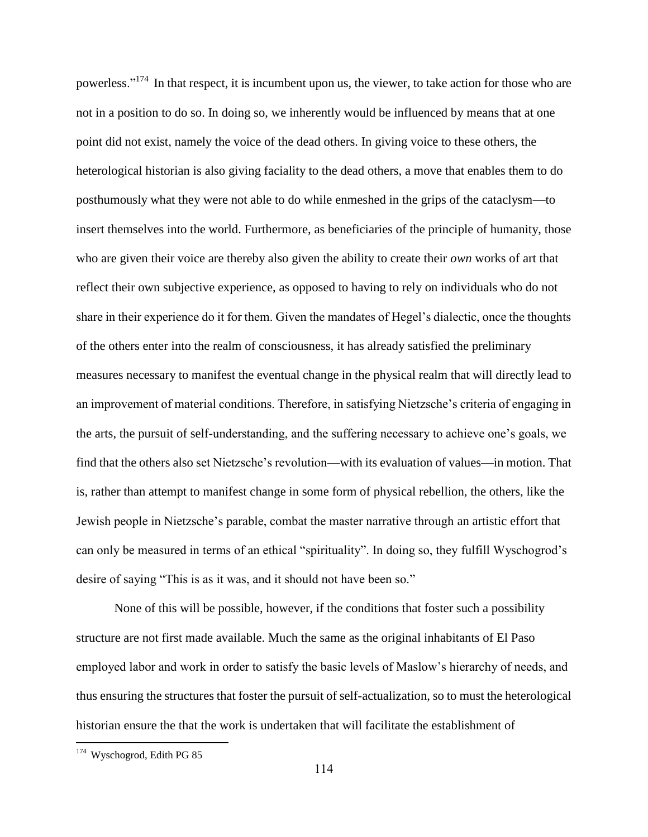powerless."<sup>174</sup> In that respect, it is incumbent upon us, the viewer, to take action for those who are not in a position to do so. In doing so, we inherently would be influenced by means that at one point did not exist, namely the voice of the dead others. In giving voice to these others, the heterological historian is also giving faciality to the dead others, a move that enables them to do posthumously what they were not able to do while enmeshed in the grips of the cataclysm—to insert themselves into the world. Furthermore, as beneficiaries of the principle of humanity, those who are given their voice are thereby also given the ability to create their *own* works of art that reflect their own subjective experience, as opposed to having to rely on individuals who do not share in their experience do it for them. Given the mandates of Hegel's dialectic, once the thoughts of the others enter into the realm of consciousness, it has already satisfied the preliminary measures necessary to manifest the eventual change in the physical realm that will directly lead to an improvement of material conditions. Therefore, in satisfying Nietzsche's criteria of engaging in the arts, the pursuit of self-understanding, and the suffering necessary to achieve one's goals, we find that the others also set Nietzsche's revolution—with its evaluation of values—in motion. That is, rather than attempt to manifest change in some form of physical rebellion, the others, like the Jewish people in Nietzsche's parable, combat the master narrative through an artistic effort that can only be measured in terms of an ethical "spirituality". In doing so, they fulfill Wyschogrod's desire of saying "This is as it was, and it should not have been so."

None of this will be possible, however, if the conditions that foster such a possibility structure are not first made available. Much the same as the original inhabitants of El Paso employed labor and work in order to satisfy the basic levels of Maslow's hierarchy of needs, and thus ensuring the structures that foster the pursuit of self-actualization, so to must the heterological historian ensure the that the work is undertaken that will facilitate the establishment of

<sup>174</sup> Wyschogrod, Edith PG 85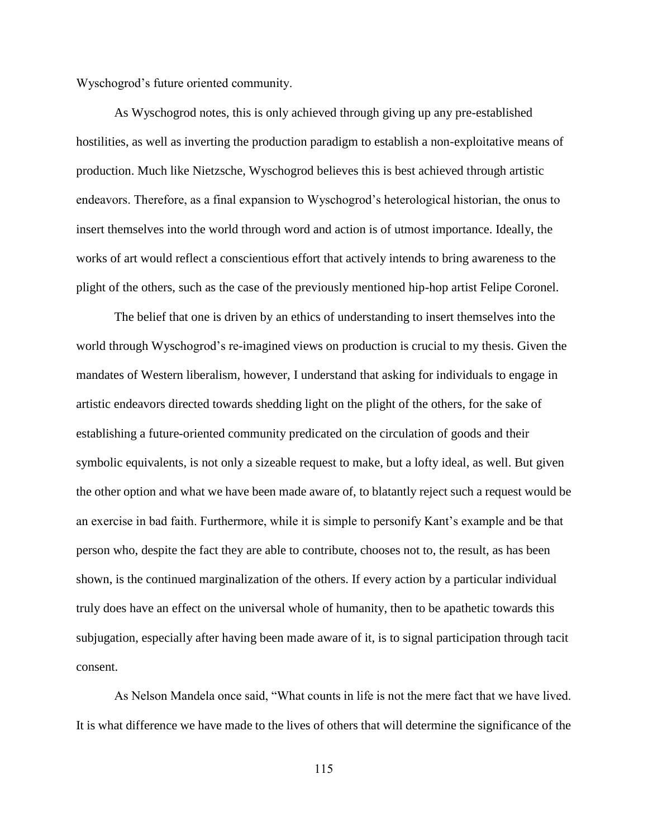Wyschogrod's future oriented community.

As Wyschogrod notes, this is only achieved through giving up any pre-established hostilities, as well as inverting the production paradigm to establish a non-exploitative means of production. Much like Nietzsche, Wyschogrod believes this is best achieved through artistic endeavors. Therefore, as a final expansion to Wyschogrod's heterological historian, the onus to insert themselves into the world through word and action is of utmost importance. Ideally, the works of art would reflect a conscientious effort that actively intends to bring awareness to the plight of the others, such as the case of the previously mentioned hip-hop artist Felipe Coronel.

The belief that one is driven by an ethics of understanding to insert themselves into the world through Wyschogrod's re-imagined views on production is crucial to my thesis. Given the mandates of Western liberalism, however, I understand that asking for individuals to engage in artistic endeavors directed towards shedding light on the plight of the others, for the sake of establishing a future-oriented community predicated on the circulation of goods and their symbolic equivalents, is not only a sizeable request to make, but a lofty ideal, as well. But given the other option and what we have been made aware of, to blatantly reject such a request would be an exercise in bad faith. Furthermore, while it is simple to personify Kant's example and be that person who, despite the fact they are able to contribute, chooses not to, the result, as has been shown, is the continued marginalization of the others. If every action by a particular individual truly does have an effect on the universal whole of humanity, then to be apathetic towards this subjugation, especially after having been made aware of it, is to signal participation through tacit consent.

As Nelson Mandela once said, "What counts in life is not the mere fact that we have lived. It is what difference we have made to the lives of others that will determine the significance of the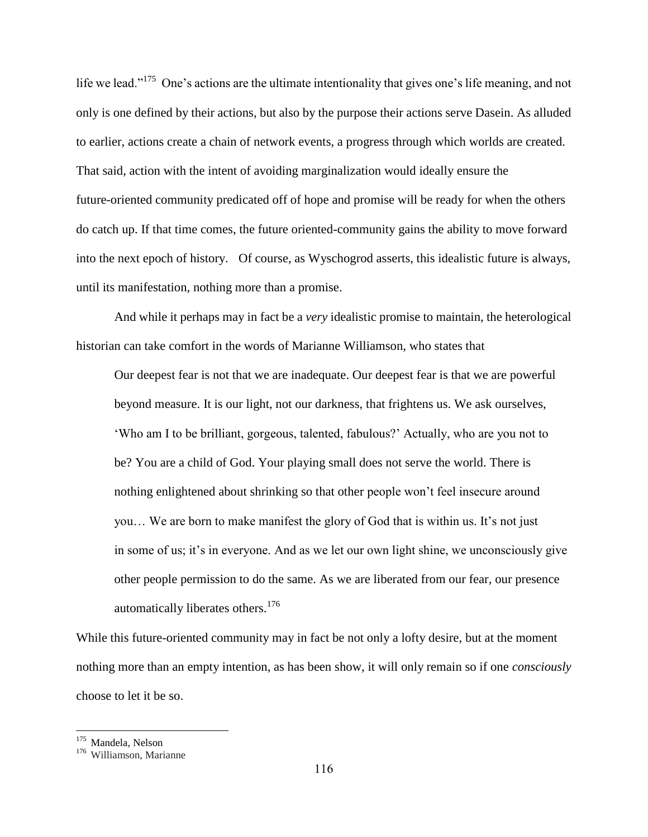life we lead."<sup>175</sup> One's actions are the ultimate intentionality that gives one's life meaning, and not only is one defined by their actions, but also by the purpose their actions serve Dasein. As alluded to earlier, actions create a chain of network events, a progress through which worlds are created. That said, action with the intent of avoiding marginalization would ideally ensure the future-oriented community predicated off of hope and promise will be ready for when the others do catch up. If that time comes, the future oriented-community gains the ability to move forward into the next epoch of history. Of course, as Wyschogrod asserts, this idealistic future is always, until its manifestation, nothing more than a promise.

And while it perhaps may in fact be a *very* idealistic promise to maintain, the heterological historian can take comfort in the words of Marianne Williamson, who states that

Our deepest fear is not that we are inadequate. Our deepest fear is that we are powerful beyond measure. It is our light, not our darkness, that frightens us. We ask ourselves, 'Who am I to be brilliant, gorgeous, talented, fabulous?' Actually, who are you not to be? You are a child of God. Your playing small does not serve the world. There is nothing enlightened about shrinking so that other people won't feel insecure around you… We are born to make manifest the glory of God that is within us. It's not just in some of us; it's in everyone. And as we let our own light shine, we unconsciously give other people permission to do the same. As we are liberated from our fear, our presence automatically liberates others.<sup>176</sup>

While this future-oriented community may in fact be not only a lofty desire, but at the moment nothing more than an empty intention, as has been show, it will only remain so if one *consciously* choose to let it be so.

<sup>&</sup>lt;sup>175</sup> Mandela, Nelson

<sup>&</sup>lt;sup>176</sup> Williamson, Marianne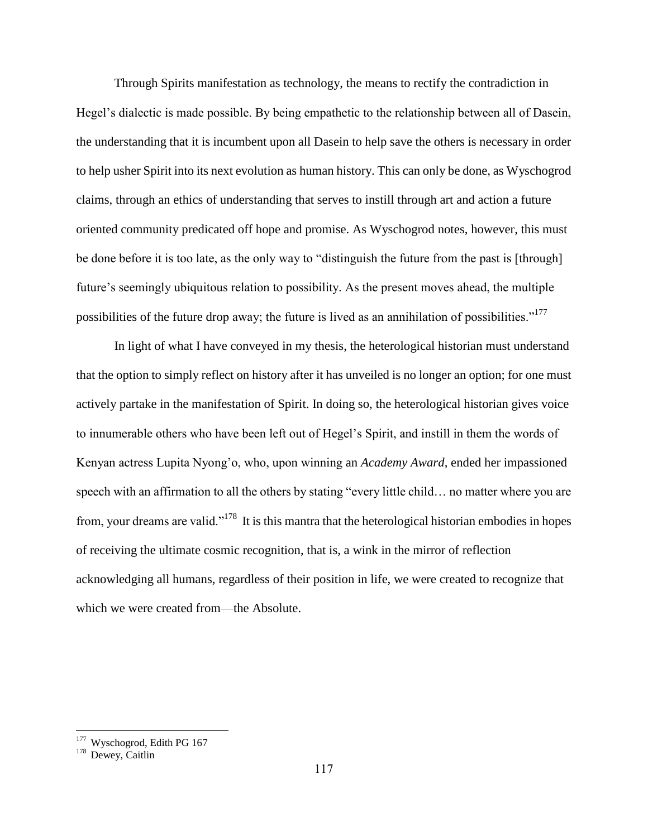Through Spirits manifestation as technology, the means to rectify the contradiction in Hegel's dialectic is made possible. By being empathetic to the relationship between all of Dasein, the understanding that it is incumbent upon all Dasein to help save the others is necessary in order to help usher Spirit into its next evolution as human history. This can only be done, as Wyschogrod claims, through an ethics of understanding that serves to instill through art and action a future oriented community predicated off hope and promise. As Wyschogrod notes, however, this must be done before it is too late, as the only way to "distinguish the future from the past is [through] future's seemingly ubiquitous relation to possibility. As the present moves ahead, the multiple possibilities of the future drop away; the future is lived as an annihilation of possibilities."<sup>177</sup>

In light of what I have conveyed in my thesis, the heterological historian must understand that the option to simply reflect on history after it has unveiled is no longer an option; for one must actively partake in the manifestation of Spirit. In doing so, the heterological historian gives voice to innumerable others who have been left out of Hegel's Spirit, and instill in them the words of Kenyan actress Lupita Nyong'o, who, upon winning an *Academy Award*, ended her impassioned speech with an affirmation to all the others by stating "every little child… no matter where you are from, your dreams are valid."<sup>178</sup> It is this mantra that the heterological historian embodies in hopes of receiving the ultimate cosmic recognition, that is, a wink in the mirror of reflection acknowledging all humans, regardless of their position in life, we were created to recognize that which we were created from—the Absolute.

<sup>&</sup>lt;sup>177</sup> Wyschogrod, Edith PG 167

<sup>&</sup>lt;sup>178</sup> Dewey, Caitlin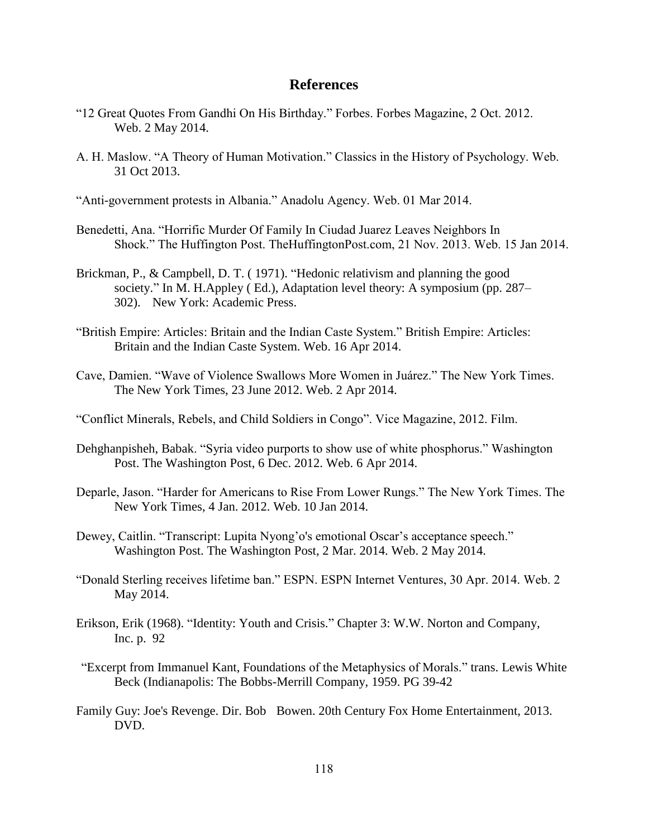#### **References**

- "12 Great Quotes From Gandhi On His Birthday." Forbes. Forbes Magazine, 2 Oct. 2012. Web. 2 May 2014.
- A. H. Maslow. "A Theory of Human Motivation." Classics in the History of Psychology. Web. 31 Oct 2013.
- "Anti-government protests in Albania." Anadolu Agency. Web. 01 Mar 2014.
- Benedetti, Ana. "Horrific Murder Of Family In Ciudad Juarez Leaves Neighbors In Shock." The Huffington Post. TheHuffingtonPost.com, 21 Nov. 2013. Web. 15 Jan 2014.
- Brickman, P., & Campbell, D. T. ( 1971). "Hedonic relativism and planning the good society." In M. H.Appley ( Ed.), Adaptation level theory: A symposium (pp. 287– 302). New York: Academic Press.
- "British Empire: Articles: Britain and the Indian Caste System." British Empire: Articles: Britain and the Indian Caste System. Web. 16 Apr 2014.
- Cave, Damien. "Wave of Violence Swallows More Women in Juárez." The New York Times. The New York Times, 23 June 2012. Web. 2 Apr 2014.
- "Conflict Minerals, Rebels, and Child Soldiers in Congo". Vice Magazine, 2012. Film.
- Dehghanpisheh, Babak. "Syria video purports to show use of white phosphorus." Washington Post. The Washington Post, 6 Dec. 2012. Web. 6 Apr 2014.
- Deparle, Jason. "Harder for Americans to Rise From Lower Rungs." The New York Times. The New York Times, 4 Jan. 2012. Web. 10 Jan 2014.
- Dewey, Caitlin. "Transcript: Lupita Nyong'o's emotional Oscar's acceptance speech." Washington Post. The Washington Post, 2 Mar. 2014. Web. 2 May 2014.
- "Donald Sterling receives lifetime ban." ESPN. ESPN Internet Ventures, 30 Apr. 2014. Web. 2 May 2014.
- Erikson, Erik (1968). "Identity: Youth and Crisis." Chapter 3: W.W. Norton and Company, Inc. p. 92
- "Excerpt from Immanuel Kant, Foundations of the Metaphysics of Morals." trans. Lewis White Beck (Indianapolis: The Bobbs-Merrill Company, 1959. PG 39-42
- Family Guy: Joe's Revenge. Dir. Bob Bowen. 20th Century Fox Home Entertainment, 2013. DVD.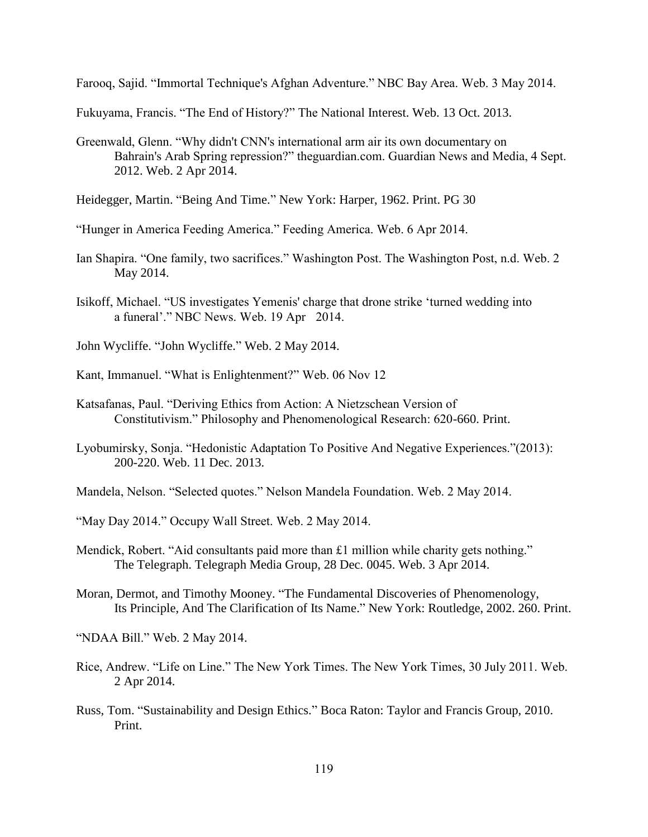Farooq, Sajid. "Immortal Technique's Afghan Adventure." NBC Bay Area. Web. 3 May 2014.

Fukuyama, Francis. "The End of History?" The National Interest. Web. 13 Oct. 2013.

- Greenwald, Glenn. "Why didn't CNN's international arm air its own documentary on Bahrain's Arab Spring repression?" theguardian.com. Guardian News and Media, 4 Sept. 2012. Web. 2 Apr 2014.
- Heidegger, Martin. "Being And Time." New York: Harper, 1962. Print. PG 30
- "Hunger in America Feeding America." Feeding America. Web. 6 Apr 2014.
- Ian Shapira. "One family, two sacrifices." Washington Post. The Washington Post, n.d. Web. 2 May 2014.
- Isikoff, Michael. "US investigates Yemenis' charge that drone strike 'turned wedding into a funeral'." NBC News. Web. 19 Apr 2014.
- John Wycliffe. "John Wycliffe." Web. 2 May 2014.
- Kant, Immanuel. "What is Enlightenment?" Web. 06 Nov 12
- Katsafanas, Paul. "Deriving Ethics from Action: A Nietzschean Version of Constitutivism." Philosophy and Phenomenological Research: 620-660. Print.
- Lyobumirsky, Sonja. "Hedonistic Adaptation To Positive And Negative Experiences."(2013): 200-220. Web. 11 Dec. 2013.

Mandela, Nelson. "Selected quotes." Nelson Mandela Foundation. Web. 2 May 2014.

- "May Day 2014." Occupy Wall Street. Web. 2 May 2014.
- Mendick, Robert. "Aid consultants paid more than £1 million while charity gets nothing." The Telegraph. Telegraph Media Group, 28 Dec. 0045. Web. 3 Apr 2014.
- Moran, Dermot, and Timothy Mooney. "The Fundamental Discoveries of Phenomenology, Its Principle, And The Clarification of Its Name." New York: Routledge, 2002. 260. Print.
- "NDAA Bill." Web. 2 May 2014.
- Rice, Andrew. "Life on Line." The New York Times. The New York Times, 30 July 2011. Web. 2 Apr 2014.
- Russ, Tom. "Sustainability and Design Ethics." Boca Raton: Taylor and Francis Group, 2010. Print.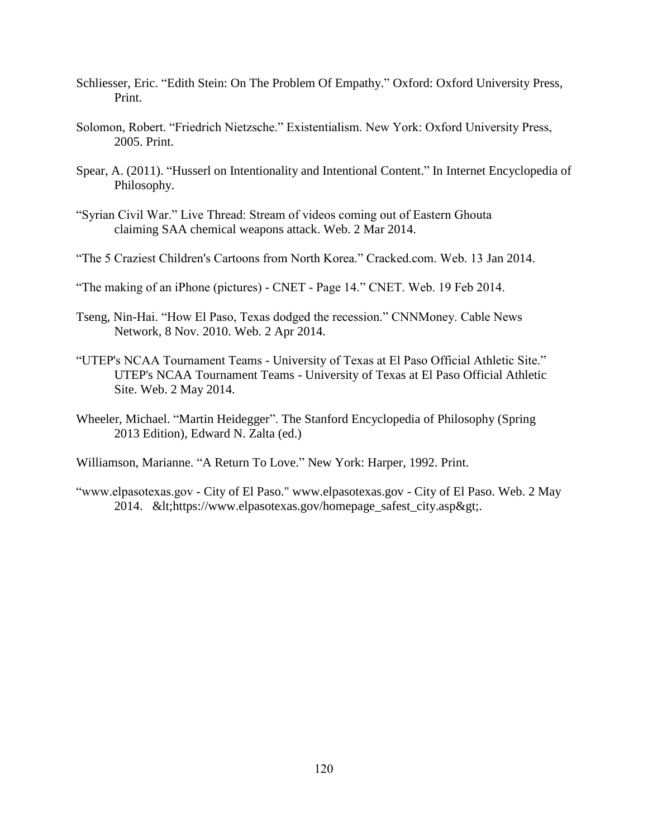- Schliesser, Eric. "Edith Stein: On The Problem Of Empathy." Oxford: Oxford University Press, Print.
- Solomon, Robert. "Friedrich Nietzsche." Existentialism. New York: Oxford University Press, 2005. Print.
- Spear, A. (2011). "Husserl on Intentionality and Intentional Content." In Internet Encyclopedia of Philosophy.
- "Syrian Civil War." Live Thread: Stream of videos coming out of Eastern Ghouta claiming SAA chemical weapons attack. Web. 2 Mar 2014.
- "The 5 Craziest Children's Cartoons from North Korea." Cracked.com. Web. 13 Jan 2014.
- "The making of an iPhone (pictures) CNET Page 14." CNET. Web. 19 Feb 2014.
- Tseng, Nin-Hai. "How El Paso, Texas dodged the recession." CNNMoney. Cable News Network, 8 Nov. 2010. Web. 2 Apr 2014.
- "UTEP's NCAA Tournament Teams University of Texas at El Paso Official Athletic Site." UTEP's NCAA Tournament Teams - University of Texas at El Paso Official Athletic Site. Web. 2 May 2014.
- Wheeler, Michael. "Martin Heidegger". The Stanford Encyclopedia of Philosophy (Spring 2013 Edition), Edward N. Zalta (ed.)
- Williamson, Marianne. "A Return To Love." New York: Harper, 1992. Print.
- "www.elpasotexas.gov City of El Paso." www.elpasotexas.gov City of El Paso. Web. 2 May  $2014.$  <https://www.elpasotexas.gov/homepage safest city.asp&gt;.